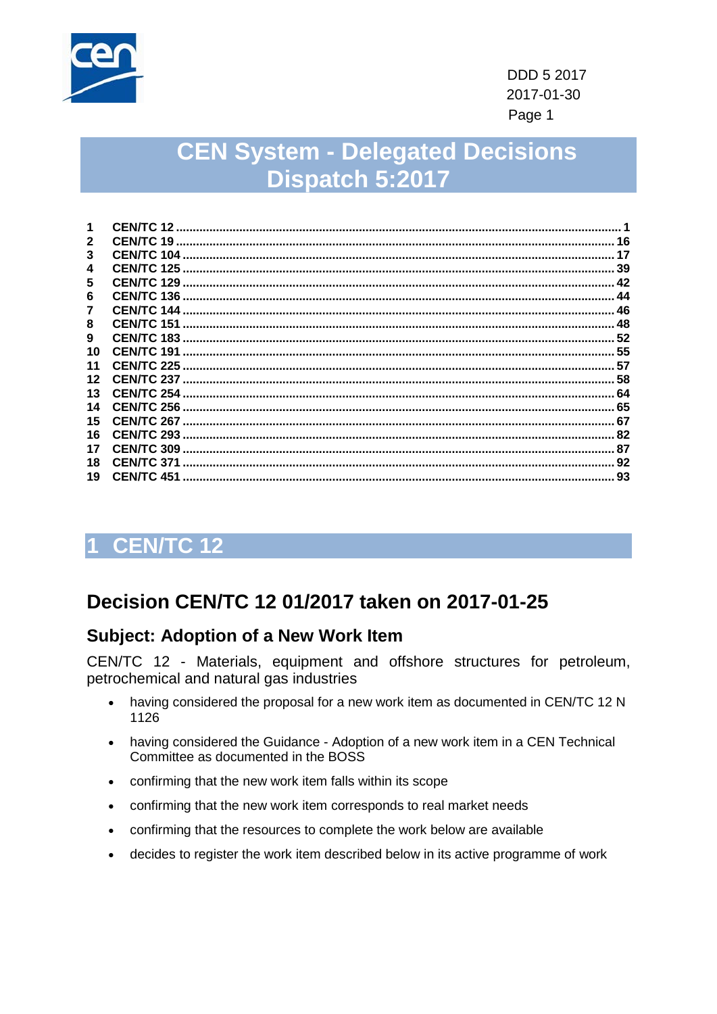

# **CEN System - Delegated Decisions** Dispatch 5:2017

|    | <b>CEN/TC 12</b>   |    |
|----|--------------------|----|
| 2  | CENTC 19.          | 16 |
| 3  | <b>CEN/TC 104</b>  | 17 |
| 4  | <b>CEN/TC 125</b>  | 39 |
| 5  | CEN/TC 129         | 42 |
| 6  | <b>CEN/TC 136</b>  | 44 |
|    | <b>CEN/TC 144</b>  | 46 |
| 8  | CEN/TC 151         | 48 |
| 9  | <b>CEN/TC 183</b>  | 52 |
| 10 | CEN/TC 191         | 55 |
| 11 | <b>CEN/TC 225</b>  | 57 |
| 12 | <b>CEN/TC 237</b>  |    |
| 13 | <b>CEN/TC 254</b>  | 64 |
| 14 | CEN/TC 256         | 65 |
| 15 | <b>CEN/TC 267.</b> | 67 |
| 16 | CEN/TC 293         | 82 |
| 17 | <b>CEN/TC 309</b>  | 87 |
| 18 | CEN/TC 371         | 92 |
| 19 | <b>CEN/TC 451</b>  | 93 |
|    |                    |    |

# <span id="page-0-0"></span>1 CEN/TC 12

# Decision CEN/TC 12 01/2017 taken on 2017-01-25

#### **Subject: Adoption of a New Work Item**

- having considered the proposal for a new work item as documented in CEN/TC 12 N 1126
- having considered the Guidance Adoption of a new work item in a CEN Technical Committee as documented in the BOSS
- confirming that the new work item falls within its scope
- confirming that the new work item corresponds to real market needs
- confirming that the resources to complete the work below are available
- decides to register the work item described below in its active programme of work  $\bullet$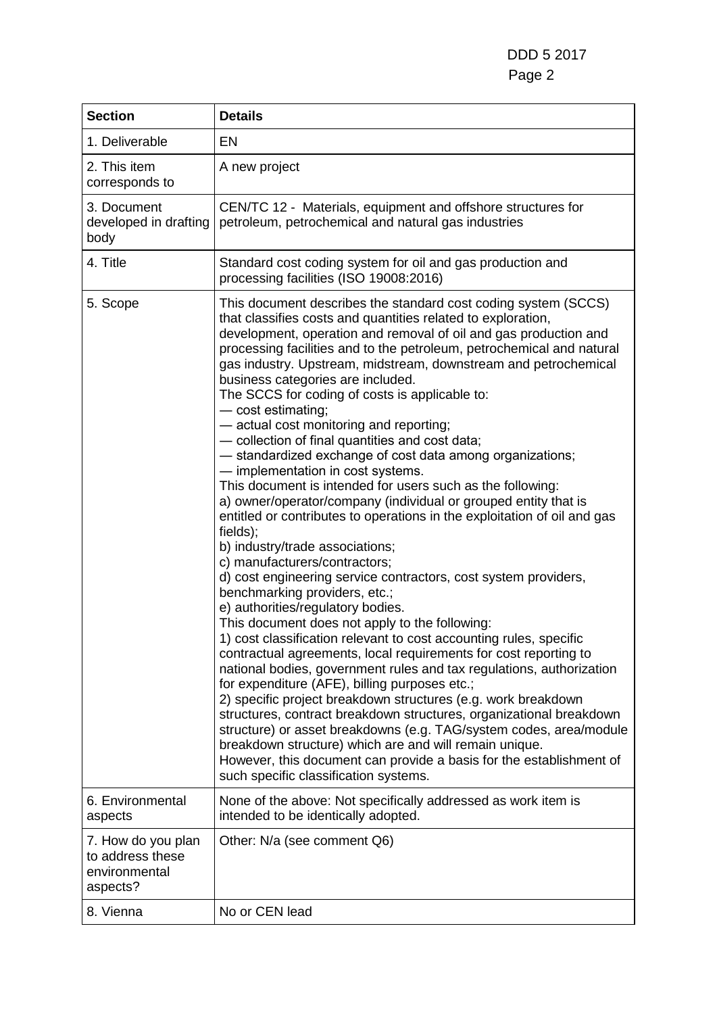DDD 5 2017 Page 2

| <b>Section</b>                                                      | <b>Details</b>                                                                                                                                                                                                                                                                                                                                                                                                                                                                                                                                                                                                                                                                                                                                                                                                                                                                                                                                                                                                                                                                                                                                                                                                                                                                                                                                                                                                                                                                                                                                                                                                                                                                                                                                                                                                 |
|---------------------------------------------------------------------|----------------------------------------------------------------------------------------------------------------------------------------------------------------------------------------------------------------------------------------------------------------------------------------------------------------------------------------------------------------------------------------------------------------------------------------------------------------------------------------------------------------------------------------------------------------------------------------------------------------------------------------------------------------------------------------------------------------------------------------------------------------------------------------------------------------------------------------------------------------------------------------------------------------------------------------------------------------------------------------------------------------------------------------------------------------------------------------------------------------------------------------------------------------------------------------------------------------------------------------------------------------------------------------------------------------------------------------------------------------------------------------------------------------------------------------------------------------------------------------------------------------------------------------------------------------------------------------------------------------------------------------------------------------------------------------------------------------------------------------------------------------------------------------------------------------|
| 1. Deliverable                                                      | EN                                                                                                                                                                                                                                                                                                                                                                                                                                                                                                                                                                                                                                                                                                                                                                                                                                                                                                                                                                                                                                                                                                                                                                                                                                                                                                                                                                                                                                                                                                                                                                                                                                                                                                                                                                                                             |
| 2. This item<br>corresponds to                                      | A new project                                                                                                                                                                                                                                                                                                                                                                                                                                                                                                                                                                                                                                                                                                                                                                                                                                                                                                                                                                                                                                                                                                                                                                                                                                                                                                                                                                                                                                                                                                                                                                                                                                                                                                                                                                                                  |
| 3. Document<br>developed in drafting<br>body                        | CEN/TC 12 - Materials, equipment and offshore structures for<br>petroleum, petrochemical and natural gas industries                                                                                                                                                                                                                                                                                                                                                                                                                                                                                                                                                                                                                                                                                                                                                                                                                                                                                                                                                                                                                                                                                                                                                                                                                                                                                                                                                                                                                                                                                                                                                                                                                                                                                            |
| 4. Title                                                            | Standard cost coding system for oil and gas production and<br>processing facilities (ISO 19008:2016)                                                                                                                                                                                                                                                                                                                                                                                                                                                                                                                                                                                                                                                                                                                                                                                                                                                                                                                                                                                                                                                                                                                                                                                                                                                                                                                                                                                                                                                                                                                                                                                                                                                                                                           |
| 5. Scope                                                            | This document describes the standard cost coding system (SCCS)<br>that classifies costs and quantities related to exploration,<br>development, operation and removal of oil and gas production and<br>processing facilities and to the petroleum, petrochemical and natural<br>gas industry. Upstream, midstream, downstream and petrochemical<br>business categories are included.<br>The SCCS for coding of costs is applicable to:<br>- cost estimating;<br>- actual cost monitoring and reporting;<br>- collection of final quantities and cost data;<br>- standardized exchange of cost data among organizations;<br>- implementation in cost systems.<br>This document is intended for users such as the following:<br>a) owner/operator/company (individual or grouped entity that is<br>entitled or contributes to operations in the exploitation of oil and gas<br>fields);<br>b) industry/trade associations;<br>c) manufacturers/contractors;<br>d) cost engineering service contractors, cost system providers,<br>benchmarking providers, etc.;<br>e) authorities/regulatory bodies.<br>This document does not apply to the following:<br>1) cost classification relevant to cost accounting rules, specific<br>contractual agreements, local requirements for cost reporting to<br>national bodies, government rules and tax regulations, authorization<br>for expenditure (AFE), billing purposes etc.;<br>2) specific project breakdown structures (e.g. work breakdown<br>structures, contract breakdown structures, organizational breakdown<br>structure) or asset breakdowns (e.g. TAG/system codes, area/module<br>breakdown structure) which are and will remain unique.<br>However, this document can provide a basis for the establishment of<br>such specific classification systems. |
| 6. Environmental<br>aspects                                         | None of the above: Not specifically addressed as work item is<br>intended to be identically adopted.                                                                                                                                                                                                                                                                                                                                                                                                                                                                                                                                                                                                                                                                                                                                                                                                                                                                                                                                                                                                                                                                                                                                                                                                                                                                                                                                                                                                                                                                                                                                                                                                                                                                                                           |
| 7. How do you plan<br>to address these<br>environmental<br>aspects? | Other: N/a (see comment Q6)                                                                                                                                                                                                                                                                                                                                                                                                                                                                                                                                                                                                                                                                                                                                                                                                                                                                                                                                                                                                                                                                                                                                                                                                                                                                                                                                                                                                                                                                                                                                                                                                                                                                                                                                                                                    |
| 8. Vienna                                                           | No or CEN lead                                                                                                                                                                                                                                                                                                                                                                                                                                                                                                                                                                                                                                                                                                                                                                                                                                                                                                                                                                                                                                                                                                                                                                                                                                                                                                                                                                                                                                                                                                                                                                                                                                                                                                                                                                                                 |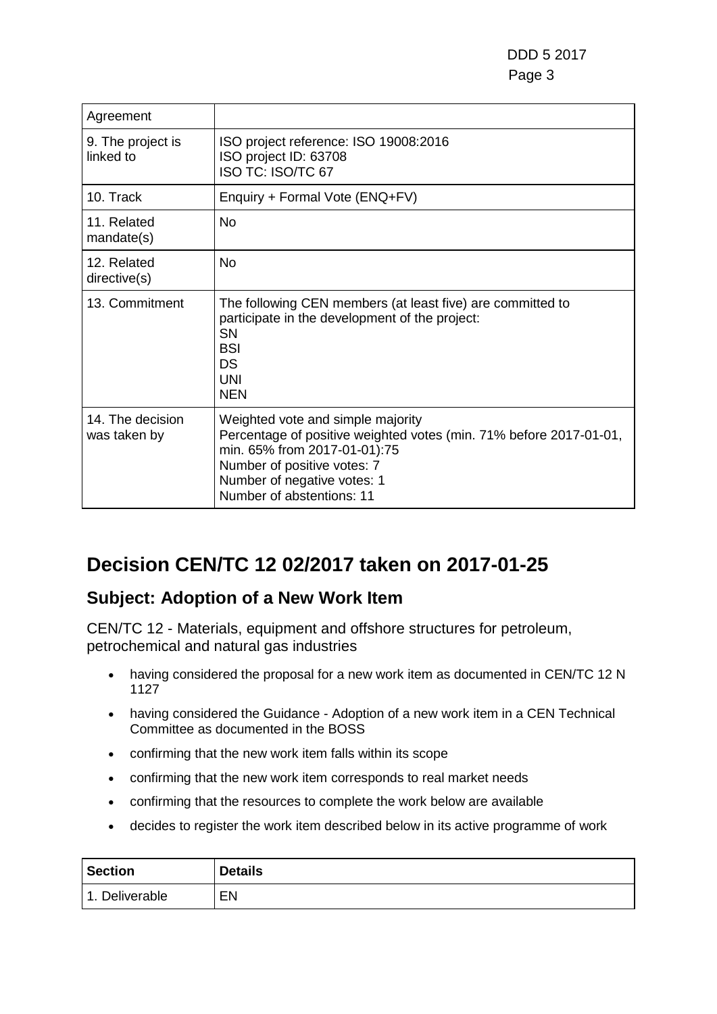| Agreement                        |                                                                                                                                                                                                                                    |
|----------------------------------|------------------------------------------------------------------------------------------------------------------------------------------------------------------------------------------------------------------------------------|
| 9. The project is<br>linked to   | ISO project reference: ISO 19008:2016<br>ISO project ID: 63708<br>ISO TC: ISO/TC 67                                                                                                                                                |
| 10. Track                        | Enquiry + Formal Vote (ENQ+FV)                                                                                                                                                                                                     |
| 11. Related<br>mandate(s)        | No                                                                                                                                                                                                                                 |
| 12. Related<br>directive(s)      | <b>No</b>                                                                                                                                                                                                                          |
| 13. Commitment                   | The following CEN members (at least five) are committed to<br>participate in the development of the project:<br>SN<br>BSI<br>DS<br>UNI<br><b>NEN</b>                                                                               |
| 14. The decision<br>was taken by | Weighted vote and simple majority<br>Percentage of positive weighted votes (min. 71% before 2017-01-01,<br>min. 65% from 2017-01-01):75<br>Number of positive votes: 7<br>Number of negative votes: 1<br>Number of abstentions: 11 |

# **Decision CEN/TC 12 02/2017 taken on 2017-01-25**

### **Subject: Adoption of a New Work Item**

- having considered the proposal for a new work item as documented in CEN/TC 12 N 1127
- having considered the Guidance Adoption of a new work item in a CEN Technical Committee as documented in the BOSS
- confirming that the new work item falls within its scope
- confirming that the new work item corresponds to real market needs
- confirming that the resources to complete the work below are available
- decides to register the work item described below in its active programme of work

| <b>Section</b> | <b>Details</b> |
|----------------|----------------|
| 1. Deliverable | EN             |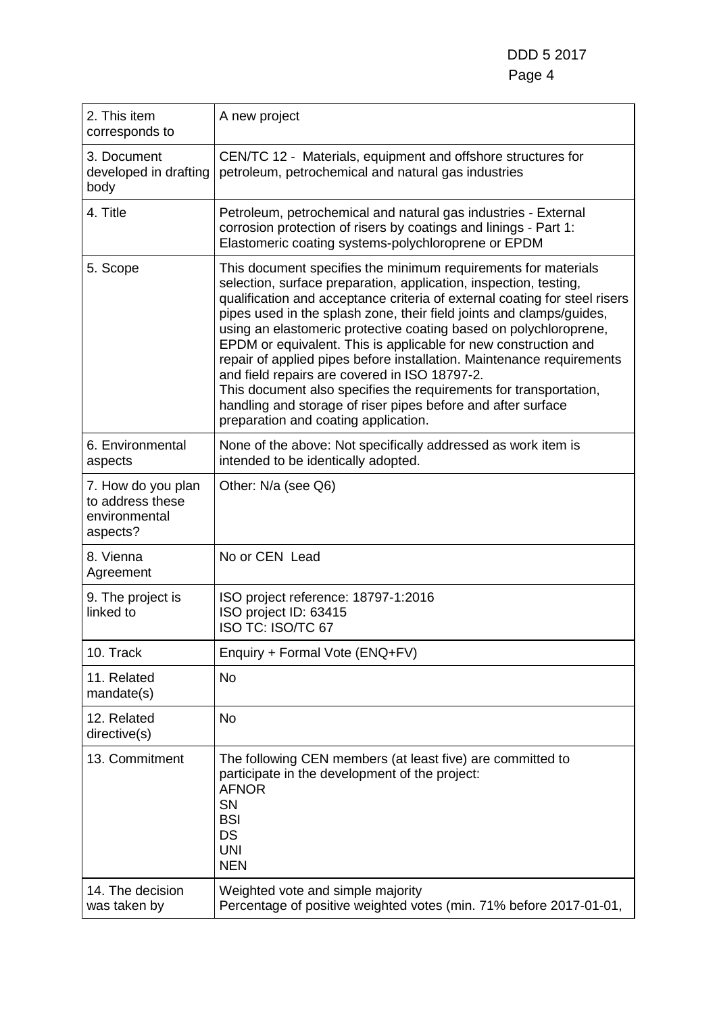DDD 5 2017 Page 4

| 2. This item<br>corresponds to                                      | A new project                                                                                                                                                                                                                                                                                                                                                                                                                                                                                                                                                                                                                                                                                                                            |
|---------------------------------------------------------------------|------------------------------------------------------------------------------------------------------------------------------------------------------------------------------------------------------------------------------------------------------------------------------------------------------------------------------------------------------------------------------------------------------------------------------------------------------------------------------------------------------------------------------------------------------------------------------------------------------------------------------------------------------------------------------------------------------------------------------------------|
| 3. Document<br>developed in drafting<br>body                        | CEN/TC 12 - Materials, equipment and offshore structures for<br>petroleum, petrochemical and natural gas industries                                                                                                                                                                                                                                                                                                                                                                                                                                                                                                                                                                                                                      |
| 4. Title                                                            | Petroleum, petrochemical and natural gas industries - External<br>corrosion protection of risers by coatings and linings - Part 1:<br>Elastomeric coating systems-polychloroprene or EPDM                                                                                                                                                                                                                                                                                                                                                                                                                                                                                                                                                |
| 5. Scope                                                            | This document specifies the minimum requirements for materials<br>selection, surface preparation, application, inspection, testing,<br>qualification and acceptance criteria of external coating for steel risers<br>pipes used in the splash zone, their field joints and clamps/guides,<br>using an elastomeric protective coating based on polychloroprene,<br>EPDM or equivalent. This is applicable for new construction and<br>repair of applied pipes before installation. Maintenance requirements<br>and field repairs are covered in ISO 18797-2.<br>This document also specifies the requirements for transportation,<br>handling and storage of riser pipes before and after surface<br>preparation and coating application. |
| 6. Environmental<br>aspects                                         | None of the above: Not specifically addressed as work item is<br>intended to be identically adopted.                                                                                                                                                                                                                                                                                                                                                                                                                                                                                                                                                                                                                                     |
| 7. How do you plan<br>to address these<br>environmental<br>aspects? | Other: N/a (see Q6)                                                                                                                                                                                                                                                                                                                                                                                                                                                                                                                                                                                                                                                                                                                      |
| 8. Vienna<br>Agreement                                              | No or CEN Lead                                                                                                                                                                                                                                                                                                                                                                                                                                                                                                                                                                                                                                                                                                                           |
| 9. The project is<br>linked to                                      | ISO project reference: 18797-1:2016<br>ISO project ID: 63415<br>ISO TC: ISO/TC 67                                                                                                                                                                                                                                                                                                                                                                                                                                                                                                                                                                                                                                                        |
| 10. Track                                                           | Enquiry + Formal Vote (ENQ+FV)                                                                                                                                                                                                                                                                                                                                                                                                                                                                                                                                                                                                                                                                                                           |
| 11. Related<br>mandate(s)                                           | <b>No</b>                                                                                                                                                                                                                                                                                                                                                                                                                                                                                                                                                                                                                                                                                                                                |
| 12. Related<br>directive(s)                                         | <b>No</b>                                                                                                                                                                                                                                                                                                                                                                                                                                                                                                                                                                                                                                                                                                                                |
| 13. Commitment                                                      | The following CEN members (at least five) are committed to<br>participate in the development of the project:<br><b>AFNOR</b><br>SN<br><b>BSI</b><br><b>DS</b><br><b>UNI</b><br><b>NEN</b>                                                                                                                                                                                                                                                                                                                                                                                                                                                                                                                                                |
| 14. The decision<br>was taken by                                    | Weighted vote and simple majority<br>Percentage of positive weighted votes (min. 71% before 2017-01-01,                                                                                                                                                                                                                                                                                                                                                                                                                                                                                                                                                                                                                                  |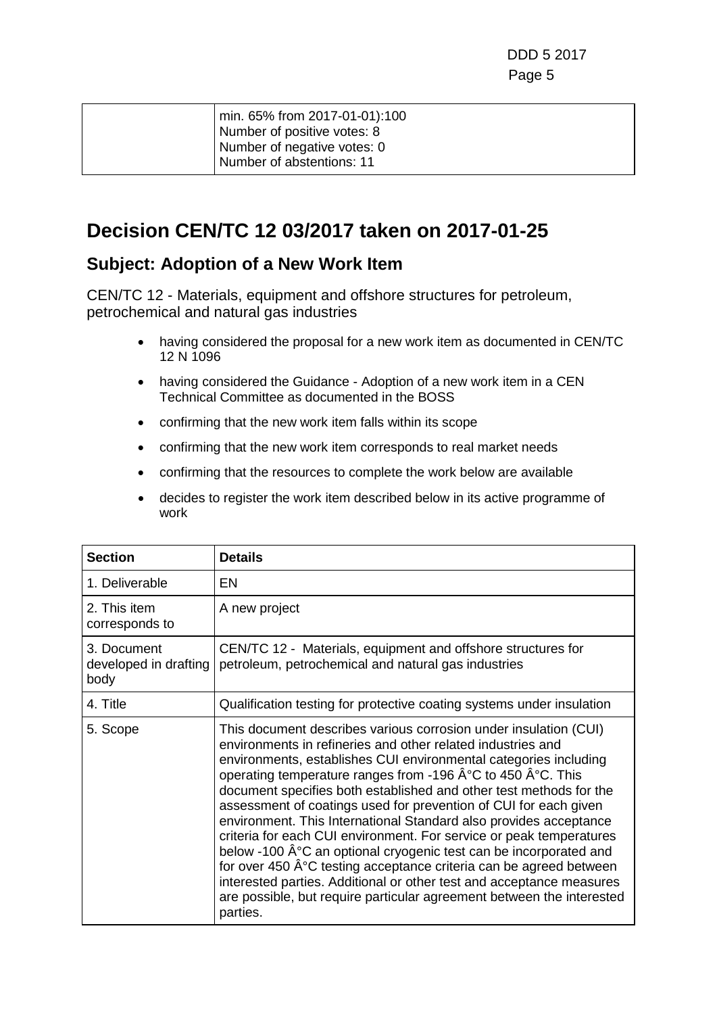|  | min. 65% from 2017-01-01):100<br>Number of positive votes: 8 |
|--|--------------------------------------------------------------|
|  |                                                              |
|  | Number of negative votes: 0                                  |
|  | Number of abstentions: 11                                    |
|  |                                                              |

### **Decision CEN/TC 12 03/2017 taken on 2017-01-25**

#### **Subject: Adoption of a New Work Item**

- having considered the proposal for a new work item as documented in CEN/TC 12 N 1096
- having considered the Guidance Adoption of a new work item in a CEN Technical Committee as documented in the BOSS
- confirming that the new work item falls within its scope
- confirming that the new work item corresponds to real market needs
- confirming that the resources to complete the work below are available
- decides to register the work item described below in its active programme of work

| <b>Section</b>                               | <b>Details</b>                                                                                                                                                                                                                                                                                                                                                                                                                                                                                                                                                                                                                                                                                                                                                                                                                                               |
|----------------------------------------------|--------------------------------------------------------------------------------------------------------------------------------------------------------------------------------------------------------------------------------------------------------------------------------------------------------------------------------------------------------------------------------------------------------------------------------------------------------------------------------------------------------------------------------------------------------------------------------------------------------------------------------------------------------------------------------------------------------------------------------------------------------------------------------------------------------------------------------------------------------------|
| 1. Deliverable                               | <b>EN</b>                                                                                                                                                                                                                                                                                                                                                                                                                                                                                                                                                                                                                                                                                                                                                                                                                                                    |
| 2. This item<br>corresponds to               | A new project                                                                                                                                                                                                                                                                                                                                                                                                                                                                                                                                                                                                                                                                                                                                                                                                                                                |
| 3. Document<br>developed in drafting<br>body | CEN/TC 12 - Materials, equipment and offshore structures for<br>petroleum, petrochemical and natural gas industries                                                                                                                                                                                                                                                                                                                                                                                                                                                                                                                                                                                                                                                                                                                                          |
| 4. Title                                     | Qualification testing for protective coating systems under insulation                                                                                                                                                                                                                                                                                                                                                                                                                                                                                                                                                                                                                                                                                                                                                                                        |
| 5. Scope                                     | This document describes various corrosion under insulation (CUI)<br>environments in refineries and other related industries and<br>environments, establishes CUI environmental categories including<br>operating temperature ranges from -196 °C to 450 °C. This<br>document specifies both established and other test methods for the<br>assessment of coatings used for prevention of CUI for each given<br>environment. This International Standard also provides acceptance<br>criteria for each CUI environment. For service or peak temperatures<br>below -100 °C an optional cryogenic test can be incorporated and<br>for over 450 °C testing acceptance criteria can be agreed between<br>interested parties. Additional or other test and acceptance measures<br>are possible, but require particular agreement between the interested<br>parties. |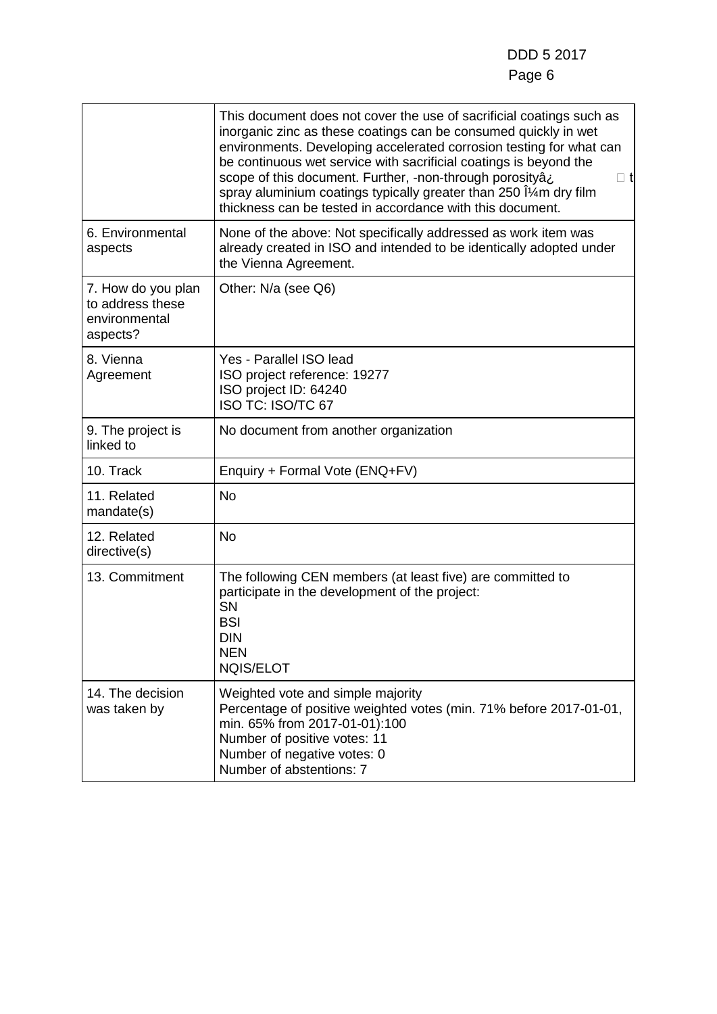|                                                                     | This document does not cover the use of sacrificial coatings such as<br>inorganic zinc as these coatings can be consumed quickly in wet<br>environments. Developing accelerated corrosion testing for what can<br>be continuous wet service with sacrificial coatings is beyond the<br>scope of this document. Further, -non-through porosityâi<br>$\Box$ t<br>spray aluminium coatings typically greater than 250 $\hat{I}$ m dry film<br>thickness can be tested in accordance with this document. |
|---------------------------------------------------------------------|------------------------------------------------------------------------------------------------------------------------------------------------------------------------------------------------------------------------------------------------------------------------------------------------------------------------------------------------------------------------------------------------------------------------------------------------------------------------------------------------------|
| 6. Environmental<br>aspects                                         | None of the above: Not specifically addressed as work item was<br>already created in ISO and intended to be identically adopted under<br>the Vienna Agreement.                                                                                                                                                                                                                                                                                                                                       |
| 7. How do you plan<br>to address these<br>environmental<br>aspects? | Other: N/a (see Q6)                                                                                                                                                                                                                                                                                                                                                                                                                                                                                  |
| 8. Vienna<br>Agreement                                              | Yes - Parallel ISO lead<br>ISO project reference: 19277<br>ISO project ID: 64240<br><b>ISO TC: ISO/TC 67</b>                                                                                                                                                                                                                                                                                                                                                                                         |
| 9. The project is<br>linked to                                      | No document from another organization                                                                                                                                                                                                                                                                                                                                                                                                                                                                |
| 10. Track                                                           | Enquiry + Formal Vote (ENQ+FV)                                                                                                                                                                                                                                                                                                                                                                                                                                                                       |
| 11. Related<br>mandate(s)                                           | No                                                                                                                                                                                                                                                                                                                                                                                                                                                                                                   |
| 12. Related<br>directive(s)                                         | No                                                                                                                                                                                                                                                                                                                                                                                                                                                                                                   |
| 13. Commitment                                                      | The following CEN members (at least five) are committed to<br>participate in the development of the project:<br><b>SN</b><br><b>BSI</b><br><b>DIN</b><br><b>NEN</b><br><b>NQIS/ELOT</b>                                                                                                                                                                                                                                                                                                              |
| 14. The decision<br>was taken by                                    | Weighted vote and simple majority<br>Percentage of positive weighted votes (min. 71% before 2017-01-01,<br>min. 65% from 2017-01-01):100<br>Number of positive votes: 11<br>Number of negative votes: 0<br>Number of abstentions: 7                                                                                                                                                                                                                                                                  |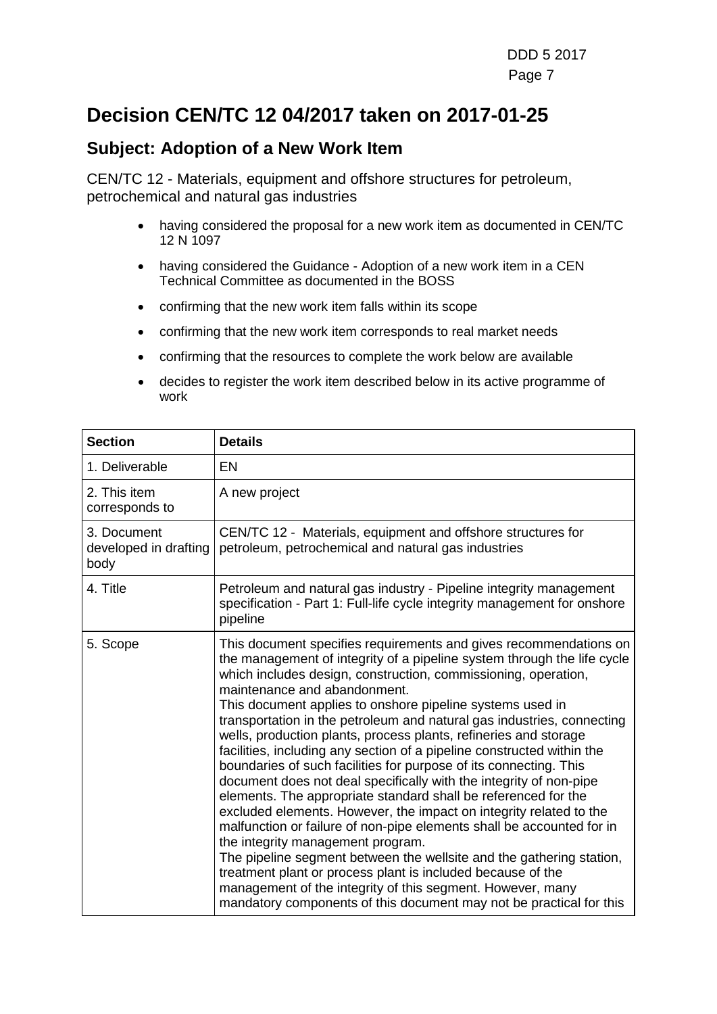### **Decision CEN/TC 12 04/2017 taken on 2017-01-25**

#### **Subject: Adoption of a New Work Item**

- having considered the proposal for a new work item as documented in CEN/TC 12 N 1097
- having considered the Guidance Adoption of a new work item in a CEN Technical Committee as documented in the BOSS
- confirming that the new work item falls within its scope
- confirming that the new work item corresponds to real market needs
- confirming that the resources to complete the work below are available
- decides to register the work item described below in its active programme of work

| <b>Section</b>                               | <b>Details</b>                                                                                                                                                                                                                                                                                                                                                                                                                                                                                                                                                                                                                                                                                                                                                                                                                                                                                                                                                                                                                                                                                                                                                                                                   |
|----------------------------------------------|------------------------------------------------------------------------------------------------------------------------------------------------------------------------------------------------------------------------------------------------------------------------------------------------------------------------------------------------------------------------------------------------------------------------------------------------------------------------------------------------------------------------------------------------------------------------------------------------------------------------------------------------------------------------------------------------------------------------------------------------------------------------------------------------------------------------------------------------------------------------------------------------------------------------------------------------------------------------------------------------------------------------------------------------------------------------------------------------------------------------------------------------------------------------------------------------------------------|
| 1. Deliverable                               | EN                                                                                                                                                                                                                                                                                                                                                                                                                                                                                                                                                                                                                                                                                                                                                                                                                                                                                                                                                                                                                                                                                                                                                                                                               |
| 2. This item<br>corresponds to               | A new project                                                                                                                                                                                                                                                                                                                                                                                                                                                                                                                                                                                                                                                                                                                                                                                                                                                                                                                                                                                                                                                                                                                                                                                                    |
| 3. Document<br>developed in drafting<br>body | CEN/TC 12 - Materials, equipment and offshore structures for<br>petroleum, petrochemical and natural gas industries                                                                                                                                                                                                                                                                                                                                                                                                                                                                                                                                                                                                                                                                                                                                                                                                                                                                                                                                                                                                                                                                                              |
| 4. Title                                     | Petroleum and natural gas industry - Pipeline integrity management<br>specification - Part 1: Full-life cycle integrity management for onshore<br>pipeline                                                                                                                                                                                                                                                                                                                                                                                                                                                                                                                                                                                                                                                                                                                                                                                                                                                                                                                                                                                                                                                       |
| 5. Scope                                     | This document specifies requirements and gives recommendations on<br>the management of integrity of a pipeline system through the life cycle<br>which includes design, construction, commissioning, operation,<br>maintenance and abandonment.<br>This document applies to onshore pipeline systems used in<br>transportation in the petroleum and natural gas industries, connecting<br>wells, production plants, process plants, refineries and storage<br>facilities, including any section of a pipeline constructed within the<br>boundaries of such facilities for purpose of its connecting. This<br>document does not deal specifically with the integrity of non-pipe<br>elements. The appropriate standard shall be referenced for the<br>excluded elements. However, the impact on integrity related to the<br>malfunction or failure of non-pipe elements shall be accounted for in<br>the integrity management program.<br>The pipeline segment between the wellsite and the gathering station,<br>treatment plant or process plant is included because of the<br>management of the integrity of this segment. However, many<br>mandatory components of this document may not be practical for this |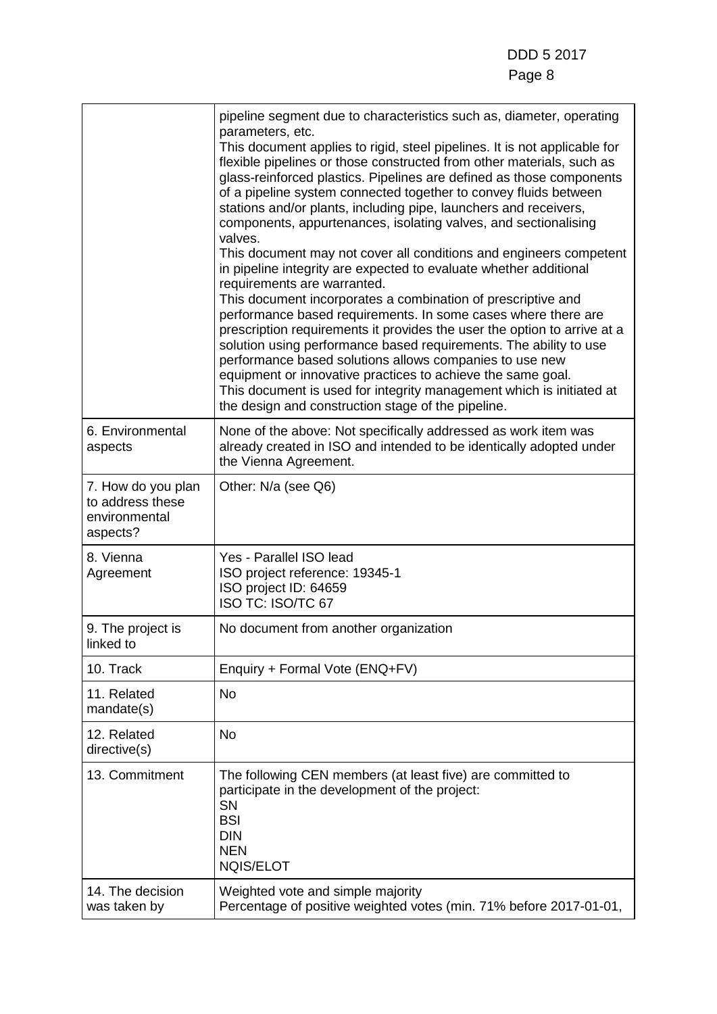|                                                                     | pipeline segment due to characteristics such as, diameter, operating<br>parameters, etc.<br>This document applies to rigid, steel pipelines. It is not applicable for<br>flexible pipelines or those constructed from other materials, such as<br>glass-reinforced plastics. Pipelines are defined as those components<br>of a pipeline system connected together to convey fluids between<br>stations and/or plants, including pipe, launchers and receivers,<br>components, appurtenances, isolating valves, and sectionalising<br>valves.<br>This document may not cover all conditions and engineers competent<br>in pipeline integrity are expected to evaluate whether additional<br>requirements are warranted.<br>This document incorporates a combination of prescriptive and<br>performance based requirements. In some cases where there are<br>prescription requirements it provides the user the option to arrive at a<br>solution using performance based requirements. The ability to use<br>performance based solutions allows companies to use new<br>equipment or innovative practices to achieve the same goal.<br>This document is used for integrity management which is initiated at<br>the design and construction stage of the pipeline. |
|---------------------------------------------------------------------|------------------------------------------------------------------------------------------------------------------------------------------------------------------------------------------------------------------------------------------------------------------------------------------------------------------------------------------------------------------------------------------------------------------------------------------------------------------------------------------------------------------------------------------------------------------------------------------------------------------------------------------------------------------------------------------------------------------------------------------------------------------------------------------------------------------------------------------------------------------------------------------------------------------------------------------------------------------------------------------------------------------------------------------------------------------------------------------------------------------------------------------------------------------------------------------------------------------------------------------------------------------|
| 6. Environmental<br>aspects                                         | None of the above: Not specifically addressed as work item was<br>already created in ISO and intended to be identically adopted under<br>the Vienna Agreement.                                                                                                                                                                                                                                                                                                                                                                                                                                                                                                                                                                                                                                                                                                                                                                                                                                                                                                                                                                                                                                                                                                   |
| 7. How do you plan<br>to address these<br>environmental<br>aspects? | Other: N/a (see Q6)                                                                                                                                                                                                                                                                                                                                                                                                                                                                                                                                                                                                                                                                                                                                                                                                                                                                                                                                                                                                                                                                                                                                                                                                                                              |
| 8. Vienna<br>Agreement                                              | Yes - Parallel ISO lead<br>ISO project reference: 19345-1<br>ISO project ID: 64659<br>ISO TC: ISO/TC 67                                                                                                                                                                                                                                                                                                                                                                                                                                                                                                                                                                                                                                                                                                                                                                                                                                                                                                                                                                                                                                                                                                                                                          |
| 9. The project is<br>linked to                                      | No document from another organization                                                                                                                                                                                                                                                                                                                                                                                                                                                                                                                                                                                                                                                                                                                                                                                                                                                                                                                                                                                                                                                                                                                                                                                                                            |
| 10. Track                                                           | Enquiry + Formal Vote (ENQ+FV)                                                                                                                                                                                                                                                                                                                                                                                                                                                                                                                                                                                                                                                                                                                                                                                                                                                                                                                                                                                                                                                                                                                                                                                                                                   |
| 11. Related<br>mandate(s)                                           | No                                                                                                                                                                                                                                                                                                                                                                                                                                                                                                                                                                                                                                                                                                                                                                                                                                                                                                                                                                                                                                                                                                                                                                                                                                                               |
| 12. Related<br>directive(s)                                         | <b>No</b>                                                                                                                                                                                                                                                                                                                                                                                                                                                                                                                                                                                                                                                                                                                                                                                                                                                                                                                                                                                                                                                                                                                                                                                                                                                        |
| 13. Commitment                                                      | The following CEN members (at least five) are committed to<br>participate in the development of the project:<br>SN<br><b>BSI</b><br><b>DIN</b><br><b>NEN</b><br><b>NQIS/ELOT</b>                                                                                                                                                                                                                                                                                                                                                                                                                                                                                                                                                                                                                                                                                                                                                                                                                                                                                                                                                                                                                                                                                 |
| 14. The decision<br>was taken by                                    | Weighted vote and simple majority<br>Percentage of positive weighted votes (min. 71% before 2017-01-01,                                                                                                                                                                                                                                                                                                                                                                                                                                                                                                                                                                                                                                                                                                                                                                                                                                                                                                                                                                                                                                                                                                                                                          |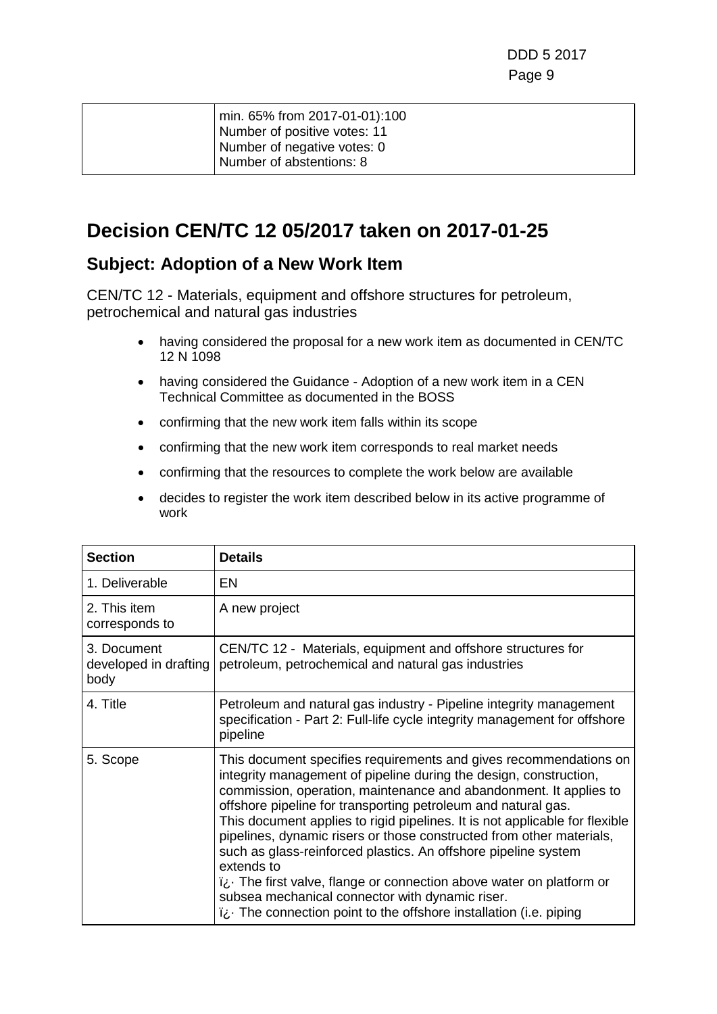|  | min. 65% from 2017-01-01):100 |
|--|-------------------------------|
|  | Number of positive votes: 11  |
|  | Number of negative votes: 0   |
|  | Number of abstentions: 8      |
|  |                               |

### **Decision CEN/TC 12 05/2017 taken on 2017-01-25**

#### **Subject: Adoption of a New Work Item**

- having considered the proposal for a new work item as documented in CEN/TC 12 N 1098
- having considered the Guidance Adoption of a new work item in a CEN Technical Committee as documented in the BOSS
- confirming that the new work item falls within its scope
- confirming that the new work item corresponds to real market needs
- confirming that the resources to complete the work below are available
- decides to register the work item described below in its active programme of work

| <b>Section</b>                               | <b>Details</b>                                                                                                                                                                                                                                                                                                                                                                                                                                                                                                                                                                                                                                                                                                     |
|----------------------------------------------|--------------------------------------------------------------------------------------------------------------------------------------------------------------------------------------------------------------------------------------------------------------------------------------------------------------------------------------------------------------------------------------------------------------------------------------------------------------------------------------------------------------------------------------------------------------------------------------------------------------------------------------------------------------------------------------------------------------------|
| 1. Deliverable                               | EN                                                                                                                                                                                                                                                                                                                                                                                                                                                                                                                                                                                                                                                                                                                 |
| 2. This item<br>corresponds to               | A new project                                                                                                                                                                                                                                                                                                                                                                                                                                                                                                                                                                                                                                                                                                      |
| 3. Document<br>developed in drafting<br>body | CEN/TC 12 - Materials, equipment and offshore structures for<br>petroleum, petrochemical and natural gas industries                                                                                                                                                                                                                                                                                                                                                                                                                                                                                                                                                                                                |
| 4. Title                                     | Petroleum and natural gas industry - Pipeline integrity management<br>specification - Part 2: Full-life cycle integrity management for offshore<br>pipeline                                                                                                                                                                                                                                                                                                                                                                                                                                                                                                                                                        |
| 5. Scope                                     | This document specifies requirements and gives recommendations on<br>integrity management of pipeline during the design, construction,<br>commission, operation, maintenance and abandonment. It applies to<br>offshore pipeline for transporting petroleum and natural gas.<br>This document applies to rigid pipelines. It is not applicable for flexible<br>pipelines, dynamic risers or those constructed from other materials,<br>such as glass-reinforced plastics. An offshore pipeline system<br>extends to<br>i¿ The first valve, flange or connection above water on platform or<br>subsea mechanical connector with dynamic riser.<br>i¿ The connection point to the offshore installation (i.e. piping |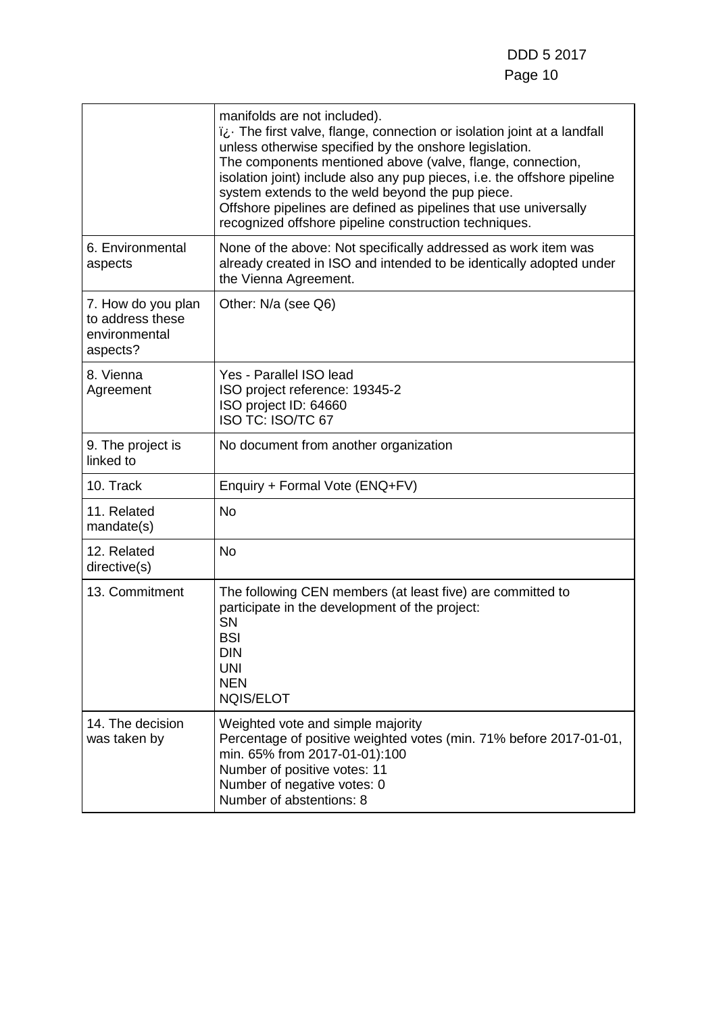|                                                                     | manifolds are not included).<br>ii. The first valve, flange, connection or isolation joint at a landfall<br>unless otherwise specified by the onshore legislation.<br>The components mentioned above (valve, flange, connection,<br>isolation joint) include also any pup pieces, i.e. the offshore pipeline<br>system extends to the weld beyond the pup piece.<br>Offshore pipelines are defined as pipelines that use universally<br>recognized offshore pipeline construction techniques. |
|---------------------------------------------------------------------|-----------------------------------------------------------------------------------------------------------------------------------------------------------------------------------------------------------------------------------------------------------------------------------------------------------------------------------------------------------------------------------------------------------------------------------------------------------------------------------------------|
| 6. Environmental<br>aspects                                         | None of the above: Not specifically addressed as work item was<br>already created in ISO and intended to be identically adopted under<br>the Vienna Agreement.                                                                                                                                                                                                                                                                                                                                |
| 7. How do you plan<br>to address these<br>environmental<br>aspects? | Other: N/a (see Q6)                                                                                                                                                                                                                                                                                                                                                                                                                                                                           |
| 8. Vienna<br>Agreement                                              | Yes - Parallel ISO lead<br>ISO project reference: 19345-2<br>ISO project ID: 64660<br>ISO TC: ISO/TC 67                                                                                                                                                                                                                                                                                                                                                                                       |
| 9. The project is<br>linked to                                      | No document from another organization                                                                                                                                                                                                                                                                                                                                                                                                                                                         |
| 10. Track                                                           | Enquiry + Formal Vote (ENQ+FV)                                                                                                                                                                                                                                                                                                                                                                                                                                                                |
| 11. Related<br>mandate(s)                                           | <b>No</b>                                                                                                                                                                                                                                                                                                                                                                                                                                                                                     |
| 12. Related<br>directive(s)                                         | <b>No</b>                                                                                                                                                                                                                                                                                                                                                                                                                                                                                     |
| 13. Commitment                                                      | The following CEN members (at least five) are committed to<br>participate in the development of the project:<br><b>SN</b><br><b>BSI</b><br><b>DIN</b><br><b>UNI</b><br><b>NEN</b><br><b>NQIS/ELOT</b>                                                                                                                                                                                                                                                                                         |
| 14. The decision<br>was taken by                                    | Weighted vote and simple majority<br>Percentage of positive weighted votes (min. 71% before 2017-01-01,<br>min. 65% from 2017-01-01):100<br>Number of positive votes: 11<br>Number of negative votes: 0<br>Number of abstentions: 8                                                                                                                                                                                                                                                           |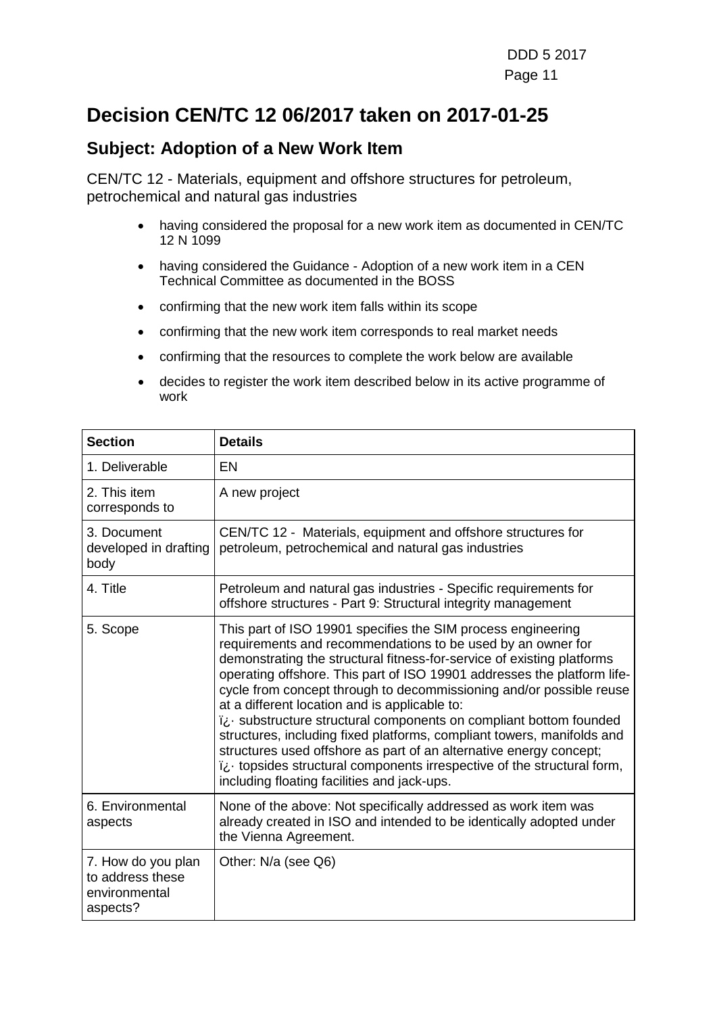### **Decision CEN/TC 12 06/2017 taken on 2017-01-25**

#### **Subject: Adoption of a New Work Item**

- having considered the proposal for a new work item as documented in CEN/TC 12 N 1099
- having considered the Guidance Adoption of a new work item in a CEN Technical Committee as documented in the BOSS
- confirming that the new work item falls within its scope
- confirming that the new work item corresponds to real market needs
- confirming that the resources to complete the work below are available
- decides to register the work item described below in its active programme of work

| <b>Section</b>                                                      | <b>Details</b>                                                                                                                                                                                                                                                                                                                                                                                                                                                                                                                                                                                                                                                                                                                                           |
|---------------------------------------------------------------------|----------------------------------------------------------------------------------------------------------------------------------------------------------------------------------------------------------------------------------------------------------------------------------------------------------------------------------------------------------------------------------------------------------------------------------------------------------------------------------------------------------------------------------------------------------------------------------------------------------------------------------------------------------------------------------------------------------------------------------------------------------|
| 1. Deliverable                                                      | EN                                                                                                                                                                                                                                                                                                                                                                                                                                                                                                                                                                                                                                                                                                                                                       |
| 2. This item<br>corresponds to                                      | A new project                                                                                                                                                                                                                                                                                                                                                                                                                                                                                                                                                                                                                                                                                                                                            |
| 3. Document<br>developed in drafting<br>body                        | CEN/TC 12 - Materials, equipment and offshore structures for<br>petroleum, petrochemical and natural gas industries                                                                                                                                                                                                                                                                                                                                                                                                                                                                                                                                                                                                                                      |
| 4. Title                                                            | Petroleum and natural gas industries - Specific requirements for<br>offshore structures - Part 9: Structural integrity management                                                                                                                                                                                                                                                                                                                                                                                                                                                                                                                                                                                                                        |
| 5. Scope                                                            | This part of ISO 19901 specifies the SIM process engineering<br>requirements and recommendations to be used by an owner for<br>demonstrating the structural fitness-for-service of existing platforms<br>operating offshore. This part of ISO 19901 addresses the platform life-<br>cycle from concept through to decommissioning and/or possible reuse<br>at a different location and is applicable to:<br>ii. substructure structural components on compliant bottom founded<br>structures, including fixed platforms, compliant towers, manifolds and<br>structures used offshore as part of an alternative energy concept;<br>ii. topsides structural components irrespective of the structural form,<br>including floating facilities and jack-ups. |
| 6. Environmental<br>aspects                                         | None of the above: Not specifically addressed as work item was<br>already created in ISO and intended to be identically adopted under<br>the Vienna Agreement.                                                                                                                                                                                                                                                                                                                                                                                                                                                                                                                                                                                           |
| 7. How do you plan<br>to address these<br>environmental<br>aspects? | Other: N/a (see Q6)                                                                                                                                                                                                                                                                                                                                                                                                                                                                                                                                                                                                                                                                                                                                      |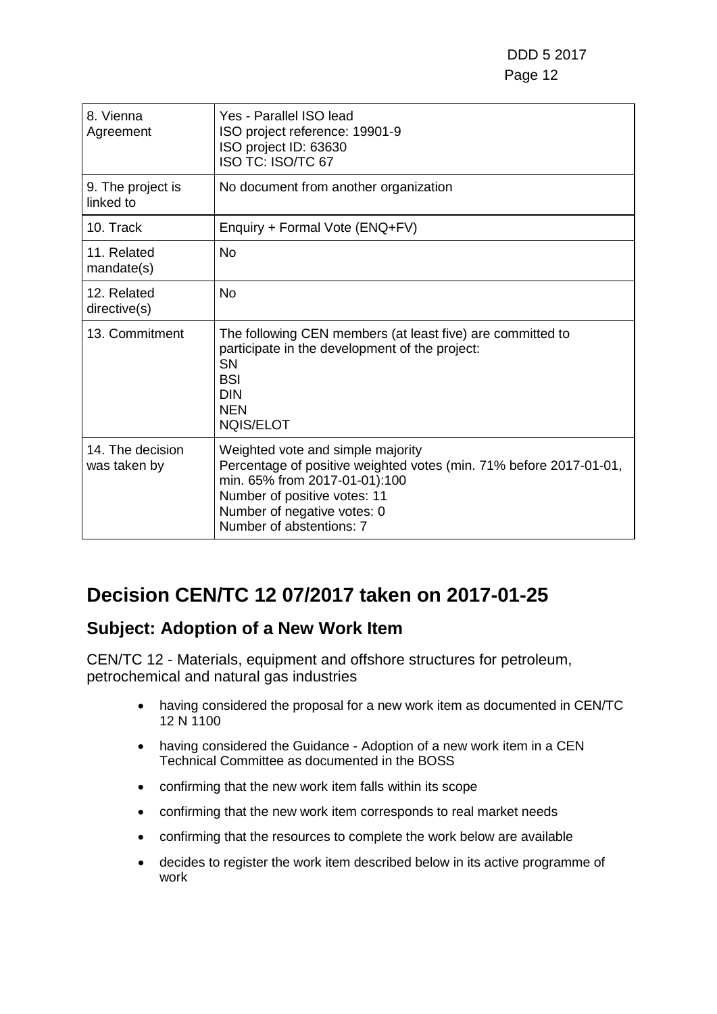| 8. Vienna<br>Agreement           | Yes - Parallel ISO lead<br>ISO project reference: 19901-9<br>ISO project ID: 63630<br>ISO TC: ISO/TC 67                                                                                                                             |
|----------------------------------|-------------------------------------------------------------------------------------------------------------------------------------------------------------------------------------------------------------------------------------|
| 9. The project is<br>linked to   | No document from another organization                                                                                                                                                                                               |
| 10. Track                        | Enquiry + Formal Vote (ENQ+FV)                                                                                                                                                                                                      |
| 11. Related<br>mandate(s)        | No                                                                                                                                                                                                                                  |
| 12. Related<br>directive(s)      | No                                                                                                                                                                                                                                  |
| 13. Commitment                   | The following CEN members (at least five) are committed to<br>participate in the development of the project:<br><b>SN</b><br><b>BSI</b><br><b>DIN</b><br><b>NEN</b><br><b>NQIS/ELOT</b>                                             |
| 14. The decision<br>was taken by | Weighted vote and simple majority<br>Percentage of positive weighted votes (min. 71% before 2017-01-01,<br>min. 65% from 2017-01-01):100<br>Number of positive votes: 11<br>Number of negative votes: 0<br>Number of abstentions: 7 |

# **Decision CEN/TC 12 07/2017 taken on 2017-01-25**

### **Subject: Adoption of a New Work Item**

- having considered the proposal for a new work item as documented in CEN/TC 12 N 1100
- having considered the Guidance Adoption of a new work item in a CEN Technical Committee as documented in the BOSS
- confirming that the new work item falls within its scope
- confirming that the new work item corresponds to real market needs
- confirming that the resources to complete the work below are available
- decides to register the work item described below in its active programme of work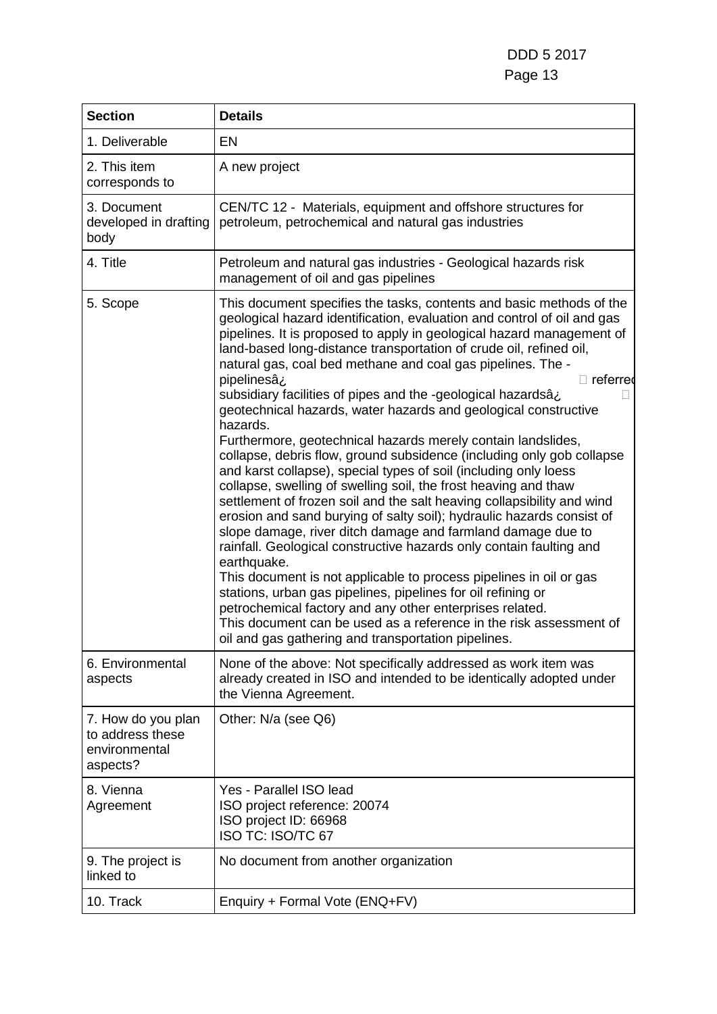DDD 5 2017 Page 13

| <b>Section</b>                                                      | <b>Details</b>                                                                                                                                                                                                                                                                                                                                                                                                                                                                                                                                                                                                                                                                                                                                                                                                                                                                                                                                                                                                                                                                                                                                                                                                                                                                                                                                                                                                                                                       |
|---------------------------------------------------------------------|----------------------------------------------------------------------------------------------------------------------------------------------------------------------------------------------------------------------------------------------------------------------------------------------------------------------------------------------------------------------------------------------------------------------------------------------------------------------------------------------------------------------------------------------------------------------------------------------------------------------------------------------------------------------------------------------------------------------------------------------------------------------------------------------------------------------------------------------------------------------------------------------------------------------------------------------------------------------------------------------------------------------------------------------------------------------------------------------------------------------------------------------------------------------------------------------------------------------------------------------------------------------------------------------------------------------------------------------------------------------------------------------------------------------------------------------------------------------|
| 1. Deliverable                                                      | EN                                                                                                                                                                                                                                                                                                                                                                                                                                                                                                                                                                                                                                                                                                                                                                                                                                                                                                                                                                                                                                                                                                                                                                                                                                                                                                                                                                                                                                                                   |
| 2. This item<br>corresponds to                                      | A new project                                                                                                                                                                                                                                                                                                                                                                                                                                                                                                                                                                                                                                                                                                                                                                                                                                                                                                                                                                                                                                                                                                                                                                                                                                                                                                                                                                                                                                                        |
| 3. Document<br>developed in drafting<br>body                        | CEN/TC 12 - Materials, equipment and offshore structures for<br>petroleum, petrochemical and natural gas industries                                                                                                                                                                                                                                                                                                                                                                                                                                                                                                                                                                                                                                                                                                                                                                                                                                                                                                                                                                                                                                                                                                                                                                                                                                                                                                                                                  |
| 4. Title                                                            | Petroleum and natural gas industries - Geological hazards risk<br>management of oil and gas pipelines                                                                                                                                                                                                                                                                                                                                                                                                                                                                                                                                                                                                                                                                                                                                                                                                                                                                                                                                                                                                                                                                                                                                                                                                                                                                                                                                                                |
| 5. Scope                                                            | This document specifies the tasks, contents and basic methods of the<br>geological hazard identification, evaluation and control of oil and gas<br>pipelines. It is proposed to apply in geological hazard management of<br>land-based long-distance transportation of crude oil, refined oil,<br>natural gas, coal bed methane and coal gas pipelines. The -<br>pipelinesâz<br>$\Box$ referred<br>subsidiary facilities of pipes and the -geological hazardsâ<br>geotechnical hazards, water hazards and geological constructive<br>hazards.<br>Furthermore, geotechnical hazards merely contain landslides,<br>collapse, debris flow, ground subsidence (including only gob collapse<br>and karst collapse), special types of soil (including only loess<br>collapse, swelling of swelling soil, the frost heaving and thaw<br>settlement of frozen soil and the salt heaving collapsibility and wind<br>erosion and sand burying of salty soil); hydraulic hazards consist of<br>slope damage, river ditch damage and farmland damage due to<br>rainfall. Geological constructive hazards only contain faulting and<br>earthquake.<br>This document is not applicable to process pipelines in oil or gas<br>stations, urban gas pipelines, pipelines for oil refining or<br>petrochemical factory and any other enterprises related.<br>This document can be used as a reference in the risk assessment of<br>oil and gas gathering and transportation pipelines. |
| 6. Environmental<br>aspects                                         | None of the above: Not specifically addressed as work item was<br>already created in ISO and intended to be identically adopted under<br>the Vienna Agreement.                                                                                                                                                                                                                                                                                                                                                                                                                                                                                                                                                                                                                                                                                                                                                                                                                                                                                                                                                                                                                                                                                                                                                                                                                                                                                                       |
| 7. How do you plan<br>to address these<br>environmental<br>aspects? | Other: N/a (see Q6)                                                                                                                                                                                                                                                                                                                                                                                                                                                                                                                                                                                                                                                                                                                                                                                                                                                                                                                                                                                                                                                                                                                                                                                                                                                                                                                                                                                                                                                  |
| 8. Vienna<br>Agreement                                              | Yes - Parallel ISO lead<br>ISO project reference: 20074<br>ISO project ID: 66968<br>ISO TC: ISO/TC 67                                                                                                                                                                                                                                                                                                                                                                                                                                                                                                                                                                                                                                                                                                                                                                                                                                                                                                                                                                                                                                                                                                                                                                                                                                                                                                                                                                |
| 9. The project is<br>linked to                                      | No document from another organization                                                                                                                                                                                                                                                                                                                                                                                                                                                                                                                                                                                                                                                                                                                                                                                                                                                                                                                                                                                                                                                                                                                                                                                                                                                                                                                                                                                                                                |
| 10. Track                                                           | Enquiry + Formal Vote (ENQ+FV)                                                                                                                                                                                                                                                                                                                                                                                                                                                                                                                                                                                                                                                                                                                                                                                                                                                                                                                                                                                                                                                                                                                                                                                                                                                                                                                                                                                                                                       |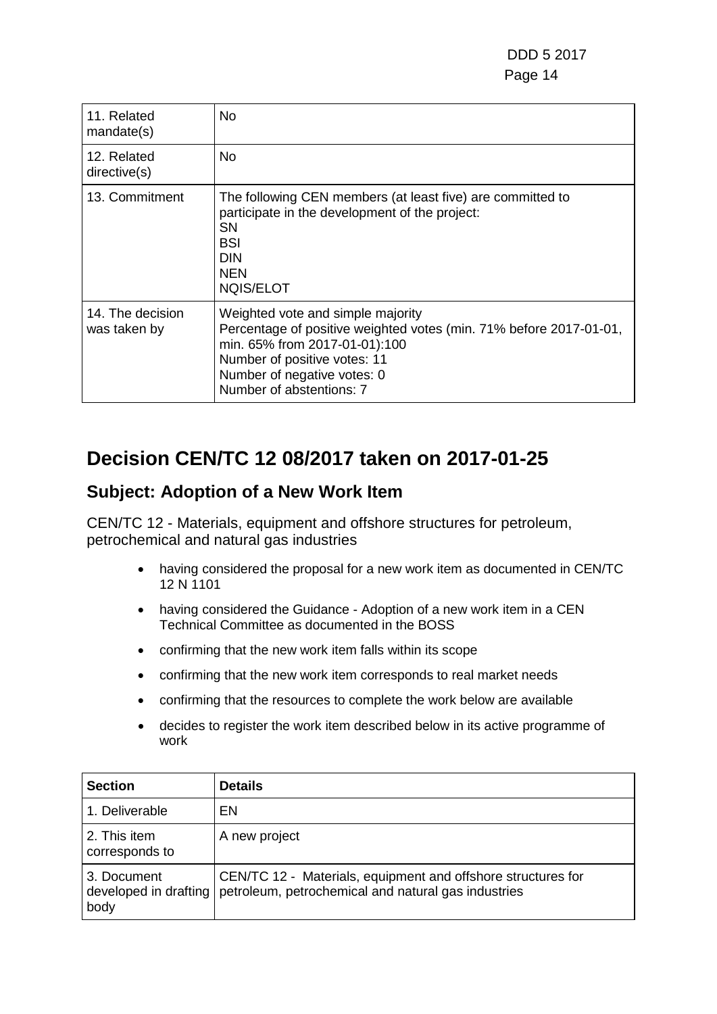DDD 5 2017 e de la contrata de la contrata de la contrata de la contrata de la contrata de la contrata de la contrata de

| 11. Related<br>mandate(s)        | No                                                                                                                                                                                                                                  |
|----------------------------------|-------------------------------------------------------------------------------------------------------------------------------------------------------------------------------------------------------------------------------------|
| 12. Related<br>directive(s)      | No.                                                                                                                                                                                                                                 |
| 13. Commitment                   | The following CEN members (at least five) are committed to<br>participate in the development of the project:<br><b>SN</b><br>BSI<br><b>DIN</b><br><b>NEN</b><br><b>NQIS/ELOT</b>                                                    |
| 14. The decision<br>was taken by | Weighted vote and simple majority<br>Percentage of positive weighted votes (min. 71% before 2017-01-01,<br>min. 65% from 2017-01-01):100<br>Number of positive votes: 11<br>Number of negative votes: 0<br>Number of abstentions: 7 |

### **Decision CEN/TC 12 08/2017 taken on 2017-01-25**

#### **Subject: Adoption of a New Work Item**

- having considered the proposal for a new work item as documented in CEN/TC 12 N 1101
- having considered the Guidance Adoption of a new work item in a CEN Technical Committee as documented in the BOSS
- confirming that the new work item falls within its scope
- confirming that the new work item corresponds to real market needs
- confirming that the resources to complete the work below are available
- decides to register the work item described below in its active programme of work

| <b>Section</b>                               | <b>Details</b>                                                                                                      |
|----------------------------------------------|---------------------------------------------------------------------------------------------------------------------|
| 1. Deliverable                               | EN                                                                                                                  |
| 2. This item<br>corresponds to               | A new project                                                                                                       |
| 3. Document<br>developed in drafting<br>body | CEN/TC 12 - Materials, equipment and offshore structures for<br>petroleum, petrochemical and natural gas industries |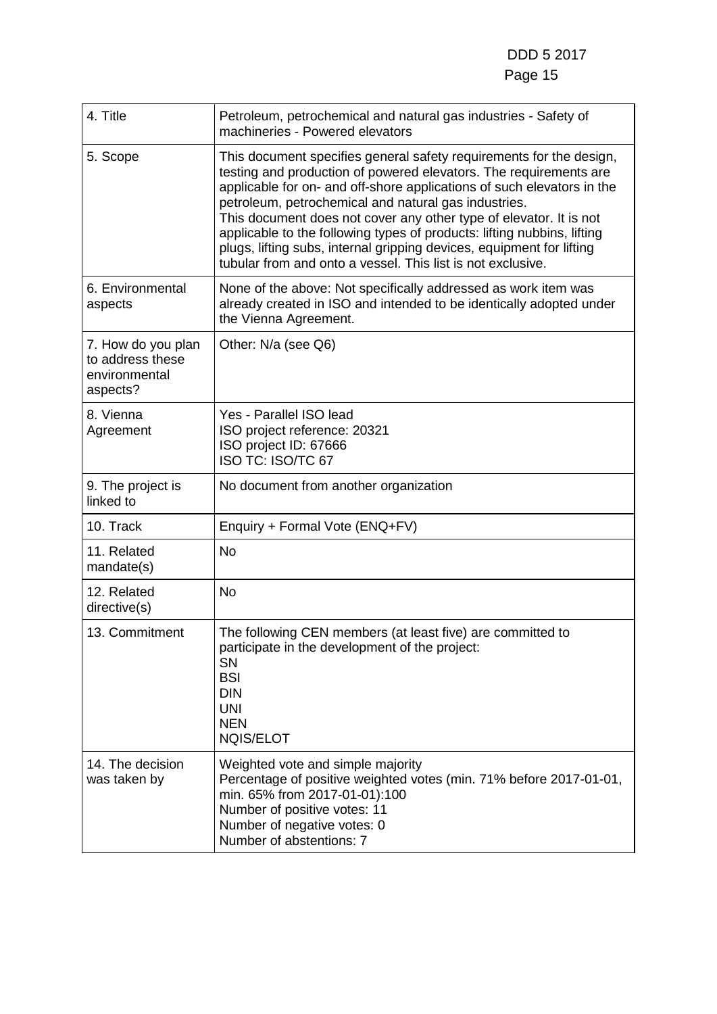| 4. Title                                                            | Petroleum, petrochemical and natural gas industries - Safety of<br>machineries - Powered elevators                                                                                                                                                                                                                                                                                                                                                                                                                                                                  |
|---------------------------------------------------------------------|---------------------------------------------------------------------------------------------------------------------------------------------------------------------------------------------------------------------------------------------------------------------------------------------------------------------------------------------------------------------------------------------------------------------------------------------------------------------------------------------------------------------------------------------------------------------|
| 5. Scope                                                            | This document specifies general safety requirements for the design,<br>testing and production of powered elevators. The requirements are<br>applicable for on- and off-shore applications of such elevators in the<br>petroleum, petrochemical and natural gas industries.<br>This document does not cover any other type of elevator. It is not<br>applicable to the following types of products: lifting nubbins, lifting<br>plugs, lifting subs, internal gripping devices, equipment for lifting<br>tubular from and onto a vessel. This list is not exclusive. |
| 6. Environmental<br>aspects                                         | None of the above: Not specifically addressed as work item was<br>already created in ISO and intended to be identically adopted under<br>the Vienna Agreement.                                                                                                                                                                                                                                                                                                                                                                                                      |
| 7. How do you plan<br>to address these<br>environmental<br>aspects? | Other: N/a (see Q6)                                                                                                                                                                                                                                                                                                                                                                                                                                                                                                                                                 |
| 8. Vienna<br>Agreement                                              | Yes - Parallel ISO lead<br>ISO project reference: 20321<br>ISO project ID: 67666<br>ISO TC: ISO/TC 67                                                                                                                                                                                                                                                                                                                                                                                                                                                               |
| 9. The project is<br>linked to                                      | No document from another organization                                                                                                                                                                                                                                                                                                                                                                                                                                                                                                                               |
| 10. Track                                                           | Enquiry + Formal Vote (ENQ+FV)                                                                                                                                                                                                                                                                                                                                                                                                                                                                                                                                      |
| 11. Related<br>mandate(s)                                           | <b>No</b>                                                                                                                                                                                                                                                                                                                                                                                                                                                                                                                                                           |
| 12. Related<br>directive(s)                                         | <b>No</b>                                                                                                                                                                                                                                                                                                                                                                                                                                                                                                                                                           |
| 13. Commitment                                                      | The following CEN members (at least five) are committed to<br>participate in the development of the project:<br><b>SN</b><br><b>BSI</b><br><b>DIN</b><br><b>UNI</b><br><b>NEN</b><br><b>NQIS/ELOT</b>                                                                                                                                                                                                                                                                                                                                                               |
| 14. The decision<br>was taken by                                    | Weighted vote and simple majority<br>Percentage of positive weighted votes (min. 71% before 2017-01-01,<br>min. 65% from 2017-01-01):100<br>Number of positive votes: 11<br>Number of negative votes: 0<br>Number of abstentions: 7                                                                                                                                                                                                                                                                                                                                 |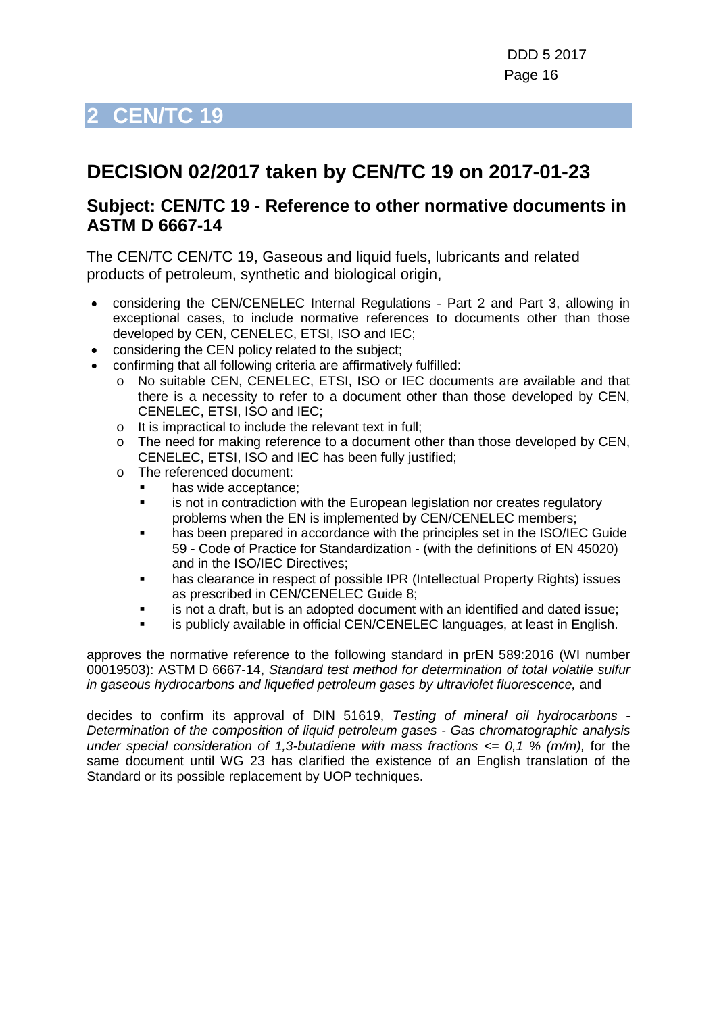# <span id="page-15-0"></span>**2 CEN/TC 19**

# **DECISION 02/2017 taken by CEN/TC 19 on 2017-01-23**

#### **Subject: CEN/TC 19 - Reference to other normative documents in ASTM D 6667-14**

The CEN/TC CEN/TC 19, Gaseous and liquid fuels, lubricants and related products of petroleum, synthetic and biological origin,

- considering the CEN/CENELEC Internal Regulations Part 2 and Part 3, allowing in exceptional cases, to include normative references to documents other than those developed by CEN, CENELEC, ETSI, ISO and IEC;
- considering the CEN policy related to the subject;
- confirming that all following criteria are affirmatively fulfilled:
	- o No suitable CEN, CENELEC, ETSI, ISO or IEC documents are available and that there is a necessity to refer to a document other than those developed by CEN, CENELEC, ETSI, ISO and IEC;
	- o It is impractical to include the relevant text in full;
	- $\circ$  The need for making reference to a document other than those developed by CEN, CENELEC, ETSI, ISO and IEC has been fully justified;
	- o The referenced document:
		- has wide acceptance;
		- **EXECT** is not in contradiction with the European legislation nor creates regulatory problems when the EN is implemented by CEN/CENELEC members;
		- has been prepared in accordance with the principles set in the ISO/IEC Guide 59 - Code of Practice for Standardization - (with the definitions of EN 45020) and in the ISO/IEC Directives;
		- has clearance in respect of possible IPR (Intellectual Property Rights) issues as prescribed in CEN/CENELEC Guide 8;
		- is not a draft, but is an adopted document with an identified and dated issue;
		- is publicly available in official CEN/CENELEC languages, at least in English.

approves the normative reference to the following standard in prEN 589:2016 (WI number 00019503): ASTM D 6667-14, *Standard test method for determination of total volatile sulfur*  in gaseous hydrocarbons and liquefied petroleum gases by ultraviolet fluorescence, and

decides to confirm its approval of DIN 51619, *Testing of mineral oil hydrocarbons - Determination of the composition of liquid petroleum gases - Gas chromatographic analysis under special consideration of 1,3-butadiene with mass fractions <= 0,1 % (m/m),* for the same document until WG 23 has clarified the existence of an English translation of the Standard or its possible replacement by UOP techniques.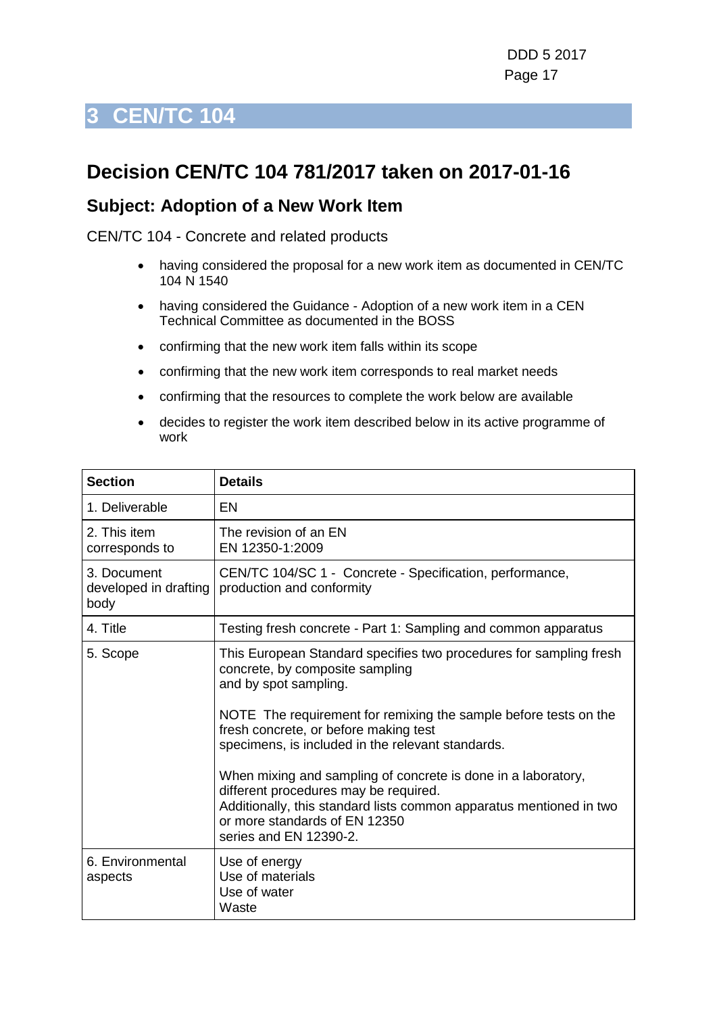# <span id="page-16-0"></span>**3 CEN/TC 104**

### **Decision CEN/TC 104 781/2017 taken on 2017-01-16**

#### **Subject: Adoption of a New Work Item**

- having considered the proposal for a new work item as documented in CEN/TC 104 N 1540
- having considered the Guidance Adoption of a new work item in a CEN Technical Committee as documented in the BOSS
- confirming that the new work item falls within its scope
- confirming that the new work item corresponds to real market needs
- confirming that the resources to complete the work below are available
- decides to register the work item described below in its active programme of work

| <b>Section</b>                               | <b>Details</b>                                                                                                                                                                                                                                                                                                                                                                                                                                                                                                                               |
|----------------------------------------------|----------------------------------------------------------------------------------------------------------------------------------------------------------------------------------------------------------------------------------------------------------------------------------------------------------------------------------------------------------------------------------------------------------------------------------------------------------------------------------------------------------------------------------------------|
| 1. Deliverable                               | EN                                                                                                                                                                                                                                                                                                                                                                                                                                                                                                                                           |
| 2. This item<br>corresponds to               | The revision of an EN<br>EN 12350-1:2009                                                                                                                                                                                                                                                                                                                                                                                                                                                                                                     |
| 3. Document<br>developed in drafting<br>body | CEN/TC 104/SC 1 - Concrete - Specification, performance,<br>production and conformity                                                                                                                                                                                                                                                                                                                                                                                                                                                        |
| 4. Title                                     | Testing fresh concrete - Part 1: Sampling and common apparatus                                                                                                                                                                                                                                                                                                                                                                                                                                                                               |
| 5. Scope                                     | This European Standard specifies two procedures for sampling fresh<br>concrete, by composite sampling<br>and by spot sampling.<br>NOTE The requirement for remixing the sample before tests on the<br>fresh concrete, or before making test<br>specimens, is included in the relevant standards.<br>When mixing and sampling of concrete is done in a laboratory,<br>different procedures may be required.<br>Additionally, this standard lists common apparatus mentioned in two<br>or more standards of EN 12350<br>series and EN 12390-2. |
| 6. Environmental<br>aspects                  | Use of energy<br>Use of materials<br>Use of water<br>Waste                                                                                                                                                                                                                                                                                                                                                                                                                                                                                   |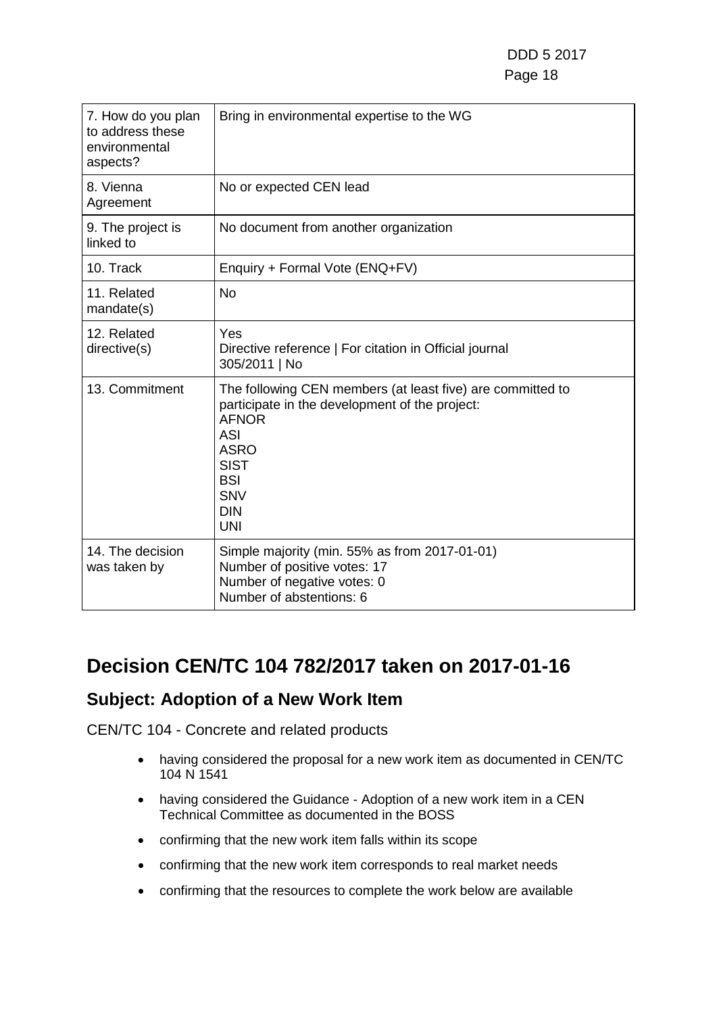| 7. How do you plan<br>to address these<br>environmental<br>aspects? | Bring in environmental expertise to the WG                                                                                                                                                                                       |
|---------------------------------------------------------------------|----------------------------------------------------------------------------------------------------------------------------------------------------------------------------------------------------------------------------------|
| 8. Vienna<br>Agreement                                              | No or expected CEN lead                                                                                                                                                                                                          |
| 9. The project is<br>linked to                                      | No document from another organization                                                                                                                                                                                            |
| 10. Track                                                           | Enquiry + Formal Vote (ENQ+FV)                                                                                                                                                                                                   |
| 11. Related<br>mandate(s)                                           | <b>No</b>                                                                                                                                                                                                                        |
| 12. Related<br>directive(s)                                         | Yes<br>Directive reference   For citation in Official journal<br>305/2011   No                                                                                                                                                   |
| 13. Commitment                                                      | The following CEN members (at least five) are committed to<br>participate in the development of the project:<br><b>AFNOR</b><br><b>ASI</b><br><b>ASRO</b><br><b>SIST</b><br><b>BSI</b><br><b>SNV</b><br><b>DIN</b><br><b>UNI</b> |
| 14. The decision<br>was taken by                                    | Simple majority (min. 55% as from 2017-01-01)<br>Number of positive votes: 17<br>Number of negative votes: 0<br>Number of abstentions: 6                                                                                         |

### **Decision CEN/TC 104 782/2017 taken on 2017-01-16**

### **Subject: Adoption of a New Work Item**

- having considered the proposal for a new work item as documented in CEN/TC 104 N 1541
- having considered the Guidance Adoption of a new work item in a CEN Technical Committee as documented in the BOSS
- confirming that the new work item falls within its scope
- confirming that the new work item corresponds to real market needs
- confirming that the resources to complete the work below are available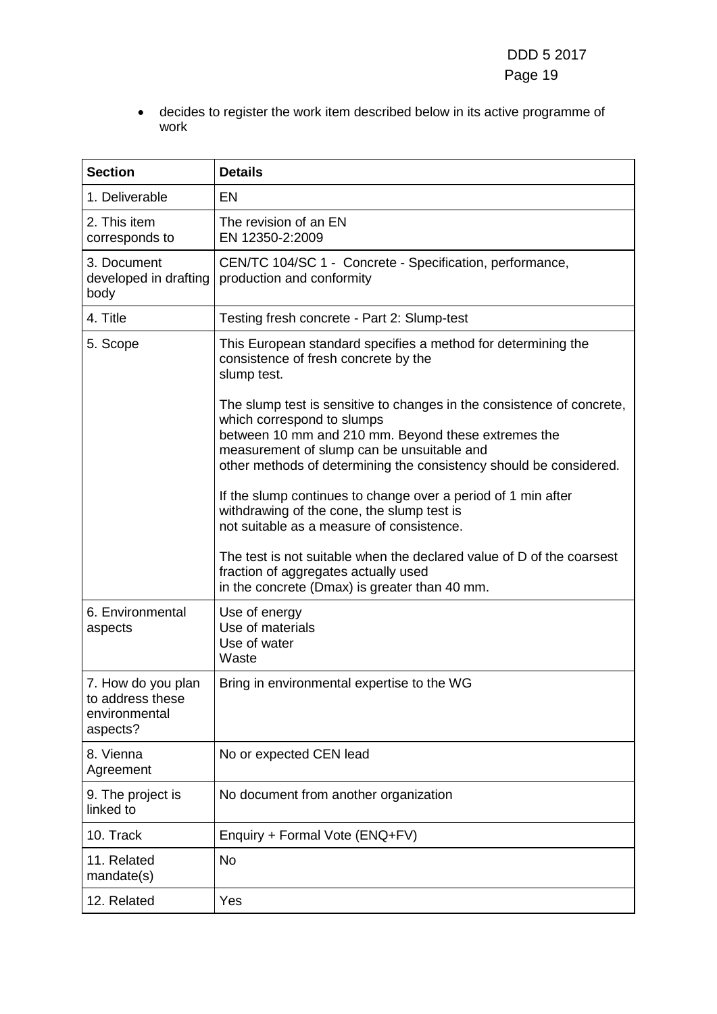• decides to register the work item described below in its active programme of work

| <b>Section</b>                                                      | <b>Details</b>                                                                                                                                                                                                                                                                                                                                                                                                                                                                                                                                               |
|---------------------------------------------------------------------|--------------------------------------------------------------------------------------------------------------------------------------------------------------------------------------------------------------------------------------------------------------------------------------------------------------------------------------------------------------------------------------------------------------------------------------------------------------------------------------------------------------------------------------------------------------|
|                                                                     |                                                                                                                                                                                                                                                                                                                                                                                                                                                                                                                                                              |
| 1. Deliverable                                                      | <b>EN</b>                                                                                                                                                                                                                                                                                                                                                                                                                                                                                                                                                    |
| 2. This item<br>corresponds to                                      | The revision of an EN<br>EN 12350-2:2009                                                                                                                                                                                                                                                                                                                                                                                                                                                                                                                     |
| 3. Document<br>developed in drafting<br>body                        | CEN/TC 104/SC 1 - Concrete - Specification, performance,<br>production and conformity                                                                                                                                                                                                                                                                                                                                                                                                                                                                        |
| 4. Title                                                            | Testing fresh concrete - Part 2: Slump-test                                                                                                                                                                                                                                                                                                                                                                                                                                                                                                                  |
| 5. Scope                                                            | This European standard specifies a method for determining the<br>consistence of fresh concrete by the<br>slump test.                                                                                                                                                                                                                                                                                                                                                                                                                                         |
|                                                                     | The slump test is sensitive to changes in the consistence of concrete,<br>which correspond to slumps<br>between 10 mm and 210 mm. Beyond these extremes the<br>measurement of slump can be unsuitable and<br>other methods of determining the consistency should be considered.<br>If the slump continues to change over a period of 1 min after<br>withdrawing of the cone, the slump test is<br>not suitable as a measure of consistence.<br>The test is not suitable when the declared value of D of the coarsest<br>fraction of aggregates actually used |
|                                                                     | in the concrete (Dmax) is greater than 40 mm.                                                                                                                                                                                                                                                                                                                                                                                                                                                                                                                |
| 6. Environmental<br>aspects                                         | Use of energy<br>Use of materials<br>Use of water<br>Waste                                                                                                                                                                                                                                                                                                                                                                                                                                                                                                   |
| 7. How do you plan<br>to address these<br>environmental<br>aspects? | Bring in environmental expertise to the WG                                                                                                                                                                                                                                                                                                                                                                                                                                                                                                                   |
| 8. Vienna<br>Agreement                                              | No or expected CEN lead                                                                                                                                                                                                                                                                                                                                                                                                                                                                                                                                      |
| 9. The project is<br>linked to                                      | No document from another organization                                                                                                                                                                                                                                                                                                                                                                                                                                                                                                                        |
| 10. Track                                                           | Enquiry + Formal Vote (ENQ+FV)                                                                                                                                                                                                                                                                                                                                                                                                                                                                                                                               |
| 11. Related<br>mandate(s)                                           | <b>No</b>                                                                                                                                                                                                                                                                                                                                                                                                                                                                                                                                                    |
| 12. Related                                                         | Yes                                                                                                                                                                                                                                                                                                                                                                                                                                                                                                                                                          |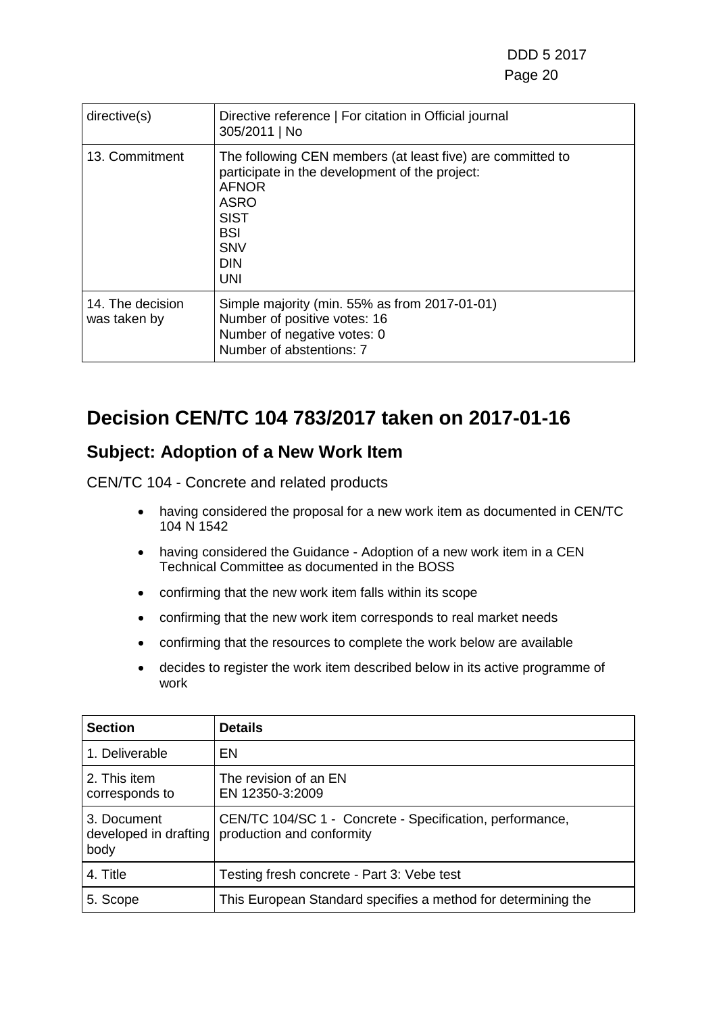| directive(s)                     | Directive reference   For citation in Official journal<br>305/2011   No                                                                                                                                            |
|----------------------------------|--------------------------------------------------------------------------------------------------------------------------------------------------------------------------------------------------------------------|
| 13. Commitment                   | The following CEN members (at least five) are committed to<br>participate in the development of the project:<br><b>AFNOR</b><br><b>ASRO</b><br><b>SIST</b><br><b>BSI</b><br><b>SNV</b><br><b>DIN</b><br><b>UNI</b> |
| 14. The decision<br>was taken by | Simple majority (min. 55% as from 2017-01-01)<br>Number of positive votes: 16<br>Number of negative votes: 0<br>Number of abstentions: 7                                                                           |

### **Decision CEN/TC 104 783/2017 taken on 2017-01-16**

### **Subject: Adoption of a New Work Item**

- having considered the proposal for a new work item as documented in CEN/TC 104 N 1542
- having considered the Guidance Adoption of a new work item in a CEN Technical Committee as documented in the BOSS
- confirming that the new work item falls within its scope
- confirming that the new work item corresponds to real market needs
- confirming that the resources to complete the work below are available
- decides to register the work item described below in its active programme of work

| <b>Section</b>                               | <b>Details</b>                                                                        |
|----------------------------------------------|---------------------------------------------------------------------------------------|
| 1. Deliverable                               | EN                                                                                    |
| 2. This item<br>corresponds to               | The revision of an EN<br>EN 12350-3:2009                                              |
| 3. Document<br>developed in drafting<br>body | CEN/TC 104/SC 1 - Concrete - Specification, performance,<br>production and conformity |
| 4. Title                                     | Testing fresh concrete - Part 3: Vebe test                                            |
| 5. Scope                                     | This European Standard specifies a method for determining the                         |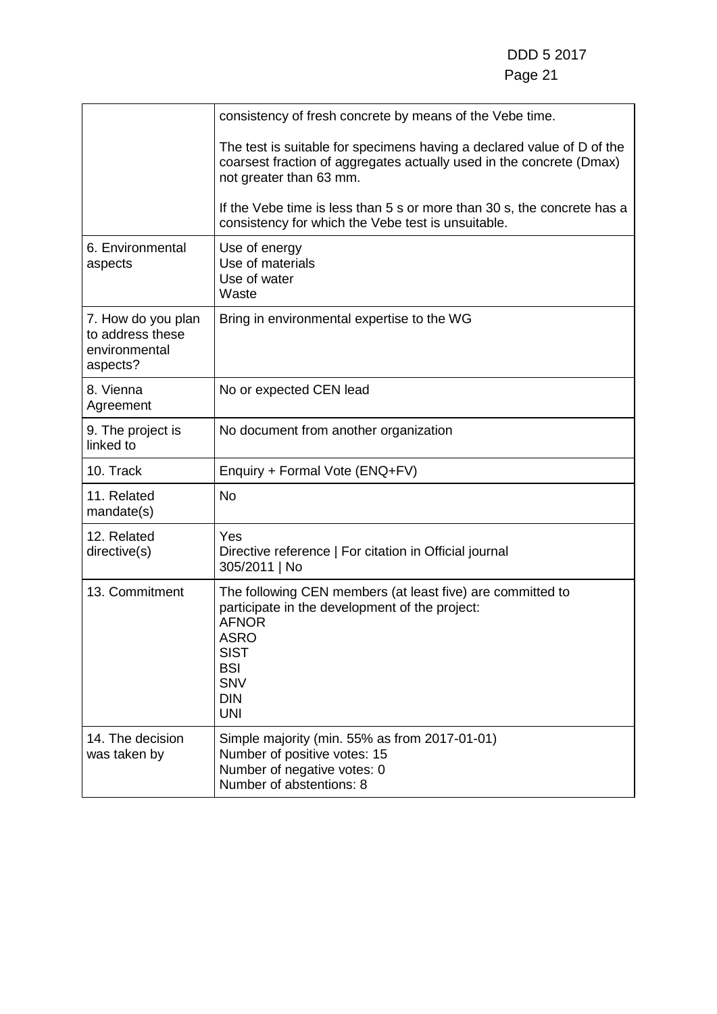|                                                                     | consistency of fresh concrete by means of the Vebe time.                                                                                                                                                           |
|---------------------------------------------------------------------|--------------------------------------------------------------------------------------------------------------------------------------------------------------------------------------------------------------------|
|                                                                     | The test is suitable for specimens having a declared value of D of the<br>coarsest fraction of aggregates actually used in the concrete (Dmax)<br>not greater than 63 mm.                                          |
|                                                                     | If the Vebe time is less than 5 s or more than 30 s, the concrete has a<br>consistency for which the Vebe test is unsuitable.                                                                                      |
| 6. Environmental<br>aspects                                         | Use of energy<br>Use of materials<br>Use of water<br>Waste                                                                                                                                                         |
| 7. How do you plan<br>to address these<br>environmental<br>aspects? | Bring in environmental expertise to the WG                                                                                                                                                                         |
| 8. Vienna<br>Agreement                                              | No or expected CEN lead                                                                                                                                                                                            |
| 9. The project is<br>linked to                                      | No document from another organization                                                                                                                                                                              |
| 10. Track                                                           | Enquiry + Formal Vote (ENQ+FV)                                                                                                                                                                                     |
| 11. Related<br>mandate(s)                                           | No                                                                                                                                                                                                                 |
| 12. Related<br>directive(s)                                         | Yes<br>Directive reference   For citation in Official journal<br>305/2011   No                                                                                                                                     |
| 13. Commitment                                                      | The following CEN members (at least five) are committed to<br>participate in the development of the project:<br><b>AFNOR</b><br><b>ASRO</b><br><b>SIST</b><br><b>BSI</b><br><b>SNV</b><br><b>DIN</b><br><b>UNI</b> |
| 14. The decision<br>was taken by                                    | Simple majority (min. 55% as from 2017-01-01)<br>Number of positive votes: 15<br>Number of negative votes: 0<br>Number of abstentions: 8                                                                           |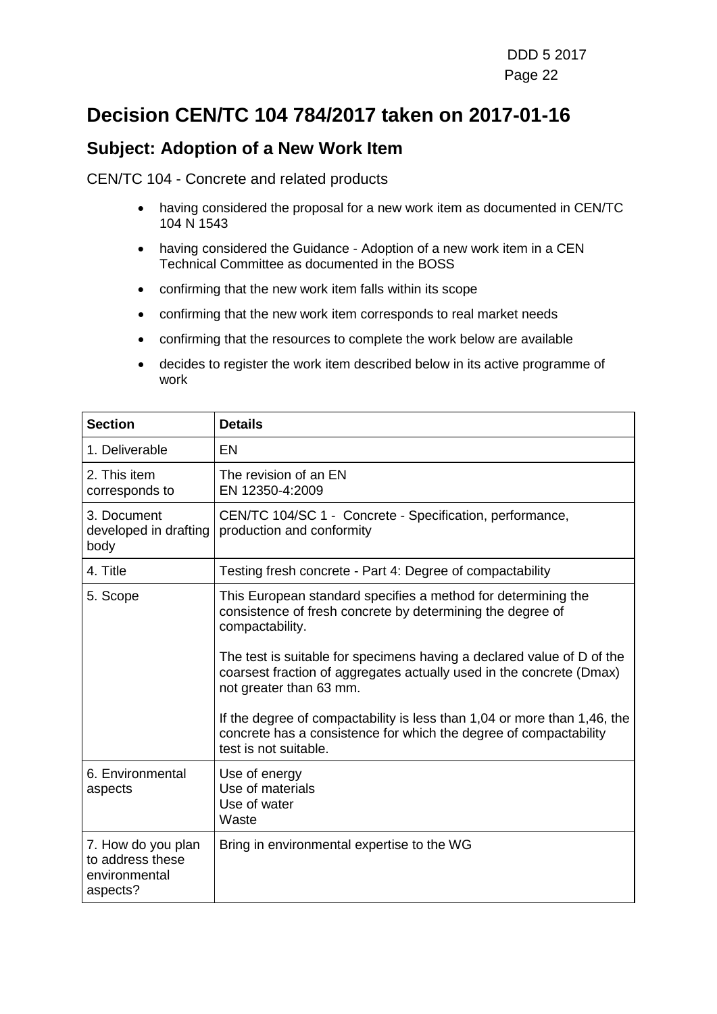### **Decision CEN/TC 104 784/2017 taken on 2017-01-16**

#### **Subject: Adoption of a New Work Item**

- having considered the proposal for a new work item as documented in CEN/TC 104 N 1543
- having considered the Guidance Adoption of a new work item in a CEN Technical Committee as documented in the BOSS
- confirming that the new work item falls within its scope
- confirming that the new work item corresponds to real market needs
- confirming that the resources to complete the work below are available
- decides to register the work item described below in its active programme of work

| <b>Section</b>                                                      | <b>Details</b>                                                                                                                                                            |
|---------------------------------------------------------------------|---------------------------------------------------------------------------------------------------------------------------------------------------------------------------|
| 1. Deliverable                                                      | <b>EN</b>                                                                                                                                                                 |
| 2. This item<br>corresponds to                                      | The revision of an EN<br>EN 12350-4:2009                                                                                                                                  |
| 3. Document<br>developed in drafting<br>body                        | CEN/TC 104/SC 1 - Concrete - Specification, performance,<br>production and conformity                                                                                     |
| 4. Title                                                            | Testing fresh concrete - Part 4: Degree of compactability                                                                                                                 |
| 5. Scope                                                            | This European standard specifies a method for determining the<br>consistence of fresh concrete by determining the degree of<br>compactability.                            |
|                                                                     | The test is suitable for specimens having a declared value of D of the<br>coarsest fraction of aggregates actually used in the concrete (Dmax)<br>not greater than 63 mm. |
|                                                                     | If the degree of compactability is less than 1,04 or more than 1,46, the<br>concrete has a consistence for which the degree of compactability<br>test is not suitable.    |
| 6. Environmental<br>aspects                                         | Use of energy<br>Use of materials<br>Use of water<br>Waste                                                                                                                |
| 7. How do you plan<br>to address these<br>environmental<br>aspects? | Bring in environmental expertise to the WG                                                                                                                                |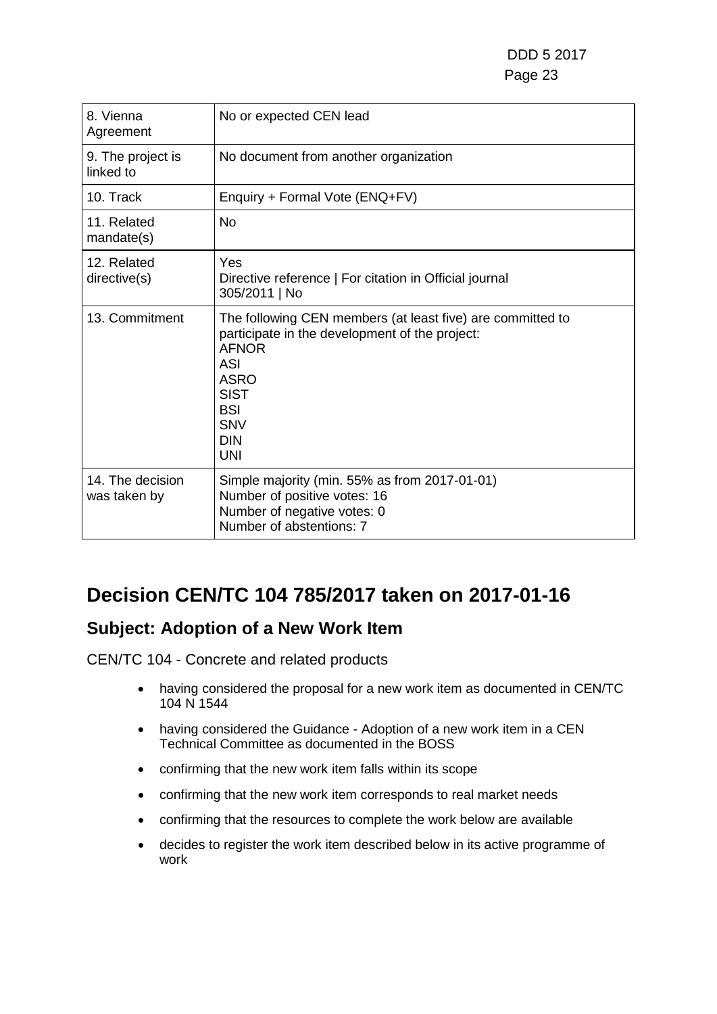DDD 5 2017 Page 23

| 8. Vienna<br>Agreement           | No or expected CEN lead                                                                                                                                                                                                   |
|----------------------------------|---------------------------------------------------------------------------------------------------------------------------------------------------------------------------------------------------------------------------|
| 9. The project is<br>linked to   | No document from another organization                                                                                                                                                                                     |
| 10. Track                        | Enquiry + Formal Vote (ENQ+FV)                                                                                                                                                                                            |
| 11. Related<br>mandate(s)        | <b>No</b>                                                                                                                                                                                                                 |
| 12. Related<br>directive(s)      | Yes<br>Directive reference   For citation in Official journal<br>305/2011   No                                                                                                                                            |
| 13. Commitment                   | The following CEN members (at least five) are committed to<br>participate in the development of the project:<br><b>AFNOR</b><br>ASI<br><b>ASRO</b><br><b>SIST</b><br><b>BSI</b><br><b>SNV</b><br><b>DIN</b><br><b>UNI</b> |
| 14. The decision<br>was taken by | Simple majority (min. 55% as from 2017-01-01)<br>Number of positive votes: 16<br>Number of negative votes: 0<br>Number of abstentions: 7                                                                                  |

### **Decision CEN/TC 104 785/2017 taken on 2017-01-16**

#### **Subject: Adoption of a New Work Item**

- having considered the proposal for a new work item as documented in CEN/TC 104 N 1544
- having considered the Guidance Adoption of a new work item in a CEN Technical Committee as documented in the BOSS
- confirming that the new work item falls within its scope
- confirming that the new work item corresponds to real market needs
- confirming that the resources to complete the work below are available
- decides to register the work item described below in its active programme of work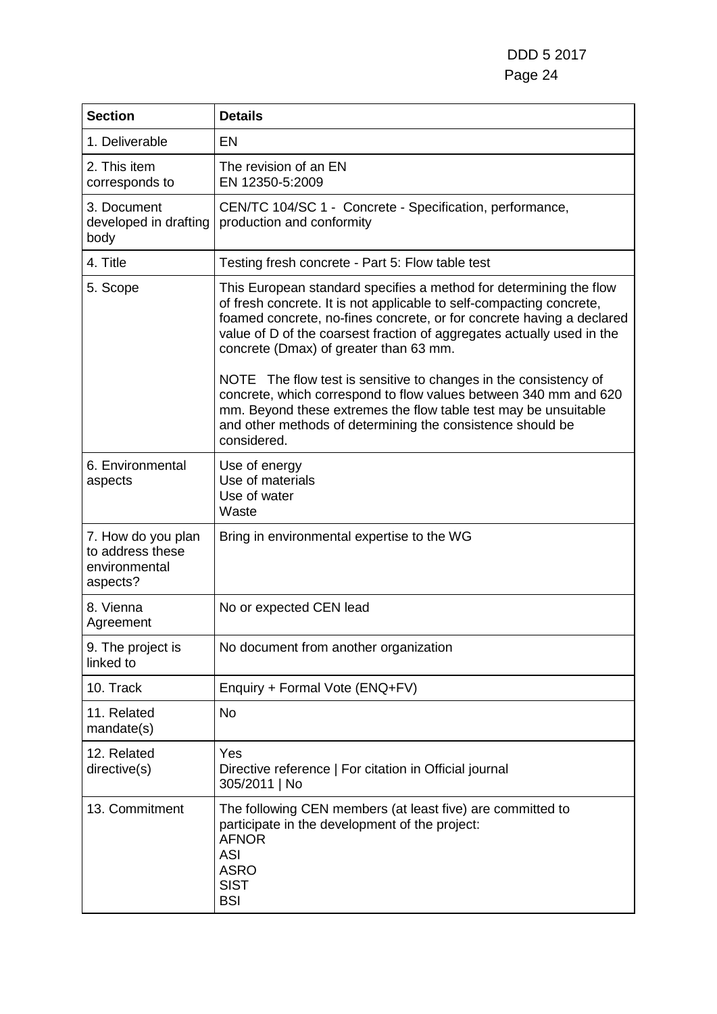| <b>Section</b>                                                      | <b>Details</b>                                                                                                                                                                                                                                                                                                                                                                                              |
|---------------------------------------------------------------------|-------------------------------------------------------------------------------------------------------------------------------------------------------------------------------------------------------------------------------------------------------------------------------------------------------------------------------------------------------------------------------------------------------------|
| 1. Deliverable                                                      | <b>EN</b>                                                                                                                                                                                                                                                                                                                                                                                                   |
| 2. This item<br>corresponds to                                      | The revision of an EN<br>EN 12350-5:2009                                                                                                                                                                                                                                                                                                                                                                    |
| 3. Document<br>developed in drafting<br>body                        | CEN/TC 104/SC 1 - Concrete - Specification, performance,<br>production and conformity                                                                                                                                                                                                                                                                                                                       |
| 4. Title                                                            | Testing fresh concrete - Part 5: Flow table test                                                                                                                                                                                                                                                                                                                                                            |
| 5. Scope                                                            | This European standard specifies a method for determining the flow<br>of fresh concrete. It is not applicable to self-compacting concrete,<br>foamed concrete, no-fines concrete, or for concrete having a declared<br>value of D of the coarsest fraction of aggregates actually used in the<br>concrete (Dmax) of greater than 63 mm.<br>NOTE The flow test is sensitive to changes in the consistency of |
|                                                                     | concrete, which correspond to flow values between 340 mm and 620<br>mm. Beyond these extremes the flow table test may be unsuitable<br>and other methods of determining the consistence should be<br>considered.                                                                                                                                                                                            |
| 6. Environmental<br>aspects                                         | Use of energy<br>Use of materials<br>Use of water<br>Waste                                                                                                                                                                                                                                                                                                                                                  |
| 7. How do you plan<br>to address these<br>environmental<br>aspects? | Bring in environmental expertise to the WG                                                                                                                                                                                                                                                                                                                                                                  |
| 8. Vienna<br>Agreement                                              | No or expected CEN lead                                                                                                                                                                                                                                                                                                                                                                                     |
| 9. The project is<br>linked to                                      | No document from another organization                                                                                                                                                                                                                                                                                                                                                                       |
| 10. Track                                                           | Enquiry + Formal Vote (ENQ+FV)                                                                                                                                                                                                                                                                                                                                                                              |
| 11. Related<br>mandate(s)                                           | <b>No</b>                                                                                                                                                                                                                                                                                                                                                                                                   |
| 12. Related<br>directive(s)                                         | Yes<br>Directive reference   For citation in Official journal<br>305/2011   No                                                                                                                                                                                                                                                                                                                              |
| 13. Commitment                                                      | The following CEN members (at least five) are committed to<br>participate in the development of the project:<br><b>AFNOR</b><br><b>ASI</b><br><b>ASRO</b><br><b>SIST</b><br><b>BSI</b>                                                                                                                                                                                                                      |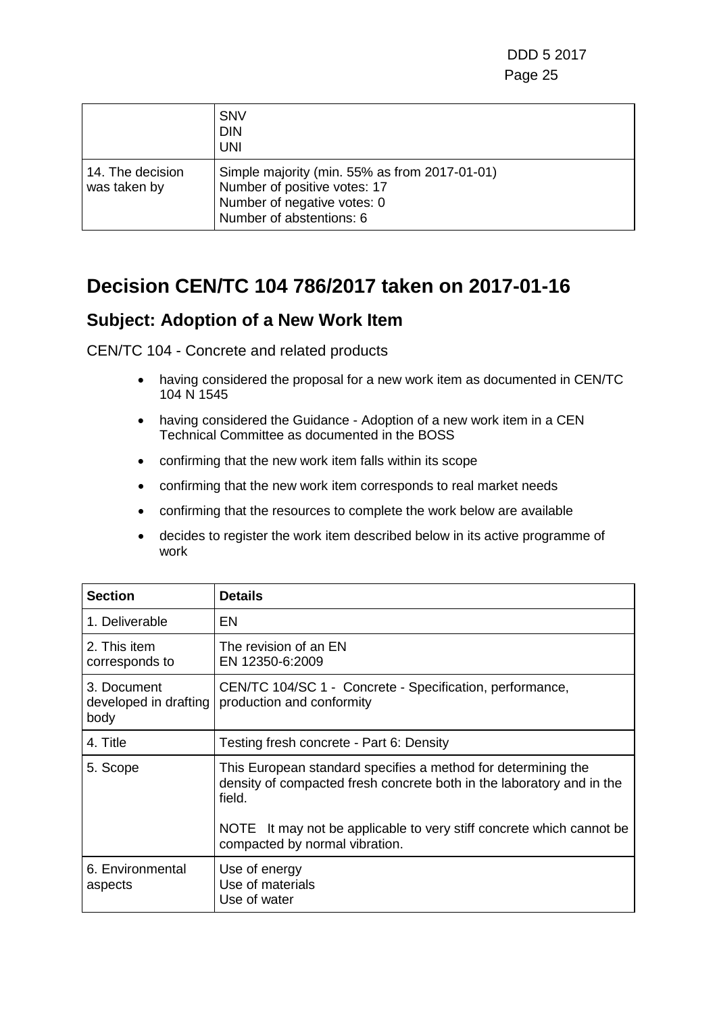|                                  | <b>SNV</b><br><b>DIN</b><br><b>UNI</b>                                                                                                   |
|----------------------------------|------------------------------------------------------------------------------------------------------------------------------------------|
| 14. The decision<br>was taken by | Simple majority (min. 55% as from 2017-01-01)<br>Number of positive votes: 17<br>Number of negative votes: 0<br>Number of abstentions: 6 |

### **Decision CEN/TC 104 786/2017 taken on 2017-01-16**

#### **Subject: Adoption of a New Work Item**

- having considered the proposal for a new work item as documented in CEN/TC 104 N 1545
- having considered the Guidance Adoption of a new work item in a CEN Technical Committee as documented in the BOSS
- confirming that the new work item falls within its scope
- confirming that the new work item corresponds to real market needs
- confirming that the resources to complete the work below are available
- decides to register the work item described below in its active programme of work

| <b>Section</b>                               | <b>Details</b>                                                                                                                                                                                                           |
|----------------------------------------------|--------------------------------------------------------------------------------------------------------------------------------------------------------------------------------------------------------------------------|
| 1. Deliverable                               | EN                                                                                                                                                                                                                       |
| 2. This item<br>corresponds to               | The revision of an EN<br>EN 12350-6:2009                                                                                                                                                                                 |
| 3. Document<br>developed in drafting<br>body | CEN/TC 104/SC 1 - Concrete - Specification, performance,<br>production and conformity                                                                                                                                    |
| 4. Title                                     | Testing fresh concrete - Part 6: Density                                                                                                                                                                                 |
| 5. Scope                                     | This European standard specifies a method for determining the<br>density of compacted fresh concrete both in the laboratory and in the<br>field.<br>NOTE It may not be applicable to very stiff concrete which cannot be |
|                                              | compacted by normal vibration.                                                                                                                                                                                           |
| 6. Environmental<br>aspects                  | Use of energy<br>Use of materials<br>Use of water                                                                                                                                                                        |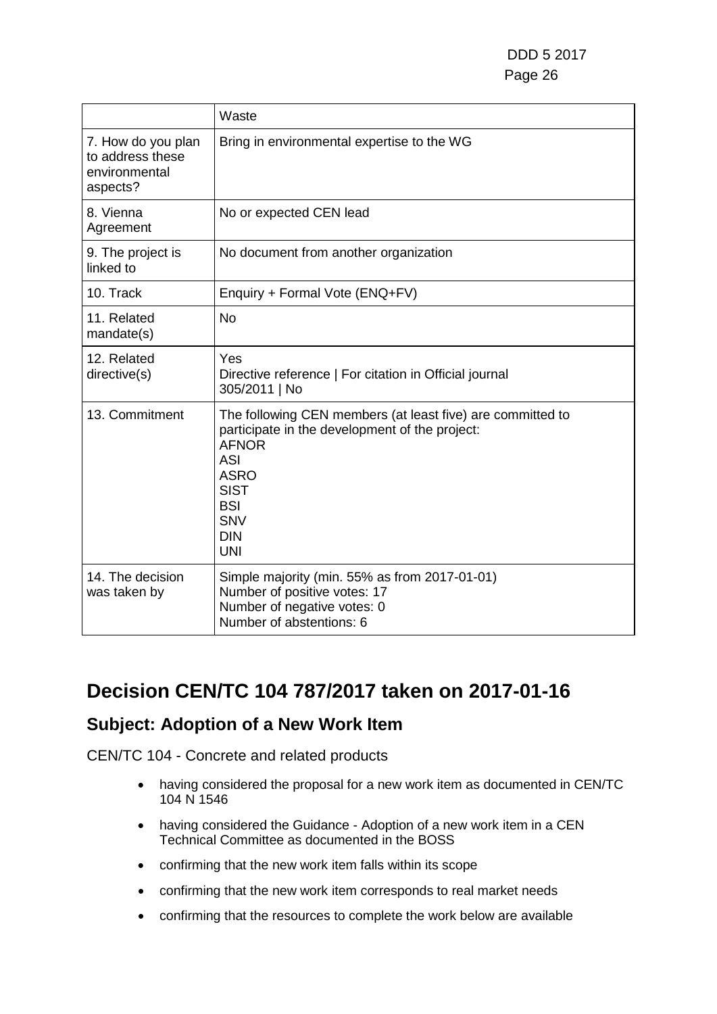|                                                                     | Waste                                                                                                                                                                                                                     |
|---------------------------------------------------------------------|---------------------------------------------------------------------------------------------------------------------------------------------------------------------------------------------------------------------------|
| 7. How do you plan<br>to address these<br>environmental<br>aspects? | Bring in environmental expertise to the WG                                                                                                                                                                                |
| 8. Vienna<br>Agreement                                              | No or expected CEN lead                                                                                                                                                                                                   |
| 9. The project is<br>linked to                                      | No document from another organization                                                                                                                                                                                     |
| 10. Track                                                           | Enquiry + Formal Vote (ENQ+FV)                                                                                                                                                                                            |
| 11. Related<br>mandate(s)                                           | <b>No</b>                                                                                                                                                                                                                 |
| 12. Related<br>directive(s)                                         | Yes<br>Directive reference   For citation in Official journal<br>305/2011   No                                                                                                                                            |
| 13. Commitment                                                      | The following CEN members (at least five) are committed to<br>participate in the development of the project:<br><b>AFNOR</b><br>ASI<br><b>ASRO</b><br><b>SIST</b><br><b>BSI</b><br><b>SNV</b><br><b>DIN</b><br><b>UNI</b> |
| 14. The decision<br>was taken by                                    | Simple majority (min. 55% as from 2017-01-01)<br>Number of positive votes: 17<br>Number of negative votes: 0<br>Number of abstentions: 6                                                                                  |

### **Decision CEN/TC 104 787/2017 taken on 2017-01-16**

#### **Subject: Adoption of a New Work Item**

- having considered the proposal for a new work item as documented in CEN/TC 104 N 1546
- having considered the Guidance Adoption of a new work item in a CEN Technical Committee as documented in the BOSS
- confirming that the new work item falls within its scope
- confirming that the new work item corresponds to real market needs
- confirming that the resources to complete the work below are available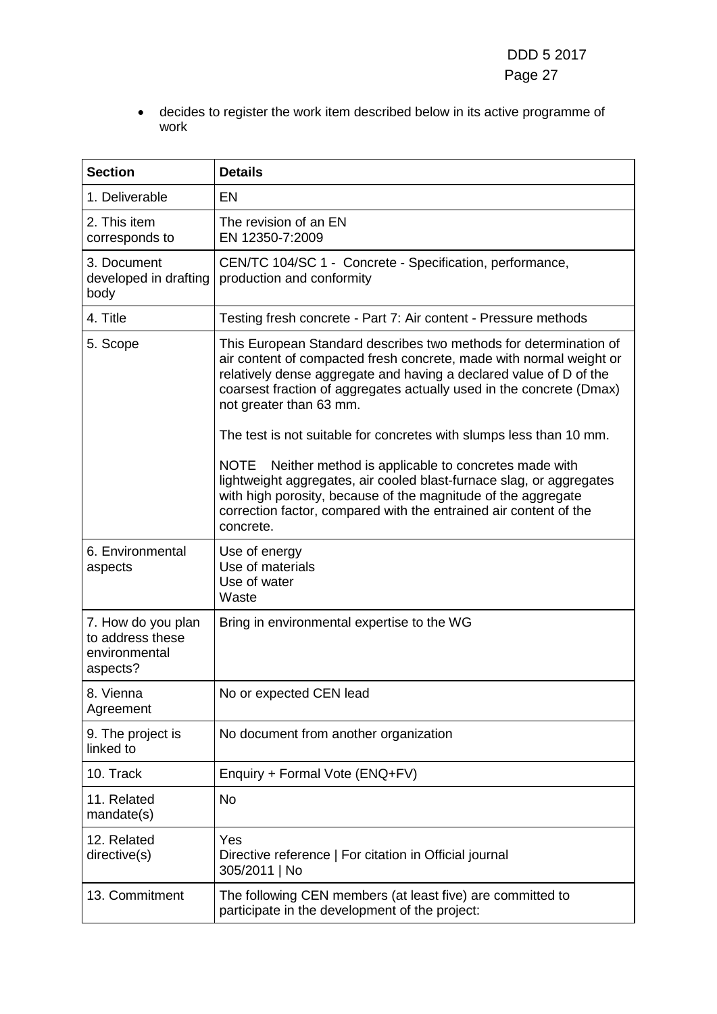• decides to register the work item described below in its active programme of work

| <b>Section</b>                                                      | <b>Details</b>                                                                                                                                                                                                                                                                                                                                                                                                                                                 |
|---------------------------------------------------------------------|----------------------------------------------------------------------------------------------------------------------------------------------------------------------------------------------------------------------------------------------------------------------------------------------------------------------------------------------------------------------------------------------------------------------------------------------------------------|
| 1. Deliverable                                                      | <b>EN</b>                                                                                                                                                                                                                                                                                                                                                                                                                                                      |
| 2. This item<br>corresponds to                                      | The revision of an EN<br>EN 12350-7:2009                                                                                                                                                                                                                                                                                                                                                                                                                       |
| 3. Document<br>developed in drafting<br>body                        | CEN/TC 104/SC 1 - Concrete - Specification, performance,<br>production and conformity                                                                                                                                                                                                                                                                                                                                                                          |
| 4. Title                                                            | Testing fresh concrete - Part 7: Air content - Pressure methods                                                                                                                                                                                                                                                                                                                                                                                                |
| 5. Scope                                                            | This European Standard describes two methods for determination of<br>air content of compacted fresh concrete, made with normal weight or<br>relatively dense aggregate and having a declared value of D of the<br>coarsest fraction of aggregates actually used in the concrete (Dmax)<br>not greater than 63 mm.<br>The test is not suitable for concretes with slumps less than 10 mm.<br>Neither method is applicable to concretes made with<br><b>NOTE</b> |
|                                                                     | lightweight aggregates, air cooled blast-furnace slag, or aggregates<br>with high porosity, because of the magnitude of the aggregate<br>correction factor, compared with the entrained air content of the<br>concrete.                                                                                                                                                                                                                                        |
| 6. Environmental<br>aspects                                         | Use of energy<br>Use of materials<br>Use of water<br>Waste                                                                                                                                                                                                                                                                                                                                                                                                     |
| 7. How do you plan<br>to address these<br>environmental<br>aspects? | Bring in environmental expertise to the WG                                                                                                                                                                                                                                                                                                                                                                                                                     |
| 8. Vienna<br>Agreement                                              | No or expected CEN lead                                                                                                                                                                                                                                                                                                                                                                                                                                        |
| 9. The project is<br>linked to                                      | No document from another organization                                                                                                                                                                                                                                                                                                                                                                                                                          |
| 10. Track                                                           | Enquiry + Formal Vote (ENQ+FV)                                                                                                                                                                                                                                                                                                                                                                                                                                 |
| 11. Related<br>mandate(s)                                           | No                                                                                                                                                                                                                                                                                                                                                                                                                                                             |
| 12. Related<br>directive(s)                                         | Yes<br>Directive reference   For citation in Official journal<br>305/2011   No                                                                                                                                                                                                                                                                                                                                                                                 |
| 13. Commitment                                                      | The following CEN members (at least five) are committed to<br>participate in the development of the project:                                                                                                                                                                                                                                                                                                                                                   |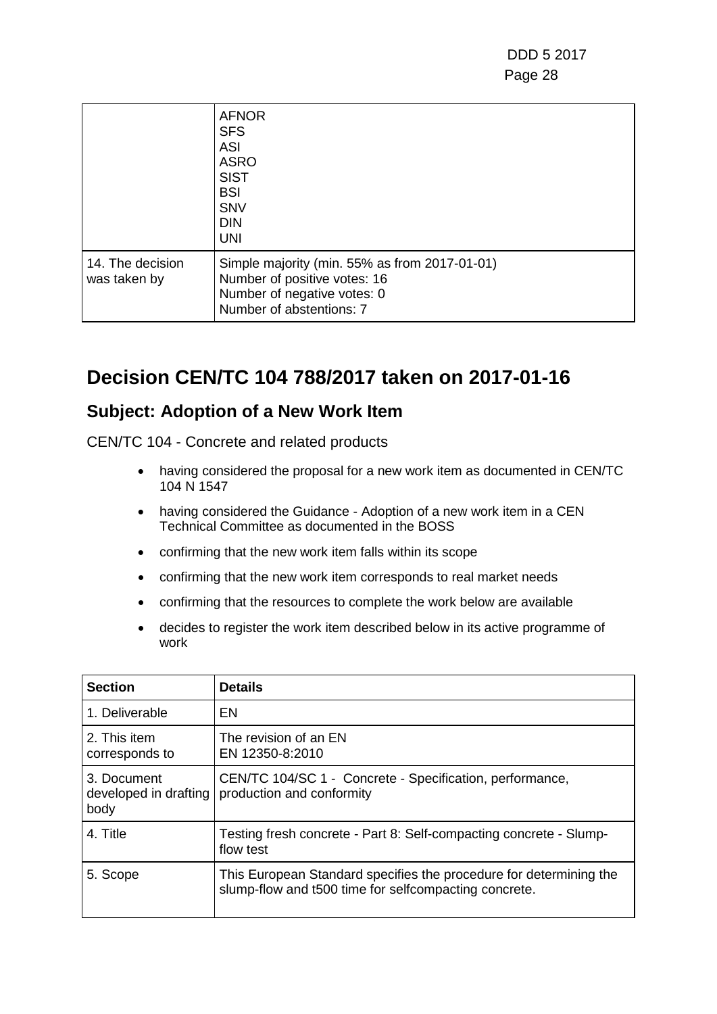|                                  | <b>AFNOR</b><br><b>SFS</b><br><b>ASI</b><br><b>ASRO</b><br><b>SIST</b><br><b>BSI</b><br><b>SNV</b><br><b>DIN</b><br><b>UNI</b>           |
|----------------------------------|------------------------------------------------------------------------------------------------------------------------------------------|
| 14. The decision<br>was taken by | Simple majority (min. 55% as from 2017-01-01)<br>Number of positive votes: 16<br>Number of negative votes: 0<br>Number of abstentions: 7 |

### **Decision CEN/TC 104 788/2017 taken on 2017-01-16**

#### **Subject: Adoption of a New Work Item**

- having considered the proposal for a new work item as documented in CEN/TC 104 N 1547
- having considered the Guidance Adoption of a new work item in a CEN Technical Committee as documented in the BOSS
- confirming that the new work item falls within its scope
- confirming that the new work item corresponds to real market needs
- confirming that the resources to complete the work below are available
- decides to register the work item described below in its active programme of work

| <b>Section</b>                               | <b>Details</b>                                                                                                              |
|----------------------------------------------|-----------------------------------------------------------------------------------------------------------------------------|
| 1. Deliverable                               | EN                                                                                                                          |
| 2. This item<br>corresponds to               | The revision of an EN<br>EN 12350-8:2010                                                                                    |
| 3. Document<br>developed in drafting<br>body | CEN/TC 104/SC 1 - Concrete - Specification, performance,<br>production and conformity                                       |
| 4. Title                                     | Testing fresh concrete - Part 8: Self-compacting concrete - Slump-<br>flow test                                             |
| 5. Scope                                     | This European Standard specifies the procedure for determining the<br>slump-flow and t500 time for selfcompacting concrete. |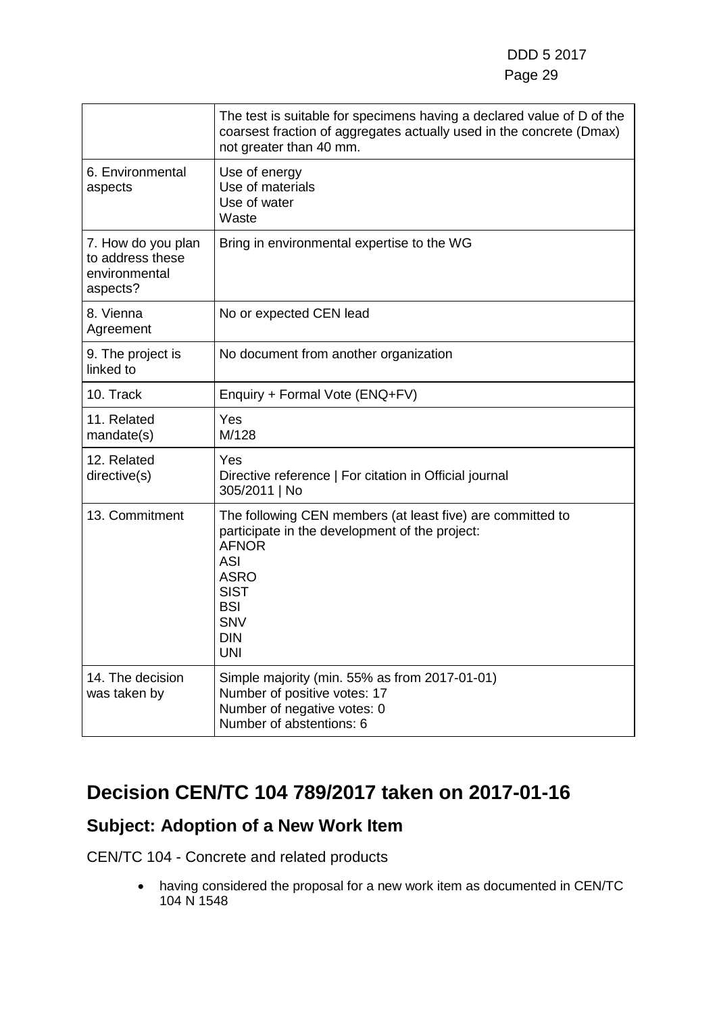|                                                                     | The test is suitable for specimens having a declared value of D of the<br>coarsest fraction of aggregates actually used in the concrete (Dmax)<br>not greater than 40 mm.                                                 |
|---------------------------------------------------------------------|---------------------------------------------------------------------------------------------------------------------------------------------------------------------------------------------------------------------------|
| 6. Environmental<br>aspects                                         | Use of energy<br>Use of materials<br>Use of water<br>Waste                                                                                                                                                                |
| 7. How do you plan<br>to address these<br>environmental<br>aspects? | Bring in environmental expertise to the WG                                                                                                                                                                                |
| 8. Vienna<br>Agreement                                              | No or expected CEN lead                                                                                                                                                                                                   |
| 9. The project is<br>linked to                                      | No document from another organization                                                                                                                                                                                     |
| 10. Track                                                           | Enquiry + Formal Vote (ENQ+FV)                                                                                                                                                                                            |
| 11. Related<br>mandate(s)                                           | Yes<br>M/128                                                                                                                                                                                                              |
| 12. Related<br>directive(s)                                         | Yes<br>Directive reference   For citation in Official journal<br>305/2011   No                                                                                                                                            |
| 13. Commitment                                                      | The following CEN members (at least five) are committed to<br>participate in the development of the project:<br><b>AFNOR</b><br><b>ASI</b><br><b>ASRO</b><br><b>SIST</b><br><b>BSI</b><br>SNV<br><b>DIN</b><br><b>UNI</b> |
| 14. The decision<br>was taken by                                    | Simple majority (min. 55% as from 2017-01-01)<br>Number of positive votes: 17<br>Number of negative votes: 0<br>Number of abstentions: 6                                                                                  |

## **Decision CEN/TC 104 789/2017 taken on 2017-01-16**

### **Subject: Adoption of a New Work Item**

CEN/TC 104 - Concrete and related products

• having considered the proposal for a new work item as documented in CEN/TC 104 N 1548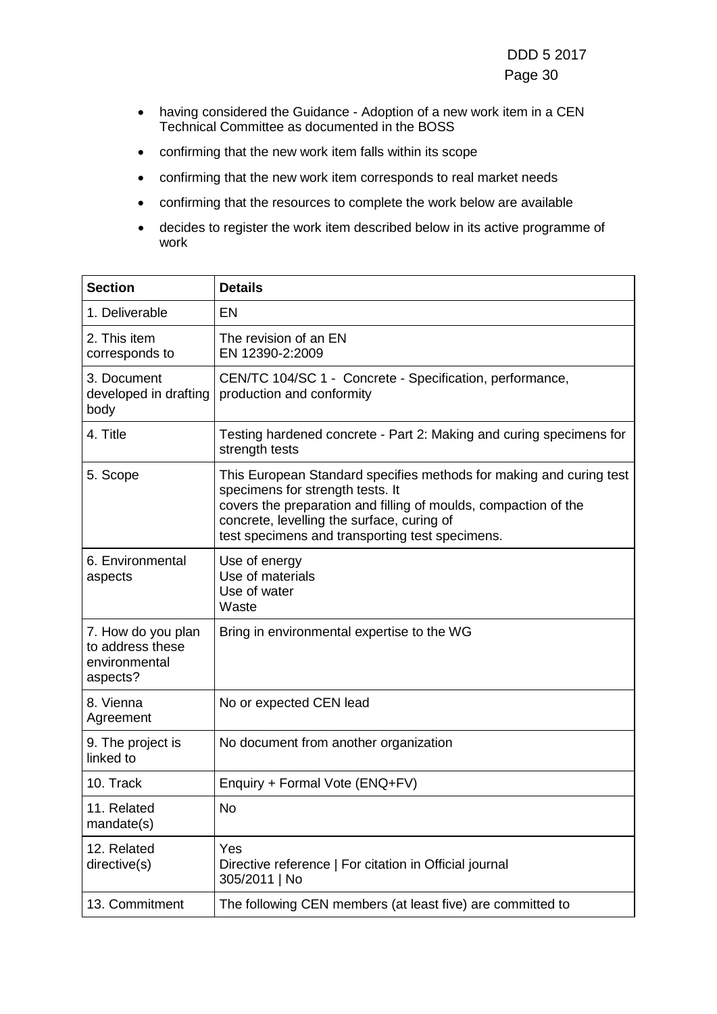- having considered the Guidance Adoption of a new work item in a CEN Technical Committee as documented in the BOSS
- confirming that the new work item falls within its scope
- confirming that the new work item corresponds to real market needs
- confirming that the resources to complete the work below are available
- decides to register the work item described below in its active programme of work

| <b>Section</b>                                                      | <b>Details</b>                                                                                                                                                                                                                                                              |
|---------------------------------------------------------------------|-----------------------------------------------------------------------------------------------------------------------------------------------------------------------------------------------------------------------------------------------------------------------------|
| 1. Deliverable                                                      | EN                                                                                                                                                                                                                                                                          |
| 2. This item<br>corresponds to                                      | The revision of an EN<br>EN 12390-2:2009                                                                                                                                                                                                                                    |
| 3. Document<br>developed in drafting<br>body                        | CEN/TC 104/SC 1 - Concrete - Specification, performance,<br>production and conformity                                                                                                                                                                                       |
| 4. Title                                                            | Testing hardened concrete - Part 2: Making and curing specimens for<br>strength tests                                                                                                                                                                                       |
| 5. Scope                                                            | This European Standard specifies methods for making and curing test<br>specimens for strength tests. It<br>covers the preparation and filling of moulds, compaction of the<br>concrete, levelling the surface, curing of<br>test specimens and transporting test specimens. |
| 6. Environmental<br>aspects                                         | Use of energy<br>Use of materials<br>Use of water<br>Waste                                                                                                                                                                                                                  |
| 7. How do you plan<br>to address these<br>environmental<br>aspects? | Bring in environmental expertise to the WG                                                                                                                                                                                                                                  |
| 8. Vienna<br>Agreement                                              | No or expected CEN lead                                                                                                                                                                                                                                                     |
| 9. The project is<br>linked to                                      | No document from another organization                                                                                                                                                                                                                                       |
| 10. Track                                                           | Enquiry + Formal Vote (ENQ+FV)                                                                                                                                                                                                                                              |
| 11. Related<br>mandate(s)                                           | No                                                                                                                                                                                                                                                                          |
| 12. Related<br>directive(s)                                         | Yes<br>Directive reference   For citation in Official journal<br>305/2011   No                                                                                                                                                                                              |
| 13. Commitment                                                      | The following CEN members (at least five) are committed to                                                                                                                                                                                                                  |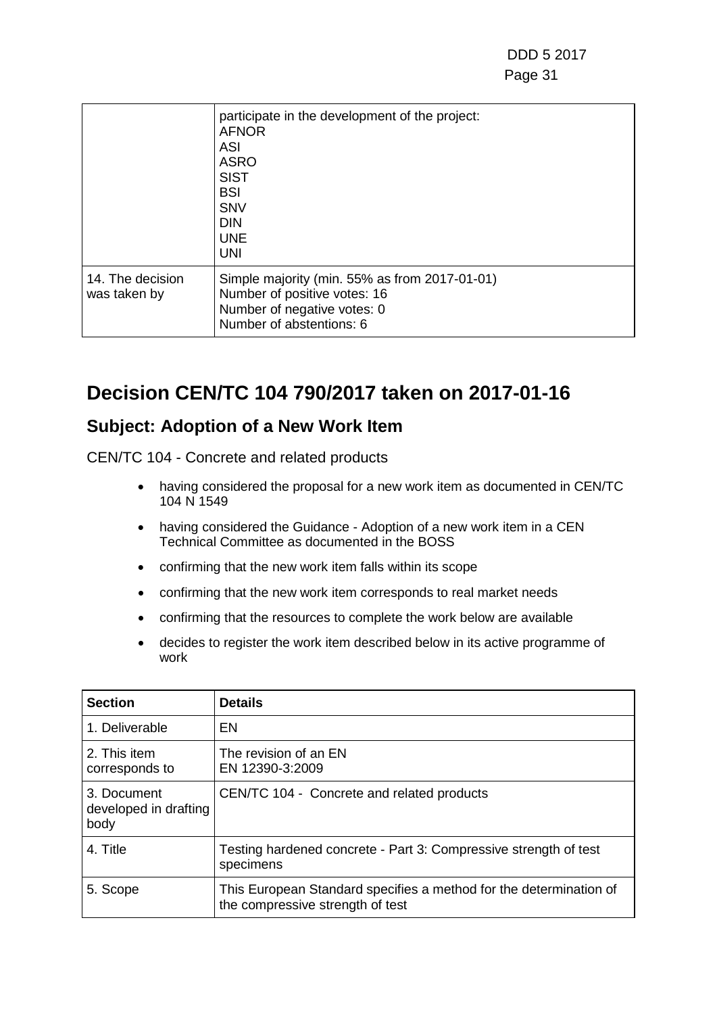|                                  | participate in the development of the project:<br><b>AFNOR</b><br><b>ASI</b><br><b>ASRO</b><br><b>SIST</b><br><b>BSI</b><br><b>SNV</b><br><b>DIN</b><br><b>UNE</b><br><b>UNI</b> |
|----------------------------------|----------------------------------------------------------------------------------------------------------------------------------------------------------------------------------|
| 14. The decision<br>was taken by | Simple majority (min. 55% as from 2017-01-01)<br>Number of positive votes: 16<br>Number of negative votes: 0<br>Number of abstentions: 6                                         |

### **Decision CEN/TC 104 790/2017 taken on 2017-01-16**

#### **Subject: Adoption of a New Work Item**

- having considered the proposal for a new work item as documented in CEN/TC 104 N 1549
- having considered the Guidance Adoption of a new work item in a CEN Technical Committee as documented in the BOSS
- confirming that the new work item falls within its scope
- confirming that the new work item corresponds to real market needs
- confirming that the resources to complete the work below are available
- decides to register the work item described below in its active programme of work

| <b>Section</b>                               | <b>Details</b>                                                                                         |
|----------------------------------------------|--------------------------------------------------------------------------------------------------------|
| 1. Deliverable                               | EN                                                                                                     |
| 2. This item<br>corresponds to               | The revision of an EN<br>EN 12390-3:2009                                                               |
| 3. Document<br>developed in drafting<br>body | CEN/TC 104 - Concrete and related products                                                             |
| 4. Title                                     | Testing hardened concrete - Part 3: Compressive strength of test<br>specimens                          |
| 5. Scope                                     | This European Standard specifies a method for the determination of<br>the compressive strength of test |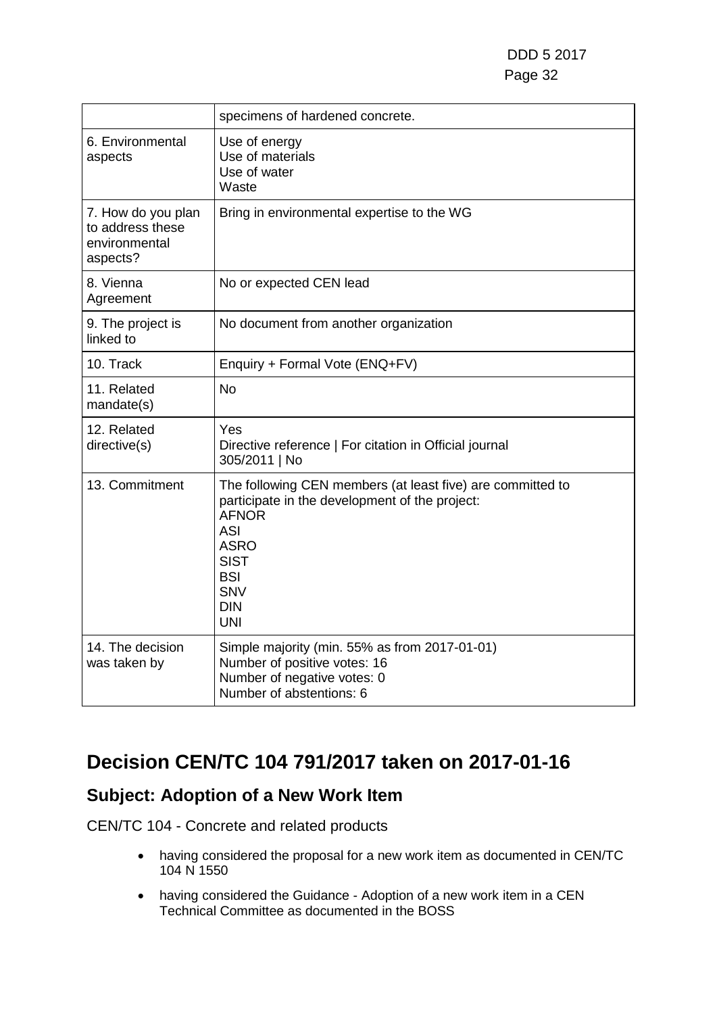|                                                                     | specimens of hardened concrete.                                                                                                                                                                                                  |
|---------------------------------------------------------------------|----------------------------------------------------------------------------------------------------------------------------------------------------------------------------------------------------------------------------------|
| 6. Environmental<br>aspects                                         | Use of energy<br>Use of materials<br>Use of water<br>Waste                                                                                                                                                                       |
| 7. How do you plan<br>to address these<br>environmental<br>aspects? | Bring in environmental expertise to the WG                                                                                                                                                                                       |
| 8. Vienna<br>Agreement                                              | No or expected CEN lead                                                                                                                                                                                                          |
| 9. The project is<br>linked to                                      | No document from another organization                                                                                                                                                                                            |
| 10. Track                                                           | Enquiry + Formal Vote (ENQ+FV)                                                                                                                                                                                                   |
| 11. Related<br>mandate(s)                                           | <b>No</b>                                                                                                                                                                                                                        |
| 12. Related<br>directive(s)                                         | Yes<br>Directive reference   For citation in Official journal<br>305/2011   No                                                                                                                                                   |
| 13. Commitment                                                      | The following CEN members (at least five) are committed to<br>participate in the development of the project:<br><b>AFNOR</b><br><b>ASI</b><br><b>ASRO</b><br><b>SIST</b><br><b>BSI</b><br><b>SNV</b><br><b>DIN</b><br><b>UNI</b> |
| 14. The decision<br>was taken by                                    | Simple majority (min. 55% as from 2017-01-01)<br>Number of positive votes: 16<br>Number of negative votes: 0<br>Number of abstentions: 6                                                                                         |

# **Decision CEN/TC 104 791/2017 taken on 2017-01-16**

#### **Subject: Adoption of a New Work Item**

- having considered the proposal for a new work item as documented in CEN/TC 104 N 1550
- having considered the Guidance Adoption of a new work item in a CEN Technical Committee as documented in the BOSS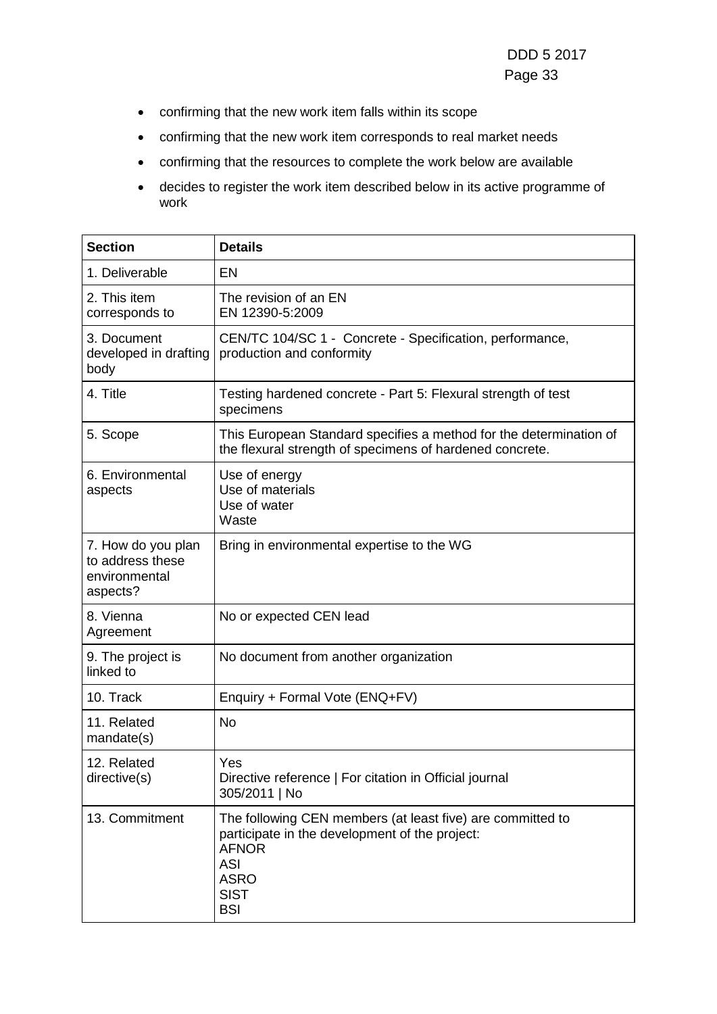- confirming that the new work item falls within its scope
- confirming that the new work item corresponds to real market needs
- confirming that the resources to complete the work below are available
- decides to register the work item described below in its active programme of work

| <b>Section</b>                                                      | <b>Details</b>                                                                                                                                                                         |
|---------------------------------------------------------------------|----------------------------------------------------------------------------------------------------------------------------------------------------------------------------------------|
| 1. Deliverable                                                      | <b>EN</b>                                                                                                                                                                              |
| 2. This item<br>corresponds to                                      | The revision of an EN<br>EN 12390-5:2009                                                                                                                                               |
| 3. Document<br>developed in drafting<br>body                        | CEN/TC 104/SC 1 - Concrete - Specification, performance,<br>production and conformity                                                                                                  |
| 4. Title                                                            | Testing hardened concrete - Part 5: Flexural strength of test<br>specimens                                                                                                             |
| 5. Scope                                                            | This European Standard specifies a method for the determination of<br>the flexural strength of specimens of hardened concrete.                                                         |
| 6. Environmental<br>aspects                                         | Use of energy<br>Use of materials<br>Use of water<br>Waste                                                                                                                             |
| 7. How do you plan<br>to address these<br>environmental<br>aspects? | Bring in environmental expertise to the WG                                                                                                                                             |
| 8. Vienna<br>Agreement                                              | No or expected CEN lead                                                                                                                                                                |
| 9. The project is<br>linked to                                      | No document from another organization                                                                                                                                                  |
| 10. Track                                                           | Enquiry + Formal Vote (ENQ+FV)                                                                                                                                                         |
| 11. Related<br>mandate(s)                                           | No                                                                                                                                                                                     |
| 12. Related<br>directive(s)                                         | Yes<br>Directive reference   For citation in Official journal<br>305/2011   No                                                                                                         |
| 13. Commitment                                                      | The following CEN members (at least five) are committed to<br>participate in the development of the project:<br><b>AFNOR</b><br><b>ASI</b><br><b>ASRO</b><br><b>SIST</b><br><b>BSI</b> |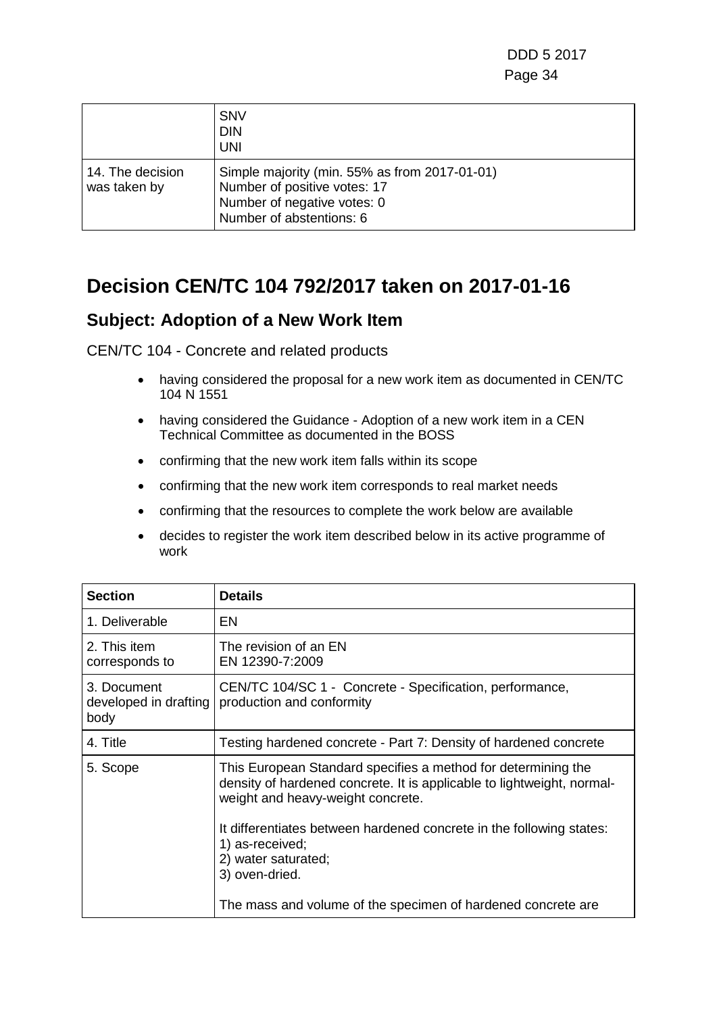|                                  | <b>SNV</b><br><b>DIN</b><br><b>UNI</b>                                                                                                   |
|----------------------------------|------------------------------------------------------------------------------------------------------------------------------------------|
| 14. The decision<br>was taken by | Simple majority (min. 55% as from 2017-01-01)<br>Number of positive votes: 17<br>Number of negative votes: 0<br>Number of abstentions: 6 |

### **Decision CEN/TC 104 792/2017 taken on 2017-01-16**

#### **Subject: Adoption of a New Work Item**

- having considered the proposal for a new work item as documented in CEN/TC 104 N 1551
- having considered the Guidance Adoption of a new work item in a CEN Technical Committee as documented in the BOSS
- confirming that the new work item falls within its scope
- confirming that the new work item corresponds to real market needs
- confirming that the resources to complete the work below are available
- decides to register the work item described below in its active programme of work

| <b>Section</b>                               | <b>Details</b>                                                                                                                                                               |
|----------------------------------------------|------------------------------------------------------------------------------------------------------------------------------------------------------------------------------|
| 1. Deliverable                               | EN                                                                                                                                                                           |
| 2. This item<br>corresponds to               | The revision of an EN<br>EN 12390-7:2009                                                                                                                                     |
| 3. Document<br>developed in drafting<br>body | CEN/TC 104/SC 1 - Concrete - Specification, performance,<br>production and conformity                                                                                        |
| 4. Title                                     | Testing hardened concrete - Part 7: Density of hardened concrete                                                                                                             |
| 5. Scope                                     | This European Standard specifies a method for determining the<br>density of hardened concrete. It is applicable to lightweight, normal-<br>weight and heavy-weight concrete. |
|                                              | It differentiates between hardened concrete in the following states:<br>1) as-received;<br>2) water saturated;<br>3) oven-dried.                                             |
|                                              | The mass and volume of the specimen of hardened concrete are                                                                                                                 |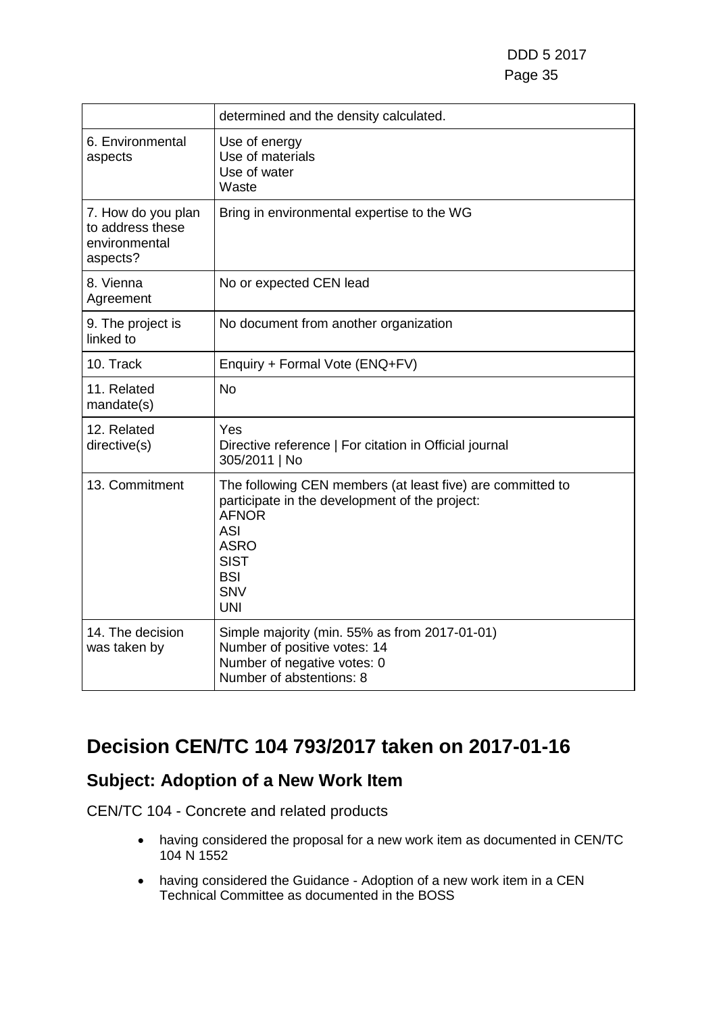|                                                                     | determined and the density calculated.                                                                                                                                                                             |
|---------------------------------------------------------------------|--------------------------------------------------------------------------------------------------------------------------------------------------------------------------------------------------------------------|
| 6. Environmental<br>aspects                                         | Use of energy<br>Use of materials<br>Use of water<br>Waste                                                                                                                                                         |
| 7. How do you plan<br>to address these<br>environmental<br>aspects? | Bring in environmental expertise to the WG                                                                                                                                                                         |
| 8. Vienna<br>Agreement                                              | No or expected CEN lead                                                                                                                                                                                            |
| 9. The project is<br>linked to                                      | No document from another organization                                                                                                                                                                              |
| 10. Track                                                           | Enquiry + Formal Vote (ENQ+FV)                                                                                                                                                                                     |
| 11. Related<br>mandate(s)                                           | <b>No</b>                                                                                                                                                                                                          |
| 12. Related<br>directive(s)                                         | Yes<br>Directive reference   For citation in Official journal<br>305/2011   No                                                                                                                                     |
| 13. Commitment                                                      | The following CEN members (at least five) are committed to<br>participate in the development of the project:<br><b>AFNOR</b><br><b>ASI</b><br><b>ASRO</b><br><b>SIST</b><br><b>BSI</b><br><b>SNV</b><br><b>UNI</b> |
| 14. The decision<br>was taken by                                    | Simple majority (min. 55% as from 2017-01-01)<br>Number of positive votes: 14<br>Number of negative votes: 0<br>Number of abstentions: 8                                                                           |

### **Decision CEN/TC 104 793/2017 taken on 2017-01-16**

### **Subject: Adoption of a New Work Item**

- having considered the proposal for a new work item as documented in CEN/TC 104 N 1552
- having considered the Guidance Adoption of a new work item in a CEN Technical Committee as documented in the BOSS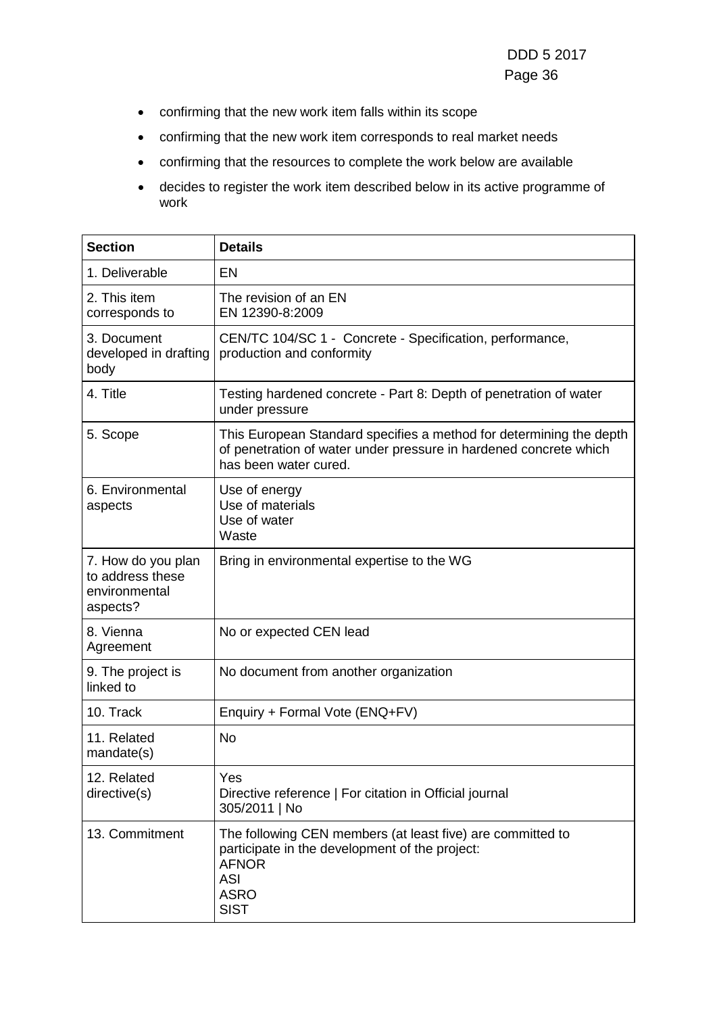- confirming that the new work item falls within its scope
- confirming that the new work item corresponds to real market needs
- confirming that the resources to complete the work below are available
- decides to register the work item described below in its active programme of work

| <b>Section</b>                                                      | <b>Details</b>                                                                                                                                                           |
|---------------------------------------------------------------------|--------------------------------------------------------------------------------------------------------------------------------------------------------------------------|
| 1. Deliverable                                                      | <b>EN</b>                                                                                                                                                                |
| 2. This item<br>corresponds to                                      | The revision of an EN<br>EN 12390-8:2009                                                                                                                                 |
| 3. Document<br>developed in drafting<br>body                        | CEN/TC 104/SC 1 - Concrete - Specification, performance,<br>production and conformity                                                                                    |
| 4. Title                                                            | Testing hardened concrete - Part 8: Depth of penetration of water<br>under pressure                                                                                      |
| 5. Scope                                                            | This European Standard specifies a method for determining the depth<br>of penetration of water under pressure in hardened concrete which<br>has been water cured.        |
| 6. Environmental<br>aspects                                         | Use of energy<br>Use of materials<br>Use of water<br>Waste                                                                                                               |
| 7. How do you plan<br>to address these<br>environmental<br>aspects? | Bring in environmental expertise to the WG                                                                                                                               |
| 8. Vienna<br>Agreement                                              | No or expected CEN lead                                                                                                                                                  |
| 9. The project is<br>linked to                                      | No document from another organization                                                                                                                                    |
| 10. Track                                                           | Enquiry + Formal Vote (ENQ+FV)                                                                                                                                           |
| 11. Related<br>mandate(s)                                           | <b>No</b>                                                                                                                                                                |
| 12. Related<br>directive(s)                                         | Yes<br>Directive reference   For citation in Official journal<br>305/2011   No                                                                                           |
| 13. Commitment                                                      | The following CEN members (at least five) are committed to<br>participate in the development of the project:<br><b>AFNOR</b><br><b>ASI</b><br><b>ASRO</b><br><b>SIST</b> |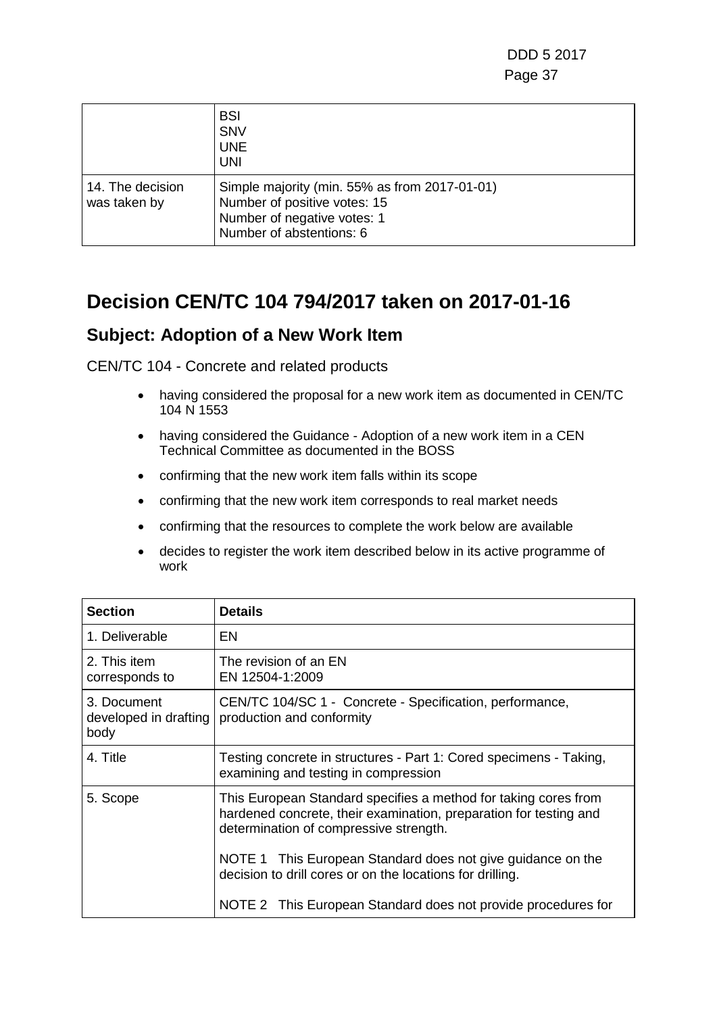DDD 5 2017 Page 37

|                                  | <b>BSI</b><br><b>SNV</b><br><b>UNE</b><br><b>UNI</b>                                                                                     |
|----------------------------------|------------------------------------------------------------------------------------------------------------------------------------------|
| 14. The decision<br>was taken by | Simple majority (min. 55% as from 2017-01-01)<br>Number of positive votes: 15<br>Number of negative votes: 1<br>Number of abstentions: 6 |

### **Decision CEN/TC 104 794/2017 taken on 2017-01-16**

#### **Subject: Adoption of a New Work Item**

CEN/TC 104 - Concrete and related products

- having considered the proposal for a new work item as documented in CEN/TC 104 N 1553
- having considered the Guidance Adoption of a new work item in a CEN Technical Committee as documented in the BOSS
- confirming that the new work item falls within its scope
- confirming that the new work item corresponds to real market needs
- confirming that the resources to complete the work below are available
- decides to register the work item described below in its active programme of work

| <b>Section</b>                               | <b>Details</b>                                                                                                                                                                 |
|----------------------------------------------|--------------------------------------------------------------------------------------------------------------------------------------------------------------------------------|
| 1. Deliverable                               | EN                                                                                                                                                                             |
| 2. This item<br>corresponds to               | The revision of an EN<br>EN 12504-1:2009                                                                                                                                       |
| 3. Document<br>developed in drafting<br>body | CEN/TC 104/SC 1 - Concrete - Specification, performance,<br>production and conformity                                                                                          |
| 4. Title                                     | Testing concrete in structures - Part 1: Cored specimens - Taking,<br>examining and testing in compression                                                                     |
| 5. Scope                                     | This European Standard specifies a method for taking cores from<br>hardened concrete, their examination, preparation for testing and<br>determination of compressive strength. |
|                                              | NOTE 1 This European Standard does not give guidance on the<br>decision to drill cores or on the locations for drilling.                                                       |
|                                              | NOTE 2 This European Standard does not provide procedures for                                                                                                                  |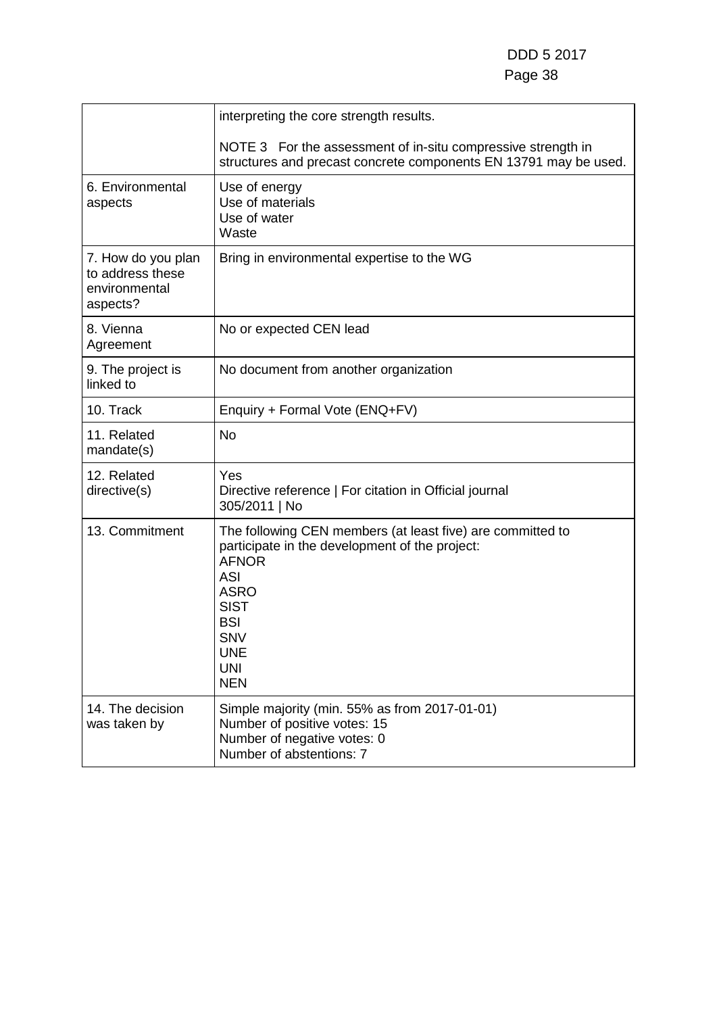|                                                                     | interpreting the core strength results.                                                                                                                                                                                                        |
|---------------------------------------------------------------------|------------------------------------------------------------------------------------------------------------------------------------------------------------------------------------------------------------------------------------------------|
|                                                                     | NOTE 3 For the assessment of in-situ compressive strength in<br>structures and precast concrete components EN 13791 may be used.                                                                                                               |
| 6. Environmental<br>aspects                                         | Use of energy<br>Use of materials<br>Use of water<br>Waste                                                                                                                                                                                     |
| 7. How do you plan<br>to address these<br>environmental<br>aspects? | Bring in environmental expertise to the WG                                                                                                                                                                                                     |
| 8. Vienna<br>Agreement                                              | No or expected CEN lead                                                                                                                                                                                                                        |
| 9. The project is<br>linked to                                      | No document from another organization                                                                                                                                                                                                          |
| 10. Track                                                           | Enquiry + Formal Vote (ENQ+FV)                                                                                                                                                                                                                 |
| 11. Related<br>mandate(s)                                           | <b>No</b>                                                                                                                                                                                                                                      |
| 12. Related<br>directive(s)                                         | Yes<br>Directive reference   For citation in Official journal<br>305/2011   No                                                                                                                                                                 |
| 13. Commitment                                                      | The following CEN members (at least five) are committed to<br>participate in the development of the project:<br><b>AFNOR</b><br><b>ASI</b><br><b>ASRO</b><br><b>SIST</b><br><b>BSI</b><br><b>SNV</b><br><b>UNE</b><br><b>UNI</b><br><b>NEN</b> |
| 14. The decision<br>was taken by                                    | Simple majority (min. 55% as from 2017-01-01)<br>Number of positive votes: 15<br>Number of negative votes: 0<br>Number of abstentions: 7                                                                                                       |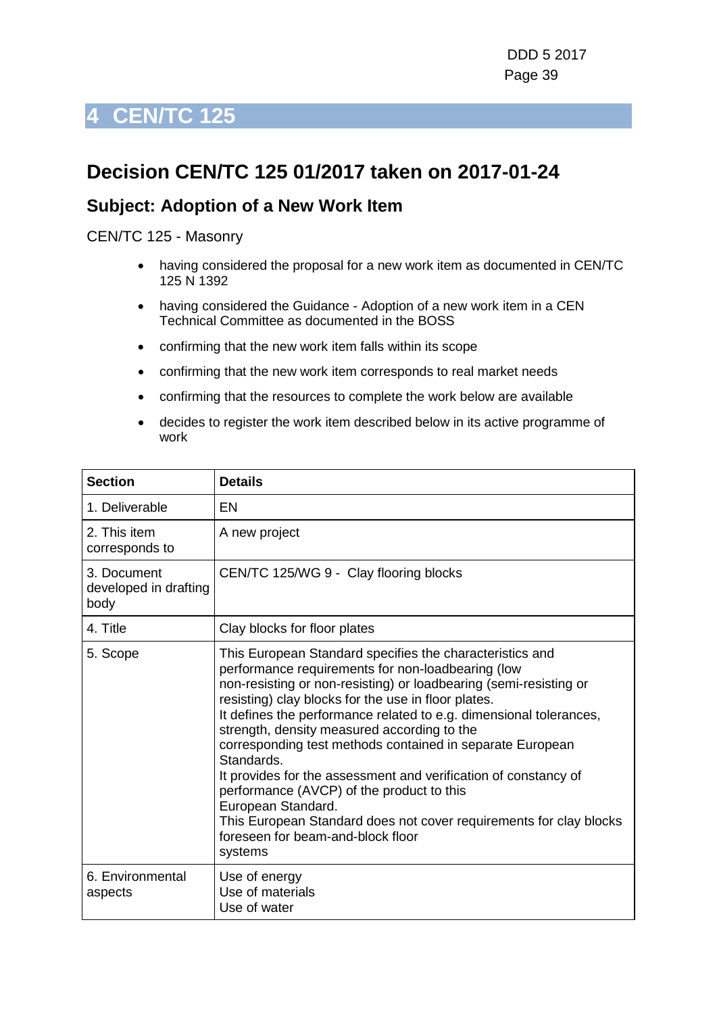## **Decision CEN/TC 125 01/2017 taken on 2017-01-24**

#### **Subject: Adoption of a New Work Item**

CEN/TC 125 - Masonry

- having considered the proposal for a new work item as documented in CEN/TC 125 N 1392
- having considered the Guidance Adoption of a new work item in a CEN Technical Committee as documented in the BOSS
- confirming that the new work item falls within its scope
- confirming that the new work item corresponds to real market needs
- confirming that the resources to complete the work below are available
- decides to register the work item described below in its active programme of work

| <b>Section</b>                               | <b>Details</b>                                                                                                                                                                                                                                                                                                                                                                                                                                                                                                                                                                                                                                                                                        |
|----------------------------------------------|-------------------------------------------------------------------------------------------------------------------------------------------------------------------------------------------------------------------------------------------------------------------------------------------------------------------------------------------------------------------------------------------------------------------------------------------------------------------------------------------------------------------------------------------------------------------------------------------------------------------------------------------------------------------------------------------------------|
| 1. Deliverable                               | EN                                                                                                                                                                                                                                                                                                                                                                                                                                                                                                                                                                                                                                                                                                    |
| 2. This item<br>corresponds to               | A new project                                                                                                                                                                                                                                                                                                                                                                                                                                                                                                                                                                                                                                                                                         |
| 3. Document<br>developed in drafting<br>body | CEN/TC 125/WG 9 - Clay flooring blocks                                                                                                                                                                                                                                                                                                                                                                                                                                                                                                                                                                                                                                                                |
| 4. Title                                     | Clay blocks for floor plates                                                                                                                                                                                                                                                                                                                                                                                                                                                                                                                                                                                                                                                                          |
| 5. Scope                                     | This European Standard specifies the characteristics and<br>performance requirements for non-loadbearing (low<br>non-resisting or non-resisting) or loadbearing (semi-resisting or<br>resisting) clay blocks for the use in floor plates.<br>It defines the performance related to e.g. dimensional tolerances,<br>strength, density measured according to the<br>corresponding test methods contained in separate European<br>Standards.<br>It provides for the assessment and verification of constancy of<br>performance (AVCP) of the product to this<br>European Standard.<br>This European Standard does not cover requirements for clay blocks<br>foreseen for beam-and-block floor<br>systems |
| 6. Environmental<br>aspects                  | Use of energy<br>Use of materials<br>Use of water                                                                                                                                                                                                                                                                                                                                                                                                                                                                                                                                                                                                                                                     |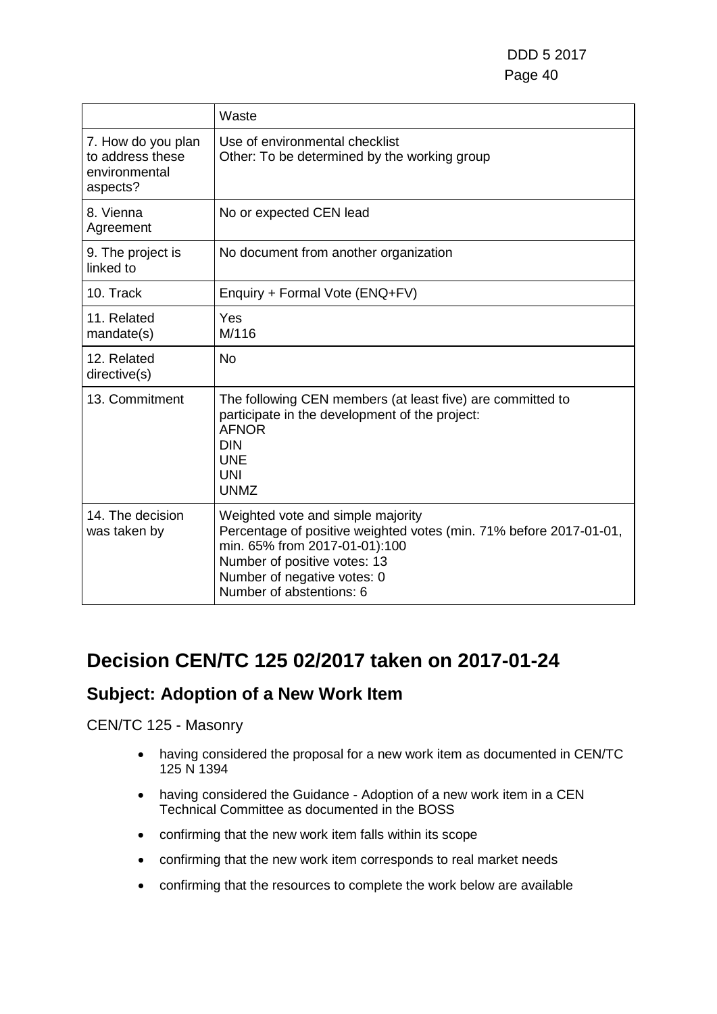|                                                                     | Waste                                                                                                                                                                                                                               |
|---------------------------------------------------------------------|-------------------------------------------------------------------------------------------------------------------------------------------------------------------------------------------------------------------------------------|
| 7. How do you plan<br>to address these<br>environmental<br>aspects? | Use of environmental checklist<br>Other: To be determined by the working group                                                                                                                                                      |
| 8. Vienna<br>Agreement                                              | No or expected CEN lead                                                                                                                                                                                                             |
| 9. The project is<br>linked to                                      | No document from another organization                                                                                                                                                                                               |
| 10. Track                                                           | Enquiry + Formal Vote (ENQ+FV)                                                                                                                                                                                                      |
| 11. Related<br>mandate(s)                                           | Yes<br>M/116                                                                                                                                                                                                                        |
| 12. Related<br>directive(s)                                         | <b>No</b>                                                                                                                                                                                                                           |
| 13. Commitment                                                      | The following CEN members (at least five) are committed to<br>participate in the development of the project:<br><b>AFNOR</b><br><b>DIN</b><br><b>UNE</b><br>UNI<br><b>UNMZ</b>                                                      |
| 14. The decision<br>was taken by                                    | Weighted vote and simple majority<br>Percentage of positive weighted votes (min. 71% before 2017-01-01,<br>min. 65% from 2017-01-01):100<br>Number of positive votes: 13<br>Number of negative votes: 0<br>Number of abstentions: 6 |

## **Decision CEN/TC 125 02/2017 taken on 2017-01-24**

### **Subject: Adoption of a New Work Item**

CEN/TC 125 - Masonry

- having considered the proposal for a new work item as documented in CEN/TC 125 N 1394
- having considered the Guidance Adoption of a new work item in a CEN Technical Committee as documented in the BOSS
- confirming that the new work item falls within its scope
- confirming that the new work item corresponds to real market needs
- confirming that the resources to complete the work below are available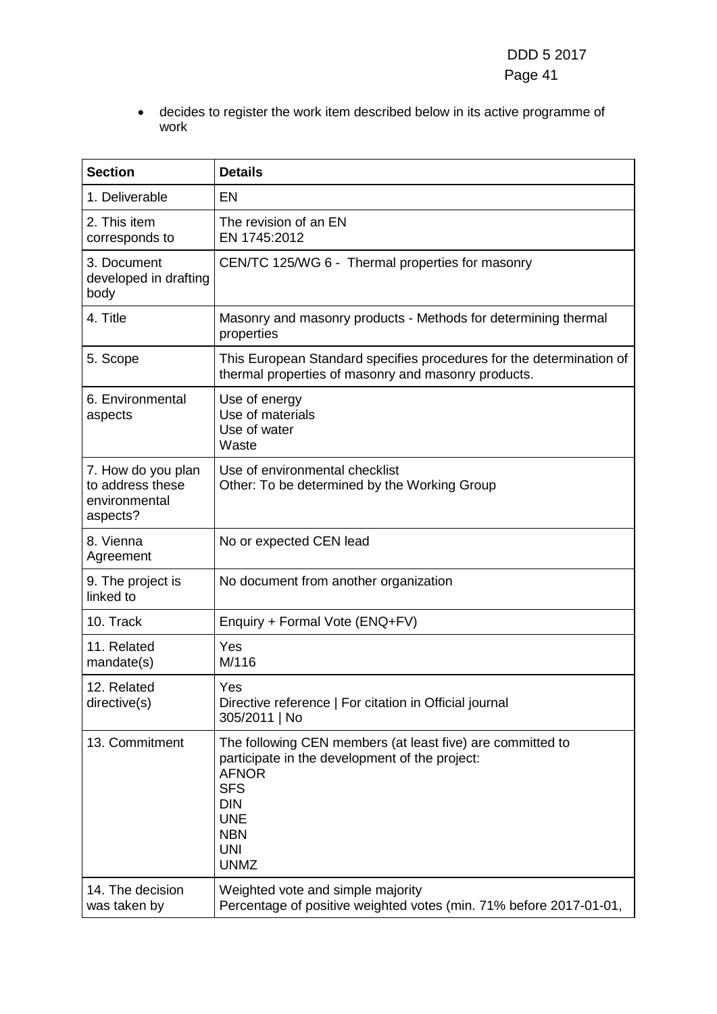• decides to register the work item described below in its active programme of work

| <b>Section</b>                                                      | <b>Details</b>                                                                                                                                                                                                    |
|---------------------------------------------------------------------|-------------------------------------------------------------------------------------------------------------------------------------------------------------------------------------------------------------------|
| 1. Deliverable                                                      | <b>EN</b>                                                                                                                                                                                                         |
| 2. This item<br>corresponds to                                      | The revision of an EN<br>EN 1745:2012                                                                                                                                                                             |
| 3. Document<br>developed in drafting<br>body                        | CEN/TC 125/WG 6 - Thermal properties for masonry                                                                                                                                                                  |
| 4. Title                                                            | Masonry and masonry products - Methods for determining thermal<br>properties                                                                                                                                      |
| 5. Scope                                                            | This European Standard specifies procedures for the determination of<br>thermal properties of masonry and masonry products.                                                                                       |
| 6. Environmental<br>aspects                                         | Use of energy<br>Use of materials<br>Use of water<br>Waste                                                                                                                                                        |
| 7. How do you plan<br>to address these<br>environmental<br>aspects? | Use of environmental checklist<br>Other: To be determined by the Working Group                                                                                                                                    |
| 8. Vienna<br>Agreement                                              | No or expected CEN lead                                                                                                                                                                                           |
| 9. The project is<br>linked to                                      | No document from another organization                                                                                                                                                                             |
| 10. Track                                                           | Enquiry + Formal Vote (ENQ+FV)                                                                                                                                                                                    |
| 11. Related<br>mandate(s)                                           | Yes<br>M/116                                                                                                                                                                                                      |
| 12. Related<br>directive(s)                                         | Yes<br>Directive reference   For citation in Official journal<br>305/2011   No                                                                                                                                    |
| 13. Commitment                                                      | The following CEN members (at least five) are committed to<br>participate in the development of the project:<br><b>AFNOR</b><br><b>SFS</b><br><b>DIN</b><br><b>UNE</b><br><b>NBN</b><br><b>UNI</b><br><b>UNMZ</b> |
| 14. The decision<br>was taken by                                    | Weighted vote and simple majority<br>Percentage of positive weighted votes (min. 71% before 2017-01-01,                                                                                                           |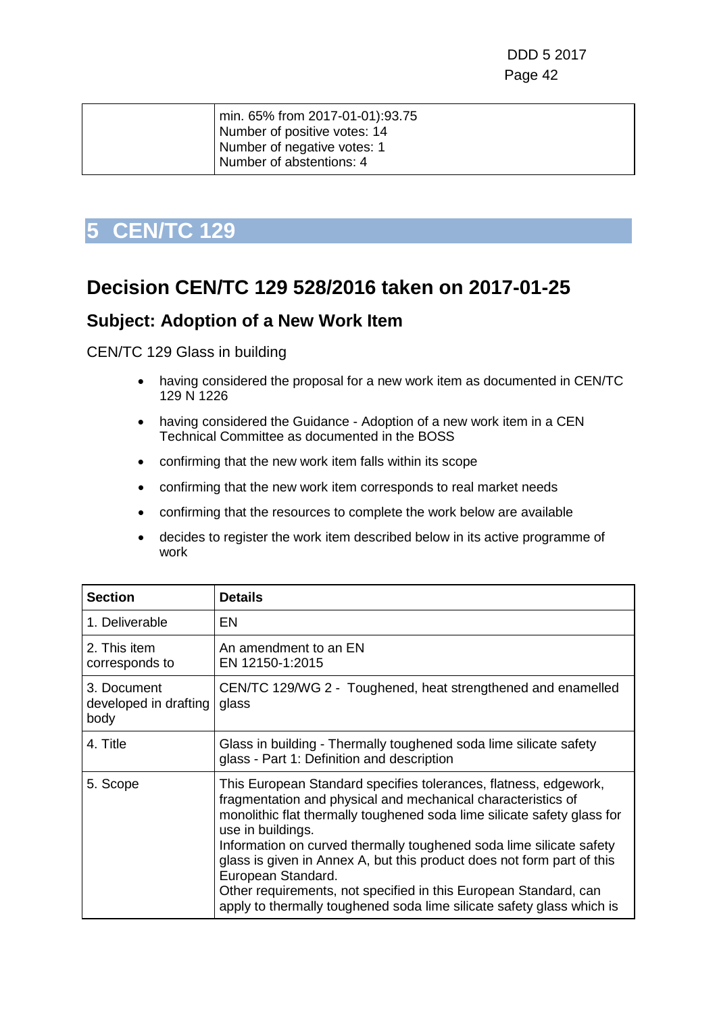| Number of positive votes: 14<br>Number of negative votes: 1<br>Number of abstentions: 4 |  |
|-----------------------------------------------------------------------------------------|--|
|                                                                                         |  |

### **Decision CEN/TC 129 528/2016 taken on 2017-01-25**

#### **Subject: Adoption of a New Work Item**

CEN/TC 129 Glass in building

- having considered the proposal for a new work item as documented in CEN/TC 129 N 1226
- having considered the Guidance Adoption of a new work item in a CEN Technical Committee as documented in the BOSS
- confirming that the new work item falls within its scope
- confirming that the new work item corresponds to real market needs
- confirming that the resources to complete the work below are available
- decides to register the work item described below in its active programme of work

| <b>Section</b>                               | <b>Details</b>                                                                                                                                                                                                                                                                                                                                                                                                                                                                                                                                       |
|----------------------------------------------|------------------------------------------------------------------------------------------------------------------------------------------------------------------------------------------------------------------------------------------------------------------------------------------------------------------------------------------------------------------------------------------------------------------------------------------------------------------------------------------------------------------------------------------------------|
| 1. Deliverable                               | EN                                                                                                                                                                                                                                                                                                                                                                                                                                                                                                                                                   |
| 2. This item<br>corresponds to               | An amendment to an EN<br>EN 12150-1:2015                                                                                                                                                                                                                                                                                                                                                                                                                                                                                                             |
| 3. Document<br>developed in drafting<br>body | CEN/TC 129/WG 2 - Toughened, heat strengthened and enamelled<br>glass                                                                                                                                                                                                                                                                                                                                                                                                                                                                                |
| 4. Title                                     | Glass in building - Thermally toughened soda lime silicate safety<br>glass - Part 1: Definition and description                                                                                                                                                                                                                                                                                                                                                                                                                                      |
| 5. Scope                                     | This European Standard specifies tolerances, flatness, edgework,<br>fragmentation and physical and mechanical characteristics of<br>monolithic flat thermally toughened soda lime silicate safety glass for<br>use in buildings.<br>Information on curved thermally toughened soda lime silicate safety<br>glass is given in Annex A, but this product does not form part of this<br>European Standard.<br>Other requirements, not specified in this European Standard, can<br>apply to thermally toughened soda lime silicate safety glass which is |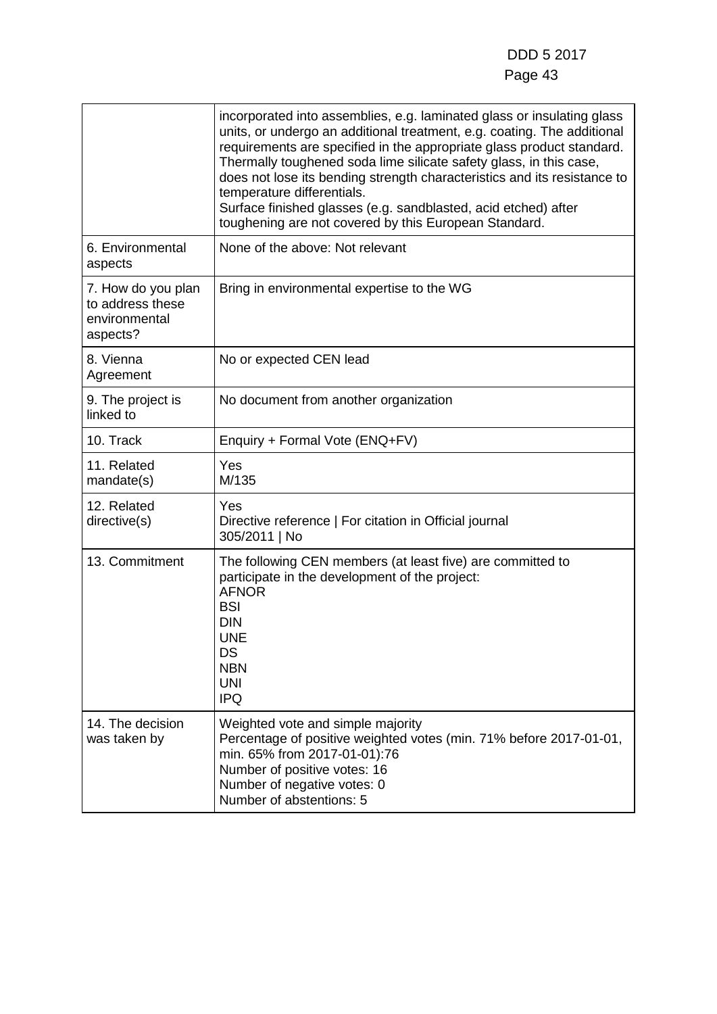|                                                                     | incorporated into assemblies, e.g. laminated glass or insulating glass<br>units, or undergo an additional treatment, e.g. coating. The additional<br>requirements are specified in the appropriate glass product standard.<br>Thermally toughened soda lime silicate safety glass, in this case,<br>does not lose its bending strength characteristics and its resistance to<br>temperature differentials.<br>Surface finished glasses (e.g. sandblasted, acid etched) after<br>toughening are not covered by this European Standard. |
|---------------------------------------------------------------------|---------------------------------------------------------------------------------------------------------------------------------------------------------------------------------------------------------------------------------------------------------------------------------------------------------------------------------------------------------------------------------------------------------------------------------------------------------------------------------------------------------------------------------------|
| 6. Environmental<br>aspects                                         | None of the above: Not relevant                                                                                                                                                                                                                                                                                                                                                                                                                                                                                                       |
| 7. How do you plan<br>to address these<br>environmental<br>aspects? | Bring in environmental expertise to the WG                                                                                                                                                                                                                                                                                                                                                                                                                                                                                            |
| 8. Vienna<br>Agreement                                              | No or expected CEN lead                                                                                                                                                                                                                                                                                                                                                                                                                                                                                                               |
| 9. The project is<br>linked to                                      | No document from another organization                                                                                                                                                                                                                                                                                                                                                                                                                                                                                                 |
| 10. Track                                                           | Enquiry + Formal Vote (ENQ+FV)                                                                                                                                                                                                                                                                                                                                                                                                                                                                                                        |
| 11. Related<br>mandate(s)                                           | Yes<br>M/135                                                                                                                                                                                                                                                                                                                                                                                                                                                                                                                          |
| 12. Related<br>directive(s)                                         | Yes<br>Directive reference   For citation in Official journal<br>305/2011   No                                                                                                                                                                                                                                                                                                                                                                                                                                                        |
| 13. Commitment                                                      | The following CEN members (at least five) are committed to<br>participate in the development of the project:<br><b>AFNOR</b><br><b>BSI</b><br><b>DIN</b><br><b>UNE</b><br>DS<br><b>NBN</b><br><b>UNI</b><br><b>IPQ</b>                                                                                                                                                                                                                                                                                                                |
| 14. The decision<br>was taken by                                    | Weighted vote and simple majority<br>Percentage of positive weighted votes (min. 71% before 2017-01-01,<br>min. 65% from 2017-01-01):76<br>Number of positive votes: 16<br>Number of negative votes: 0<br>Number of abstentions: 5                                                                                                                                                                                                                                                                                                    |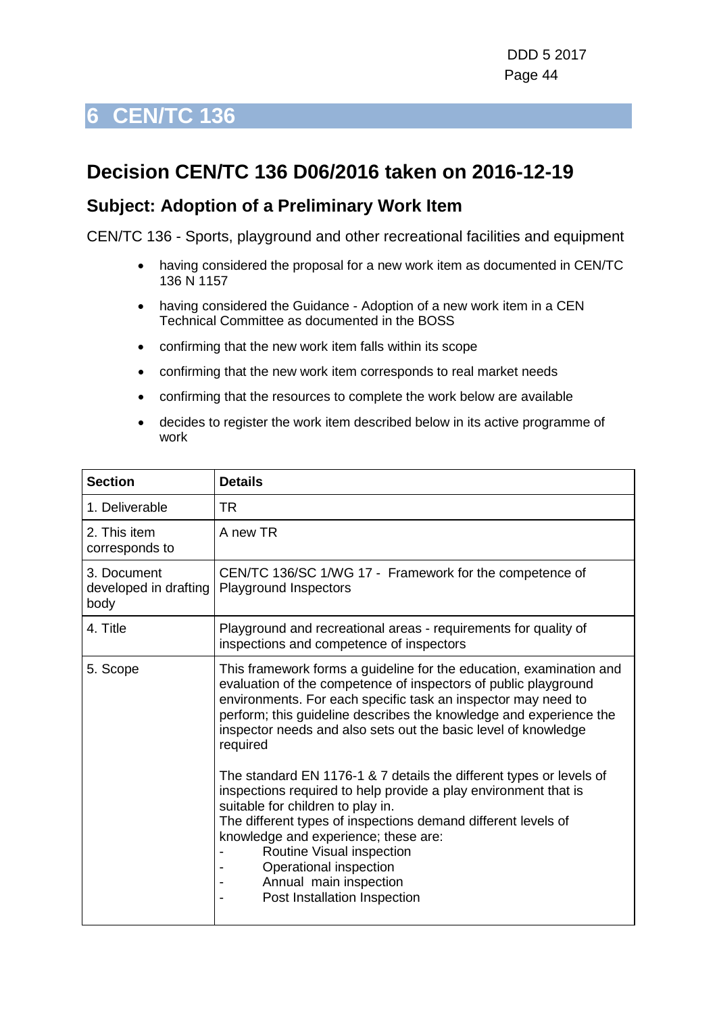## **Decision CEN/TC 136 D06/2016 taken on 2016-12-19**

#### **Subject: Adoption of a Preliminary Work Item**

CEN/TC 136 - Sports, playground and other recreational facilities and equipment

- having considered the proposal for a new work item as documented in CEN/TC 136 N 1157
- having considered the Guidance Adoption of a new work item in a CEN Technical Committee as documented in the BOSS
- confirming that the new work item falls within its scope
- confirming that the new work item corresponds to real market needs
- confirming that the resources to complete the work below are available
- decides to register the work item described below in its active programme of work

| <b>Section</b>                               | <b>Details</b>                                                                                                                                                                                                                                                                                                                                                                                        |
|----------------------------------------------|-------------------------------------------------------------------------------------------------------------------------------------------------------------------------------------------------------------------------------------------------------------------------------------------------------------------------------------------------------------------------------------------------------|
| 1. Deliverable                               | TR                                                                                                                                                                                                                                                                                                                                                                                                    |
| 2. This item<br>corresponds to               | A new TR                                                                                                                                                                                                                                                                                                                                                                                              |
| 3. Document<br>developed in drafting<br>body | CEN/TC 136/SC 1/WG 17 - Framework for the competence of<br><b>Playground Inspectors</b>                                                                                                                                                                                                                                                                                                               |
| 4. Title                                     | Playground and recreational areas - requirements for quality of<br>inspections and competence of inspectors                                                                                                                                                                                                                                                                                           |
| 5. Scope                                     | This framework forms a guideline for the education, examination and<br>evaluation of the competence of inspectors of public playground<br>environments. For each specific task an inspector may need to<br>perform; this guideline describes the knowledge and experience the<br>inspector needs and also sets out the basic level of knowledge<br>required                                           |
|                                              | The standard EN 1176-1 & 7 details the different types or levels of<br>inspections required to help provide a play environment that is<br>suitable for children to play in.<br>The different types of inspections demand different levels of<br>knowledge and experience; these are:<br>Routine Visual inspection<br>Operational inspection<br>Annual main inspection<br>Post Installation Inspection |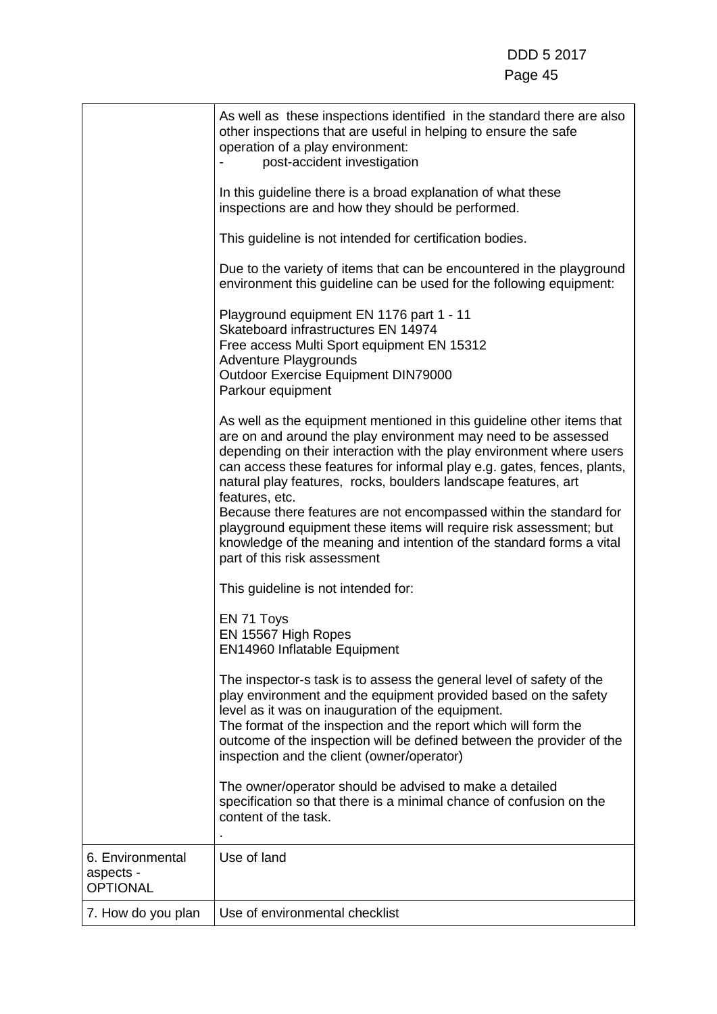|                                                  | As well as these inspections identified in the standard there are also<br>other inspections that are useful in helping to ensure the safe<br>operation of a play environment:<br>post-accident investigation                                                                                                                                                                           |
|--------------------------------------------------|----------------------------------------------------------------------------------------------------------------------------------------------------------------------------------------------------------------------------------------------------------------------------------------------------------------------------------------------------------------------------------------|
|                                                  | In this guideline there is a broad explanation of what these<br>inspections are and how they should be performed.                                                                                                                                                                                                                                                                      |
|                                                  | This guideline is not intended for certification bodies.                                                                                                                                                                                                                                                                                                                               |
|                                                  | Due to the variety of items that can be encountered in the playground<br>environment this guideline can be used for the following equipment:                                                                                                                                                                                                                                           |
|                                                  | Playground equipment EN 1176 part 1 - 11<br>Skateboard infrastructures EN 14974<br>Free access Multi Sport equipment EN 15312<br><b>Adventure Playgrounds</b><br>Outdoor Exercise Equipment DIN79000<br>Parkour equipment                                                                                                                                                              |
|                                                  | As well as the equipment mentioned in this guideline other items that<br>are on and around the play environment may need to be assessed<br>depending on their interaction with the play environment where users<br>can access these features for informal play e.g. gates, fences, plants,<br>natural play features, rocks, boulders landscape features, art<br>features, etc.         |
|                                                  | Because there features are not encompassed within the standard for<br>playground equipment these items will require risk assessment; but<br>knowledge of the meaning and intention of the standard forms a vital<br>part of this risk assessment                                                                                                                                       |
|                                                  | This guideline is not intended for:                                                                                                                                                                                                                                                                                                                                                    |
|                                                  | EN 71 Toys<br>EN 15567 High Ropes<br><b>EN14960 Inflatable Equipment</b>                                                                                                                                                                                                                                                                                                               |
|                                                  | The inspector-s task is to assess the general level of safety of the<br>play environment and the equipment provided based on the safety<br>level as it was on inauguration of the equipment.<br>The format of the inspection and the report which will form the<br>outcome of the inspection will be defined between the provider of the<br>inspection and the client (owner/operator) |
|                                                  | The owner/operator should be advised to make a detailed<br>specification so that there is a minimal chance of confusion on the<br>content of the task.                                                                                                                                                                                                                                 |
| 6. Environmental<br>aspects -<br><b>OPTIONAL</b> | Use of land                                                                                                                                                                                                                                                                                                                                                                            |
| 7. How do you plan                               | Use of environmental checklist                                                                                                                                                                                                                                                                                                                                                         |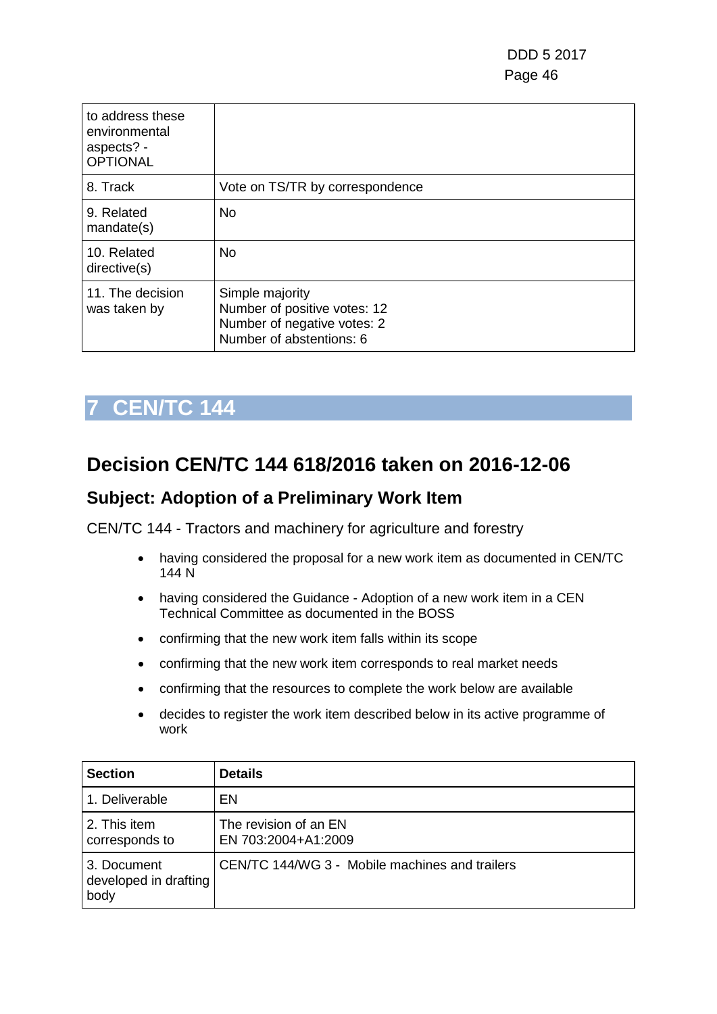| to address these<br>environmental<br>aspects? -<br><b>OPTIONAL</b> |                                                                                                            |
|--------------------------------------------------------------------|------------------------------------------------------------------------------------------------------------|
| 8. Track                                                           | Vote on TS/TR by correspondence                                                                            |
| 9. Related<br>mandate(s)                                           | <b>No</b>                                                                                                  |
| 10. Related<br>directive(s)                                        | No.                                                                                                        |
| 11. The decision<br>was taken by                                   | Simple majority<br>Number of positive votes: 12<br>Number of negative votes: 2<br>Number of abstentions: 6 |

## **Decision CEN/TC 144 618/2016 taken on 2016-12-06**

#### **Subject: Adoption of a Preliminary Work Item**

CEN/TC 144 - Tractors and machinery for agriculture and forestry

- having considered the proposal for a new work item as documented in CEN/TC 144 N
- having considered the Guidance Adoption of a new work item in a CEN Technical Committee as documented in the BOSS
- confirming that the new work item falls within its scope
- confirming that the new work item corresponds to real market needs
- confirming that the resources to complete the work below are available
- decides to register the work item described below in its active programme of work

| <b>Section</b>                               | <b>Details</b>                                 |
|----------------------------------------------|------------------------------------------------|
| 1. Deliverable                               | EN.                                            |
| 2. This item<br>corresponds to               | The revision of an EN<br>EN 703:2004+A1:2009   |
| 3. Document<br>developed in drafting<br>body | CEN/TC 144/WG 3 - Mobile machines and trailers |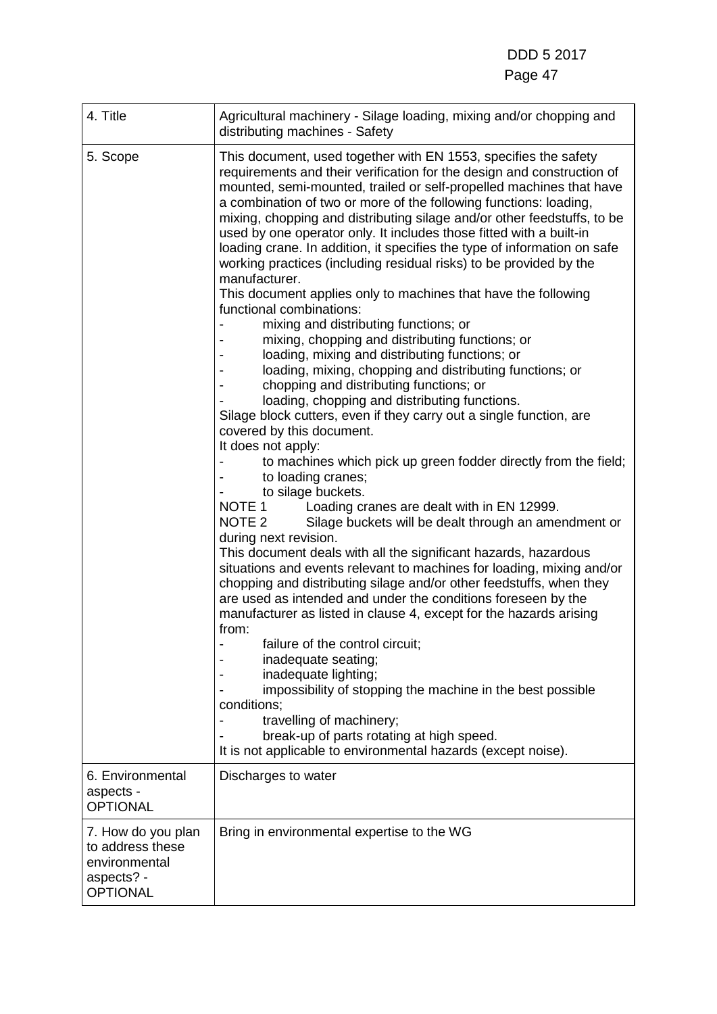| 4. Title                                                                                 | Agricultural machinery - Silage loading, mixing and/or chopping and<br>distributing machines - Safety                                                                                                                                                                                                                                                                                                                                                                                                                                                                                                                                                                                                                                                                                                                                                                                                                                                                                                                                                                                                                                                                                                                                                                                                                                                                                                                                                                                                                                                                                                                                                                                                                                                                                                                                                                                                                                                                                                                                                                                             |
|------------------------------------------------------------------------------------------|---------------------------------------------------------------------------------------------------------------------------------------------------------------------------------------------------------------------------------------------------------------------------------------------------------------------------------------------------------------------------------------------------------------------------------------------------------------------------------------------------------------------------------------------------------------------------------------------------------------------------------------------------------------------------------------------------------------------------------------------------------------------------------------------------------------------------------------------------------------------------------------------------------------------------------------------------------------------------------------------------------------------------------------------------------------------------------------------------------------------------------------------------------------------------------------------------------------------------------------------------------------------------------------------------------------------------------------------------------------------------------------------------------------------------------------------------------------------------------------------------------------------------------------------------------------------------------------------------------------------------------------------------------------------------------------------------------------------------------------------------------------------------------------------------------------------------------------------------------------------------------------------------------------------------------------------------------------------------------------------------------------------------------------------------------------------------------------------------|
| 5. Scope                                                                                 | This document, used together with EN 1553, specifies the safety<br>requirements and their verification for the design and construction of<br>mounted, semi-mounted, trailed or self-propelled machines that have<br>a combination of two or more of the following functions: loading,<br>mixing, chopping and distributing silage and/or other feedstuffs, to be<br>used by one operator only. It includes those fitted with a built-in<br>loading crane. In addition, it specifies the type of information on safe<br>working practices (including residual risks) to be provided by the<br>manufacturer.<br>This document applies only to machines that have the following<br>functional combinations:<br>mixing and distributing functions; or<br>mixing, chopping and distributing functions; or<br>loading, mixing and distributing functions; or<br>loading, mixing, chopping and distributing functions; or<br>chopping and distributing functions; or<br>loading, chopping and distributing functions.<br>Silage block cutters, even if they carry out a single function, are<br>covered by this document.<br>It does not apply:<br>to machines which pick up green fodder directly from the field;<br>to loading cranes;<br>to silage buckets.<br>NOTE 1<br>Loading cranes are dealt with in EN 12999.<br>NOTE <sub>2</sub><br>Silage buckets will be dealt through an amendment or<br>during next revision.<br>This document deals with all the significant hazards, hazardous<br>situations and events relevant to machines for loading, mixing and/or<br>chopping and distributing silage and/or other feedstuffs, when they<br>are used as intended and under the conditions foreseen by the<br>manufacturer as listed in clause 4, except for the hazards arising<br>from:<br>failure of the control circuit;<br>inadequate seating;<br>inadequate lighting;<br>impossibility of stopping the machine in the best possible<br>conditions;<br>travelling of machinery;<br>break-up of parts rotating at high speed.<br>It is not applicable to environmental hazards (except noise). |
| 6. Environmental<br>aspects -<br><b>OPTIONAL</b>                                         | Discharges to water                                                                                                                                                                                                                                                                                                                                                                                                                                                                                                                                                                                                                                                                                                                                                                                                                                                                                                                                                                                                                                                                                                                                                                                                                                                                                                                                                                                                                                                                                                                                                                                                                                                                                                                                                                                                                                                                                                                                                                                                                                                                               |
| 7. How do you plan<br>to address these<br>environmental<br>aspects? -<br><b>OPTIONAL</b> | Bring in environmental expertise to the WG                                                                                                                                                                                                                                                                                                                                                                                                                                                                                                                                                                                                                                                                                                                                                                                                                                                                                                                                                                                                                                                                                                                                                                                                                                                                                                                                                                                                                                                                                                                                                                                                                                                                                                                                                                                                                                                                                                                                                                                                                                                        |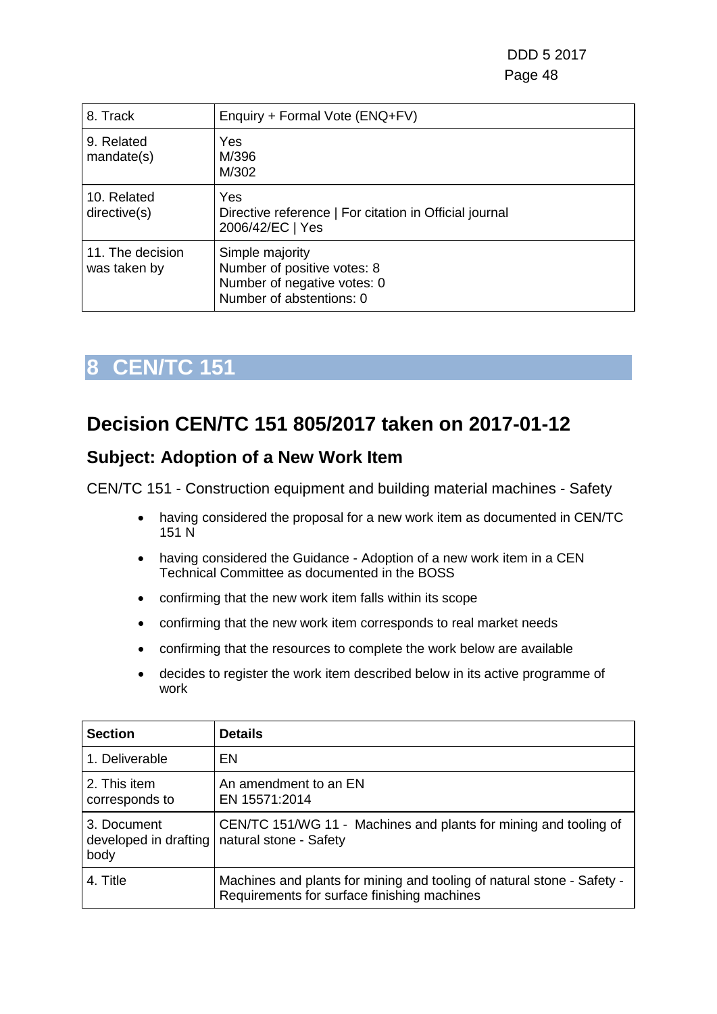DDD 5 2017 Page 48

| 8. Track                         | Enquiry + Formal Vote (ENQ+FV)                                                                            |
|----------------------------------|-----------------------------------------------------------------------------------------------------------|
| 9. Related<br>mandate(s)         | Yes<br>M/396<br>M/302                                                                                     |
| 10. Related<br>directive(s)      | <b>Yes</b><br>Directive reference   For citation in Official journal<br>2006/42/EC   Yes                  |
| 11. The decision<br>was taken by | Simple majority<br>Number of positive votes: 8<br>Number of negative votes: 0<br>Number of abstentions: 0 |

## **8 CEN/TC 151**

## **Decision CEN/TC 151 805/2017 taken on 2017-01-12**

#### **Subject: Adoption of a New Work Item**

CEN/TC 151 - Construction equipment and building material machines - Safety

- having considered the proposal for a new work item as documented in CEN/TC 151 N
- having considered the Guidance Adoption of a new work item in a CEN Technical Committee as documented in the BOSS
- confirming that the new work item falls within its scope
- confirming that the new work item corresponds to real market needs
- confirming that the resources to complete the work below are available
- decides to register the work item described below in its active programme of work

| <b>Section</b>                               | <b>Details</b>                                                                                                        |
|----------------------------------------------|-----------------------------------------------------------------------------------------------------------------------|
| 1. Deliverable                               | EN                                                                                                                    |
| 2. This item<br>corresponds to               | An amendment to an EN<br>EN 15571:2014                                                                                |
| 3. Document<br>developed in drafting<br>body | CEN/TC 151/WG 11 - Machines and plants for mining and tooling of<br>natural stone - Safety                            |
| 4. Title                                     | Machines and plants for mining and tooling of natural stone - Safety -<br>Requirements for surface finishing machines |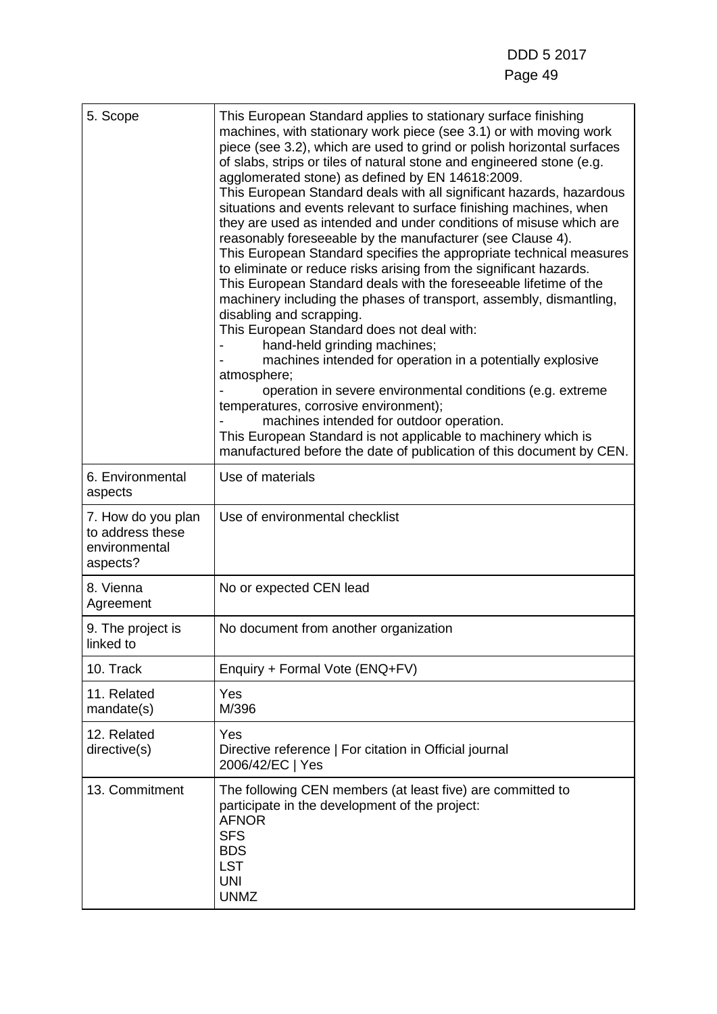| 5. Scope                                                            | This European Standard applies to stationary surface finishing<br>machines, with stationary work piece (see 3.1) or with moving work<br>piece (see 3.2), which are used to grind or polish horizontal surfaces<br>of slabs, strips or tiles of natural stone and engineered stone (e.g.<br>agglomerated stone) as defined by EN 14618:2009.<br>This European Standard deals with all significant hazards, hazardous<br>situations and events relevant to surface finishing machines, when<br>they are used as intended and under conditions of misuse which are<br>reasonably foreseeable by the manufacturer (see Clause 4).<br>This European Standard specifies the appropriate technical measures<br>to eliminate or reduce risks arising from the significant hazards.<br>This European Standard deals with the foreseeable lifetime of the<br>machinery including the phases of transport, assembly, dismantling,<br>disabling and scrapping.<br>This European Standard does not deal with:<br>hand-held grinding machines;<br>machines intended for operation in a potentially explosive<br>atmosphere;<br>operation in severe environmental conditions (e.g. extreme<br>temperatures, corrosive environment);<br>machines intended for outdoor operation.<br>This European Standard is not applicable to machinery which is<br>manufactured before the date of publication of this document by CEN. |
|---------------------------------------------------------------------|------------------------------------------------------------------------------------------------------------------------------------------------------------------------------------------------------------------------------------------------------------------------------------------------------------------------------------------------------------------------------------------------------------------------------------------------------------------------------------------------------------------------------------------------------------------------------------------------------------------------------------------------------------------------------------------------------------------------------------------------------------------------------------------------------------------------------------------------------------------------------------------------------------------------------------------------------------------------------------------------------------------------------------------------------------------------------------------------------------------------------------------------------------------------------------------------------------------------------------------------------------------------------------------------------------------------------------------------------------------------------------------------------------|
| 6. Environmental<br>aspects                                         | Use of materials                                                                                                                                                                                                                                                                                                                                                                                                                                                                                                                                                                                                                                                                                                                                                                                                                                                                                                                                                                                                                                                                                                                                                                                                                                                                                                                                                                                           |
| 7. How do you plan<br>to address these<br>environmental<br>aspects? | Use of environmental checklist                                                                                                                                                                                                                                                                                                                                                                                                                                                                                                                                                                                                                                                                                                                                                                                                                                                                                                                                                                                                                                                                                                                                                                                                                                                                                                                                                                             |
| 8. Vienna<br>Agreement                                              | No or expected CEN lead                                                                                                                                                                                                                                                                                                                                                                                                                                                                                                                                                                                                                                                                                                                                                                                                                                                                                                                                                                                                                                                                                                                                                                                                                                                                                                                                                                                    |
| 9. The project is<br>linked to                                      | No document from another organization                                                                                                                                                                                                                                                                                                                                                                                                                                                                                                                                                                                                                                                                                                                                                                                                                                                                                                                                                                                                                                                                                                                                                                                                                                                                                                                                                                      |
| 10. Track                                                           | Enquiry + Formal Vote (ENQ+FV)                                                                                                                                                                                                                                                                                                                                                                                                                                                                                                                                                                                                                                                                                                                                                                                                                                                                                                                                                                                                                                                                                                                                                                                                                                                                                                                                                                             |
| 11. Related<br>mandate(s)                                           | Yes<br>M/396                                                                                                                                                                                                                                                                                                                                                                                                                                                                                                                                                                                                                                                                                                                                                                                                                                                                                                                                                                                                                                                                                                                                                                                                                                                                                                                                                                                               |
| 12. Related<br>directive(s)                                         | Yes<br>Directive reference   For citation in Official journal<br>2006/42/EC   Yes                                                                                                                                                                                                                                                                                                                                                                                                                                                                                                                                                                                                                                                                                                                                                                                                                                                                                                                                                                                                                                                                                                                                                                                                                                                                                                                          |
| 13. Commitment                                                      | The following CEN members (at least five) are committed to<br>participate in the development of the project:<br><b>AFNOR</b><br><b>SFS</b><br><b>BDS</b><br><b>LST</b><br><b>UNI</b><br><b>UNMZ</b>                                                                                                                                                                                                                                                                                                                                                                                                                                                                                                                                                                                                                                                                                                                                                                                                                                                                                                                                                                                                                                                                                                                                                                                                        |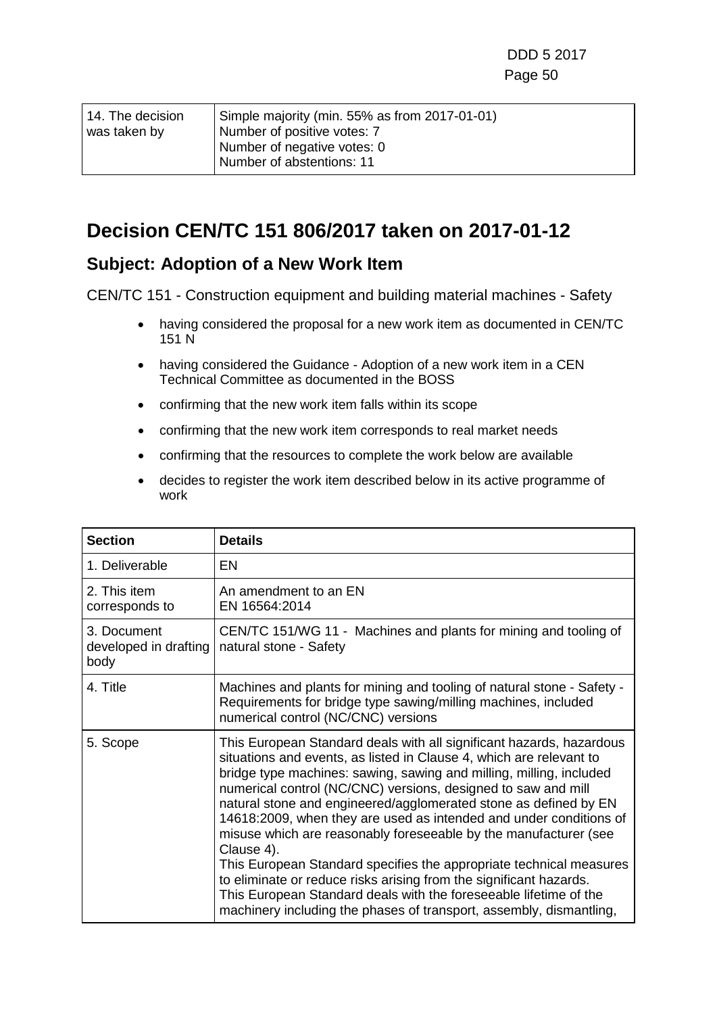| 14. The decision | Simple majority (min. 55% as from 2017-01-01) |
|------------------|-----------------------------------------------|
| was taken by     | Number of positive votes: 7                   |
|                  | Number of negative votes: 0                   |
|                  | Number of abstentions: 11                     |

### **Decision CEN/TC 151 806/2017 taken on 2017-01-12**

#### **Subject: Adoption of a New Work Item**

CEN/TC 151 - Construction equipment and building material machines - Safety

- having considered the proposal for a new work item as documented in CEN/TC 151 N
- having considered the Guidance Adoption of a new work item in a CEN Technical Committee as documented in the BOSS
- confirming that the new work item falls within its scope
- confirming that the new work item corresponds to real market needs
- confirming that the resources to complete the work below are available
- decides to register the work item described below in its active programme of work

| <b>Section</b>                               | <b>Details</b>                                                                                                                                                                                                                                                                                                                                                                                                                                                                                                                                                                                                                                                                                                                                                                                           |
|----------------------------------------------|----------------------------------------------------------------------------------------------------------------------------------------------------------------------------------------------------------------------------------------------------------------------------------------------------------------------------------------------------------------------------------------------------------------------------------------------------------------------------------------------------------------------------------------------------------------------------------------------------------------------------------------------------------------------------------------------------------------------------------------------------------------------------------------------------------|
| 1. Deliverable                               | EN                                                                                                                                                                                                                                                                                                                                                                                                                                                                                                                                                                                                                                                                                                                                                                                                       |
| 2. This item<br>corresponds to               | An amendment to an EN<br>EN 16564:2014                                                                                                                                                                                                                                                                                                                                                                                                                                                                                                                                                                                                                                                                                                                                                                   |
| 3. Document<br>developed in drafting<br>body | CEN/TC 151/WG 11 - Machines and plants for mining and tooling of<br>natural stone - Safety                                                                                                                                                                                                                                                                                                                                                                                                                                                                                                                                                                                                                                                                                                               |
| 4. Title                                     | Machines and plants for mining and tooling of natural stone - Safety -<br>Requirements for bridge type sawing/milling machines, included<br>numerical control (NC/CNC) versions                                                                                                                                                                                                                                                                                                                                                                                                                                                                                                                                                                                                                          |
| 5. Scope                                     | This European Standard deals with all significant hazards, hazardous<br>situations and events, as listed in Clause 4, which are relevant to<br>bridge type machines: sawing, sawing and milling, milling, included<br>numerical control (NC/CNC) versions, designed to saw and mill<br>natural stone and engineered/agglomerated stone as defined by EN<br>14618:2009, when they are used as intended and under conditions of<br>misuse which are reasonably foreseeable by the manufacturer (see<br>Clause 4).<br>This European Standard specifies the appropriate technical measures<br>to eliminate or reduce risks arising from the significant hazards.<br>This European Standard deals with the foreseeable lifetime of the<br>machinery including the phases of transport, assembly, dismantling, |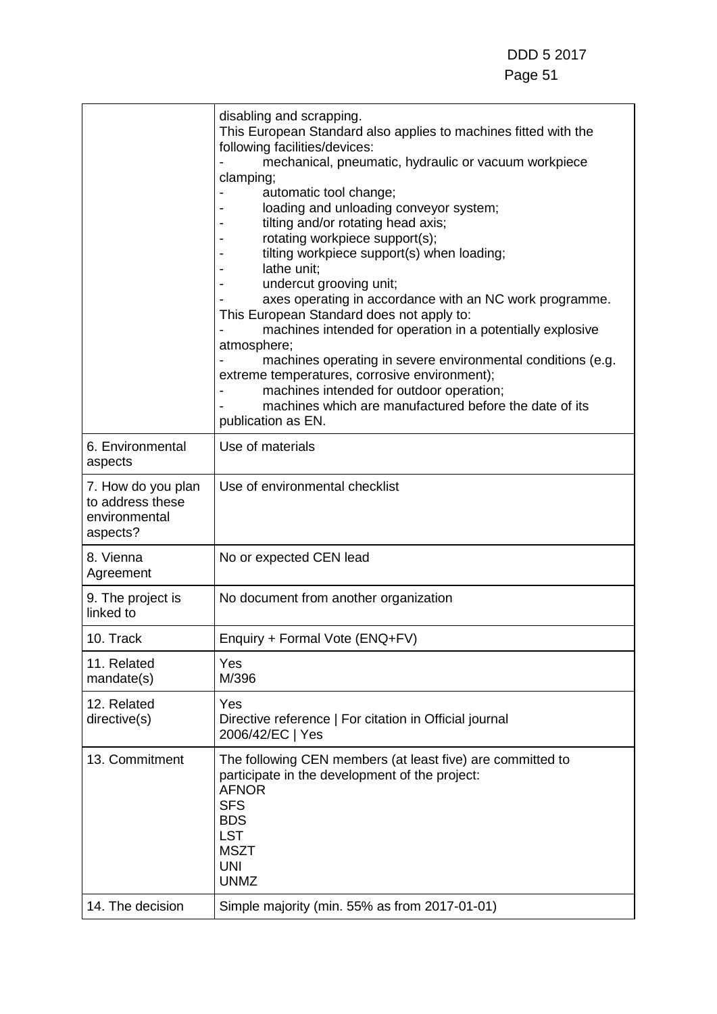|                                                                     | disabling and scrapping.<br>This European Standard also applies to machines fitted with the<br>following facilities/devices:<br>mechanical, pneumatic, hydraulic or vacuum workpiece<br>clamping;<br>automatic tool change;<br>loading and unloading conveyor system;<br>tilting and/or rotating head axis;<br>rotating workpiece support(s);<br>tilting workpiece support(s) when loading;<br>lathe unit:<br>undercut grooving unit;<br>axes operating in accordance with an NC work programme.<br>This European Standard does not apply to:<br>machines intended for operation in a potentially explosive<br>atmosphere;<br>machines operating in severe environmental conditions (e.g.<br>extreme temperatures, corrosive environment);<br>machines intended for outdoor operation;<br>machines which are manufactured before the date of its<br>publication as EN. |
|---------------------------------------------------------------------|------------------------------------------------------------------------------------------------------------------------------------------------------------------------------------------------------------------------------------------------------------------------------------------------------------------------------------------------------------------------------------------------------------------------------------------------------------------------------------------------------------------------------------------------------------------------------------------------------------------------------------------------------------------------------------------------------------------------------------------------------------------------------------------------------------------------------------------------------------------------|
| 6. Environmental<br>aspects                                         | Use of materials                                                                                                                                                                                                                                                                                                                                                                                                                                                                                                                                                                                                                                                                                                                                                                                                                                                       |
| 7. How do you plan<br>to address these<br>environmental<br>aspects? | Use of environmental checklist                                                                                                                                                                                                                                                                                                                                                                                                                                                                                                                                                                                                                                                                                                                                                                                                                                         |
| 8. Vienna<br>Agreement                                              | No or expected CEN lead                                                                                                                                                                                                                                                                                                                                                                                                                                                                                                                                                                                                                                                                                                                                                                                                                                                |
| 9. The project is<br>linked to                                      | No document from another organization                                                                                                                                                                                                                                                                                                                                                                                                                                                                                                                                                                                                                                                                                                                                                                                                                                  |
| 10. Track                                                           | Enquiry + Formal Vote (ENQ+FV)                                                                                                                                                                                                                                                                                                                                                                                                                                                                                                                                                                                                                                                                                                                                                                                                                                         |
| 11. Related<br>mandate(s)                                           | Yes<br>M/396                                                                                                                                                                                                                                                                                                                                                                                                                                                                                                                                                                                                                                                                                                                                                                                                                                                           |
| 12. Related<br>directive(s)                                         | Yes<br>Directive reference   For citation in Official journal<br>2006/42/EC   Yes                                                                                                                                                                                                                                                                                                                                                                                                                                                                                                                                                                                                                                                                                                                                                                                      |
| 13. Commitment                                                      | The following CEN members (at least five) are committed to<br>participate in the development of the project:<br><b>AFNOR</b><br><b>SFS</b><br><b>BDS</b><br><b>LST</b><br><b>MSZT</b><br><b>UNI</b><br><b>UNMZ</b>                                                                                                                                                                                                                                                                                                                                                                                                                                                                                                                                                                                                                                                     |
| 14. The decision                                                    | Simple majority (min. 55% as from 2017-01-01)                                                                                                                                                                                                                                                                                                                                                                                                                                                                                                                                                                                                                                                                                                                                                                                                                          |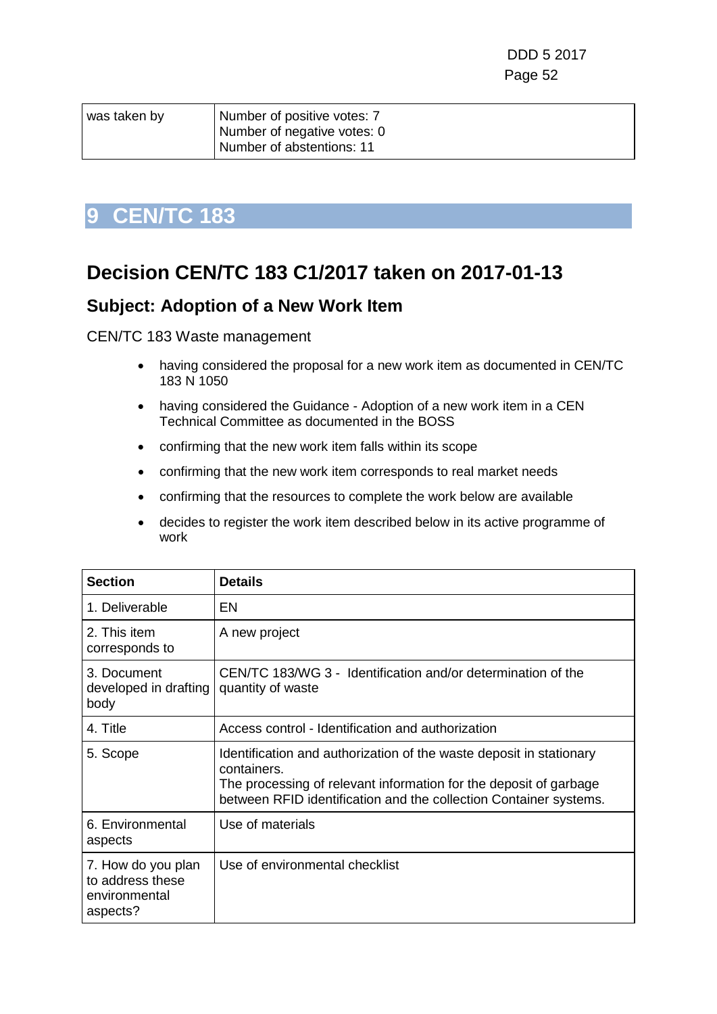| was taken by | Number of positive votes: 7 |
|--------------|-----------------------------|
|              | Number of negative votes: 0 |
|              | Number of abstentions: 11   |

## **Decision CEN/TC 183 C1/2017 taken on 2017-01-13**

#### **Subject: Adoption of a New Work Item**

CEN/TC 183 Waste management

- having considered the proposal for a new work item as documented in CEN/TC 183 N 1050
- having considered the Guidance Adoption of a new work item in a CEN Technical Committee as documented in the BOSS
- confirming that the new work item falls within its scope
- confirming that the new work item corresponds to real market needs
- confirming that the resources to complete the work below are available
- decides to register the work item described below in its active programme of work

| <b>Section</b>                                                      | <b>Details</b>                                                                                                                                                                                                               |
|---------------------------------------------------------------------|------------------------------------------------------------------------------------------------------------------------------------------------------------------------------------------------------------------------------|
| 1. Deliverable                                                      | EN                                                                                                                                                                                                                           |
| 2. This item<br>corresponds to                                      | A new project                                                                                                                                                                                                                |
| 3. Document<br>developed in drafting<br>body                        | CEN/TC 183/WG 3 - Identification and/or determination of the<br>quantity of waste                                                                                                                                            |
| 4. Title                                                            | Access control - Identification and authorization                                                                                                                                                                            |
| 5. Scope                                                            | Identification and authorization of the waste deposit in stationary<br>containers.<br>The processing of relevant information for the deposit of garbage<br>between RFID identification and the collection Container systems. |
| 6. Environmental<br>aspects                                         | Use of materials                                                                                                                                                                                                             |
| 7. How do you plan<br>to address these<br>environmental<br>aspects? | Use of environmental checklist                                                                                                                                                                                               |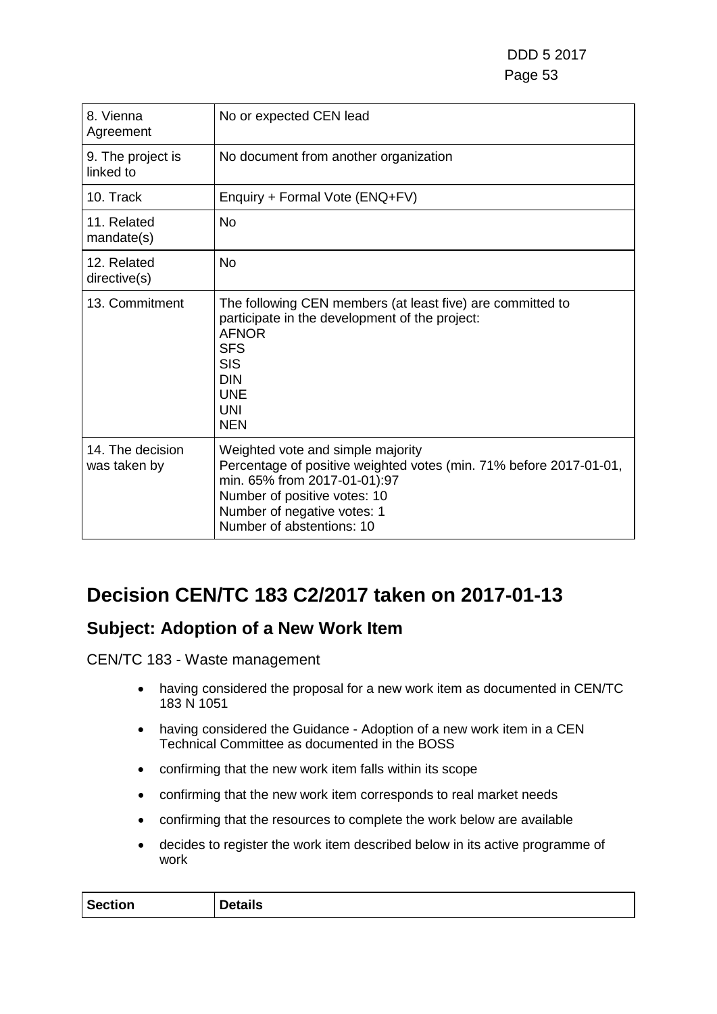| 8. Vienna<br>Agreement           | No or expected CEN lead                                                                                                                                                                                                             |
|----------------------------------|-------------------------------------------------------------------------------------------------------------------------------------------------------------------------------------------------------------------------------------|
| 9. The project is<br>linked to   | No document from another organization                                                                                                                                                                                               |
| 10. Track                        | Enquiry + Formal Vote (ENQ+FV)                                                                                                                                                                                                      |
| 11. Related<br>mandate(s)        | <b>No</b>                                                                                                                                                                                                                           |
| 12. Related<br>directive(s)      | <b>No</b>                                                                                                                                                                                                                           |
| 13. Commitment                   | The following CEN members (at least five) are committed to<br>participate in the development of the project:<br><b>AFNOR</b><br><b>SFS</b><br><b>SIS</b><br><b>DIN</b><br><b>UNE</b><br>UNI<br><b>NEN</b>                           |
| 14. The decision<br>was taken by | Weighted vote and simple majority<br>Percentage of positive weighted votes (min. 71% before 2017-01-01,<br>min. 65% from 2017-01-01):97<br>Number of positive votes: 10<br>Number of negative votes: 1<br>Number of abstentions: 10 |

## **Decision CEN/TC 183 C2/2017 taken on 2017-01-13**

### **Subject: Adoption of a New Work Item**

CEN/TC 183 - Waste management

- having considered the proposal for a new work item as documented in CEN/TC 183 N 1051
- having considered the Guidance Adoption of a new work item in a CEN Technical Committee as documented in the BOSS
- confirming that the new work item falls within its scope
- confirming that the new work item corresponds to real market needs
- confirming that the resources to complete the work below are available
- decides to register the work item described below in its active programme of work

| <b>Section</b> | <br>tails<br>יניי |
|----------------|-------------------|
|                |                   |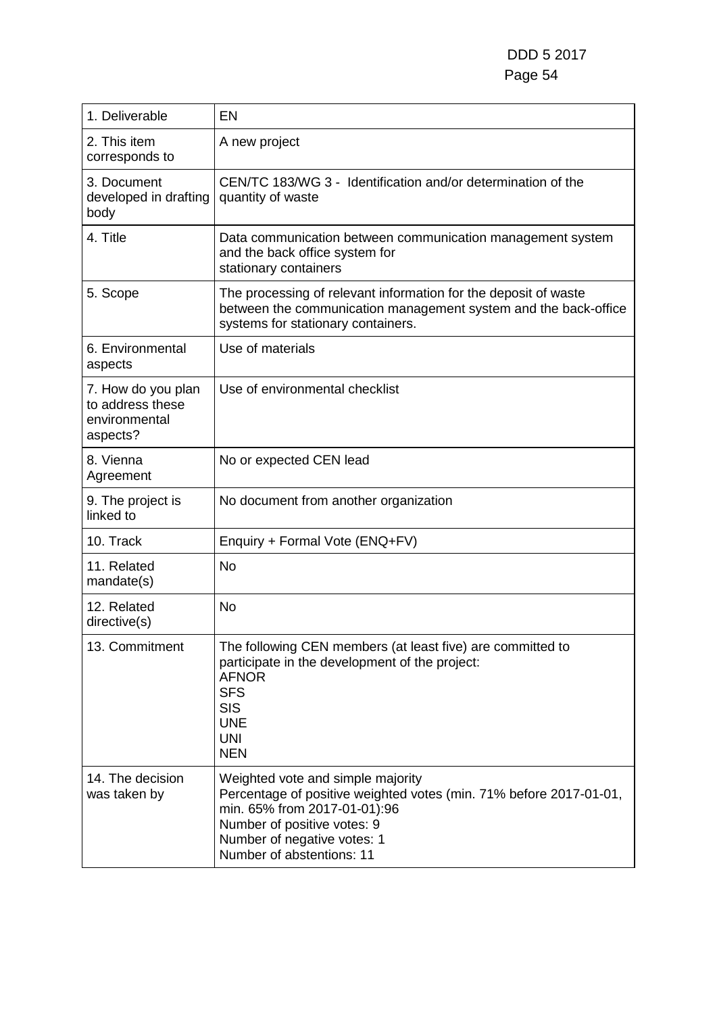| 1. Deliverable                                                      | <b>EN</b>                                                                                                                                                                                                                          |
|---------------------------------------------------------------------|------------------------------------------------------------------------------------------------------------------------------------------------------------------------------------------------------------------------------------|
| 2. This item<br>corresponds to                                      | A new project                                                                                                                                                                                                                      |
| 3. Document<br>developed in drafting<br>body                        | CEN/TC 183/WG 3 - Identification and/or determination of the<br>quantity of waste                                                                                                                                                  |
| 4. Title                                                            | Data communication between communication management system<br>and the back office system for<br>stationary containers                                                                                                              |
| 5. Scope                                                            | The processing of relevant information for the deposit of waste<br>between the communication management system and the back-office<br>systems for stationary containers.                                                           |
| 6. Environmental<br>aspects                                         | Use of materials                                                                                                                                                                                                                   |
| 7. How do you plan<br>to address these<br>environmental<br>aspects? | Use of environmental checklist                                                                                                                                                                                                     |
| 8. Vienna<br>Agreement                                              | No or expected CEN lead                                                                                                                                                                                                            |
| 9. The project is<br>linked to                                      | No document from another organization                                                                                                                                                                                              |
| 10. Track                                                           | Enquiry + Formal Vote (ENQ+FV)                                                                                                                                                                                                     |
| 11. Related<br>mandate(s)                                           | <b>No</b>                                                                                                                                                                                                                          |
| 12. Related<br>directive(s)                                         | <b>No</b>                                                                                                                                                                                                                          |
| 13. Commitment                                                      | The following CEN members (at least five) are committed to<br>participate in the development of the project:<br><b>AFNOR</b><br><b>SFS</b><br><b>SIS</b><br><b>UNE</b><br><b>UNI</b><br><b>NEN</b>                                 |
| 14. The decision<br>was taken by                                    | Weighted vote and simple majority<br>Percentage of positive weighted votes (min. 71% before 2017-01-01,<br>min. 65% from 2017-01-01):96<br>Number of positive votes: 9<br>Number of negative votes: 1<br>Number of abstentions: 11 |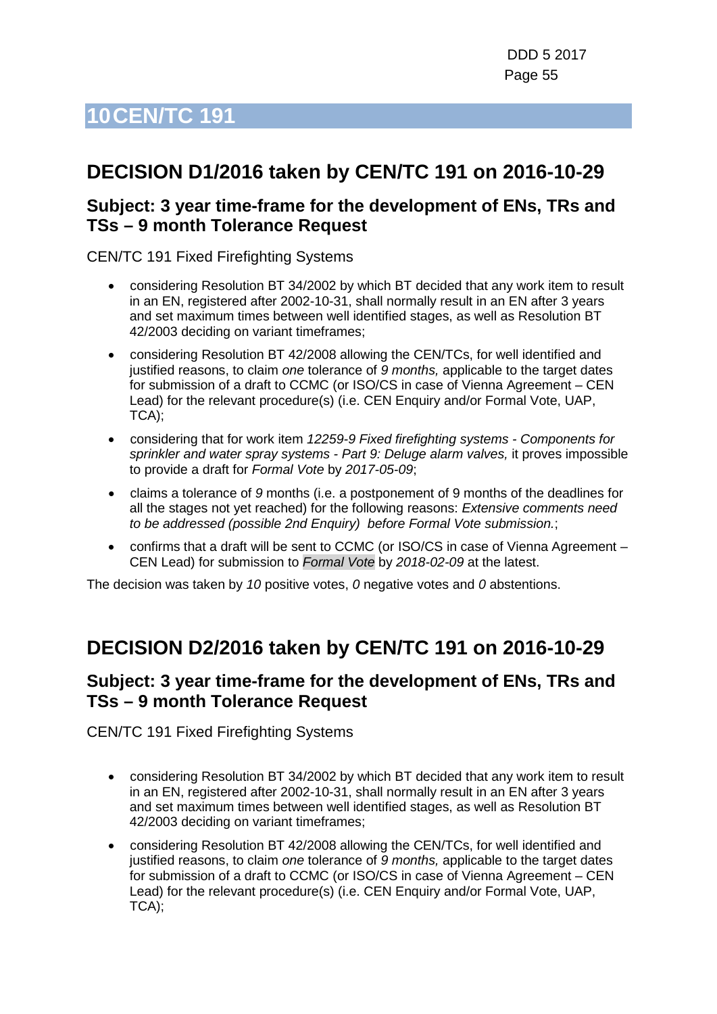## **DECISION D1/2016 taken by CEN/TC 191 on 2016-10-29**

#### **Subject: 3 year time-frame for the development of ENs, TRs and TSs – 9 month Tolerance Request**

CEN/TC 191 Fixed Firefighting Systems

- considering Resolution BT 34/2002 by which BT decided that any work item to result in an EN, registered after 2002-10-31, shall normally result in an EN after 3 years and set maximum times between well identified stages, as well as Resolution BT 42/2003 deciding on variant timeframes;
- considering Resolution BT 42/2008 allowing the CEN/TCs, for well identified and justified reasons, to claim *one* tolerance of *9 months,* applicable to the target dates for submission of a draft to CCMC (or ISO/CS in case of Vienna Agreement – CEN Lead) for the relevant procedure(s) (i.e. CEN Enquiry and/or Formal Vote, UAP, TCA);
- considering that for work item *12259-9 Fixed firefighting systems - Components for sprinkler and water spray systems - Part 9: Deluge alarm valves,* it proves impossible to provide a draft for *Formal Vote* by *2017-05-09*;
- claims a tolerance of *9* months (i.e. a postponement of 9 months of the deadlines for all the stages not yet reached) for the following reasons: *Extensive comments need to be addressed (possible 2nd Enquiry) before Formal Vote submission.*;
- confirms that a draft will be sent to CCMC (or ISO/CS in case of Vienna Agreement CEN Lead) for submission to *Formal Vote* by *2018-02-09* at the latest.

The decision was taken by *10* positive votes, *0* negative votes and *0* abstentions.

### **DECISION D2/2016 taken by CEN/TC 191 on 2016-10-29**

#### **Subject: 3 year time-frame for the development of ENs, TRs and TSs – 9 month Tolerance Request**

CEN/TC 191 Fixed Firefighting Systems

- considering Resolution BT 34/2002 by which BT decided that any work item to result in an EN, registered after 2002-10-31, shall normally result in an EN after 3 years and set maximum times between well identified stages, as well as Resolution BT 42/2003 deciding on variant timeframes;
- considering Resolution BT 42/2008 allowing the CEN/TCs, for well identified and justified reasons, to claim *one* tolerance of *9 months,* applicable to the target dates for submission of a draft to CCMC (or ISO/CS in case of Vienna Agreement – CEN Lead) for the relevant procedure(s) (i.e. CEN Enquiry and/or Formal Vote, UAP, TCA);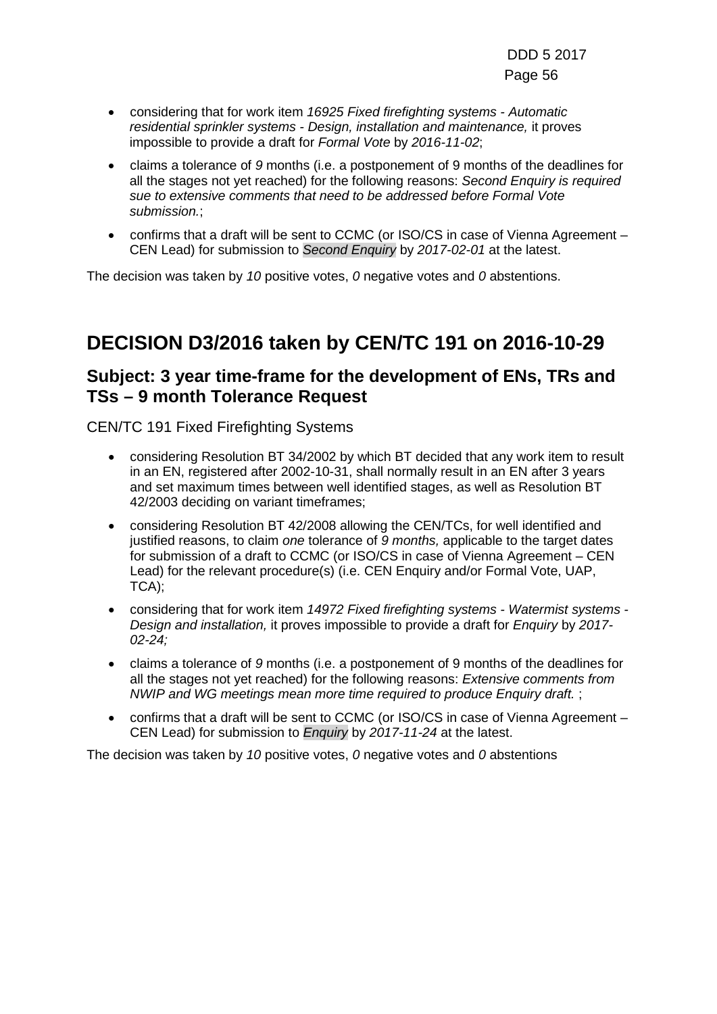- considering that for work item *16925 Fixed firefighting systems - Automatic residential sprinkler systems - Design, installation and maintenance,* it proves impossible to provide a draft for *Formal Vote* by *2016-11-02*;
- claims a tolerance of *9* months (i.e. a postponement of 9 months of the deadlines for all the stages not yet reached) for the following reasons: *Second Enquiry is required sue to extensive comments that need to be addressed before Formal Vote submission.*;
- confirms that a draft will be sent to CCMC (or ISO/CS in case of Vienna Agreement CEN Lead) for submission to *Second Enquiry* by *2017-02-01* at the latest.

The decision was taken by *10* positive votes, *0* negative votes and *0* abstentions.

## **DECISION D3/2016 taken by CEN/TC 191 on 2016-10-29**

#### **Subject: 3 year time-frame for the development of ENs, TRs and TSs – 9 month Tolerance Request**

CEN/TC 191 Fixed Firefighting Systems

- considering Resolution BT 34/2002 by which BT decided that any work item to result in an EN, registered after 2002-10-31, shall normally result in an EN after 3 years and set maximum times between well identified stages, as well as Resolution BT 42/2003 deciding on variant timeframes;
- considering Resolution BT 42/2008 allowing the CEN/TCs, for well identified and justified reasons, to claim *one* tolerance of *9 months,* applicable to the target dates for submission of a draft to CCMC (or ISO/CS in case of Vienna Agreement – CEN Lead) for the relevant procedure(s) (i.e. CEN Enquiry and/or Formal Vote, UAP, TCA);
- considering that for work item *14972 Fixed firefighting systems - Watermist systems - Design and installation,* it proves impossible to provide a draft for *Enquiry* by *2017- 02-24;*
- claims a tolerance of *9* months (i.e. a postponement of 9 months of the deadlines for all the stages not yet reached) for the following reasons: *Extensive comments from NWIP and WG meetings mean more time required to produce Enquiry draft.* ;
- confirms that a draft will be sent to CCMC (or ISO/CS in case of Vienna Agreement CEN Lead) for submission to *Enquiry* by *2017-11-24* at the latest.

The decision was taken by *10* positive votes, *0* negative votes and *0* abstentions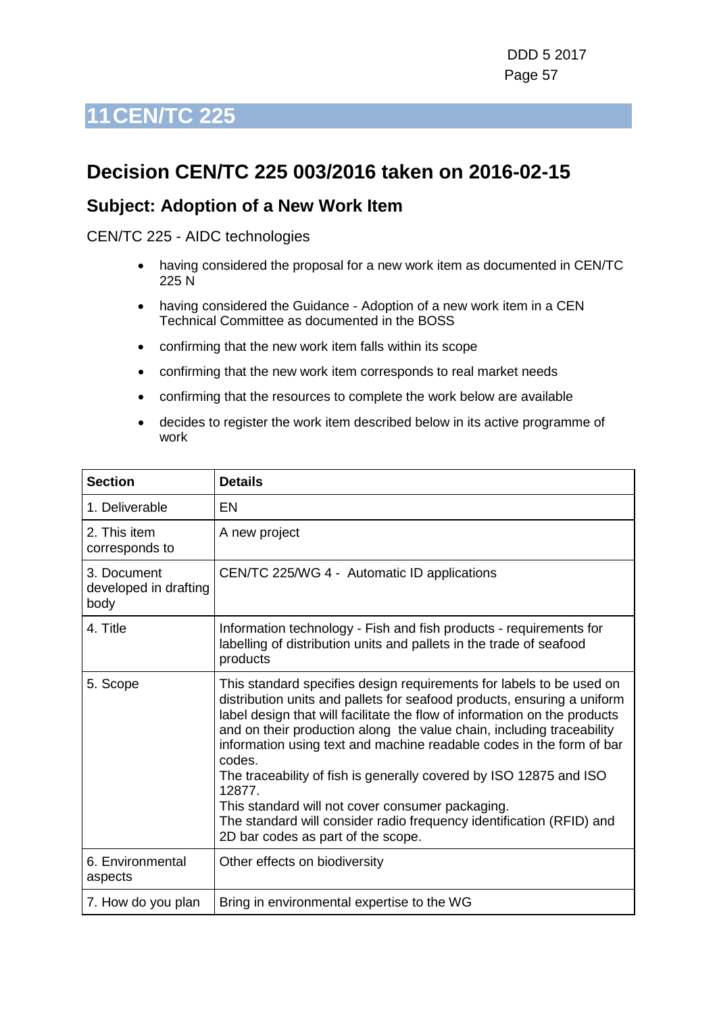## **Decision CEN/TC 225 003/2016 taken on 2016-02-15**

#### **Subject: Adoption of a New Work Item**

#### CEN/TC 225 - AIDC technologies

- having considered the proposal for a new work item as documented in CEN/TC 225 N
- having considered the Guidance Adoption of a new work item in a CEN Technical Committee as documented in the BOSS
- confirming that the new work item falls within its scope
- confirming that the new work item corresponds to real market needs
- confirming that the resources to complete the work below are available
- decides to register the work item described below in its active programme of work

| <b>Section</b>                               | <b>Details</b>                                                                                                                                                                                                                                                                                                                                                                                                                                                                                                                                                                                                                            |
|----------------------------------------------|-------------------------------------------------------------------------------------------------------------------------------------------------------------------------------------------------------------------------------------------------------------------------------------------------------------------------------------------------------------------------------------------------------------------------------------------------------------------------------------------------------------------------------------------------------------------------------------------------------------------------------------------|
| 1. Deliverable                               | EN                                                                                                                                                                                                                                                                                                                                                                                                                                                                                                                                                                                                                                        |
| 2. This item<br>corresponds to               | A new project                                                                                                                                                                                                                                                                                                                                                                                                                                                                                                                                                                                                                             |
| 3. Document<br>developed in drafting<br>body | CEN/TC 225/WG 4 - Automatic ID applications                                                                                                                                                                                                                                                                                                                                                                                                                                                                                                                                                                                               |
| 4. Title                                     | Information technology - Fish and fish products - requirements for<br>labelling of distribution units and pallets in the trade of seafood<br>products                                                                                                                                                                                                                                                                                                                                                                                                                                                                                     |
| 5. Scope                                     | This standard specifies design requirements for labels to be used on<br>distribution units and pallets for seafood products, ensuring a uniform<br>label design that will facilitate the flow of information on the products<br>and on their production along the value chain, including traceability<br>information using text and machine readable codes in the form of bar<br>codes.<br>The traceability of fish is generally covered by ISO 12875 and ISO<br>12877.<br>This standard will not cover consumer packaging.<br>The standard will consider radio frequency identification (RFID) and<br>2D bar codes as part of the scope. |
| 6. Environmental<br>aspects                  | Other effects on biodiversity                                                                                                                                                                                                                                                                                                                                                                                                                                                                                                                                                                                                             |
| 7. How do you plan                           | Bring in environmental expertise to the WG                                                                                                                                                                                                                                                                                                                                                                                                                                                                                                                                                                                                |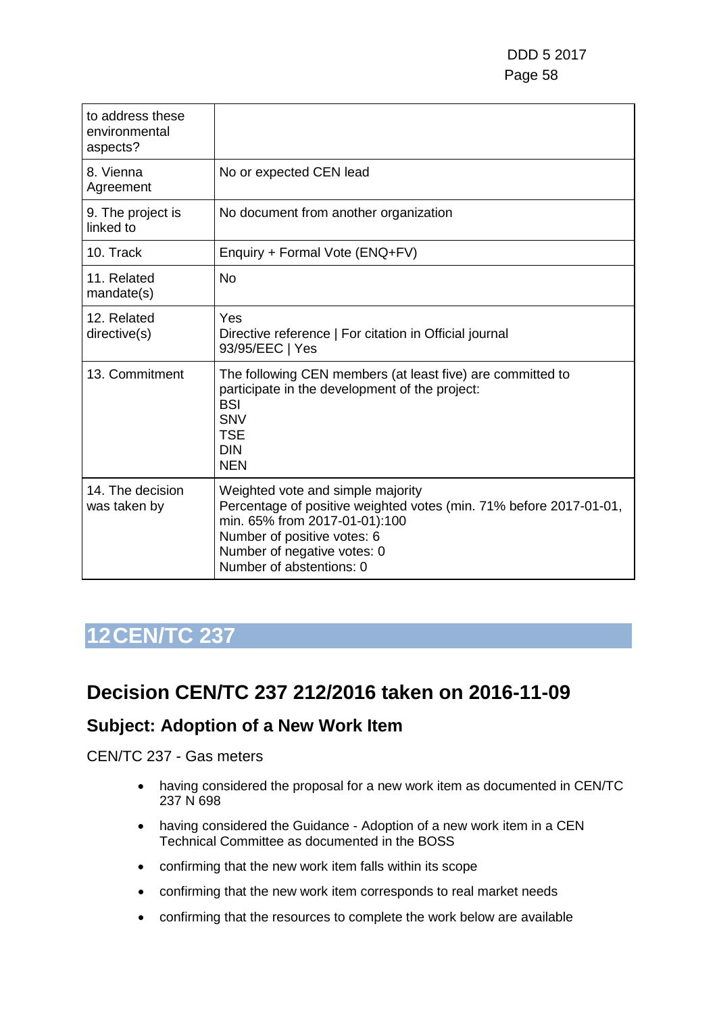| to address these<br>environmental<br>aspects? |                                                                                                                                                                                                                                    |
|-----------------------------------------------|------------------------------------------------------------------------------------------------------------------------------------------------------------------------------------------------------------------------------------|
| 8. Vienna<br>Agreement                        | No or expected CEN lead                                                                                                                                                                                                            |
| 9. The project is<br>linked to                | No document from another organization                                                                                                                                                                                              |
| 10. Track                                     | Enquiry + Formal Vote (ENQ+FV)                                                                                                                                                                                                     |
| 11. Related<br>mandate(s)                     | <b>No</b>                                                                                                                                                                                                                          |
| 12. Related<br>directive(s)                   | Yes<br>Directive reference   For citation in Official journal<br>93/95/EEC   Yes                                                                                                                                                   |
| 13. Commitment                                | The following CEN members (at least five) are committed to<br>participate in the development of the project:<br><b>BSI</b><br><b>SNV</b><br><b>TSE</b><br><b>DIN</b><br><b>NEN</b>                                                 |
| 14. The decision<br>was taken by              | Weighted vote and simple majority<br>Percentage of positive weighted votes (min. 71% before 2017-01-01,<br>min. 65% from 2017-01-01):100<br>Number of positive votes: 6<br>Number of negative votes: 0<br>Number of abstentions: 0 |

### **Decision CEN/TC 237 212/2016 taken on 2016-11-09**

#### **Subject: Adoption of a New Work Item**

CEN/TC 237 - Gas meters

- having considered the proposal for a new work item as documented in CEN/TC 237 N 698
- having considered the Guidance Adoption of a new work item in a CEN Technical Committee as documented in the BOSS
- confirming that the new work item falls within its scope
- confirming that the new work item corresponds to real market needs
- confirming that the resources to complete the work below are available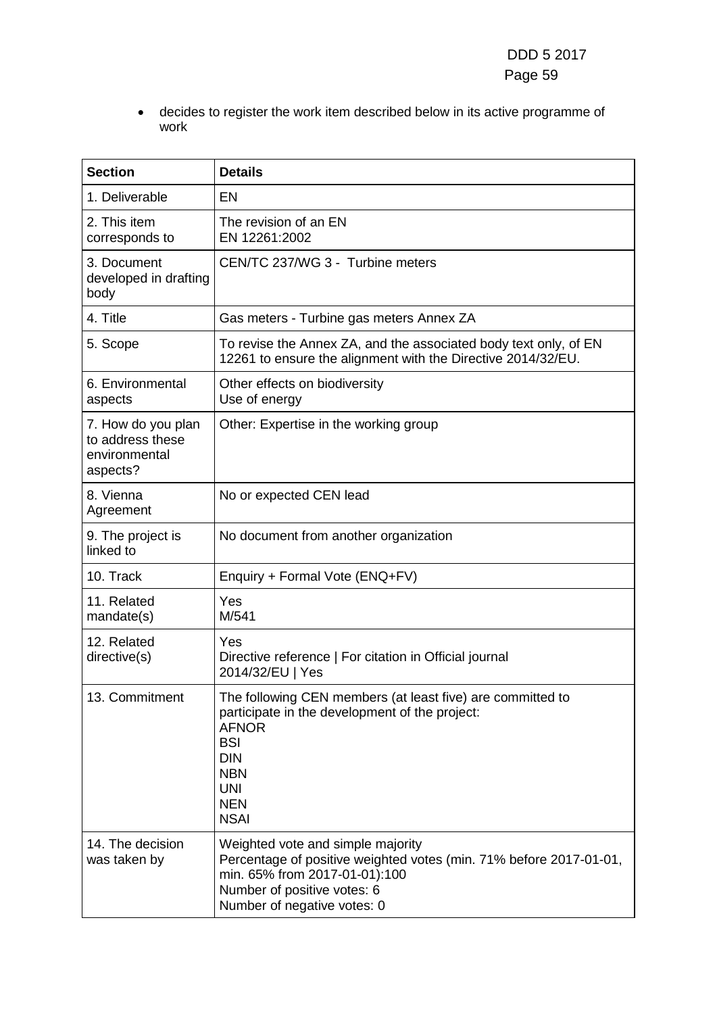• decides to register the work item described below in its active programme of work

| <b>Section</b>                                                      | <b>Details</b>                                                                                                                                                                                                    |
|---------------------------------------------------------------------|-------------------------------------------------------------------------------------------------------------------------------------------------------------------------------------------------------------------|
| 1. Deliverable                                                      | <b>EN</b>                                                                                                                                                                                                         |
| 2. This item<br>corresponds to                                      | The revision of an EN<br>EN 12261:2002                                                                                                                                                                            |
| 3. Document<br>developed in drafting<br>body                        | CEN/TC 237/WG 3 - Turbine meters                                                                                                                                                                                  |
| 4. Title                                                            | Gas meters - Turbine gas meters Annex ZA                                                                                                                                                                          |
| 5. Scope                                                            | To revise the Annex ZA, and the associated body text only, of EN<br>12261 to ensure the alignment with the Directive 2014/32/EU.                                                                                  |
| 6. Environmental<br>aspects                                         | Other effects on biodiversity<br>Use of energy                                                                                                                                                                    |
| 7. How do you plan<br>to address these<br>environmental<br>aspects? | Other: Expertise in the working group                                                                                                                                                                             |
| 8. Vienna<br>Agreement                                              | No or expected CEN lead                                                                                                                                                                                           |
| 9. The project is<br>linked to                                      | No document from another organization                                                                                                                                                                             |
| 10. Track                                                           | Enquiry + Formal Vote (ENQ+FV)                                                                                                                                                                                    |
| 11. Related<br>mandate(s)                                           | Yes<br>M/541                                                                                                                                                                                                      |
| 12. Related<br>directive(s)                                         | Yes<br>Directive reference   For citation in Official journal<br>2014/32/EU   Yes                                                                                                                                 |
| 13. Commitment                                                      | The following CEN members (at least five) are committed to<br>participate in the development of the project:<br><b>AFNOR</b><br><b>BSI</b><br><b>DIN</b><br><b>NBN</b><br><b>UNI</b><br><b>NEN</b><br><b>NSAI</b> |
| 14. The decision<br>was taken by                                    | Weighted vote and simple majority<br>Percentage of positive weighted votes (min. 71% before 2017-01-01,<br>min. 65% from 2017-01-01):100<br>Number of positive votes: 6<br>Number of negative votes: 0            |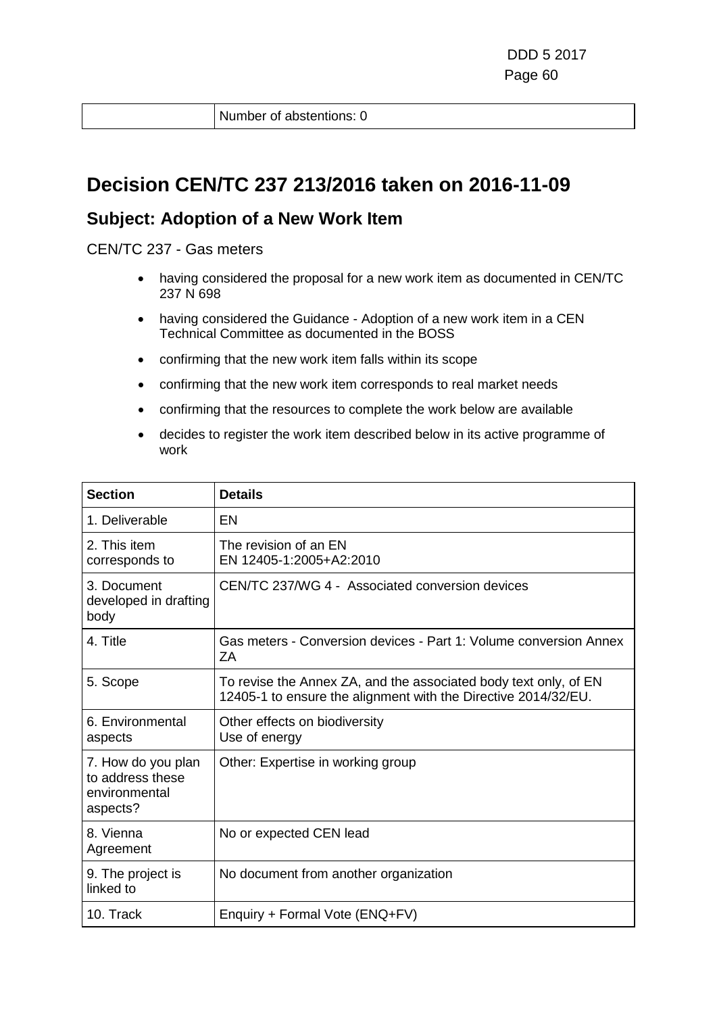Number of abstentions: 0

### **Decision CEN/TC 237 213/2016 taken on 2016-11-09**

#### **Subject: Adoption of a New Work Item**

CEN/TC 237 - Gas meters

- having considered the proposal for a new work item as documented in CEN/TC 237 N 698
- having considered the Guidance Adoption of a new work item in a CEN Technical Committee as documented in the BOSS
- confirming that the new work item falls within its scope
- confirming that the new work item corresponds to real market needs
- confirming that the resources to complete the work below are available
- decides to register the work item described below in its active programme of work

| <b>Section</b>                                                      | <b>Details</b>                                                                                                                     |
|---------------------------------------------------------------------|------------------------------------------------------------------------------------------------------------------------------------|
| 1. Deliverable                                                      | EN                                                                                                                                 |
| 2. This item<br>corresponds to                                      | The revision of an EN<br>EN 12405-1:2005+A2:2010                                                                                   |
| 3. Document<br>developed in drafting<br>body                        | CEN/TC 237/WG 4 - Associated conversion devices                                                                                    |
| 4. Title                                                            | Gas meters - Conversion devices - Part 1: Volume conversion Annex<br>ΖA                                                            |
| 5. Scope                                                            | To revise the Annex ZA, and the associated body text only, of EN<br>12405-1 to ensure the alignment with the Directive 2014/32/EU. |
| 6. Environmental<br>aspects                                         | Other effects on biodiversity<br>Use of energy                                                                                     |
| 7. How do you plan<br>to address these<br>environmental<br>aspects? | Other: Expertise in working group                                                                                                  |
| 8. Vienna<br>Agreement                                              | No or expected CEN lead                                                                                                            |
| 9. The project is<br>linked to                                      | No document from another organization                                                                                              |
| 10. Track                                                           | Enquiry + Formal Vote (ENQ+FV)                                                                                                     |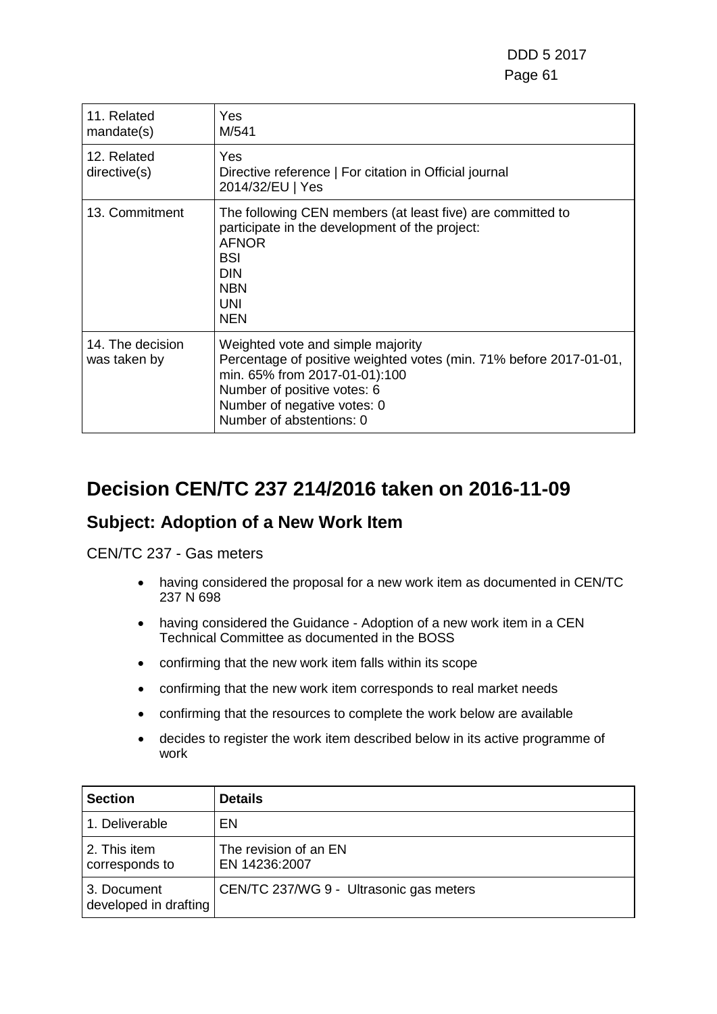| 11. Related<br>mandate(s)        | Yes<br>M/541                                                                                                                                                                                                                       |
|----------------------------------|------------------------------------------------------------------------------------------------------------------------------------------------------------------------------------------------------------------------------------|
| 12. Related<br>directive(s)      | <b>Yes</b><br>Directive reference   For citation in Official journal<br>2014/32/EU   Yes                                                                                                                                           |
| 13. Commitment                   | The following CEN members (at least five) are committed to<br>participate in the development of the project:<br><b>AFNOR</b><br><b>BSI</b><br><b>DIN</b><br><b>NBN</b><br><b>UNI</b><br><b>NEN</b>                                 |
| 14. The decision<br>was taken by | Weighted vote and simple majority<br>Percentage of positive weighted votes (min. 71% before 2017-01-01,<br>min. 65% from 2017-01-01):100<br>Number of positive votes: 6<br>Number of negative votes: 0<br>Number of abstentions: 0 |

## **Decision CEN/TC 237 214/2016 taken on 2016-11-09**

#### **Subject: Adoption of a New Work Item**

CEN/TC 237 - Gas meters

- having considered the proposal for a new work item as documented in CEN/TC 237 N 698
- having considered the Guidance Adoption of a new work item in a CEN Technical Committee as documented in the BOSS
- confirming that the new work item falls within its scope
- confirming that the new work item corresponds to real market needs
- confirming that the resources to complete the work below are available
- decides to register the work item described below in its active programme of work

| <b>Section</b>                       | <b>Details</b>                          |
|--------------------------------------|-----------------------------------------|
| 1. Deliverable                       | EN                                      |
| 2. This item<br>corresponds to       | The revision of an EN<br>EN 14236:2007  |
| 3. Document<br>developed in drafting | CEN/TC 237/WG 9 - Ultrasonic gas meters |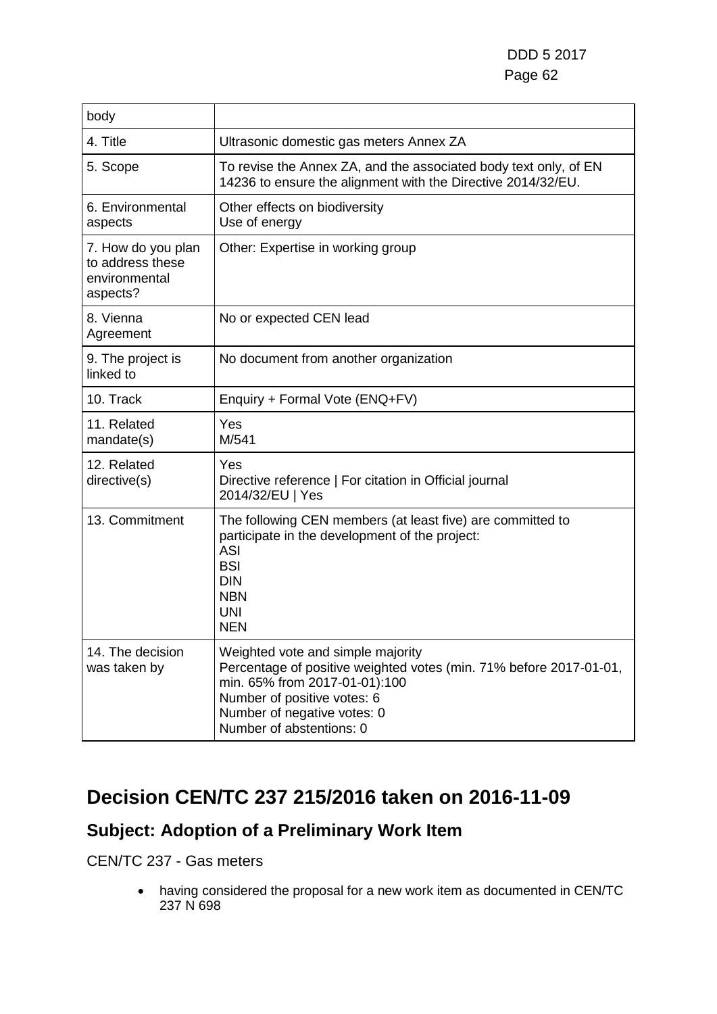| body                                                                |                                                                                                                                                                                                                                    |
|---------------------------------------------------------------------|------------------------------------------------------------------------------------------------------------------------------------------------------------------------------------------------------------------------------------|
| 4. Title                                                            | Ultrasonic domestic gas meters Annex ZA                                                                                                                                                                                            |
| 5. Scope                                                            | To revise the Annex ZA, and the associated body text only, of EN<br>14236 to ensure the alignment with the Directive 2014/32/EU.                                                                                                   |
| 6. Environmental<br>aspects                                         | Other effects on biodiversity<br>Use of energy                                                                                                                                                                                     |
| 7. How do you plan<br>to address these<br>environmental<br>aspects? | Other: Expertise in working group                                                                                                                                                                                                  |
| 8. Vienna<br>Agreement                                              | No or expected CEN lead                                                                                                                                                                                                            |
| 9. The project is<br>linked to                                      | No document from another organization                                                                                                                                                                                              |
| 10. Track                                                           | Enquiry + Formal Vote (ENQ+FV)                                                                                                                                                                                                     |
| 11. Related<br>mandate(s)                                           | Yes<br>M/541                                                                                                                                                                                                                       |
| 12. Related<br>directive(s)                                         | Yes<br>Directive reference   For citation in Official journal<br>2014/32/EU   Yes                                                                                                                                                  |
| 13. Commitment                                                      | The following CEN members (at least five) are committed to<br>participate in the development of the project:<br><b>ASI</b><br><b>BSI</b><br><b>DIN</b><br><b>NBN</b><br><b>UNI</b><br><b>NEN</b>                                   |
| 14. The decision<br>was taken by                                    | Weighted vote and simple majority<br>Percentage of positive weighted votes (min. 71% before 2017-01-01,<br>min. 65% from 2017-01-01):100<br>Number of positive votes: 6<br>Number of negative votes: 0<br>Number of abstentions: 0 |

## **Decision CEN/TC 237 215/2016 taken on 2016-11-09**

### **Subject: Adoption of a Preliminary Work Item**

#### CEN/TC 237 - Gas meters

• having considered the proposal for a new work item as documented in CEN/TC 237 N 698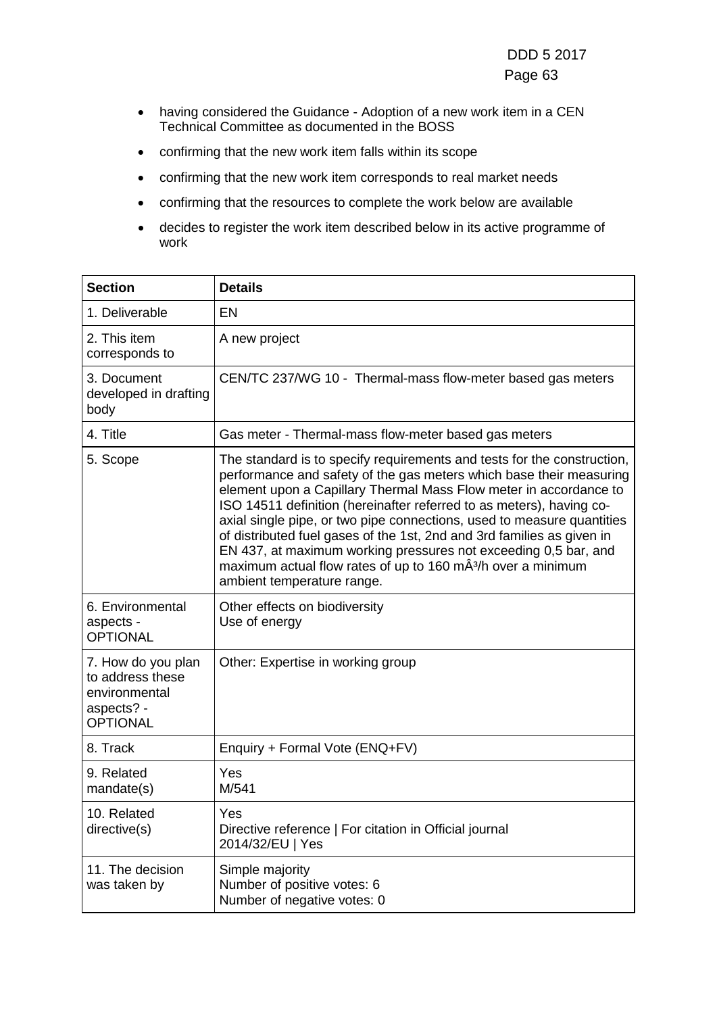- having considered the Guidance Adoption of a new work item in a CEN Technical Committee as documented in the BOSS
- confirming that the new work item falls within its scope
- confirming that the new work item corresponds to real market needs
- confirming that the resources to complete the work below are available
- decides to register the work item described below in its active programme of work

| <b>Section</b>                                                                           | <b>Details</b>                                                                                                                                                                                                                                                                                                                                                                                                                                                                                                                                                                                                               |
|------------------------------------------------------------------------------------------|------------------------------------------------------------------------------------------------------------------------------------------------------------------------------------------------------------------------------------------------------------------------------------------------------------------------------------------------------------------------------------------------------------------------------------------------------------------------------------------------------------------------------------------------------------------------------------------------------------------------------|
| 1. Deliverable                                                                           | <b>EN</b>                                                                                                                                                                                                                                                                                                                                                                                                                                                                                                                                                                                                                    |
| 2. This item<br>corresponds to                                                           | A new project                                                                                                                                                                                                                                                                                                                                                                                                                                                                                                                                                                                                                |
| 3. Document<br>developed in drafting<br>body                                             | CEN/TC 237/WG 10 - Thermal-mass flow-meter based gas meters                                                                                                                                                                                                                                                                                                                                                                                                                                                                                                                                                                  |
| 4. Title                                                                                 | Gas meter - Thermal-mass flow-meter based gas meters                                                                                                                                                                                                                                                                                                                                                                                                                                                                                                                                                                         |
| 5. Scope                                                                                 | The standard is to specify requirements and tests for the construction,<br>performance and safety of the gas meters which base their measuring<br>element upon a Capillary Thermal Mass Flow meter in accordance to<br>ISO 14511 definition (hereinafter referred to as meters), having co-<br>axial single pipe, or two pipe connections, used to measure quantities<br>of distributed fuel gases of the 1st, 2nd and 3rd families as given in<br>EN 437, at maximum working pressures not exceeding 0,5 bar, and<br>maximum actual flow rates of up to 160 mÂ <sup>3</sup> /h over a minimum<br>ambient temperature range. |
| 6. Environmental<br>aspects -<br><b>OPTIONAL</b>                                         | Other effects on biodiversity<br>Use of energy                                                                                                                                                                                                                                                                                                                                                                                                                                                                                                                                                                               |
| 7. How do you plan<br>to address these<br>environmental<br>aspects? -<br><b>OPTIONAL</b> | Other: Expertise in working group                                                                                                                                                                                                                                                                                                                                                                                                                                                                                                                                                                                            |
| 8. Track                                                                                 | Enquiry + Formal Vote (ENQ+FV)                                                                                                                                                                                                                                                                                                                                                                                                                                                                                                                                                                                               |
| 9. Related<br>mandate(s)                                                                 | Yes<br>M/541                                                                                                                                                                                                                                                                                                                                                                                                                                                                                                                                                                                                                 |
| 10. Related<br>directive(s)                                                              | Yes<br>Directive reference   For citation in Official journal<br>2014/32/EU   Yes                                                                                                                                                                                                                                                                                                                                                                                                                                                                                                                                            |
| 11. The decision<br>was taken by                                                         | Simple majority<br>Number of positive votes: 6<br>Number of negative votes: 0                                                                                                                                                                                                                                                                                                                                                                                                                                                                                                                                                |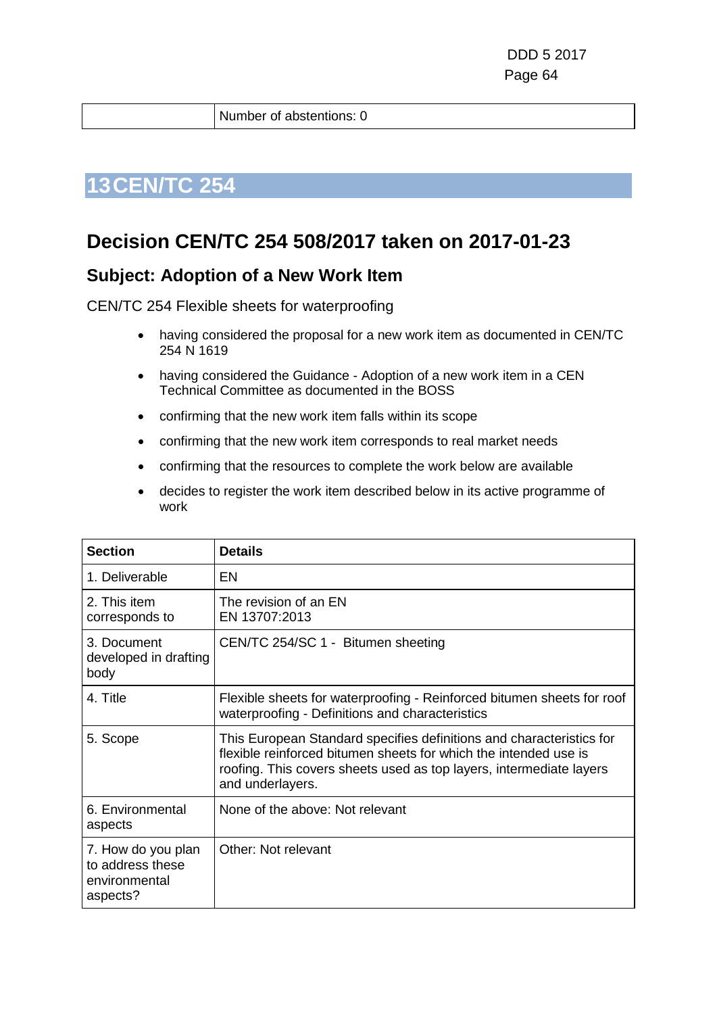Number of abstentions: 0

## **13CEN/TC 254**

### **Decision CEN/TC 254 508/2017 taken on 2017-01-23**

#### **Subject: Adoption of a New Work Item**

CEN/TC 254 Flexible sheets for waterproofing

- having considered the proposal for a new work item as documented in CEN/TC 254 N 1619
- having considered the Guidance Adoption of a new work item in a CEN Technical Committee as documented in the BOSS
- confirming that the new work item falls within its scope
- confirming that the new work item corresponds to real market needs
- confirming that the resources to complete the work below are available
- decides to register the work item described below in its active programme of work

| <b>Section</b>                                                      | <b>Details</b>                                                                                                                                                                                                                      |
|---------------------------------------------------------------------|-------------------------------------------------------------------------------------------------------------------------------------------------------------------------------------------------------------------------------------|
| 1. Deliverable                                                      | EN                                                                                                                                                                                                                                  |
| 2. This item<br>corresponds to                                      | The revision of an EN<br>EN 13707:2013                                                                                                                                                                                              |
| 3. Document<br>developed in drafting<br>body                        | CEN/TC 254/SC 1 - Bitumen sheeting                                                                                                                                                                                                  |
| 4. Title                                                            | Flexible sheets for waterproofing - Reinforced bitumen sheets for roof<br>waterproofing - Definitions and characteristics                                                                                                           |
| 5. Scope                                                            | This European Standard specifies definitions and characteristics for<br>flexible reinforced bitumen sheets for which the intended use is<br>roofing. This covers sheets used as top layers, intermediate layers<br>and underlayers. |
| 6. Environmental<br>aspects                                         | None of the above: Not relevant                                                                                                                                                                                                     |
| 7. How do you plan<br>to address these<br>environmental<br>aspects? | Other: Not relevant                                                                                                                                                                                                                 |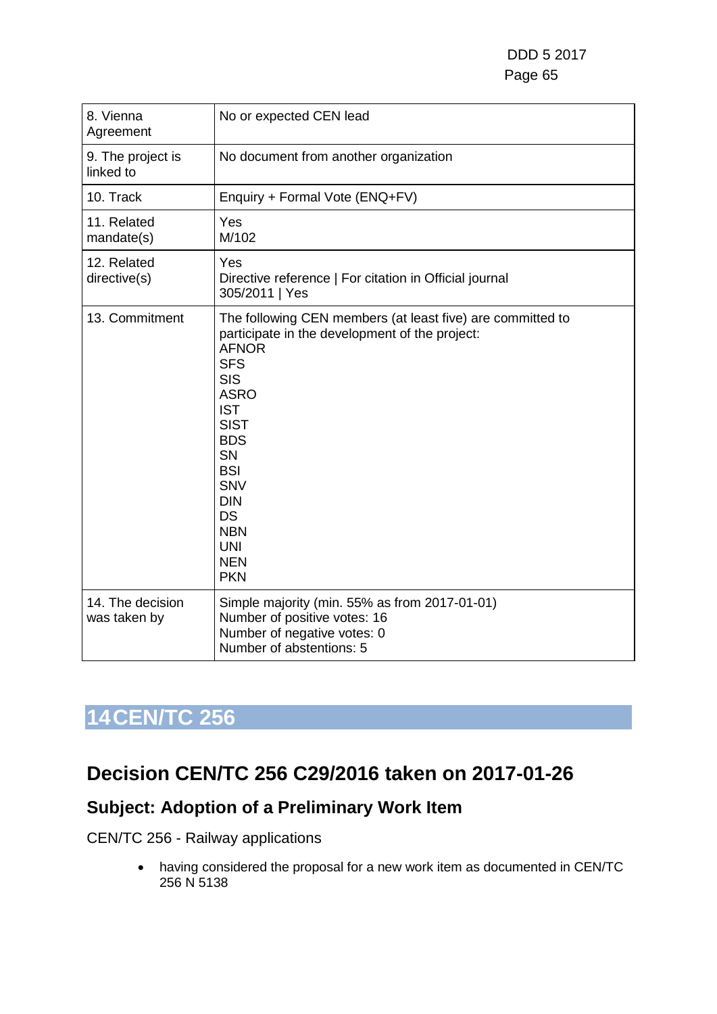| 8. Vienna<br>Agreement           | No or expected CEN lead                                                                                                                                                                                                                                                                                                                        |
|----------------------------------|------------------------------------------------------------------------------------------------------------------------------------------------------------------------------------------------------------------------------------------------------------------------------------------------------------------------------------------------|
| 9. The project is<br>linked to   | No document from another organization                                                                                                                                                                                                                                                                                                          |
| 10. Track                        | Enquiry + Formal Vote (ENQ+FV)                                                                                                                                                                                                                                                                                                                 |
| 11. Related<br>mandate(s)        | Yes<br>M/102                                                                                                                                                                                                                                                                                                                                   |
| 12. Related<br>directive(s)      | Yes<br>Directive reference   For citation in Official journal<br>305/2011   Yes                                                                                                                                                                                                                                                                |
| 13. Commitment                   | The following CEN members (at least five) are committed to<br>participate in the development of the project:<br><b>AFNOR</b><br><b>SFS</b><br><b>SIS</b><br><b>ASRO</b><br><b>IST</b><br><b>SIST</b><br><b>BDS</b><br><b>SN</b><br><b>BSI</b><br><b>SNV</b><br><b>DIN</b><br><b>DS</b><br><b>NBN</b><br><b>UNI</b><br><b>NEN</b><br><b>PKN</b> |
| 14. The decision<br>was taken by | Simple majority (min. 55% as from 2017-01-01)<br>Number of positive votes: 16<br>Number of negative votes: 0<br>Number of abstentions: 5                                                                                                                                                                                                       |

### **Decision CEN/TC 256 C29/2016 taken on 2017-01-26**

### **Subject: Adoption of a Preliminary Work Item**

CEN/TC 256 - Railway applications

• having considered the proposal for a new work item as documented in CEN/TC 256 N 5138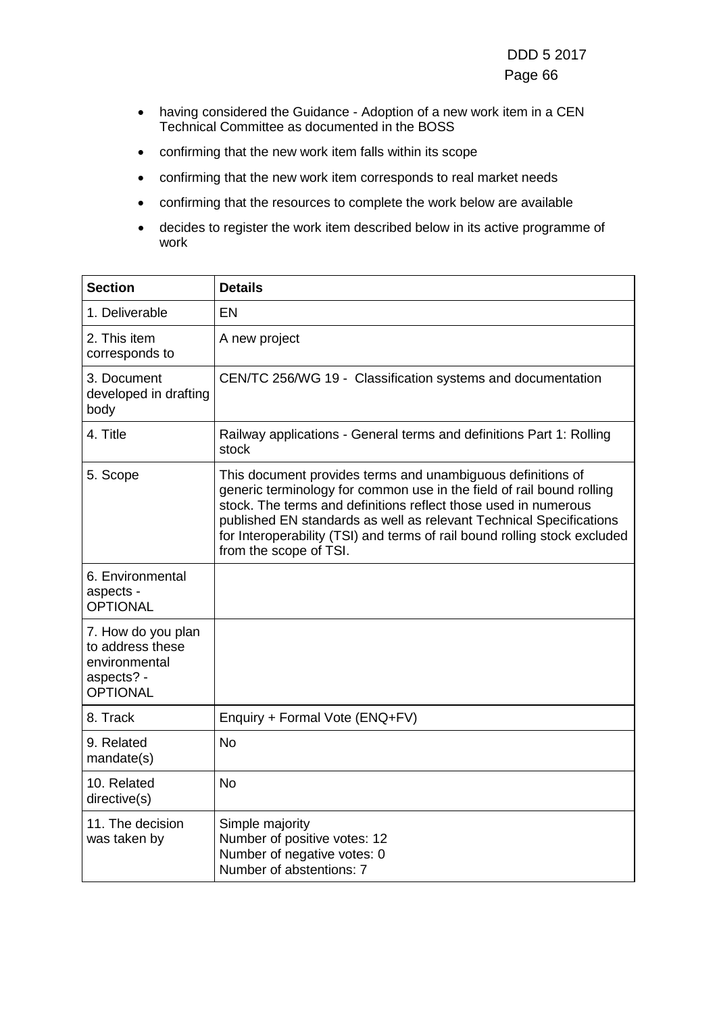- having considered the Guidance Adoption of a new work item in a CEN Technical Committee as documented in the BOSS
- confirming that the new work item falls within its scope
- confirming that the new work item corresponds to real market needs
- confirming that the resources to complete the work below are available
- decides to register the work item described below in its active programme of work

| <b>Section</b>                                                                           | <b>Details</b>                                                                                                                                                                                                                                                                                                                                                                        |
|------------------------------------------------------------------------------------------|---------------------------------------------------------------------------------------------------------------------------------------------------------------------------------------------------------------------------------------------------------------------------------------------------------------------------------------------------------------------------------------|
| 1. Deliverable                                                                           | <b>EN</b>                                                                                                                                                                                                                                                                                                                                                                             |
| 2. This item<br>corresponds to                                                           | A new project                                                                                                                                                                                                                                                                                                                                                                         |
| 3. Document<br>developed in drafting<br>body                                             | CEN/TC 256/WG 19 - Classification systems and documentation                                                                                                                                                                                                                                                                                                                           |
| 4. Title                                                                                 | Railway applications - General terms and definitions Part 1: Rolling<br>stock                                                                                                                                                                                                                                                                                                         |
| 5. Scope                                                                                 | This document provides terms and unambiguous definitions of<br>generic terminology for common use in the field of rail bound rolling<br>stock. The terms and definitions reflect those used in numerous<br>published EN standards as well as relevant Technical Specifications<br>for Interoperability (TSI) and terms of rail bound rolling stock excluded<br>from the scope of TSI. |
| 6. Environmental<br>aspects -<br><b>OPTIONAL</b>                                         |                                                                                                                                                                                                                                                                                                                                                                                       |
| 7. How do you plan<br>to address these<br>environmental<br>aspects? -<br><b>OPTIONAL</b> |                                                                                                                                                                                                                                                                                                                                                                                       |
| 8. Track                                                                                 | Enquiry + Formal Vote (ENQ+FV)                                                                                                                                                                                                                                                                                                                                                        |
| 9. Related<br>mandate(s)                                                                 | <b>No</b>                                                                                                                                                                                                                                                                                                                                                                             |
| 10. Related<br>directive(s)                                                              | <b>No</b>                                                                                                                                                                                                                                                                                                                                                                             |
| 11. The decision<br>was taken by                                                         | Simple majority<br>Number of positive votes: 12<br>Number of negative votes: 0<br>Number of abstentions: 7                                                                                                                                                                                                                                                                            |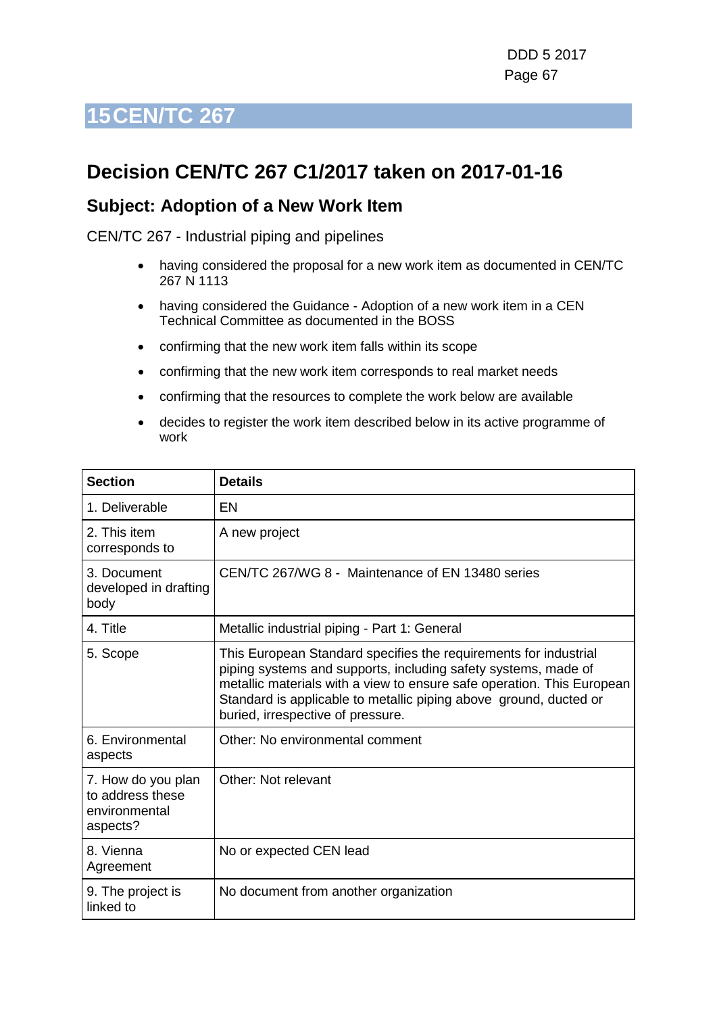## **Decision CEN/TC 267 C1/2017 taken on 2017-01-16**

#### **Subject: Adoption of a New Work Item**

- having considered the proposal for a new work item as documented in CEN/TC 267 N 1113
- having considered the Guidance Adoption of a new work item in a CEN Technical Committee as documented in the BOSS
- confirming that the new work item falls within its scope
- confirming that the new work item corresponds to real market needs
- confirming that the resources to complete the work below are available
- decides to register the work item described below in its active programme of work

| <b>Section</b>                                                      | <b>Details</b>                                                                                                                                                                                                                                                                                                         |
|---------------------------------------------------------------------|------------------------------------------------------------------------------------------------------------------------------------------------------------------------------------------------------------------------------------------------------------------------------------------------------------------------|
| 1. Deliverable                                                      | EN                                                                                                                                                                                                                                                                                                                     |
| 2. This item<br>corresponds to                                      | A new project                                                                                                                                                                                                                                                                                                          |
| 3. Document<br>developed in drafting<br>body                        | CEN/TC 267/WG 8 - Maintenance of EN 13480 series                                                                                                                                                                                                                                                                       |
| 4. Title                                                            | Metallic industrial piping - Part 1: General                                                                                                                                                                                                                                                                           |
| 5. Scope                                                            | This European Standard specifies the requirements for industrial<br>piping systems and supports, including safety systems, made of<br>metallic materials with a view to ensure safe operation. This European<br>Standard is applicable to metallic piping above ground, ducted or<br>buried, irrespective of pressure. |
| 6. Environmental<br>aspects                                         | Other: No environmental comment                                                                                                                                                                                                                                                                                        |
| 7. How do you plan<br>to address these<br>environmental<br>aspects? | Other: Not relevant                                                                                                                                                                                                                                                                                                    |
| 8. Vienna<br>Agreement                                              | No or expected CEN lead                                                                                                                                                                                                                                                                                                |
| 9. The project is<br>linked to                                      | No document from another organization                                                                                                                                                                                                                                                                                  |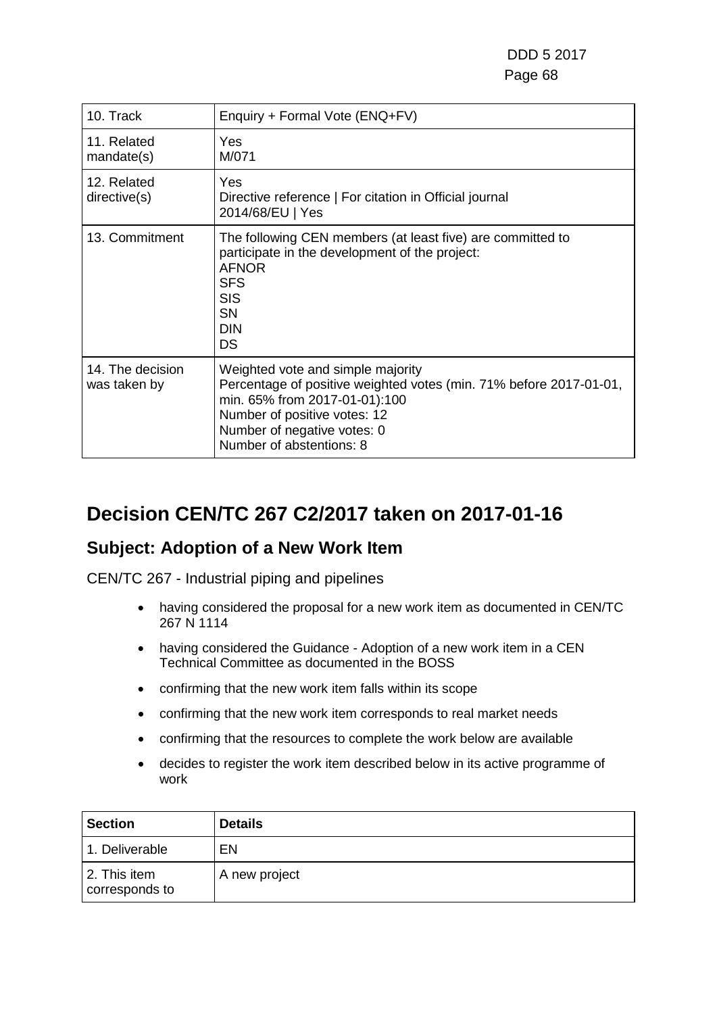| 10. Track                        | Enquiry + Formal Vote (ENQ+FV)                                                                                                                                                                                                      |
|----------------------------------|-------------------------------------------------------------------------------------------------------------------------------------------------------------------------------------------------------------------------------------|
| 11. Related<br>mandate(s)        | Yes<br>M/071                                                                                                                                                                                                                        |
| 12. Related<br>directive(s)      | Yes<br>Directive reference   For citation in Official journal<br>2014/68/EU   Yes                                                                                                                                                   |
| 13. Commitment                   | The following CEN members (at least five) are committed to<br>participate in the development of the project:<br><b>AFNOR</b><br><b>SFS</b><br><b>SIS</b><br><b>SN</b><br><b>DIN</b><br><b>DS</b>                                    |
| 14. The decision<br>was taken by | Weighted vote and simple majority<br>Percentage of positive weighted votes (min. 71% before 2017-01-01,<br>min. 65% from 2017-01-01):100<br>Number of positive votes: 12<br>Number of negative votes: 0<br>Number of abstentions: 8 |

## **Decision CEN/TC 267 C2/2017 taken on 2017-01-16**

#### **Subject: Adoption of a New Work Item**

- having considered the proposal for a new work item as documented in CEN/TC 267 N 1114
- having considered the Guidance Adoption of a new work item in a CEN Technical Committee as documented in the BOSS
- confirming that the new work item falls within its scope
- confirming that the new work item corresponds to real market needs
- confirming that the resources to complete the work below are available
- decides to register the work item described below in its active programme of work

| <b>Section</b>                 | <b>Details</b> |
|--------------------------------|----------------|
| 1. Deliverable                 | EN             |
| 2. This item<br>corresponds to | A new project  |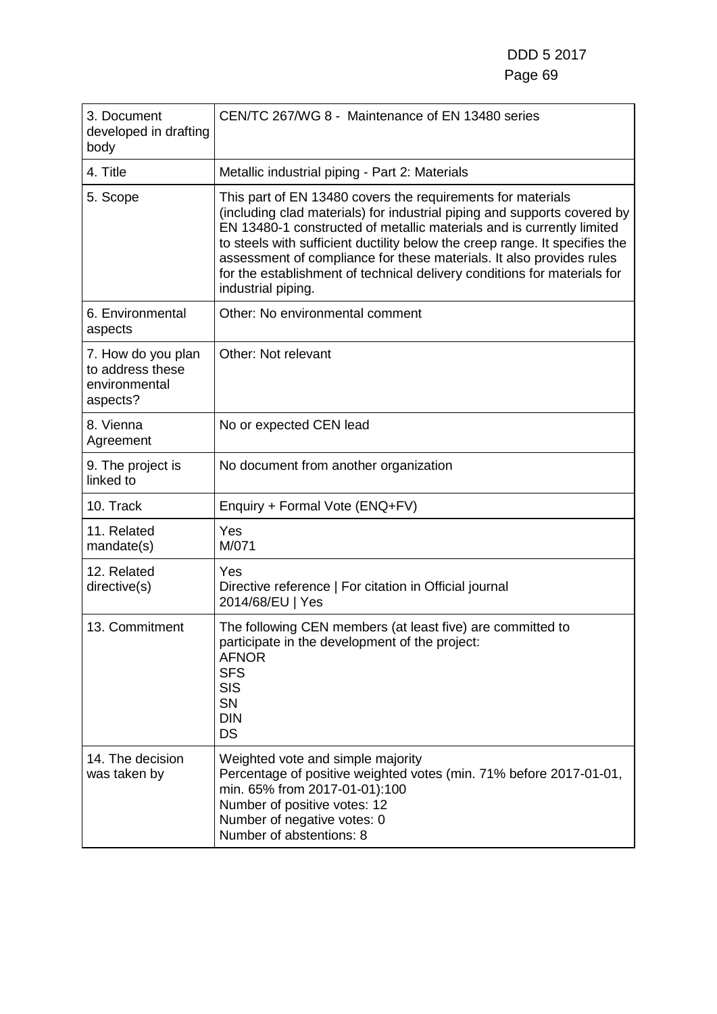| 3. Document<br>developed in drafting<br>body                        | CEN/TC 267/WG 8 - Maintenance of EN 13480 series                                                                                                                                                                                                                                                                                                                                                                                                                          |
|---------------------------------------------------------------------|---------------------------------------------------------------------------------------------------------------------------------------------------------------------------------------------------------------------------------------------------------------------------------------------------------------------------------------------------------------------------------------------------------------------------------------------------------------------------|
| 4. Title                                                            | Metallic industrial piping - Part 2: Materials                                                                                                                                                                                                                                                                                                                                                                                                                            |
| 5. Scope                                                            | This part of EN 13480 covers the requirements for materials<br>(including clad materials) for industrial piping and supports covered by<br>EN 13480-1 constructed of metallic materials and is currently limited<br>to steels with sufficient ductility below the creep range. It specifies the<br>assessment of compliance for these materials. It also provides rules<br>for the establishment of technical delivery conditions for materials for<br>industrial piping. |
| 6. Environmental<br>aspects                                         | Other: No environmental comment                                                                                                                                                                                                                                                                                                                                                                                                                                           |
| 7. How do you plan<br>to address these<br>environmental<br>aspects? | Other: Not relevant                                                                                                                                                                                                                                                                                                                                                                                                                                                       |
| 8. Vienna<br>Agreement                                              | No or expected CEN lead                                                                                                                                                                                                                                                                                                                                                                                                                                                   |
| 9. The project is<br>linked to                                      | No document from another organization                                                                                                                                                                                                                                                                                                                                                                                                                                     |
| 10. Track                                                           | Enquiry + Formal Vote (ENQ+FV)                                                                                                                                                                                                                                                                                                                                                                                                                                            |
| 11. Related<br>mandate(s)                                           | Yes<br>M/071                                                                                                                                                                                                                                                                                                                                                                                                                                                              |
| 12. Related<br>directive(s)                                         | Yes<br>Directive reference   For citation in Official journal<br>2014/68/EU   Yes                                                                                                                                                                                                                                                                                                                                                                                         |
| 13. Commitment                                                      | The following CEN members (at least five) are committed to<br>participate in the development of the project:<br><b>AFNOR</b><br><b>SFS</b><br><b>SIS</b><br>SN<br><b>DIN</b><br><b>DS</b>                                                                                                                                                                                                                                                                                 |
| 14. The decision<br>was taken by                                    | Weighted vote and simple majority<br>Percentage of positive weighted votes (min. 71% before 2017-01-01,<br>min. 65% from 2017-01-01):100<br>Number of positive votes: 12<br>Number of negative votes: 0<br>Number of abstentions: 8                                                                                                                                                                                                                                       |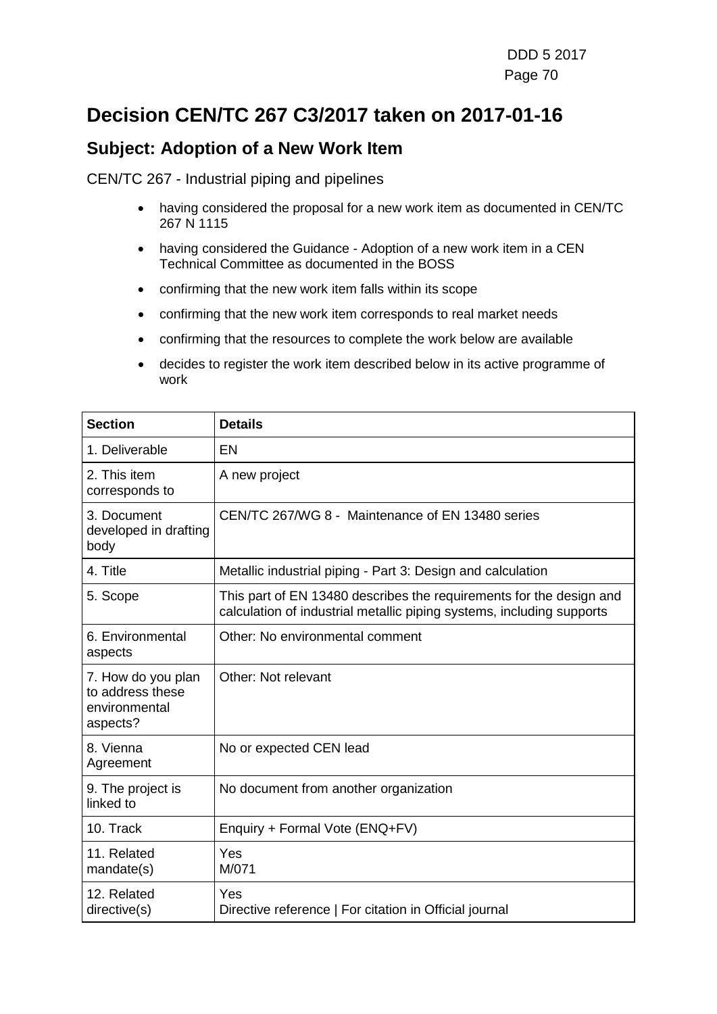## **Decision CEN/TC 267 C3/2017 taken on 2017-01-16**

#### **Subject: Adoption of a New Work Item**

- having considered the proposal for a new work item as documented in CEN/TC 267 N 1115
- having considered the Guidance Adoption of a new work item in a CEN Technical Committee as documented in the BOSS
- confirming that the new work item falls within its scope
- confirming that the new work item corresponds to real market needs
- confirming that the resources to complete the work below are available
- decides to register the work item described below in its active programme of work

| <b>Section</b>                                                      | <b>Details</b>                                                                                                                               |
|---------------------------------------------------------------------|----------------------------------------------------------------------------------------------------------------------------------------------|
| 1. Deliverable                                                      | EN                                                                                                                                           |
| 2. This item<br>corresponds to                                      | A new project                                                                                                                                |
| 3. Document<br>developed in drafting<br>body                        | CEN/TC 267/WG 8 - Maintenance of EN 13480 series                                                                                             |
| 4. Title                                                            | Metallic industrial piping - Part 3: Design and calculation                                                                                  |
| 5. Scope                                                            | This part of EN 13480 describes the requirements for the design and<br>calculation of industrial metallic piping systems, including supports |
| 6. Environmental<br>aspects                                         | Other: No environmental comment                                                                                                              |
| 7. How do you plan<br>to address these<br>environmental<br>aspects? | Other: Not relevant                                                                                                                          |
| 8. Vienna<br>Agreement                                              | No or expected CEN lead                                                                                                                      |
| 9. The project is<br>linked to                                      | No document from another organization                                                                                                        |
| 10. Track                                                           | Enquiry + Formal Vote (ENQ+FV)                                                                                                               |
| 11. Related<br>mandate(s)                                           | Yes<br>M/071                                                                                                                                 |
| 12. Related<br>directive(s)                                         | Yes<br>Directive reference   For citation in Official journal                                                                                |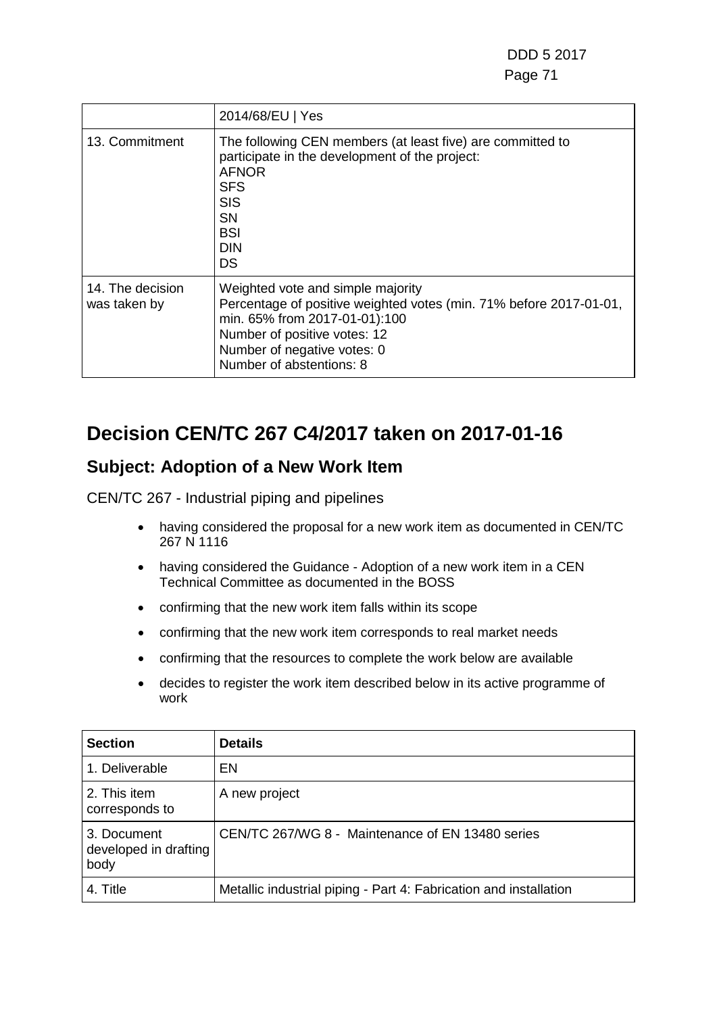|                                  | 2014/68/EU   Yes                                                                                                                                                                                                                    |
|----------------------------------|-------------------------------------------------------------------------------------------------------------------------------------------------------------------------------------------------------------------------------------|
| 13. Commitment                   | The following CEN members (at least five) are committed to<br>participate in the development of the project:<br><b>AFNOR</b><br><b>SFS</b><br><b>SIS</b><br>SN<br>BSI<br><b>DIN</b><br>DS                                           |
| 14. The decision<br>was taken by | Weighted vote and simple majority<br>Percentage of positive weighted votes (min. 71% before 2017-01-01,<br>min. 65% from 2017-01-01):100<br>Number of positive votes: 12<br>Number of negative votes: 0<br>Number of abstentions: 8 |

## **Decision CEN/TC 267 C4/2017 taken on 2017-01-16**

### **Subject: Adoption of a New Work Item**

- having considered the proposal for a new work item as documented in CEN/TC 267 N 1116
- having considered the Guidance Adoption of a new work item in a CEN Technical Committee as documented in the BOSS
- confirming that the new work item falls within its scope
- confirming that the new work item corresponds to real market needs
- confirming that the resources to complete the work below are available
- decides to register the work item described below in its active programme of work

| <b>Section</b>                               | Details                                                           |
|----------------------------------------------|-------------------------------------------------------------------|
| 1. Deliverable                               | EN                                                                |
| 2. This item<br>corresponds to               | A new project                                                     |
| 3. Document<br>developed in drafting<br>body | CEN/TC 267/WG 8 - Maintenance of EN 13480 series                  |
| 4. Title                                     | Metallic industrial piping - Part 4: Fabrication and installation |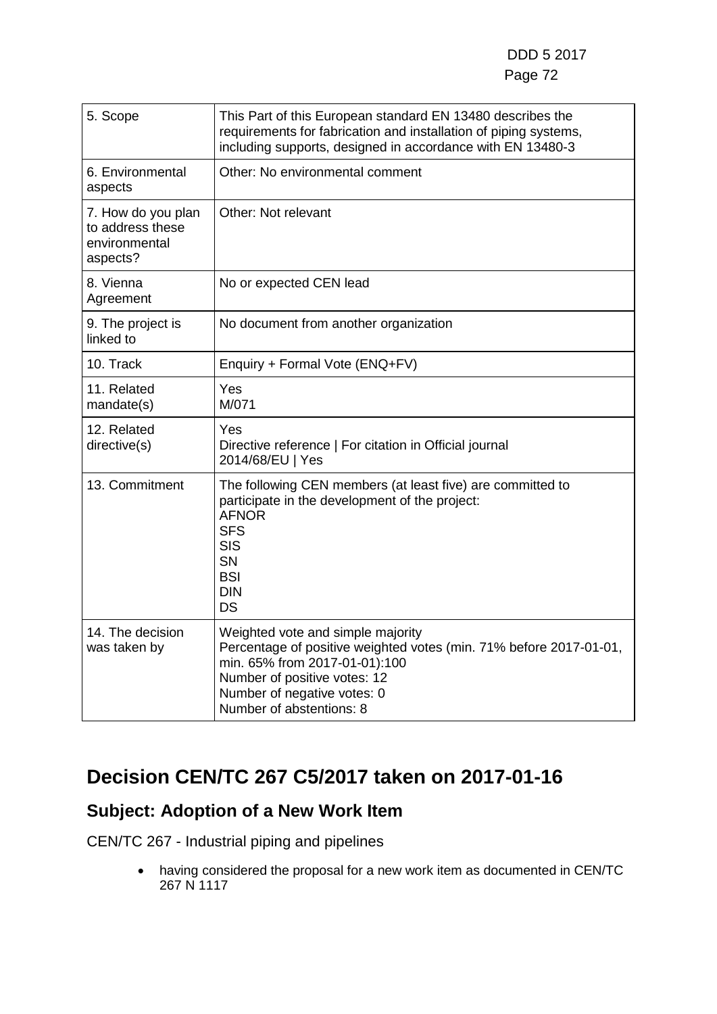| 5. Scope                                                            | This Part of this European standard EN 13480 describes the<br>requirements for fabrication and installation of piping systems,<br>including supports, designed in accordance with EN 13480-3                                        |
|---------------------------------------------------------------------|-------------------------------------------------------------------------------------------------------------------------------------------------------------------------------------------------------------------------------------|
| 6. Environmental<br>aspects                                         | Other: No environmental comment                                                                                                                                                                                                     |
| 7. How do you plan<br>to address these<br>environmental<br>aspects? | Other: Not relevant                                                                                                                                                                                                                 |
| 8. Vienna<br>Agreement                                              | No or expected CEN lead                                                                                                                                                                                                             |
| 9. The project is<br>linked to                                      | No document from another organization                                                                                                                                                                                               |
| 10. Track                                                           | Enquiry + Formal Vote (ENQ+FV)                                                                                                                                                                                                      |
| 11. Related<br>mandate(s)                                           | Yes<br>M/071                                                                                                                                                                                                                        |
| 12. Related<br>directive(s)                                         | Yes<br>Directive reference   For citation in Official journal<br>2014/68/EU   Yes                                                                                                                                                   |
| 13. Commitment                                                      | The following CEN members (at least five) are committed to<br>participate in the development of the project:<br><b>AFNOR</b><br><b>SFS</b><br><b>SIS</b><br><b>SN</b><br><b>BSI</b><br><b>DIN</b><br><b>DS</b>                      |
| 14. The decision<br>was taken by                                    | Weighted vote and simple majority<br>Percentage of positive weighted votes (min. 71% before 2017-01-01,<br>min. 65% from 2017-01-01):100<br>Number of positive votes: 12<br>Number of negative votes: 0<br>Number of abstentions: 8 |

## **Decision CEN/TC 267 C5/2017 taken on 2017-01-16**

## **Subject: Adoption of a New Work Item**

CEN/TC 267 - Industrial piping and pipelines

• having considered the proposal for a new work item as documented in CEN/TC 267 N 1117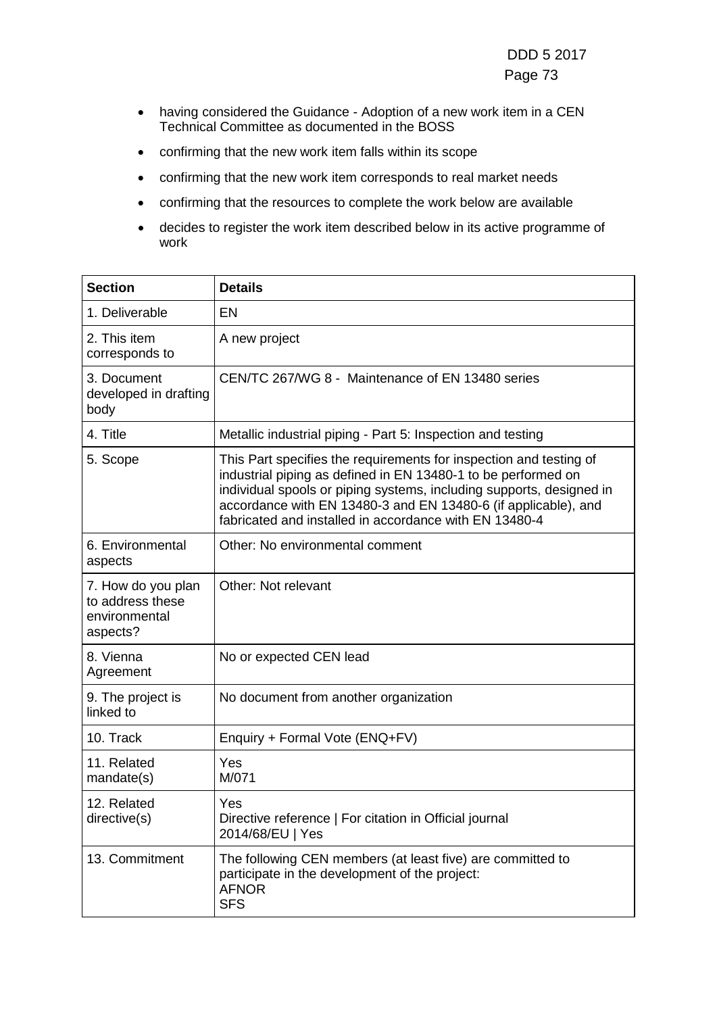- having considered the Guidance Adoption of a new work item in a CEN Technical Committee as documented in the BOSS
- confirming that the new work item falls within its scope
- confirming that the new work item corresponds to real market needs
- confirming that the resources to complete the work below are available
- decides to register the work item described below in its active programme of work

| <b>Section</b>                                                      | <b>Details</b>                                                                                                                                                                                                                                                                                                                          |
|---------------------------------------------------------------------|-----------------------------------------------------------------------------------------------------------------------------------------------------------------------------------------------------------------------------------------------------------------------------------------------------------------------------------------|
| 1. Deliverable                                                      | <b>EN</b>                                                                                                                                                                                                                                                                                                                               |
| 2. This item<br>corresponds to                                      | A new project                                                                                                                                                                                                                                                                                                                           |
| 3. Document<br>developed in drafting<br>body                        | CEN/TC 267/WG 8 - Maintenance of EN 13480 series                                                                                                                                                                                                                                                                                        |
| 4. Title                                                            | Metallic industrial piping - Part 5: Inspection and testing                                                                                                                                                                                                                                                                             |
| 5. Scope                                                            | This Part specifies the requirements for inspection and testing of<br>industrial piping as defined in EN 13480-1 to be performed on<br>individual spools or piping systems, including supports, designed in<br>accordance with EN 13480-3 and EN 13480-6 (if applicable), and<br>fabricated and installed in accordance with EN 13480-4 |
| 6. Environmental<br>aspects                                         | Other: No environmental comment                                                                                                                                                                                                                                                                                                         |
| 7. How do you plan<br>to address these<br>environmental<br>aspects? | Other: Not relevant                                                                                                                                                                                                                                                                                                                     |
| 8. Vienna<br>Agreement                                              | No or expected CEN lead                                                                                                                                                                                                                                                                                                                 |
| 9. The project is<br>linked to                                      | No document from another organization                                                                                                                                                                                                                                                                                                   |
| 10. Track                                                           | Enquiry + Formal Vote (ENQ+FV)                                                                                                                                                                                                                                                                                                          |
| 11. Related<br>mandate(s)                                           | Yes<br>M/071                                                                                                                                                                                                                                                                                                                            |
| 12. Related<br>directive(s)                                         | Yes<br>Directive reference   For citation in Official journal<br>2014/68/EU   Yes                                                                                                                                                                                                                                                       |
| 13. Commitment                                                      | The following CEN members (at least five) are committed to<br>participate in the development of the project:<br><b>AFNOR</b><br><b>SFS</b>                                                                                                                                                                                              |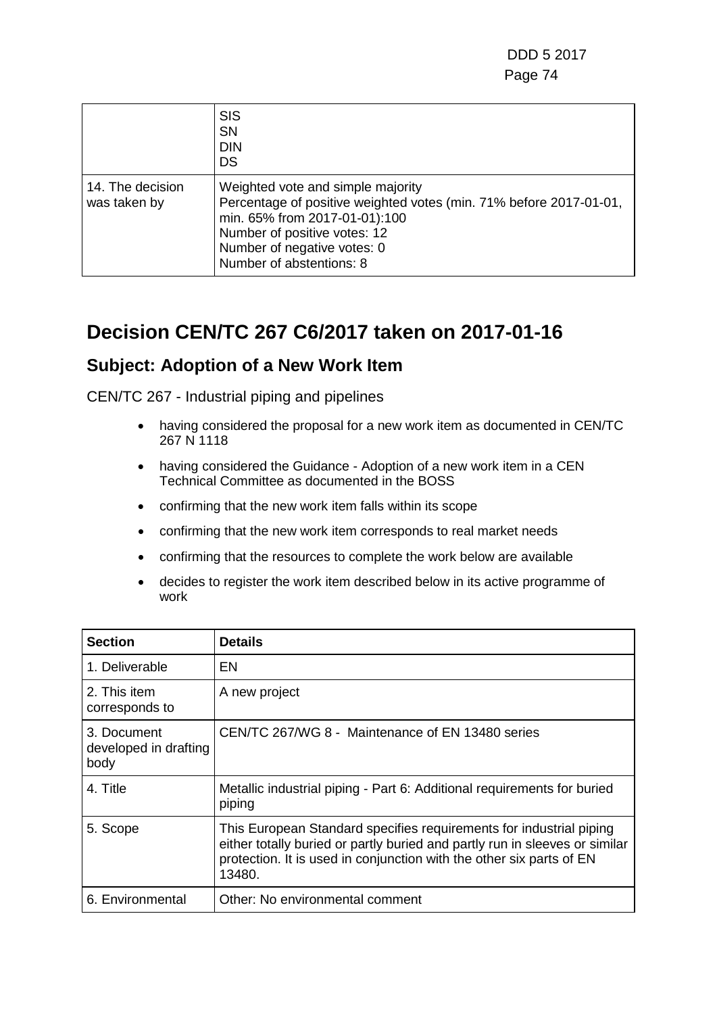|                                  | <b>SIS</b><br><b>SN</b><br><b>DIN</b><br><b>DS</b>                                                                                                                                                                                  |
|----------------------------------|-------------------------------------------------------------------------------------------------------------------------------------------------------------------------------------------------------------------------------------|
| 14. The decision<br>was taken by | Weighted vote and simple majority<br>Percentage of positive weighted votes (min. 71% before 2017-01-01,<br>min. 65% from 2017-01-01):100<br>Number of positive votes: 12<br>Number of negative votes: 0<br>Number of abstentions: 8 |

# **Decision CEN/TC 267 C6/2017 taken on 2017-01-16**

### **Subject: Adoption of a New Work Item**

- having considered the proposal for a new work item as documented in CEN/TC 267 N 1118
- having considered the Guidance Adoption of a new work item in a CEN Technical Committee as documented in the BOSS
- confirming that the new work item falls within its scope
- confirming that the new work item corresponds to real market needs
- confirming that the resources to complete the work below are available
- decides to register the work item described below in its active programme of work

| <b>Section</b>                               | <b>Details</b>                                                                                                                                                                                                                       |
|----------------------------------------------|--------------------------------------------------------------------------------------------------------------------------------------------------------------------------------------------------------------------------------------|
| 1. Deliverable                               | EN                                                                                                                                                                                                                                   |
| 2. This item<br>corresponds to               | A new project                                                                                                                                                                                                                        |
| 3. Document<br>developed in drafting<br>body | CEN/TC 267/WG 8 - Maintenance of EN 13480 series                                                                                                                                                                                     |
| 4. Title                                     | Metallic industrial piping - Part 6: Additional requirements for buried<br>piping                                                                                                                                                    |
| 5. Scope                                     | This European Standard specifies requirements for industrial piping<br>either totally buried or partly buried and partly run in sleeves or similar<br>protection. It is used in conjunction with the other six parts of EN<br>13480. |
| 6. Environmental                             | Other: No environmental comment                                                                                                                                                                                                      |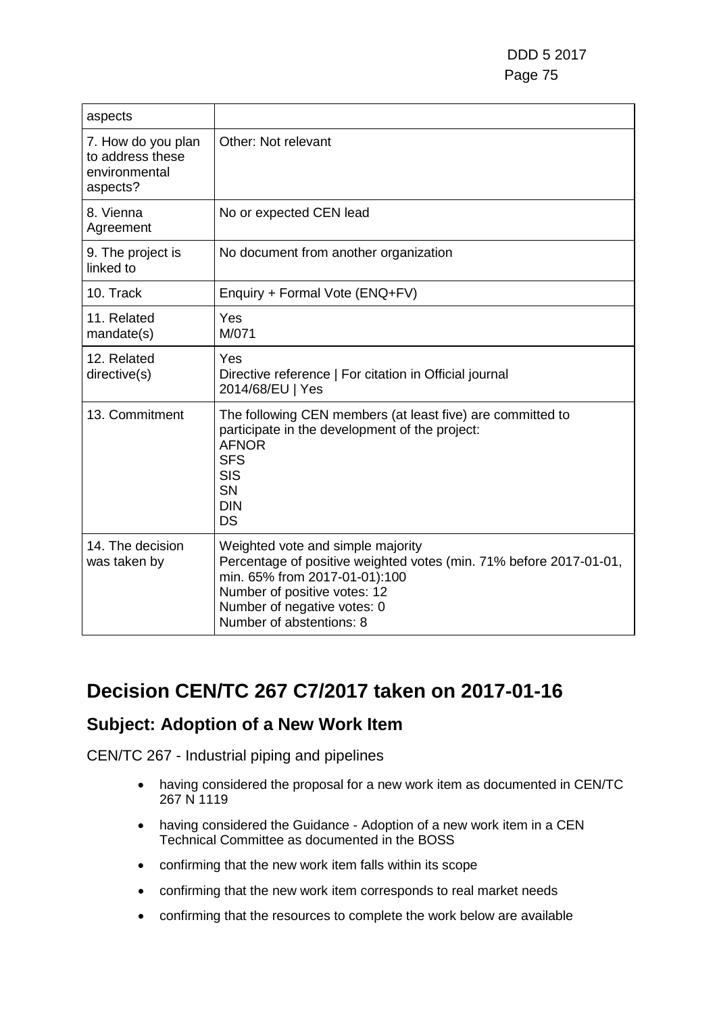| aspects                                                             |                                                                                                                                                                                                                                     |
|---------------------------------------------------------------------|-------------------------------------------------------------------------------------------------------------------------------------------------------------------------------------------------------------------------------------|
| 7. How do you plan<br>to address these<br>environmental<br>aspects? | Other: Not relevant                                                                                                                                                                                                                 |
| 8. Vienna<br>Agreement                                              | No or expected CEN lead                                                                                                                                                                                                             |
| 9. The project is<br>linked to                                      | No document from another organization                                                                                                                                                                                               |
| 10. Track                                                           | Enquiry + Formal Vote (ENQ+FV)                                                                                                                                                                                                      |
| 11. Related<br>mandate(s)                                           | Yes<br>M/071                                                                                                                                                                                                                        |
| 12. Related<br>directive(s)                                         | Yes<br>Directive reference   For citation in Official journal<br>2014/68/EU   Yes                                                                                                                                                   |
| 13. Commitment                                                      | The following CEN members (at least five) are committed to<br>participate in the development of the project:<br><b>AFNOR</b><br><b>SFS</b><br><b>SIS</b><br><b>SN</b><br><b>DIN</b><br>DS                                           |
| 14. The decision<br>was taken by                                    | Weighted vote and simple majority<br>Percentage of positive weighted votes (min. 71% before 2017-01-01,<br>min. 65% from 2017-01-01):100<br>Number of positive votes: 12<br>Number of negative votes: 0<br>Number of abstentions: 8 |

# **Decision CEN/TC 267 C7/2017 taken on 2017-01-16**

#### **Subject: Adoption of a New Work Item**

- having considered the proposal for a new work item as documented in CEN/TC 267 N 1119
- having considered the Guidance Adoption of a new work item in a CEN Technical Committee as documented in the BOSS
- confirming that the new work item falls within its scope
- confirming that the new work item corresponds to real market needs
- confirming that the resources to complete the work below are available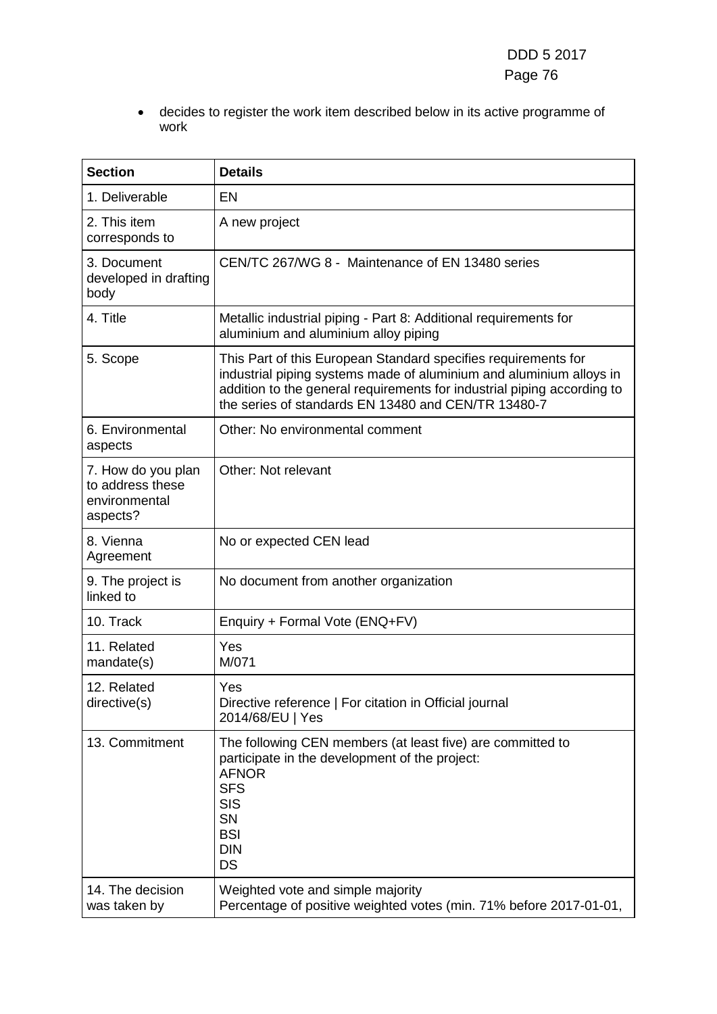• decides to register the work item described below in its active programme of work

| <b>Section</b>                                                      | <b>Details</b>                                                                                                                                                                                                                                                          |
|---------------------------------------------------------------------|-------------------------------------------------------------------------------------------------------------------------------------------------------------------------------------------------------------------------------------------------------------------------|
| 1. Deliverable                                                      | <b>EN</b>                                                                                                                                                                                                                                                               |
| 2. This item<br>corresponds to                                      | A new project                                                                                                                                                                                                                                                           |
| 3. Document<br>developed in drafting<br>body                        | CEN/TC 267/WG 8 - Maintenance of EN 13480 series                                                                                                                                                                                                                        |
| 4. Title                                                            | Metallic industrial piping - Part 8: Additional requirements for<br>aluminium and aluminium alloy piping                                                                                                                                                                |
| 5. Scope                                                            | This Part of this European Standard specifies requirements for<br>industrial piping systems made of aluminium and aluminium alloys in<br>addition to the general requirements for industrial piping according to<br>the series of standards EN 13480 and CEN/TR 13480-7 |
| 6. Environmental<br>aspects                                         | Other: No environmental comment                                                                                                                                                                                                                                         |
| 7. How do you plan<br>to address these<br>environmental<br>aspects? | Other: Not relevant                                                                                                                                                                                                                                                     |
| 8. Vienna<br>Agreement                                              | No or expected CEN lead                                                                                                                                                                                                                                                 |
| 9. The project is<br>linked to                                      | No document from another organization                                                                                                                                                                                                                                   |
| 10. Track                                                           | Enquiry + Formal Vote (ENQ+FV)                                                                                                                                                                                                                                          |
| 11. Related<br>mandate(s)                                           | Yes<br>M/071                                                                                                                                                                                                                                                            |
| 12. Related<br>directive(s)                                         | Yes<br>Directive reference   For citation in Official journal<br>2014/68/EU   Yes                                                                                                                                                                                       |
| 13. Commitment                                                      | The following CEN members (at least five) are committed to<br>participate in the development of the project:<br><b>AFNOR</b><br><b>SFS</b><br><b>SIS</b><br>SN<br><b>BSI</b><br><b>DIN</b><br><b>DS</b>                                                                 |
| 14. The decision<br>was taken by                                    | Weighted vote and simple majority<br>Percentage of positive weighted votes (min. 71% before 2017-01-01,                                                                                                                                                                 |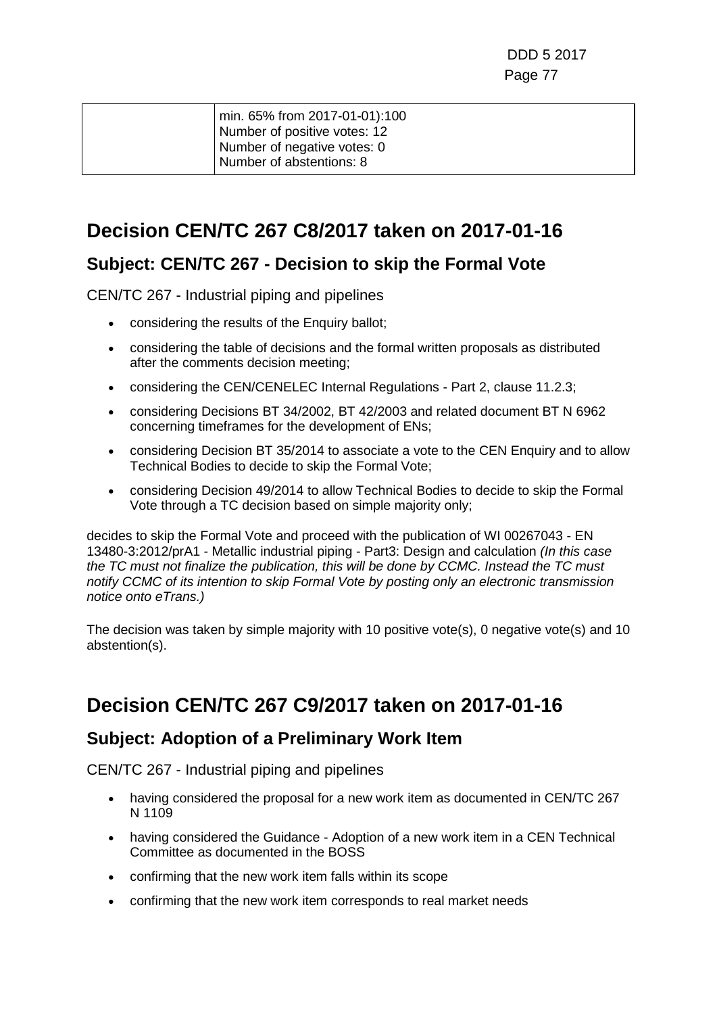|  | min. 65% from 2017-01-01):100<br>Number of positive votes: 12<br>Number of negative votes: 0 |
|--|----------------------------------------------------------------------------------------------|
|  | Number of abstentions: 8                                                                     |
|  |                                                                                              |

### **Decision CEN/TC 267 C8/2017 taken on 2017-01-16**

#### **Subject: CEN/TC 267 - Decision to skip the Formal Vote**

CEN/TC 267 - Industrial piping and pipelines

- considering the results of the Enquiry ballot;
- considering the table of decisions and the formal written proposals as distributed after the comments decision meeting;
- considering the CEN/CENELEC Internal Regulations Part 2, clause 11.2.3;
- considering Decisions BT 34/2002, BT 42/2003 and related document BT N 6962 concerning timeframes for the development of ENs;
- considering Decision BT 35/2014 to associate a vote to the CEN Enguiry and to allow Technical Bodies to decide to skip the Formal Vote;
- considering Decision 49/2014 to allow Technical Bodies to decide to skip the Formal Vote through a TC decision based on simple majority only;

decides to skip the Formal Vote and proceed with the publication of WI 00267043 - EN 13480-3:2012/prA1 - Metallic industrial piping - Part3: Design and calculation *(In this case the TC must not finalize the publication, this will be done by CCMC. Instead the TC must notify CCMC of its intention to skip Formal Vote by posting only an electronic transmission notice onto eTrans.)*

The decision was taken by simple majority with 10 positive vote(s), 0 negative vote(s) and 10 abstention(s).

### **Decision CEN/TC 267 C9/2017 taken on 2017-01-16**

#### **Subject: Adoption of a Preliminary Work Item**

- having considered the proposal for a new work item as documented in CEN/TC 267 N 1109
- having considered the Guidance Adoption of a new work item in a CEN Technical Committee as documented in the BOSS
- confirming that the new work item falls within its scope
- confirming that the new work item corresponds to real market needs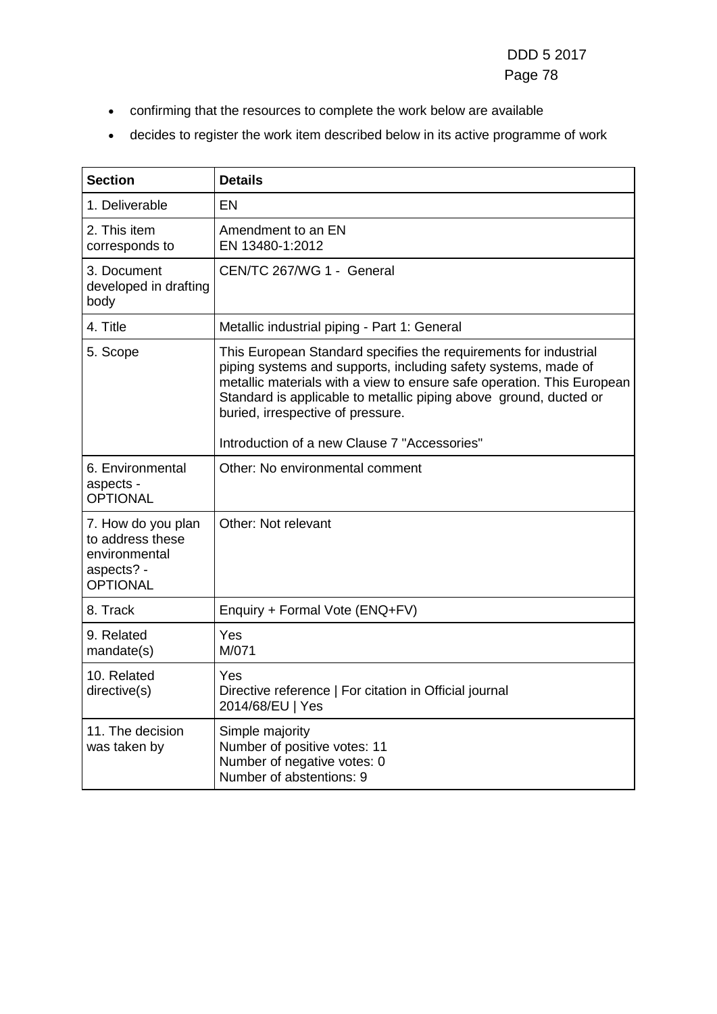- confirming that the resources to complete the work below are available
- decides to register the work item described below in its active programme of work

| <b>Section</b>                                                                           | <b>Details</b>                                                                                                                                                                                                                                                                                                                                                         |
|------------------------------------------------------------------------------------------|------------------------------------------------------------------------------------------------------------------------------------------------------------------------------------------------------------------------------------------------------------------------------------------------------------------------------------------------------------------------|
| 1. Deliverable                                                                           | FN                                                                                                                                                                                                                                                                                                                                                                     |
| 2. This item<br>corresponds to                                                           | Amendment to an EN<br>EN 13480-1:2012                                                                                                                                                                                                                                                                                                                                  |
| 3. Document<br>developed in drafting<br>body                                             | CEN/TC 267/WG 1 - General                                                                                                                                                                                                                                                                                                                                              |
| 4. Title                                                                                 | Metallic industrial piping - Part 1: General                                                                                                                                                                                                                                                                                                                           |
| 5. Scope                                                                                 | This European Standard specifies the requirements for industrial<br>piping systems and supports, including safety systems, made of<br>metallic materials with a view to ensure safe operation. This European<br>Standard is applicable to metallic piping above ground, ducted or<br>buried, irrespective of pressure.<br>Introduction of a new Clause 7 "Accessories" |
|                                                                                          |                                                                                                                                                                                                                                                                                                                                                                        |
| 6. Environmental<br>aspects -<br><b>OPTIONAL</b>                                         | Other: No environmental comment                                                                                                                                                                                                                                                                                                                                        |
| 7. How do you plan<br>to address these<br>environmental<br>aspects? -<br><b>OPTIONAL</b> | Other: Not relevant                                                                                                                                                                                                                                                                                                                                                    |
| 8. Track                                                                                 | Enquiry + Formal Vote (ENQ+FV)                                                                                                                                                                                                                                                                                                                                         |
| 9. Related<br>mandate(s)                                                                 | Yes<br>M/071                                                                                                                                                                                                                                                                                                                                                           |
| 10. Related<br>directive(s)                                                              | Yes<br>Directive reference   For citation in Official journal<br>2014/68/EU   Yes                                                                                                                                                                                                                                                                                      |
| 11. The decision<br>was taken by                                                         | Simple majority<br>Number of positive votes: 11<br>Number of negative votes: 0<br>Number of abstentions: 9                                                                                                                                                                                                                                                             |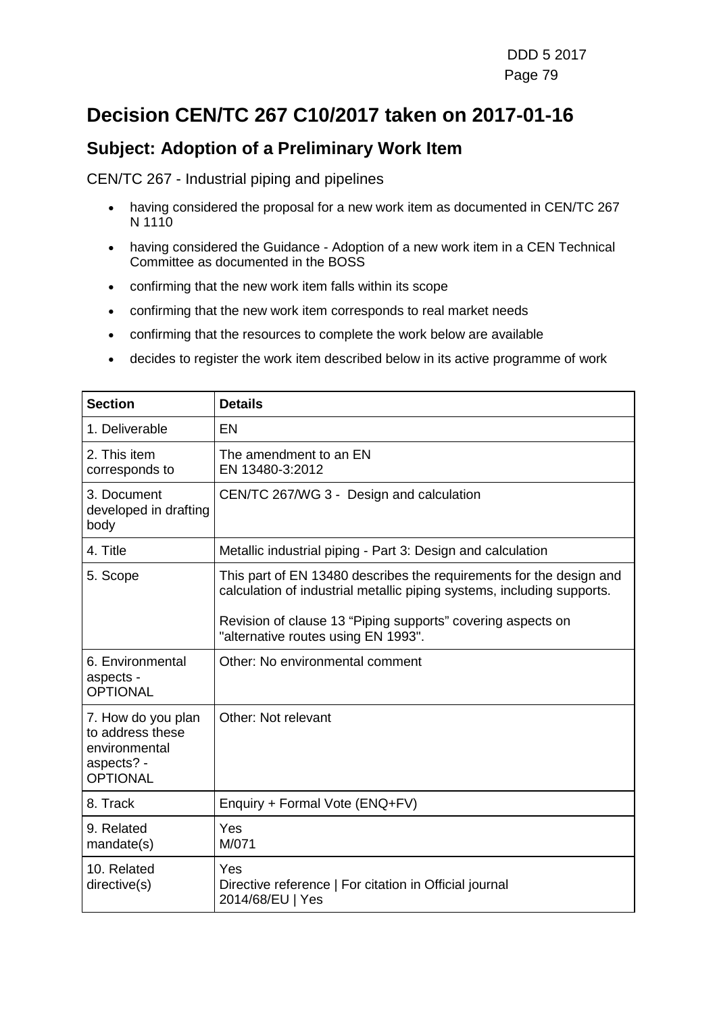# **Decision CEN/TC 267 C10/2017 taken on 2017-01-16**

#### **Subject: Adoption of a Preliminary Work Item**

- having considered the proposal for a new work item as documented in CEN/TC 267 N 1110
- having considered the Guidance Adoption of a new work item in a CEN Technical Committee as documented in the BOSS
- confirming that the new work item falls within its scope
- confirming that the new work item corresponds to real market needs
- confirming that the resources to complete the work below are available
- decides to register the work item described below in its active programme of work

| <b>Section</b>                                                                           | <b>Details</b>                                                                                                                                |
|------------------------------------------------------------------------------------------|-----------------------------------------------------------------------------------------------------------------------------------------------|
| 1. Deliverable                                                                           | EN                                                                                                                                            |
| 2. This item<br>corresponds to                                                           | The amendment to an EN<br>EN 13480-3:2012                                                                                                     |
| 3. Document<br>developed in drafting<br>body                                             | CEN/TC 267/WG 3 - Design and calculation                                                                                                      |
| 4. Title                                                                                 | Metallic industrial piping - Part 3: Design and calculation                                                                                   |
| 5. Scope                                                                                 | This part of EN 13480 describes the requirements for the design and<br>calculation of industrial metallic piping systems, including supports. |
|                                                                                          | Revision of clause 13 "Piping supports" covering aspects on<br>"alternative routes using EN 1993".                                            |
| 6. Environmental<br>aspects -<br><b>OPTIONAL</b>                                         | Other: No environmental comment                                                                                                               |
| 7. How do you plan<br>to address these<br>environmental<br>aspects? -<br><b>OPTIONAL</b> | Other: Not relevant                                                                                                                           |
| 8. Track                                                                                 | Enquiry + Formal Vote (ENQ+FV)                                                                                                                |
| 9. Related<br>mandate(s)                                                                 | Yes<br>M/071                                                                                                                                  |
| 10. Related<br>directive(s)                                                              | Yes<br>Directive reference   For citation in Official journal<br>2014/68/EU   Yes                                                             |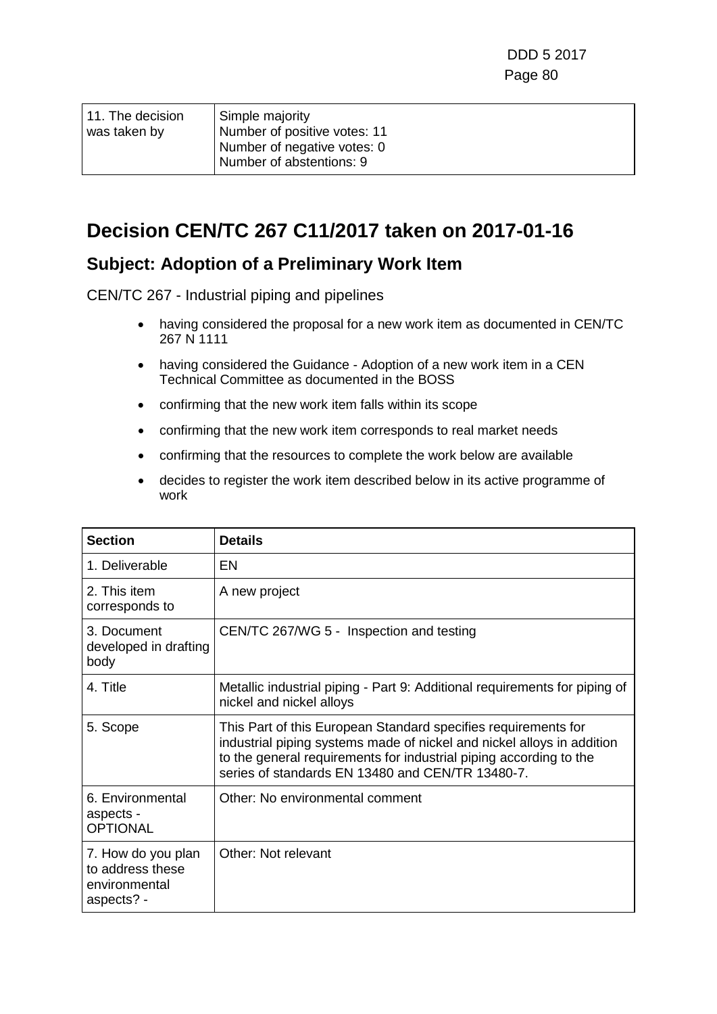| 11. The decision_<br>was taken by | Simple majority<br>Number of positive votes: 11<br>Number of negative votes: 0<br>Number of abstentions: 9 |
|-----------------------------------|------------------------------------------------------------------------------------------------------------|
|                                   |                                                                                                            |

### **Decision CEN/TC 267 C11/2017 taken on 2017-01-16**

#### **Subject: Adoption of a Preliminary Work Item**

- having considered the proposal for a new work item as documented in CEN/TC 267 N 1111
- having considered the Guidance Adoption of a new work item in a CEN Technical Committee as documented in the BOSS
- confirming that the new work item falls within its scope
- confirming that the new work item corresponds to real market needs
- confirming that the resources to complete the work below are available
- decides to register the work item described below in its active programme of work

| <b>Section</b>                                                        | <b>Details</b>                                                                                                                                                                                                                                                     |
|-----------------------------------------------------------------------|--------------------------------------------------------------------------------------------------------------------------------------------------------------------------------------------------------------------------------------------------------------------|
| 1. Deliverable                                                        | EN                                                                                                                                                                                                                                                                 |
| 2. This item<br>corresponds to                                        | A new project                                                                                                                                                                                                                                                      |
| 3. Document<br>developed in drafting<br>body                          | CEN/TC 267/WG 5 - Inspection and testing                                                                                                                                                                                                                           |
| 4. Title                                                              | Metallic industrial piping - Part 9: Additional requirements for piping of<br>nickel and nickel alloys                                                                                                                                                             |
| 5. Scope                                                              | This Part of this European Standard specifies requirements for<br>industrial piping systems made of nickel and nickel alloys in addition<br>to the general requirements for industrial piping according to the<br>series of standards EN 13480 and CEN/TR 13480-7. |
| 6. Environmental<br>aspects -<br><b>OPTIONAL</b>                      | Other: No environmental comment                                                                                                                                                                                                                                    |
| 7. How do you plan<br>to address these<br>environmental<br>aspects? - | Other: Not relevant                                                                                                                                                                                                                                                |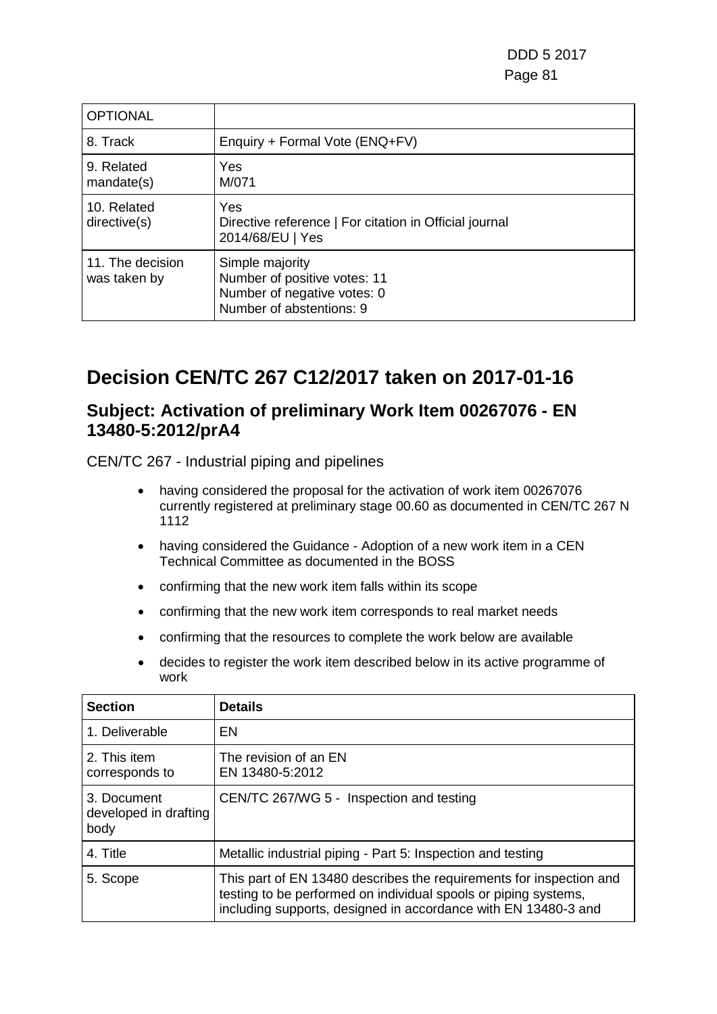| <b>OPTIONAL</b>                  |                                                                                                            |
|----------------------------------|------------------------------------------------------------------------------------------------------------|
| 8. Track                         | Enquiry + Formal Vote (ENQ+FV)                                                                             |
| 9. Related<br>mandate(s)         | Yes<br>M/071                                                                                               |
| 10. Related<br>directive(s)      | Yes<br>Directive reference   For citation in Official journal<br>2014/68/EU   Yes                          |
| 11. The decision<br>was taken by | Simple majority<br>Number of positive votes: 11<br>Number of negative votes: 0<br>Number of abstentions: 9 |

# **Decision CEN/TC 267 C12/2017 taken on 2017-01-16**

#### **Subject: Activation of preliminary Work Item 00267076 - EN 13480-5:2012/prA4**

- having considered the proposal for the activation of work item 00267076 currently registered at preliminary stage 00.60 as documented in CEN/TC 267 N 1112
- having considered the Guidance Adoption of a new work item in a CEN Technical Committee as documented in the BOSS
- confirming that the new work item falls within its scope
- confirming that the new work item corresponds to real market needs
- confirming that the resources to complete the work below are available
- decides to register the work item described below in its active programme of work

| <b>Section</b>                               | <b>Details</b>                                                                                                                                                                                           |
|----------------------------------------------|----------------------------------------------------------------------------------------------------------------------------------------------------------------------------------------------------------|
| 1. Deliverable                               | EN                                                                                                                                                                                                       |
| 2. This item<br>corresponds to               | The revision of an EN<br>EN 13480-5:2012                                                                                                                                                                 |
| 3. Document<br>developed in drafting<br>body | CEN/TC 267/WG 5 - Inspection and testing                                                                                                                                                                 |
| 4. Title                                     | Metallic industrial piping - Part 5: Inspection and testing                                                                                                                                              |
| 5. Scope                                     | This part of EN 13480 describes the requirements for inspection and<br>testing to be performed on individual spools or piping systems,<br>including supports, designed in accordance with EN 13480-3 and |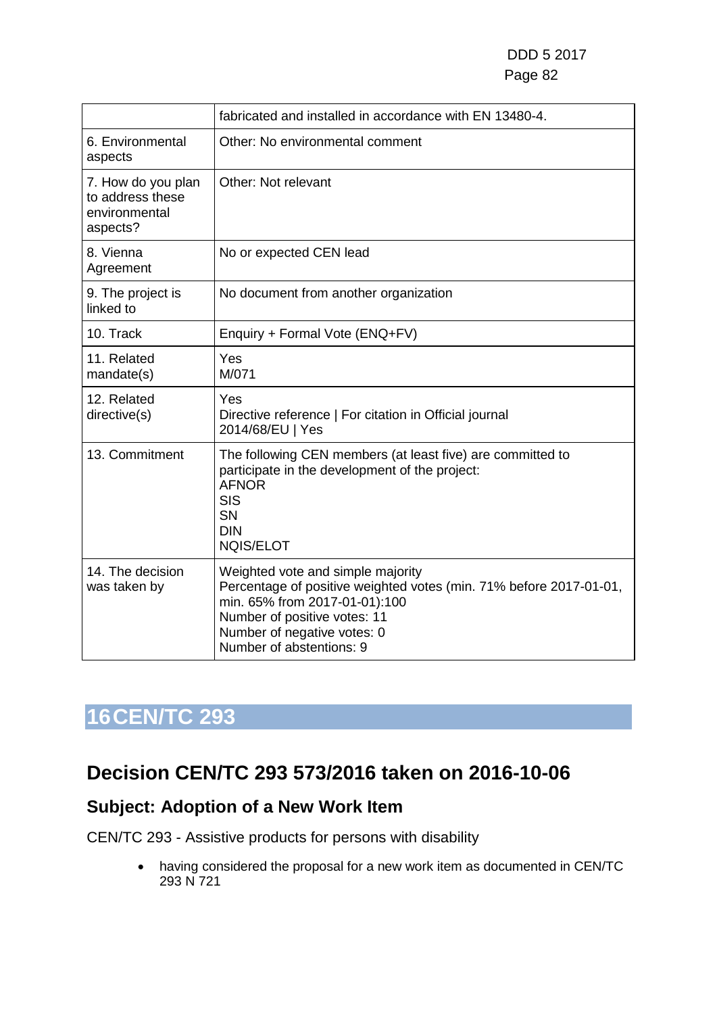|                                                                     | fabricated and installed in accordance with EN 13480-4.                                                                                                                                                                             |
|---------------------------------------------------------------------|-------------------------------------------------------------------------------------------------------------------------------------------------------------------------------------------------------------------------------------|
| 6. Environmental<br>aspects                                         | Other: No environmental comment                                                                                                                                                                                                     |
| 7. How do you plan<br>to address these<br>environmental<br>aspects? | Other: Not relevant                                                                                                                                                                                                                 |
| 8. Vienna<br>Agreement                                              | No or expected CEN lead                                                                                                                                                                                                             |
| 9. The project is<br>linked to                                      | No document from another organization                                                                                                                                                                                               |
| 10. Track                                                           | Enquiry + Formal Vote (ENQ+FV)                                                                                                                                                                                                      |
| 11. Related<br>mandate(s)                                           | Yes<br>M/071                                                                                                                                                                                                                        |
| 12. Related<br>directive(s)                                         | Yes<br>Directive reference   For citation in Official journal<br>2014/68/EU   Yes                                                                                                                                                   |
| 13. Commitment                                                      | The following CEN members (at least five) are committed to<br>participate in the development of the project:<br><b>AFNOR</b><br><b>SIS</b><br><b>SN</b><br><b>DIN</b><br><b>NQIS/ELOT</b>                                           |
| 14. The decision<br>was taken by                                    | Weighted vote and simple majority<br>Percentage of positive weighted votes (min. 71% before 2017-01-01,<br>min. 65% from 2017-01-01):100<br>Number of positive votes: 11<br>Number of negative votes: 0<br>Number of abstentions: 9 |

# **16CEN/TC 293**

### **Decision CEN/TC 293 573/2016 taken on 2016-10-06**

### **Subject: Adoption of a New Work Item**

CEN/TC 293 - Assistive products for persons with disability

• having considered the proposal for a new work item as documented in CEN/TC 293 N 721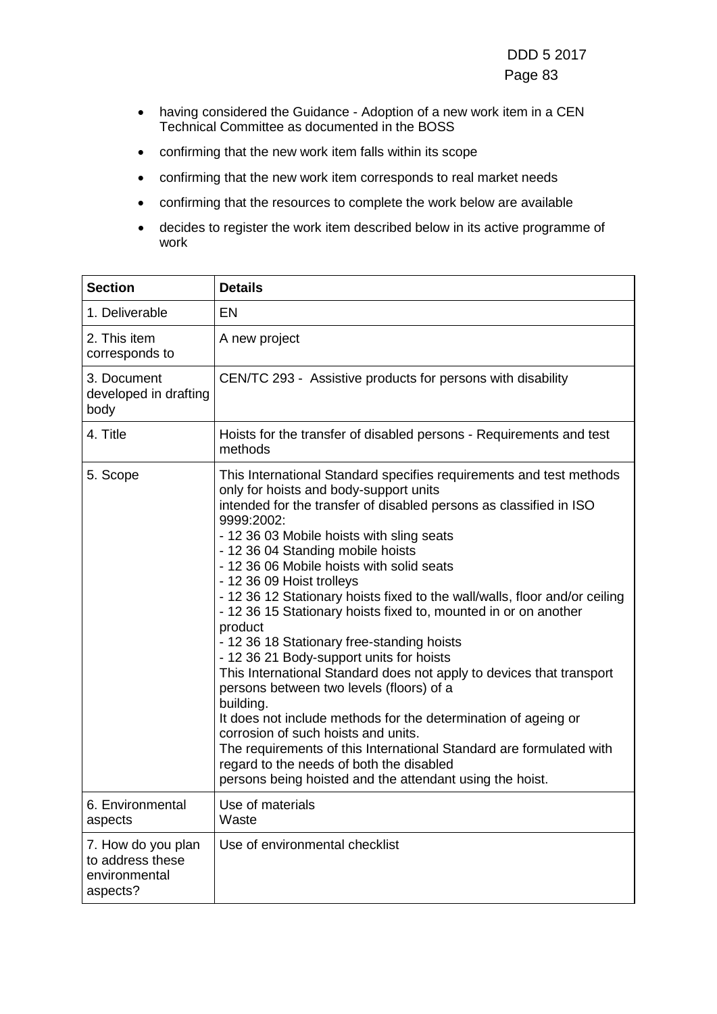- having considered the Guidance Adoption of a new work item in a CEN Technical Committee as documented in the BOSS
- confirming that the new work item falls within its scope
- confirming that the new work item corresponds to real market needs
- confirming that the resources to complete the work below are available
- decides to register the work item described below in its active programme of work

| <b>Section</b>                                                      | <b>Details</b>                                                                                                                                                                                                                                                                                                                                                                                                                                                                                                                                                                                                                                                                                                                                                                                                                                                                                                                                                                                                                               |
|---------------------------------------------------------------------|----------------------------------------------------------------------------------------------------------------------------------------------------------------------------------------------------------------------------------------------------------------------------------------------------------------------------------------------------------------------------------------------------------------------------------------------------------------------------------------------------------------------------------------------------------------------------------------------------------------------------------------------------------------------------------------------------------------------------------------------------------------------------------------------------------------------------------------------------------------------------------------------------------------------------------------------------------------------------------------------------------------------------------------------|
| 1. Deliverable                                                      | <b>EN</b>                                                                                                                                                                                                                                                                                                                                                                                                                                                                                                                                                                                                                                                                                                                                                                                                                                                                                                                                                                                                                                    |
| 2. This item<br>corresponds to                                      | A new project                                                                                                                                                                                                                                                                                                                                                                                                                                                                                                                                                                                                                                                                                                                                                                                                                                                                                                                                                                                                                                |
| 3. Document<br>developed in drafting<br>body                        | CEN/TC 293 - Assistive products for persons with disability                                                                                                                                                                                                                                                                                                                                                                                                                                                                                                                                                                                                                                                                                                                                                                                                                                                                                                                                                                                  |
| 4. Title                                                            | Hoists for the transfer of disabled persons - Requirements and test<br>methods                                                                                                                                                                                                                                                                                                                                                                                                                                                                                                                                                                                                                                                                                                                                                                                                                                                                                                                                                               |
| 5. Scope                                                            | This International Standard specifies requirements and test methods<br>only for hoists and body-support units<br>intended for the transfer of disabled persons as classified in ISO<br>9999:2002:<br>- 12 36 03 Mobile hoists with sling seats<br>- 12 36 04 Standing mobile hoists<br>- 12 36 06 Mobile hoists with solid seats<br>- 12 36 09 Hoist trolleys<br>- 12 36 12 Stationary hoists fixed to the wall/walls, floor and/or ceiling<br>- 12 36 15 Stationary hoists fixed to, mounted in or on another<br>product<br>- 12 36 18 Stationary free-standing hoists<br>- 12 36 21 Body-support units for hoists<br>This International Standard does not apply to devices that transport<br>persons between two levels (floors) of a<br>building.<br>It does not include methods for the determination of ageing or<br>corrosion of such hoists and units.<br>The requirements of this International Standard are formulated with<br>regard to the needs of both the disabled<br>persons being hoisted and the attendant using the hoist. |
| 6. Environmental<br>aspects                                         | Use of materials<br>Waste                                                                                                                                                                                                                                                                                                                                                                                                                                                                                                                                                                                                                                                                                                                                                                                                                                                                                                                                                                                                                    |
| 7. How do you plan<br>to address these<br>environmental<br>aspects? | Use of environmental checklist                                                                                                                                                                                                                                                                                                                                                                                                                                                                                                                                                                                                                                                                                                                                                                                                                                                                                                                                                                                                               |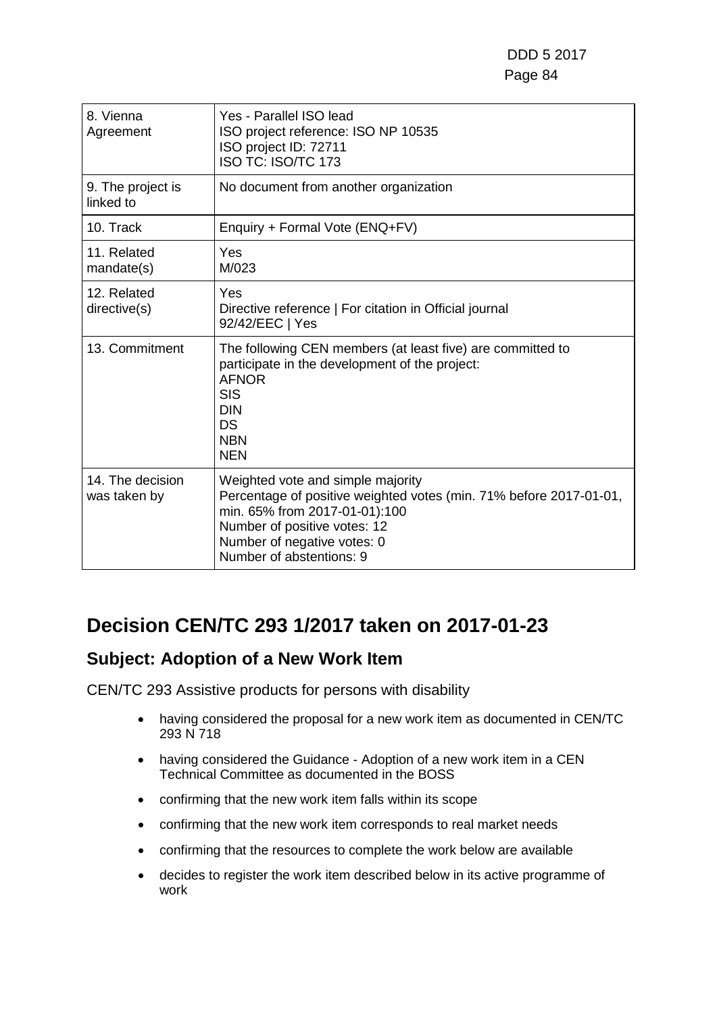| 8. Vienna<br>Agreement           | Yes - Parallel ISO lead<br>ISO project reference: ISO NP 10535<br>ISO project ID: 72711<br><b>ISO TC: ISO/TC 173</b>                                                                                                                |
|----------------------------------|-------------------------------------------------------------------------------------------------------------------------------------------------------------------------------------------------------------------------------------|
| 9. The project is<br>linked to   | No document from another organization                                                                                                                                                                                               |
| 10. Track                        | Enquiry + Formal Vote (ENQ+FV)                                                                                                                                                                                                      |
| 11. Related<br>mandate(s)        | Yes<br>M/023                                                                                                                                                                                                                        |
| 12. Related<br>directive(s)      | Yes<br>Directive reference   For citation in Official journal<br>92/42/EEC   Yes                                                                                                                                                    |
| 13. Commitment                   | The following CEN members (at least five) are committed to<br>participate in the development of the project:<br><b>AFNOR</b><br><b>SIS</b><br><b>DIN</b><br>DS<br><b>NBN</b><br><b>NEN</b>                                          |
| 14. The decision<br>was taken by | Weighted vote and simple majority<br>Percentage of positive weighted votes (min. 71% before 2017-01-01,<br>min. 65% from 2017-01-01):100<br>Number of positive votes: 12<br>Number of negative votes: 0<br>Number of abstentions: 9 |

# **Decision CEN/TC 293 1/2017 taken on 2017-01-23**

### **Subject: Adoption of a New Work Item**

CEN/TC 293 Assistive products for persons with disability

- having considered the proposal for a new work item as documented in CEN/TC 293 N 718
- having considered the Guidance Adoption of a new work item in a CEN Technical Committee as documented in the BOSS
- confirming that the new work item falls within its scope
- confirming that the new work item corresponds to real market needs
- confirming that the resources to complete the work below are available
- decides to register the work item described below in its active programme of work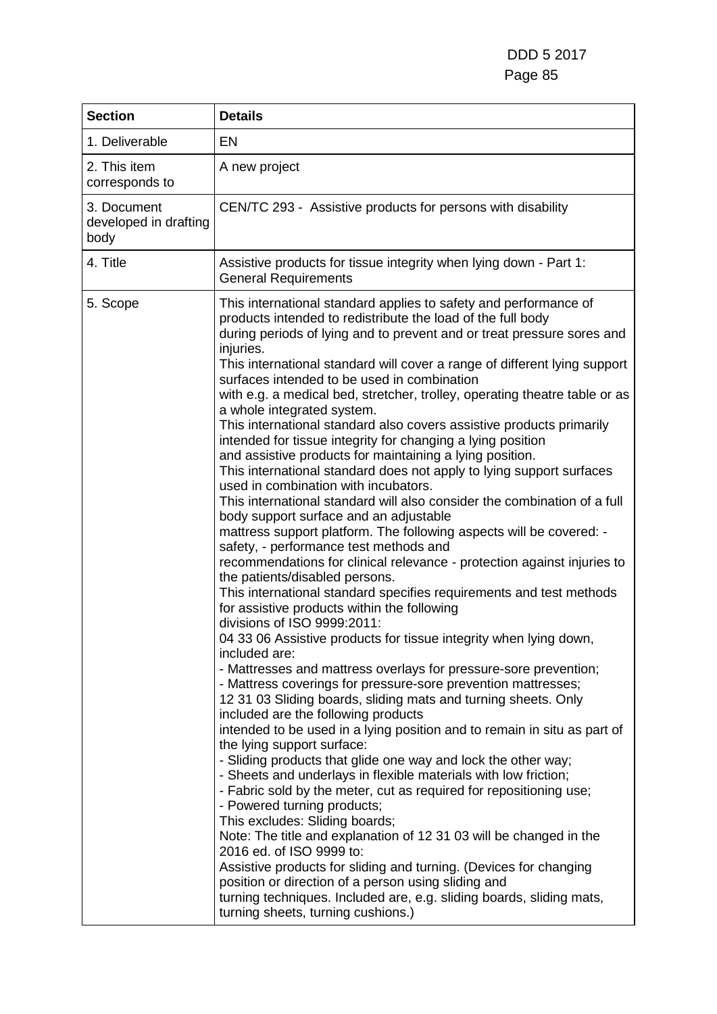| <b>Section</b>                               | <b>Details</b>                                                                                                                                                                                                                                                                                                                                                                                                                                                                                                                                                                                                                                                                                                                                                                                                                                                                                                                                                                                                                                                                                                                                                                                                                                                                                                                                                                                                                                                                                                                                                                                                                                                                                                                                                                                                                                                                                                                                                                                                                                                                                                                                                                                                                                                                                                                                                  |
|----------------------------------------------|-----------------------------------------------------------------------------------------------------------------------------------------------------------------------------------------------------------------------------------------------------------------------------------------------------------------------------------------------------------------------------------------------------------------------------------------------------------------------------------------------------------------------------------------------------------------------------------------------------------------------------------------------------------------------------------------------------------------------------------------------------------------------------------------------------------------------------------------------------------------------------------------------------------------------------------------------------------------------------------------------------------------------------------------------------------------------------------------------------------------------------------------------------------------------------------------------------------------------------------------------------------------------------------------------------------------------------------------------------------------------------------------------------------------------------------------------------------------------------------------------------------------------------------------------------------------------------------------------------------------------------------------------------------------------------------------------------------------------------------------------------------------------------------------------------------------------------------------------------------------------------------------------------------------------------------------------------------------------------------------------------------------------------------------------------------------------------------------------------------------------------------------------------------------------------------------------------------------------------------------------------------------------------------------------------------------------------------------------------------------|
| 1. Deliverable                               | EN                                                                                                                                                                                                                                                                                                                                                                                                                                                                                                                                                                                                                                                                                                                                                                                                                                                                                                                                                                                                                                                                                                                                                                                                                                                                                                                                                                                                                                                                                                                                                                                                                                                                                                                                                                                                                                                                                                                                                                                                                                                                                                                                                                                                                                                                                                                                                              |
| 2. This item<br>corresponds to               | A new project                                                                                                                                                                                                                                                                                                                                                                                                                                                                                                                                                                                                                                                                                                                                                                                                                                                                                                                                                                                                                                                                                                                                                                                                                                                                                                                                                                                                                                                                                                                                                                                                                                                                                                                                                                                                                                                                                                                                                                                                                                                                                                                                                                                                                                                                                                                                                   |
| 3. Document<br>developed in drafting<br>body | CEN/TC 293 - Assistive products for persons with disability                                                                                                                                                                                                                                                                                                                                                                                                                                                                                                                                                                                                                                                                                                                                                                                                                                                                                                                                                                                                                                                                                                                                                                                                                                                                                                                                                                                                                                                                                                                                                                                                                                                                                                                                                                                                                                                                                                                                                                                                                                                                                                                                                                                                                                                                                                     |
| 4. Title                                     | Assistive products for tissue integrity when lying down - Part 1:<br><b>General Requirements</b>                                                                                                                                                                                                                                                                                                                                                                                                                                                                                                                                                                                                                                                                                                                                                                                                                                                                                                                                                                                                                                                                                                                                                                                                                                                                                                                                                                                                                                                                                                                                                                                                                                                                                                                                                                                                                                                                                                                                                                                                                                                                                                                                                                                                                                                                |
| 5. Scope                                     | This international standard applies to safety and performance of<br>products intended to redistribute the load of the full body<br>during periods of lying and to prevent and or treat pressure sores and<br>injuries.<br>This international standard will cover a range of different lying support<br>surfaces intended to be used in combination<br>with e.g. a medical bed, stretcher, trolley, operating theatre table or as<br>a whole integrated system.<br>This international standard also covers assistive products primarily<br>intended for tissue integrity for changing a lying position<br>and assistive products for maintaining a lying position.<br>This international standard does not apply to lying support surfaces<br>used in combination with incubators.<br>This international standard will also consider the combination of a full<br>body support surface and an adjustable<br>mattress support platform. The following aspects will be covered: -<br>safety, - performance test methods and<br>recommendations for clinical relevance - protection against injuries to<br>the patients/disabled persons.<br>This international standard specifies requirements and test methods<br>for assistive products within the following<br>divisions of ISO 9999:2011:<br>04 33 06 Assistive products for tissue integrity when lying down,<br>included are:<br>- Mattresses and mattress overlays for pressure-sore prevention;<br>- Mattress coverings for pressure-sore prevention mattresses;<br>12 31 03 Sliding boards, sliding mats and turning sheets. Only<br>included are the following products<br>intended to be used in a lying position and to remain in situ as part of<br>the lying support surface:<br>- Sliding products that glide one way and lock the other way;<br>- Sheets and underlays in flexible materials with low friction;<br>- Fabric sold by the meter, cut as required for repositioning use;<br>- Powered turning products;<br>This excludes: Sliding boards;<br>Note: The title and explanation of 12 31 03 will be changed in the<br>2016 ed. of ISO 9999 to:<br>Assistive products for sliding and turning. (Devices for changing<br>position or direction of a person using sliding and<br>turning techniques. Included are, e.g. sliding boards, sliding mats,<br>turning sheets, turning cushions.) |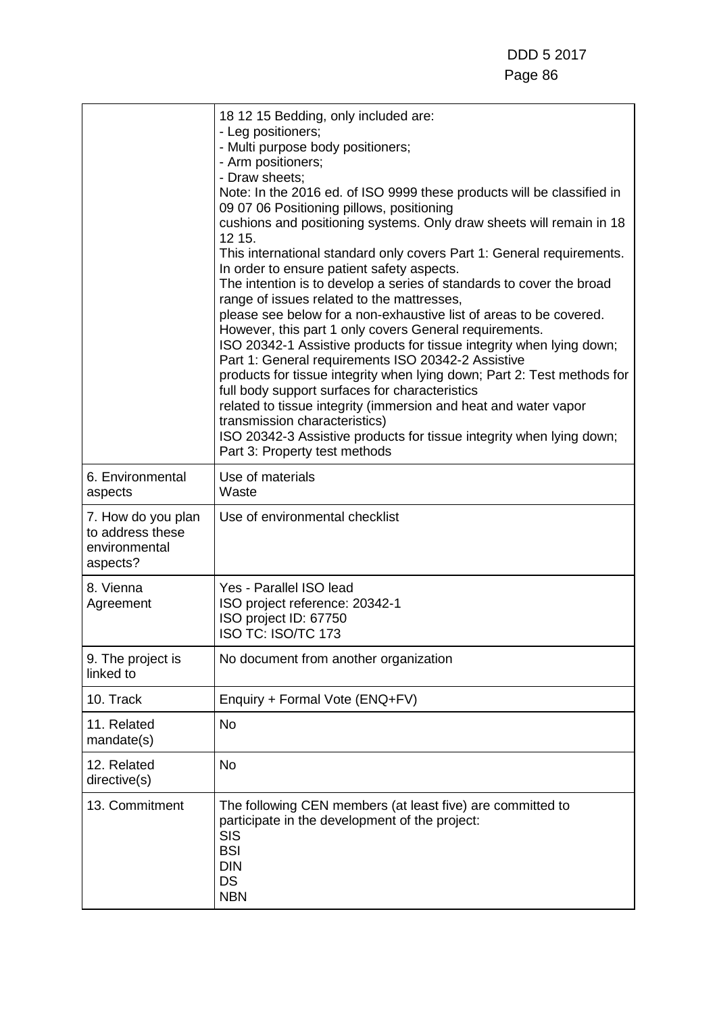|                                                                     | 18 12 15 Bedding, only included are:<br>- Leg positioners;<br>- Multi purpose body positioners;<br>- Arm positioners;<br>- Draw sheets;<br>Note: In the 2016 ed. of ISO 9999 these products will be classified in<br>09 07 06 Positioning pillows, positioning<br>cushions and positioning systems. Only draw sheets will remain in 18<br>12 15.<br>This international standard only covers Part 1: General requirements.<br>In order to ensure patient safety aspects.<br>The intention is to develop a series of standards to cover the broad<br>range of issues related to the mattresses,<br>please see below for a non-exhaustive list of areas to be covered.<br>However, this part 1 only covers General requirements.<br>ISO 20342-1 Assistive products for tissue integrity when lying down;<br>Part 1: General requirements ISO 20342-2 Assistive<br>products for tissue integrity when lying down; Part 2: Test methods for<br>full body support surfaces for characteristics<br>related to tissue integrity (immersion and heat and water vapor<br>transmission characteristics)<br>ISO 20342-3 Assistive products for tissue integrity when lying down;<br>Part 3: Property test methods |
|---------------------------------------------------------------------|-------------------------------------------------------------------------------------------------------------------------------------------------------------------------------------------------------------------------------------------------------------------------------------------------------------------------------------------------------------------------------------------------------------------------------------------------------------------------------------------------------------------------------------------------------------------------------------------------------------------------------------------------------------------------------------------------------------------------------------------------------------------------------------------------------------------------------------------------------------------------------------------------------------------------------------------------------------------------------------------------------------------------------------------------------------------------------------------------------------------------------------------------------------------------------------------------------|
| 6. Environmental<br>aspects                                         | Use of materials<br>Waste                                                                                                                                                                                                                                                                                                                                                                                                                                                                                                                                                                                                                                                                                                                                                                                                                                                                                                                                                                                                                                                                                                                                                                             |
| 7. How do you plan<br>to address these<br>environmental<br>aspects? | Use of environmental checklist                                                                                                                                                                                                                                                                                                                                                                                                                                                                                                                                                                                                                                                                                                                                                                                                                                                                                                                                                                                                                                                                                                                                                                        |
| 8. Vienna<br>Agreement                                              | Yes - Parallel ISO lead<br>ISO project reference: 20342-1<br>ISO project ID: 67750<br>ISO TC: ISO/TC 173                                                                                                                                                                                                                                                                                                                                                                                                                                                                                                                                                                                                                                                                                                                                                                                                                                                                                                                                                                                                                                                                                              |
| 9. The project is<br>linked to                                      | No document from another organization                                                                                                                                                                                                                                                                                                                                                                                                                                                                                                                                                                                                                                                                                                                                                                                                                                                                                                                                                                                                                                                                                                                                                                 |
| 10. Track                                                           | Enquiry + Formal Vote (ENQ+FV)                                                                                                                                                                                                                                                                                                                                                                                                                                                                                                                                                                                                                                                                                                                                                                                                                                                                                                                                                                                                                                                                                                                                                                        |
| 11. Related<br>mandate(s)                                           | <b>No</b>                                                                                                                                                                                                                                                                                                                                                                                                                                                                                                                                                                                                                                                                                                                                                                                                                                                                                                                                                                                                                                                                                                                                                                                             |
| 12. Related<br>directive(s)                                         | <b>No</b>                                                                                                                                                                                                                                                                                                                                                                                                                                                                                                                                                                                                                                                                                                                                                                                                                                                                                                                                                                                                                                                                                                                                                                                             |
| 13. Commitment                                                      | The following CEN members (at least five) are committed to<br>participate in the development of the project:<br><b>SIS</b><br><b>BSI</b><br><b>DIN</b><br><b>DS</b><br><b>NBN</b>                                                                                                                                                                                                                                                                                                                                                                                                                                                                                                                                                                                                                                                                                                                                                                                                                                                                                                                                                                                                                     |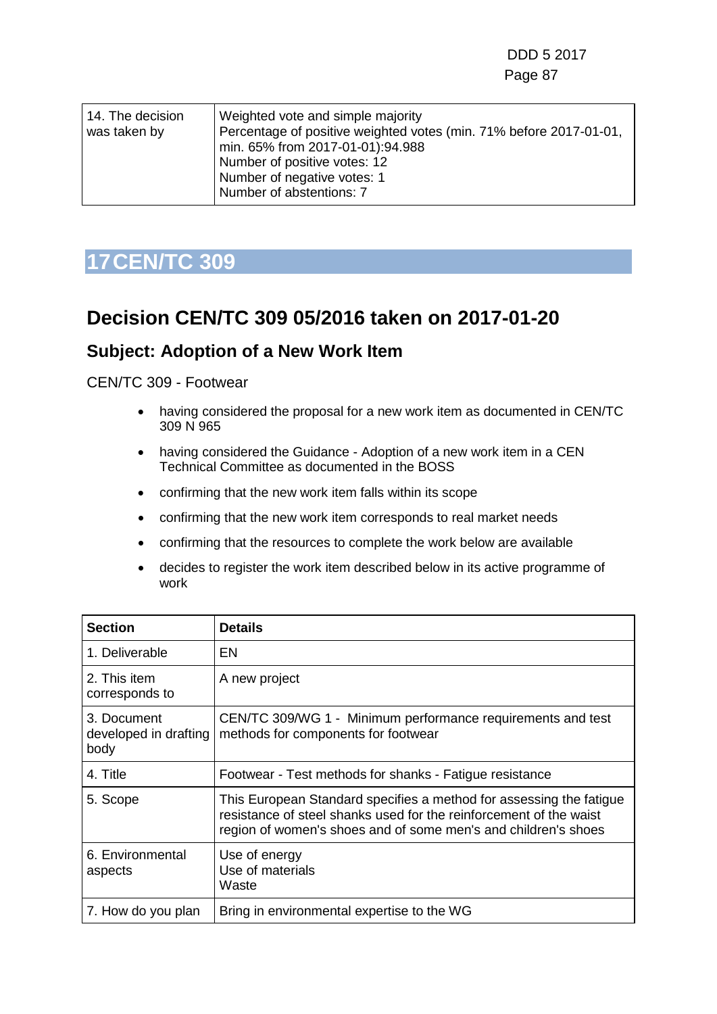| 14. The decision<br>was taken by | Weighted vote and simple majority<br>Percentage of positive weighted votes (min. 71% before 2017-01-01,<br>min. 65% from 2017-01-01):94.988<br>Number of positive votes: 12<br>Number of negative votes: 1 |
|----------------------------------|------------------------------------------------------------------------------------------------------------------------------------------------------------------------------------------------------------|
|                                  | Number of abstentions: 7                                                                                                                                                                                   |

# **17CEN/TC 309**

### **Decision CEN/TC 309 05/2016 taken on 2017-01-20**

### **Subject: Adoption of a New Work Item**

- having considered the proposal for a new work item as documented in CEN/TC 309 N 965
- having considered the Guidance Adoption of a new work item in a CEN Technical Committee as documented in the BOSS
- confirming that the new work item falls within its scope
- confirming that the new work item corresponds to real market needs
- confirming that the resources to complete the work below are available
- decides to register the work item described below in its active programme of work

| <b>Section</b>                               | <b>Details</b>                                                                                                                                                                                              |
|----------------------------------------------|-------------------------------------------------------------------------------------------------------------------------------------------------------------------------------------------------------------|
| 1. Deliverable                               | EN                                                                                                                                                                                                          |
| 2. This item<br>corresponds to               | A new project                                                                                                                                                                                               |
| 3. Document<br>developed in drafting<br>body | CEN/TC 309/WG 1 - Minimum performance requirements and test<br>methods for components for footwear                                                                                                          |
| 4. Title                                     | Footwear - Test methods for shanks - Fatigue resistance                                                                                                                                                     |
| 5. Scope                                     | This European Standard specifies a method for assessing the fatigue<br>resistance of steel shanks used for the reinforcement of the waist<br>region of women's shoes and of some men's and children's shoes |
| 6. Environmental<br>aspects                  | Use of energy<br>Use of materials<br>Waste                                                                                                                                                                  |
| 7. How do you plan                           | Bring in environmental expertise to the WG                                                                                                                                                                  |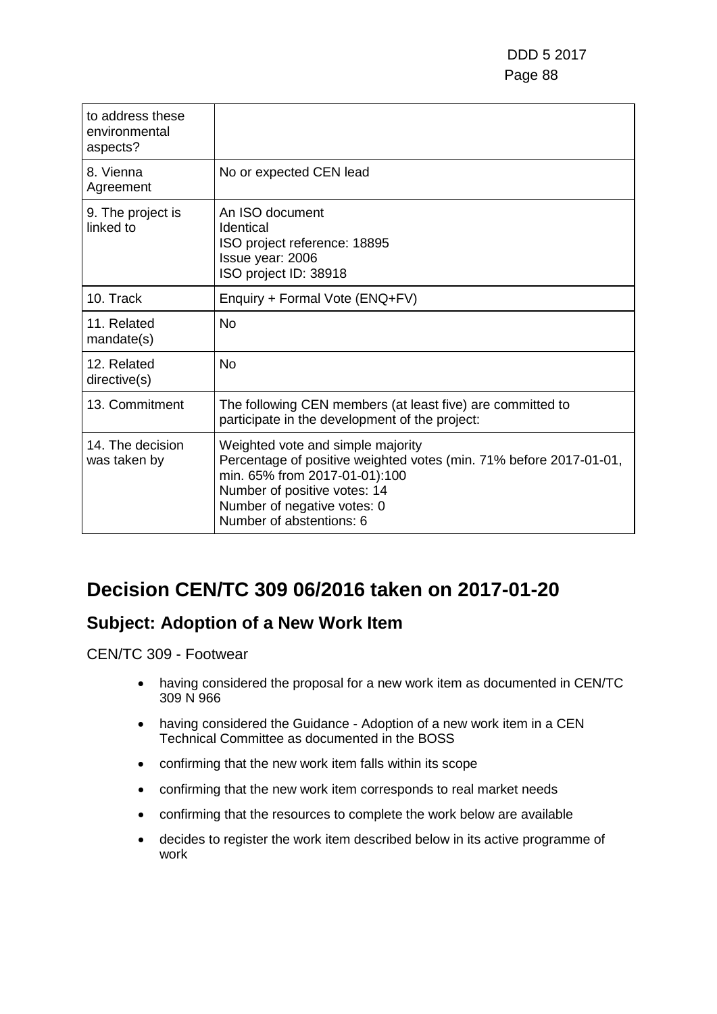| to address these<br>environmental<br>aspects? |                                                                                                                                                                                                                                     |
|-----------------------------------------------|-------------------------------------------------------------------------------------------------------------------------------------------------------------------------------------------------------------------------------------|
| 8. Vienna<br>Agreement                        | No or expected CEN lead                                                                                                                                                                                                             |
| 9. The project is<br>linked to                | An ISO document<br>Identical<br>ISO project reference: 18895<br>Issue year: 2006<br>ISO project ID: 38918                                                                                                                           |
| 10. Track                                     | Enquiry + Formal Vote (ENQ+FV)                                                                                                                                                                                                      |
| 11. Related<br>mandate(s)                     | No                                                                                                                                                                                                                                  |
| 12. Related<br>directive(s)                   | <b>No</b>                                                                                                                                                                                                                           |
| 13. Commitment                                | The following CEN members (at least five) are committed to<br>participate in the development of the project:                                                                                                                        |
| 14. The decision<br>was taken by              | Weighted vote and simple majority<br>Percentage of positive weighted votes (min. 71% before 2017-01-01,<br>min. 65% from 2017-01-01):100<br>Number of positive votes: 14<br>Number of negative votes: 0<br>Number of abstentions: 6 |

# **Decision CEN/TC 309 06/2016 taken on 2017-01-20**

### **Subject: Adoption of a New Work Item**

- having considered the proposal for a new work item as documented in CEN/TC 309 N 966
- having considered the Guidance Adoption of a new work item in a CEN Technical Committee as documented in the BOSS
- confirming that the new work item falls within its scope
- confirming that the new work item corresponds to real market needs
- confirming that the resources to complete the work below are available
- decides to register the work item described below in its active programme of work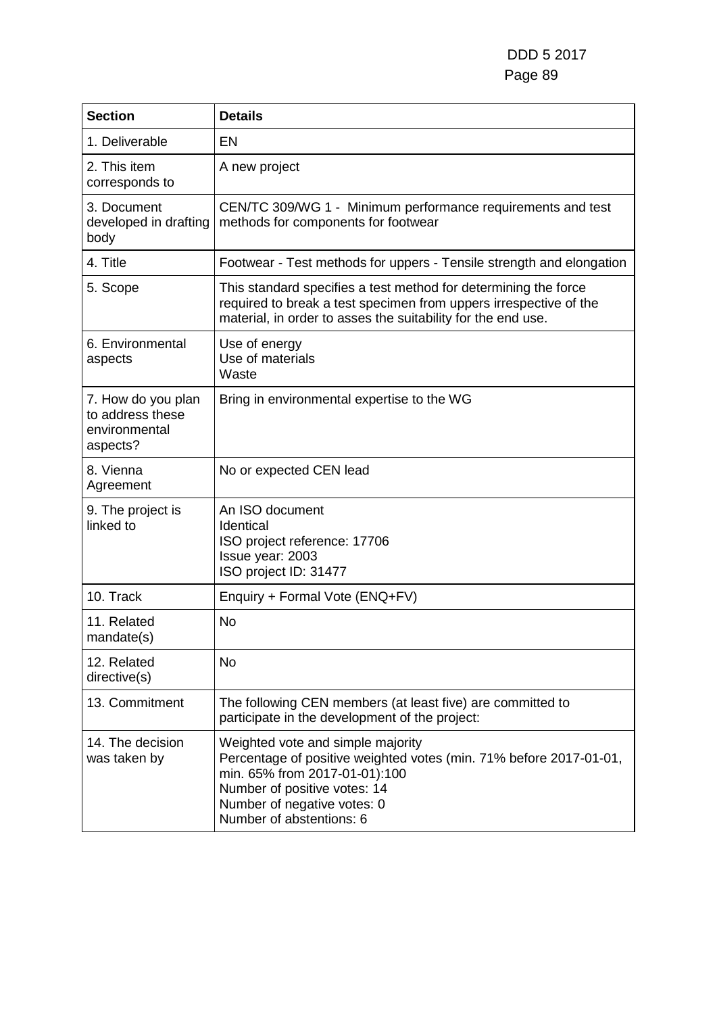DDD 5 2017 Page 89

| <b>Section</b>                                                      | <b>Details</b>                                                                                                                                                                                                                      |
|---------------------------------------------------------------------|-------------------------------------------------------------------------------------------------------------------------------------------------------------------------------------------------------------------------------------|
| 1. Deliverable                                                      | <b>EN</b>                                                                                                                                                                                                                           |
| 2. This item<br>corresponds to                                      | A new project                                                                                                                                                                                                                       |
| 3. Document<br>developed in drafting<br>body                        | CEN/TC 309/WG 1 - Minimum performance requirements and test<br>methods for components for footwear                                                                                                                                  |
| 4. Title                                                            | Footwear - Test methods for uppers - Tensile strength and elongation                                                                                                                                                                |
| 5. Scope                                                            | This standard specifies a test method for determining the force<br>required to break a test specimen from uppers irrespective of the<br>material, in order to asses the suitability for the end use.                                |
| 6. Environmental<br>aspects                                         | Use of energy<br>Use of materials<br>Waste                                                                                                                                                                                          |
| 7. How do you plan<br>to address these<br>environmental<br>aspects? | Bring in environmental expertise to the WG                                                                                                                                                                                          |
| 8. Vienna<br>Agreement                                              | No or expected CEN lead                                                                                                                                                                                                             |
| 9. The project is<br>linked to                                      | An ISO document<br>Identical<br>ISO project reference: 17706<br>Issue year: 2003<br>ISO project ID: 31477                                                                                                                           |
| 10. Track                                                           | Enquiry + Formal Vote (ENQ+FV)                                                                                                                                                                                                      |
| 11. Related<br>mandate(s)                                           | <b>No</b>                                                                                                                                                                                                                           |
| 12. Related<br>directive(s)                                         | <b>No</b>                                                                                                                                                                                                                           |
| 13. Commitment                                                      | The following CEN members (at least five) are committed to<br>participate in the development of the project:                                                                                                                        |
| 14. The decision<br>was taken by                                    | Weighted vote and simple majority<br>Percentage of positive weighted votes (min. 71% before 2017-01-01,<br>min. 65% from 2017-01-01):100<br>Number of positive votes: 14<br>Number of negative votes: 0<br>Number of abstentions: 6 |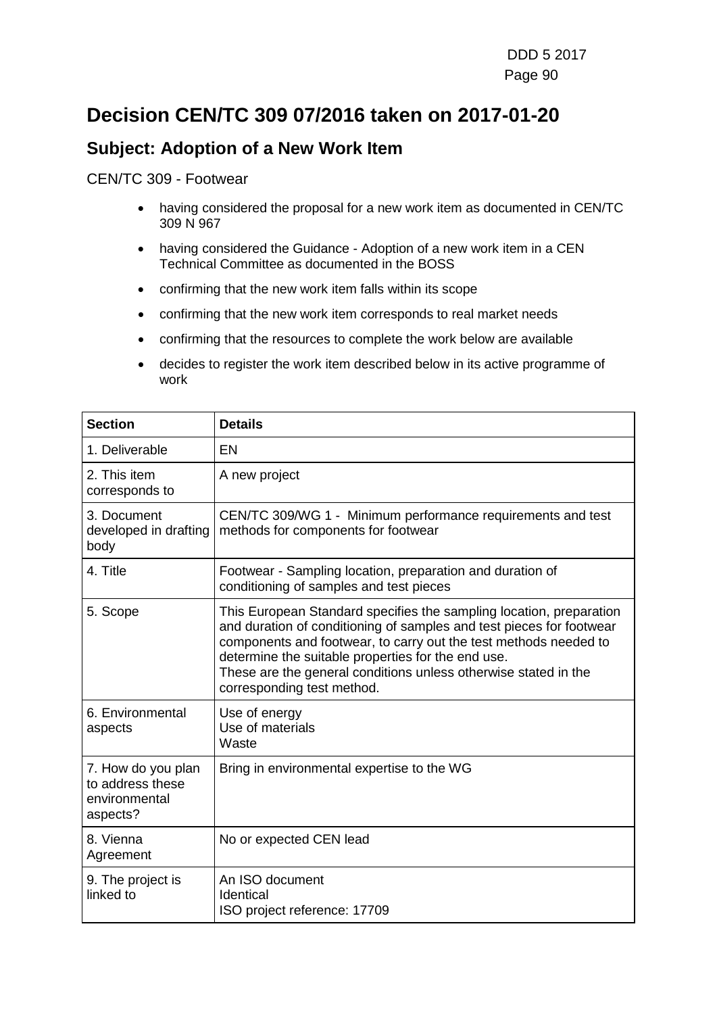# **Decision CEN/TC 309 07/2016 taken on 2017-01-20**

### **Subject: Adoption of a New Work Item**

- having considered the proposal for a new work item as documented in CEN/TC 309 N 967
- having considered the Guidance Adoption of a new work item in a CEN Technical Committee as documented in the BOSS
- confirming that the new work item falls within its scope
- confirming that the new work item corresponds to real market needs
- confirming that the resources to complete the work below are available
- decides to register the work item described below in its active programme of work

| <b>Section</b>                                                      | <b>Details</b>                                                                                                                                                                                                                                                                                                                                                         |
|---------------------------------------------------------------------|------------------------------------------------------------------------------------------------------------------------------------------------------------------------------------------------------------------------------------------------------------------------------------------------------------------------------------------------------------------------|
| 1. Deliverable                                                      | <b>EN</b>                                                                                                                                                                                                                                                                                                                                                              |
| 2. This item<br>corresponds to                                      | A new project                                                                                                                                                                                                                                                                                                                                                          |
| 3. Document<br>developed in drafting<br>body                        | CEN/TC 309/WG 1 - Minimum performance requirements and test<br>methods for components for footwear                                                                                                                                                                                                                                                                     |
| 4. Title                                                            | Footwear - Sampling location, preparation and duration of<br>conditioning of samples and test pieces                                                                                                                                                                                                                                                                   |
| 5. Scope                                                            | This European Standard specifies the sampling location, preparation<br>and duration of conditioning of samples and test pieces for footwear<br>components and footwear, to carry out the test methods needed to<br>determine the suitable properties for the end use.<br>These are the general conditions unless otherwise stated in the<br>corresponding test method. |
| 6. Environmental<br>aspects                                         | Use of energy<br>Use of materials<br>Waste                                                                                                                                                                                                                                                                                                                             |
| 7. How do you plan<br>to address these<br>environmental<br>aspects? | Bring in environmental expertise to the WG                                                                                                                                                                                                                                                                                                                             |
| 8. Vienna<br>Agreement                                              | No or expected CEN lead                                                                                                                                                                                                                                                                                                                                                |
| 9. The project is<br>linked to                                      | An ISO document<br>Identical<br>ISO project reference: 17709                                                                                                                                                                                                                                                                                                           |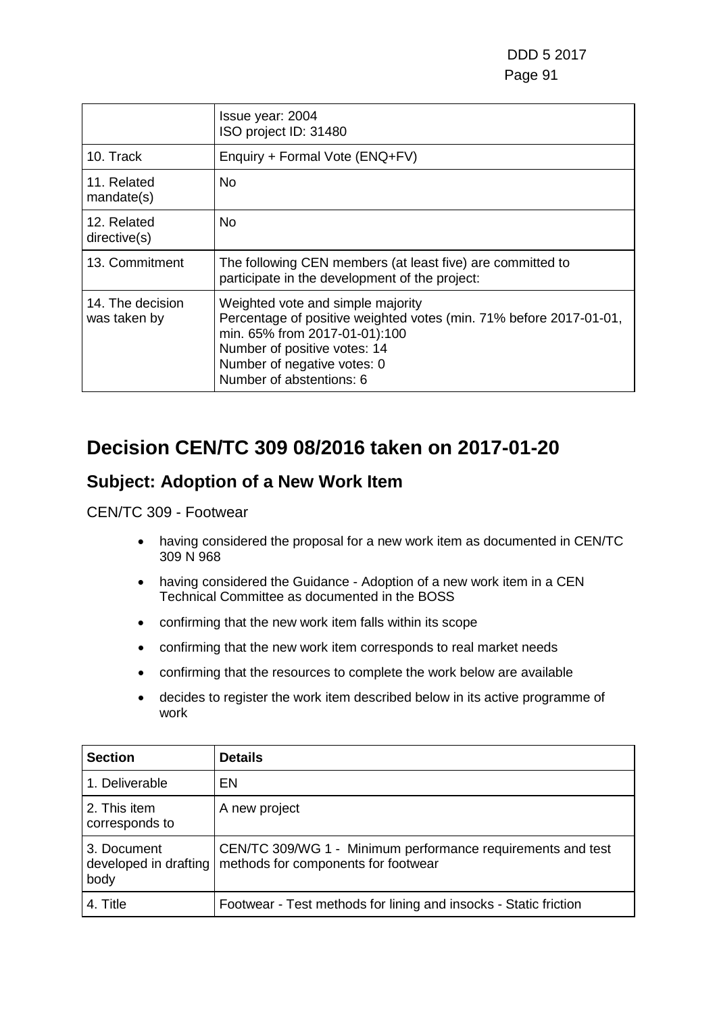|                                  | Issue year: 2004<br>ISO project ID: 31480                                                                                                                                                                                           |
|----------------------------------|-------------------------------------------------------------------------------------------------------------------------------------------------------------------------------------------------------------------------------------|
| 10. Track                        | Enquiry + Formal Vote (ENQ+FV)                                                                                                                                                                                                      |
| 11. Related<br>mandate(s)        | No.                                                                                                                                                                                                                                 |
| 12. Related<br>directive(s)      | No.                                                                                                                                                                                                                                 |
| 13. Commitment                   | The following CEN members (at least five) are committed to<br>participate in the development of the project:                                                                                                                        |
| 14. The decision<br>was taken by | Weighted vote and simple majority<br>Percentage of positive weighted votes (min. 71% before 2017-01-01,<br>min. 65% from 2017-01-01):100<br>Number of positive votes: 14<br>Number of negative votes: 0<br>Number of abstentions: 6 |

# **Decision CEN/TC 309 08/2016 taken on 2017-01-20**

#### **Subject: Adoption of a New Work Item**

- having considered the proposal for a new work item as documented in CEN/TC 309 N 968
- having considered the Guidance Adoption of a new work item in a CEN Technical Committee as documented in the BOSS
- confirming that the new work item falls within its scope
- confirming that the new work item corresponds to real market needs
- confirming that the resources to complete the work below are available
- decides to register the work item described below in its active programme of work

| <b>Section</b>                               | <b>Details</b>                                                                                     |
|----------------------------------------------|----------------------------------------------------------------------------------------------------|
| 1. Deliverable                               | EN                                                                                                 |
| 2. This item<br>corresponds to               | A new project                                                                                      |
| 3. Document<br>developed in drafting<br>body | CEN/TC 309/WG 1 - Minimum performance requirements and test<br>methods for components for footwear |
| 4. Title                                     | Footwear - Test methods for lining and insocks - Static friction                                   |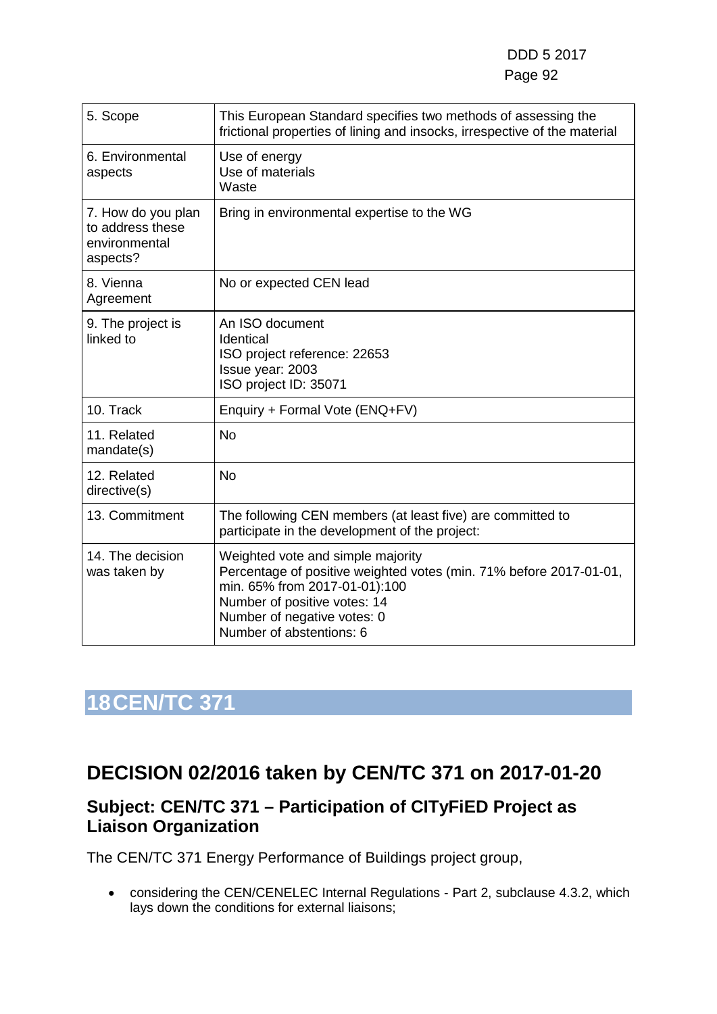| 5. Scope                                                            | This European Standard specifies two methods of assessing the<br>frictional properties of lining and insocks, irrespective of the material                                                                                          |
|---------------------------------------------------------------------|-------------------------------------------------------------------------------------------------------------------------------------------------------------------------------------------------------------------------------------|
| 6. Environmental<br>aspects                                         | Use of energy<br>Use of materials<br>Waste                                                                                                                                                                                          |
| 7. How do you plan<br>to address these<br>environmental<br>aspects? | Bring in environmental expertise to the WG                                                                                                                                                                                          |
| 8. Vienna<br>Agreement                                              | No or expected CEN lead                                                                                                                                                                                                             |
| 9. The project is<br>linked to                                      | An ISO document<br>Identical<br>ISO project reference: 22653<br>Issue year: 2003<br>ISO project ID: 35071                                                                                                                           |
| 10. Track                                                           | Enquiry + Formal Vote (ENQ+FV)                                                                                                                                                                                                      |
| 11. Related<br>mandate(s)                                           | <b>No</b>                                                                                                                                                                                                                           |
| 12. Related<br>directive(s)                                         | <b>No</b>                                                                                                                                                                                                                           |
| 13. Commitment                                                      | The following CEN members (at least five) are committed to<br>participate in the development of the project:                                                                                                                        |
| 14. The decision<br>was taken by                                    | Weighted vote and simple majority<br>Percentage of positive weighted votes (min. 71% before 2017-01-01,<br>min. 65% from 2017-01-01):100<br>Number of positive votes: 14<br>Number of negative votes: 0<br>Number of abstentions: 6 |

# **18CEN/TC 371**

### **DECISION 02/2016 taken by CEN/TC 371 on 2017-01-20**

#### **Subject: CEN/TC 371 – Participation of CITyFiED Project as Liaison Organization**

The CEN/TC 371 Energy Performance of Buildings project group,

• considering the CEN/CENELEC Internal Regulations - Part 2, subclause 4.3.2, which lays down the conditions for external liaisons;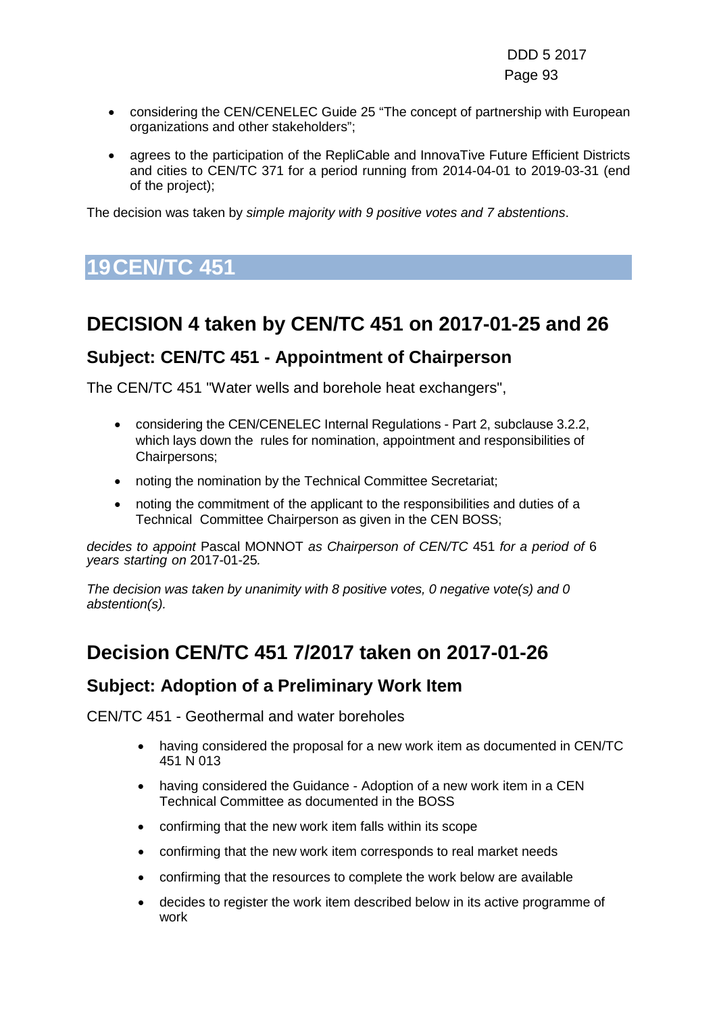- considering the CEN/CENELEC Guide 25 "The concept of partnership with European organizations and other stakeholders";
- agrees to the participation of the RepliCable and InnovaTive Future Efficient Districts and cities to CEN/TC 371 for a period running from 2014-04-01 to 2019-03-31 (end of the project);

The decision was taken by *simple majority with 9 positive votes and 7 abstentions*.

# **19CEN/TC 451**

# **DECISION 4 taken by CEN/TC 451 on 2017-01-25 and 26**

#### **Subject: CEN/TC 451 - Appointment of Chairperson**

The CEN/TC 451 "Water wells and borehole heat exchangers",

- considering the CEN/CENELEC Internal Regulations Part 2, subclause 3.2.2, which lays down the rules for nomination, appointment and responsibilities of Chairpersons;
- noting the nomination by the Technical Committee Secretariat;
- noting the commitment of the applicant to the responsibilities and duties of a Technical Committee Chairperson as given in the CEN BOSS;

*decides to appoint* Pascal MONNOT *as Chairperson of CEN/TC* 451 *for a period of* 6 *years starting on* 2017-01-25*.*

*The decision was taken by unanimity with 8 positive votes, 0 negative vote(s) and 0 abstention(s).*

### **Decision CEN/TC 451 7/2017 taken on 2017-01-26**

#### **Subject: Adoption of a Preliminary Work Item**

CEN/TC 451 - Geothermal and water boreholes

- having considered the proposal for a new work item as documented in CEN/TC 451 N 013
- having considered the Guidance Adoption of a new work item in a CEN Technical Committee as documented in the BOSS
- confirming that the new work item falls within its scope
- confirming that the new work item corresponds to real market needs
- confirming that the resources to complete the work below are available
- decides to register the work item described below in its active programme of work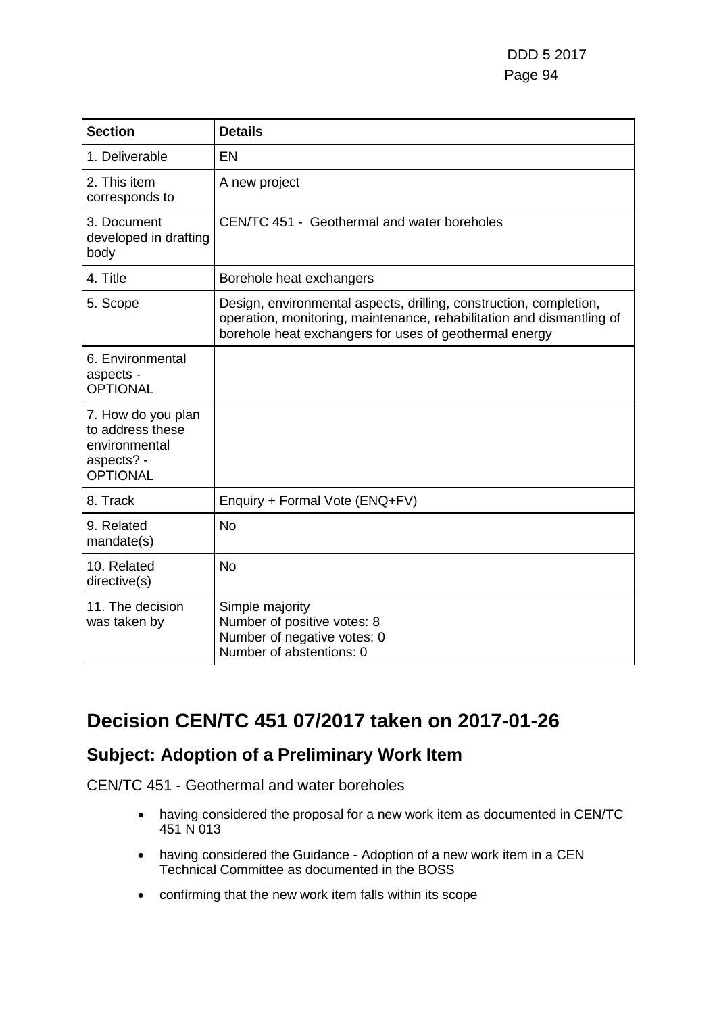DDD 5 2017 Page 94

| <b>Section</b>                                                                           | <b>Details</b>                                                                                                                                                                                        |
|------------------------------------------------------------------------------------------|-------------------------------------------------------------------------------------------------------------------------------------------------------------------------------------------------------|
| 1. Deliverable                                                                           | EN                                                                                                                                                                                                    |
| 2. This item<br>corresponds to                                                           | A new project                                                                                                                                                                                         |
| 3. Document<br>developed in drafting<br>body                                             | CEN/TC 451 - Geothermal and water boreholes                                                                                                                                                           |
| 4. Title                                                                                 | Borehole heat exchangers                                                                                                                                                                              |
| 5. Scope                                                                                 | Design, environmental aspects, drilling, construction, completion,<br>operation, monitoring, maintenance, rehabilitation and dismantling of<br>borehole heat exchangers for uses of geothermal energy |
| 6. Environmental<br>aspects -<br><b>OPTIONAL</b>                                         |                                                                                                                                                                                                       |
| 7. How do you plan<br>to address these<br>environmental<br>aspects? -<br><b>OPTIONAL</b> |                                                                                                                                                                                                       |
| 8. Track                                                                                 | Enquiry + Formal Vote (ENQ+FV)                                                                                                                                                                        |
| 9. Related<br>mandate(s)                                                                 | <b>No</b>                                                                                                                                                                                             |
| 10. Related<br>directive(s)                                                              | <b>No</b>                                                                                                                                                                                             |
| 11. The decision<br>was taken by                                                         | Simple majority<br>Number of positive votes: 8<br>Number of negative votes: 0<br>Number of abstentions: 0                                                                                             |

### **Decision CEN/TC 451 07/2017 taken on 2017-01-26**

#### **Subject: Adoption of a Preliminary Work Item**

CEN/TC 451 - Geothermal and water boreholes

- having considered the proposal for a new work item as documented in CEN/TC 451 N 013
- having considered the Guidance Adoption of a new work item in a CEN Technical Committee as documented in the BOSS
- confirming that the new work item falls within its scope